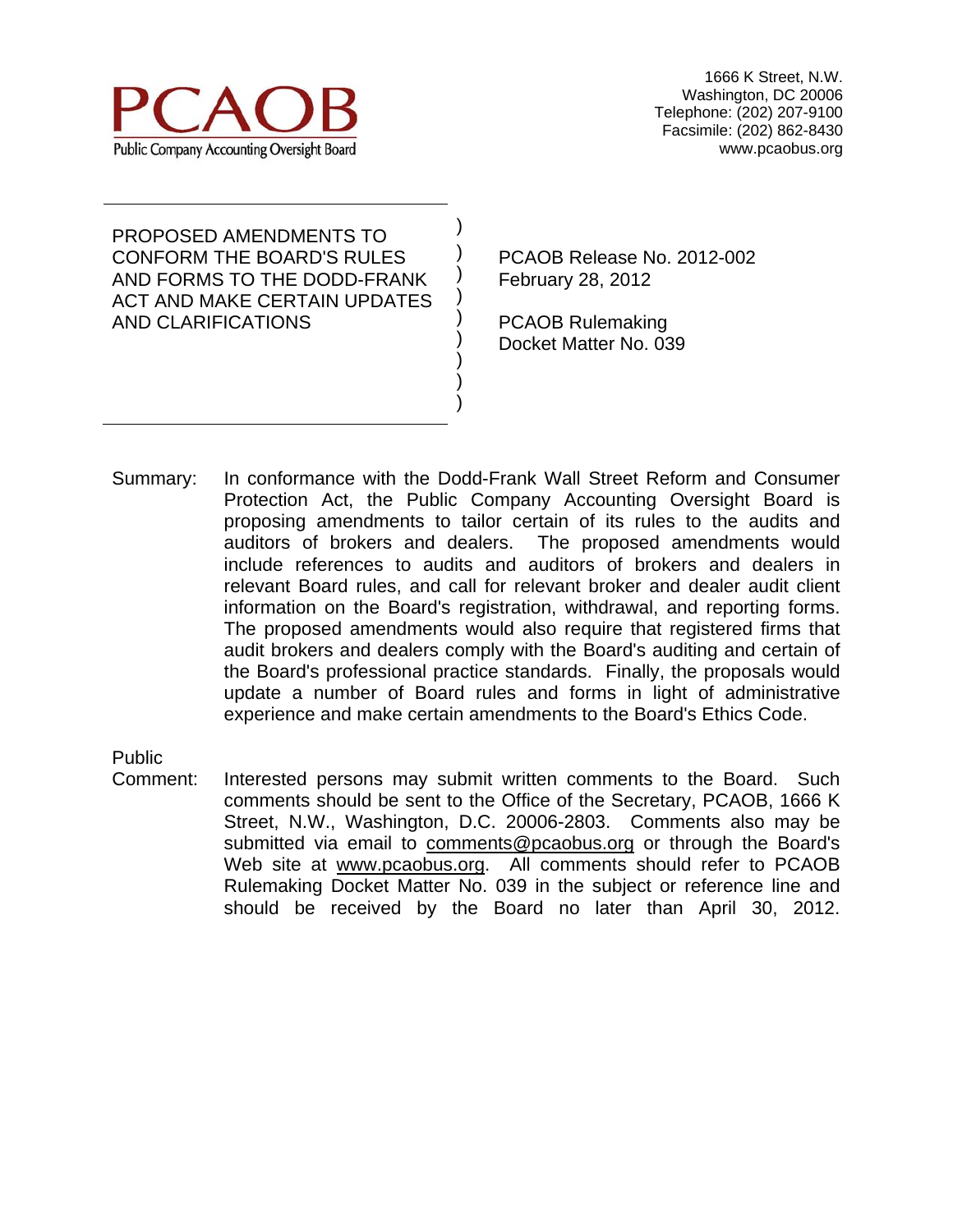

PROPOSED AMENDMENTS TO CONFORM THE BOARD'S RULES AND FORMS TO THE DODD-FRANK ACT AND MAKE CERTAIN UPDATES AND CLARIFICATIONS

PCAOB Release No. 2012-002 February 28, 2012

PCAOB Rulemaking Docket Matter No. 039

Summary: In conformance with the Dodd-Frank Wall Street Reform and Consumer Protection Act, the Public Company Accounting Oversight Board is proposing amendments to tailor certain of its rules to the audits and auditors of brokers and dealers. The proposed amendments would include references to audits and auditors of brokers and dealers in relevant Board rules, and call for relevant broker and dealer audit client information on the Board's registration, withdrawal, and reporting forms. The proposed amendments would also require that registered firms that audit brokers and dealers comply with the Board's auditing and certain of the Board's professional practice standards. Finally, the proposals would update a number of Board rules and forms in light of administrative experience and make certain amendments to the Board's Ethics Code.

) ) ) ) ) ) ) ) )

Public

Comment: Interested persons may submit written comments to the Board. Such comments should be sent to the Office of the Secretary, PCAOB, 1666 K Street, N.W., Washington, D.C. 20006-2803. Comments also may be submitted via email to comments@pcaobus.org or through the Board's Web site at www.pcaobus.org. All comments should refer to PCAOB Rulemaking Docket Matter No. 039 in the subject or reference line and should be received by the Board no later than April 30, 2012.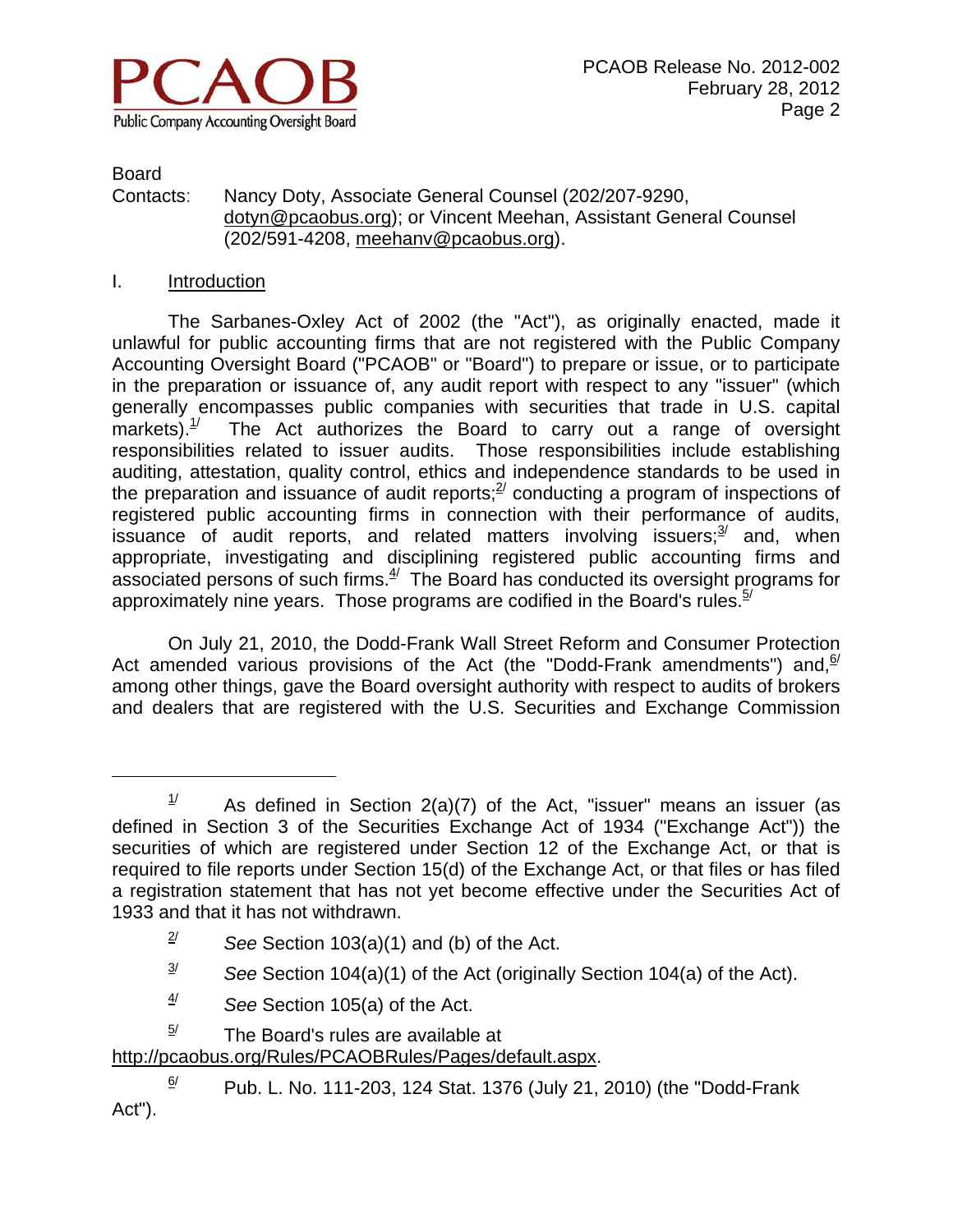

Board

 $\overline{a}$ 

#### Contacts: Nancy Doty, Associate General Counsel (202/207-9290, dotyn@pcaobus.org); or Vincent Meehan, Assistant General Counsel (202/591-4208, meehanv@pcaobus.org).

#### I. Introduction

 The Sarbanes-Oxley Act of 2002 (the "Act"), as originally enacted, made it unlawful for public accounting firms that are not registered with the Public Company Accounting Oversight Board ("PCAOB" or "Board") to prepare or issue, or to participate in the preparation or issuance of, any audit report with respect to any "issuer" (which generally encompasses public companies with securities that trade in U.S. capital markets).<sup>1/</sup> The Act authorizes the Board to carry out a range of oversight responsibilities related to issuer audits. Those responsibilities include establishing auditing, attestation, quality control, ethics and independence standards to be used in the preparation and issuance of audit reports; $^{2}$  conducting a program of inspections of registered public accounting firms in connection with their performance of audits, issuance of audit reports, and related matters involving issuers; $3/3$  and, when appropriate, investigating and disciplining registered public accounting firms and associated persons of such firms. $4/2$  The Board has conducted its oversight programs for approximately nine years. Those programs are codified in the Board's rules.  $5/$ 

 On July 21, 2010, the Dodd-Frank Wall Street Reform and Consumer Protection Act amended various provisions of the Act (the "Dodd-Frank amendments") and,  $6/$ among other things, gave the Board oversight authority with respect to audits of brokers and dealers that are registered with the U.S. Securities and Exchange Commission

- 4/ *See* Section 105(a) of the Act.
- $5/$  The Board's rules are available at

http://pcaobus.org/Rules/PCAOBRules/Pages/default.aspx.

 $1/$  As defined in Section 2(a)(7) of the Act, "issuer" means an issuer (as defined in Section 3 of the Securities Exchange Act of 1934 ("Exchange Act")) the securities of which are registered under Section 12 of the Exchange Act, or that is required to file reports under Section 15(d) of the Exchange Act, or that files or has filed a registration statement that has not yet become effective under the Securities Act of 1933 and that it has not withdrawn.

 $\frac{2}{7}$  See Section 103(a)(1) and (b) of the Act.

 $\frac{3}{4}$  See Section 104(a)(1) of the Act (originally Section 104(a) of the Act).

 $\frac{6}{1}$  Pub. L. No. 111-203, 124 Stat. 1376 (July 21, 2010) (the "Dodd-Frank Act").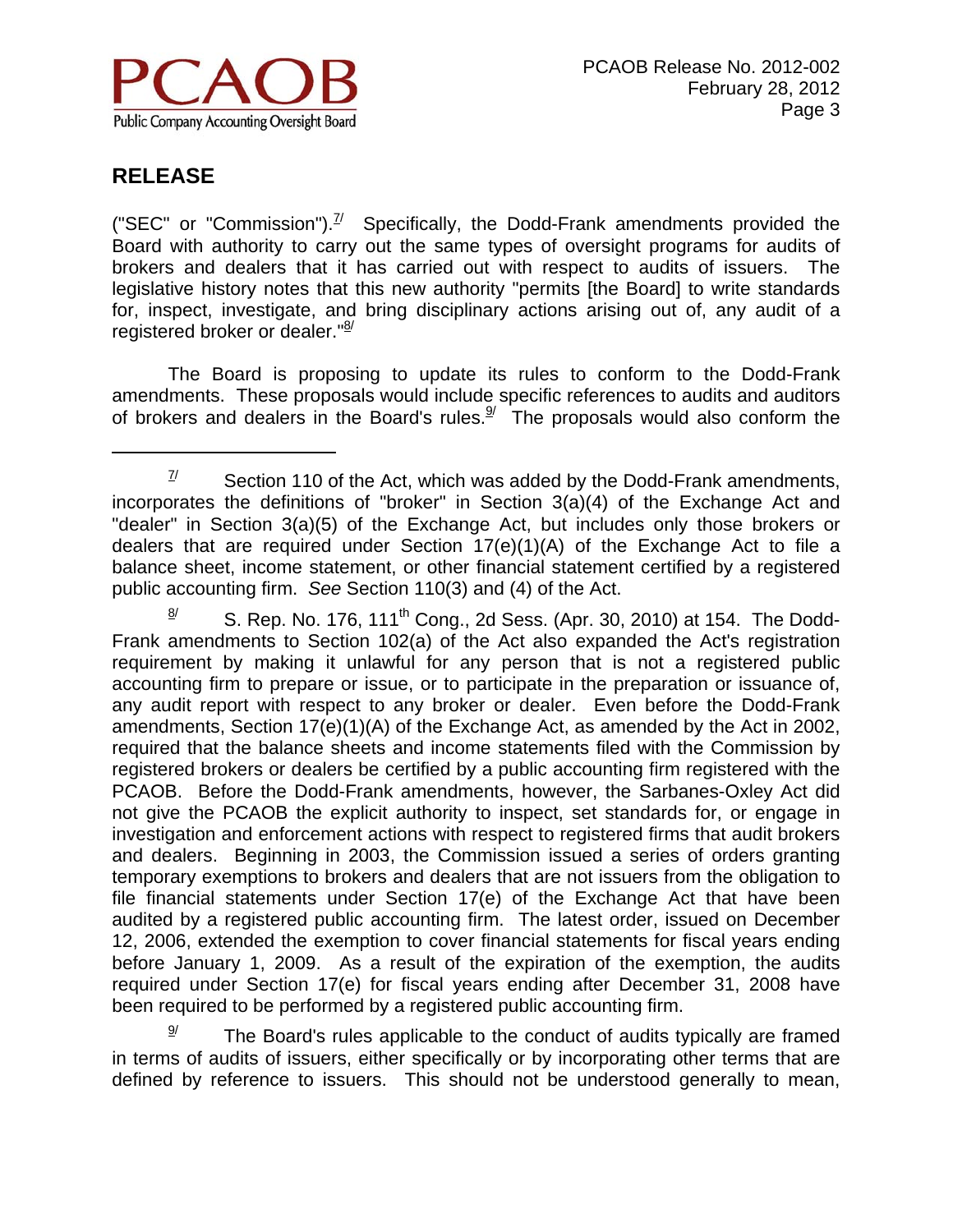

 $\overline{a}$ 

("SEC" or "Commission").<sup>7/</sup> Specifically, the Dodd-Frank amendments provided the Board with authority to carry out the same types of oversight programs for audits of brokers and dealers that it has carried out with respect to audits of issuers. The legislative history notes that this new authority "permits [the Board] to write standards for, inspect, investigate, and bring disciplinary actions arising out of, any audit of a registered broker or dealer."<sup>8/</sup>

 The Board is proposing to update its rules to conform to the Dodd-Frank amendments. These proposals would include specific references to audits and auditors of brokers and dealers in the Board's rules. $9/$  The proposals would also conform the

 $\frac{8}{1}$  S. Rep. No. 176, 111<sup>th</sup> Cong., 2d Sess. (Apr. 30, 2010) at 154. The Dodd-Frank amendments to Section 102(a) of the Act also expanded the Act's registration requirement by making it unlawful for any person that is not a registered public accounting firm to prepare or issue, or to participate in the preparation or issuance of, any audit report with respect to any broker or dealer. Even before the Dodd-Frank amendments, Section 17(e)(1)(A) of the Exchange Act, as amended by the Act in 2002, required that the balance sheets and income statements filed with the Commission by registered brokers or dealers be certified by a public accounting firm registered with the PCAOB. Before the Dodd-Frank amendments, however, the Sarbanes-Oxley Act did not give the PCAOB the explicit authority to inspect, set standards for, or engage in investigation and enforcement actions with respect to registered firms that audit brokers and dealers. Beginning in 2003, the Commission issued a series of orders granting temporary exemptions to brokers and dealers that are not issuers from the obligation to file financial statements under Section 17(e) of the Exchange Act that have been audited by a registered public accounting firm. The latest order, issued on December 12, 2006, extended the exemption to cover financial statements for fiscal years ending before January 1, 2009. As a result of the expiration of the exemption, the audits required under Section 17(e) for fiscal years ending after December 31, 2008 have been required to be performed by a registered public accounting firm.

The Board's rules applicable to the conduct of audits typically are framed in terms of audits of issuers, either specifically or by incorporating other terms that are defined by reference to issuers. This should not be understood generally to mean,

 $\frac{7}{10}$  Section 110 of the Act, which was added by the Dodd-Frank amendments, incorporates the definitions of "broker" in Section 3(a)(4) of the Exchange Act and "dealer" in Section 3(a)(5) of the Exchange Act, but includes only those brokers or dealers that are required under Section 17(e)(1)(A) of the Exchange Act to file a balance sheet, income statement, or other financial statement certified by a registered public accounting firm. *See* Section 110(3) and (4) of the Act.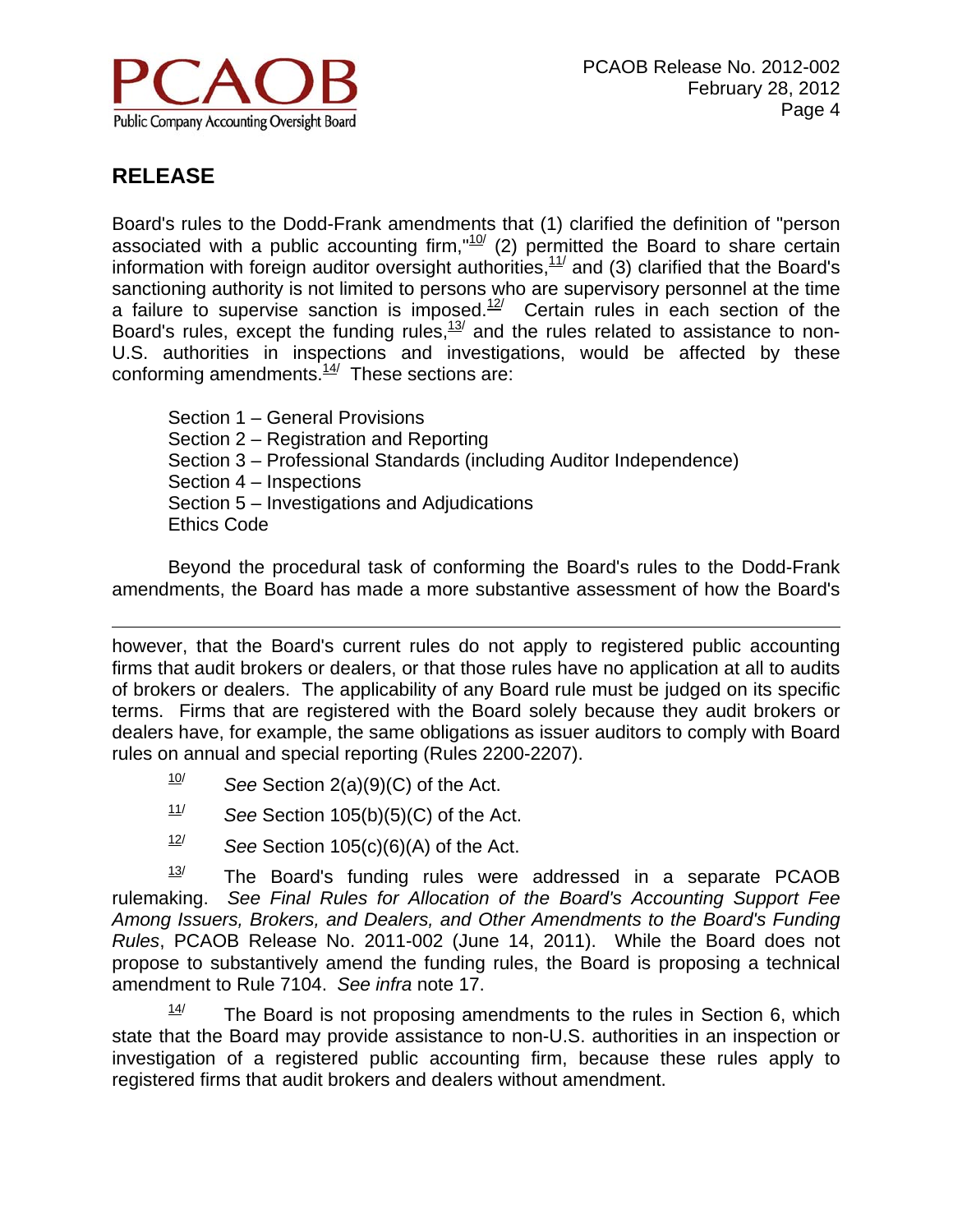

 $\overline{a}$ 

Board's rules to the Dodd-Frank amendments that (1) clarified the definition of "person associated with a public accounting firm,"<sup>10</sup>/ (2) permitted the Board to share certain information with foreign auditor oversight authorities, $11/$  and (3) clarified that the Board's sanctioning authority is not limited to persons who are supervisory personnel at the time a failure to supervise sanction is imposed.<sup>12/</sup> Certain rules in each section of the Board's rules, except the funding rules,<sup>13/</sup> and the rules related to assistance to non-U.S. authorities in inspections and investigations, would be affected by these conforming amendments. $\frac{14}{1}$  These sections are:

Section 1 – General Provisions Section 2 – Registration and Reporting Section 3 – Professional Standards (including Auditor Independence) Section 4 – Inspections Section 5 – Investigations and Adjudications Ethics Code

 Beyond the procedural task of conforming the Board's rules to the Dodd-Frank amendments, the Board has made a more substantive assessment of how the Board's

however, that the Board's current rules do not apply to registered public accounting firms that audit brokers or dealers, or that those rules have no application at all to audits of brokers or dealers. The applicability of any Board rule must be judged on its specific terms. Firms that are registered with the Board solely because they audit brokers or dealers have, for example, the same obligations as issuer auditors to comply with Board rules on annual and special reporting (Rules 2200-2207).

- $10$ <sup>*I*O</sup> See Section 2(a)(9)(C) of the Act.
- 11/ *See* Section 105(b)(5)(C) of the Act.
- $12$  *See* Section 105(c)(6)(A) of the Act.

 $13$  The Board's funding rules were addressed in a separate PCAOB rulemaking. *See Final Rules for Allocation of the Board's Accounting Support Fee Among Issuers, Brokers, and Dealers, and Other Amendments to the Board's Funding Rules*, PCAOB Release No. 2011-002 (June 14, 2011). While the Board does not propose to substantively amend the funding rules, the Board is proposing a technical amendment to Rule 7104. *See infra* note 17.

 $14$  The Board is not proposing amendments to the rules in Section 6, which state that the Board may provide assistance to non-U.S. authorities in an inspection or investigation of a registered public accounting firm, because these rules apply to registered firms that audit brokers and dealers without amendment.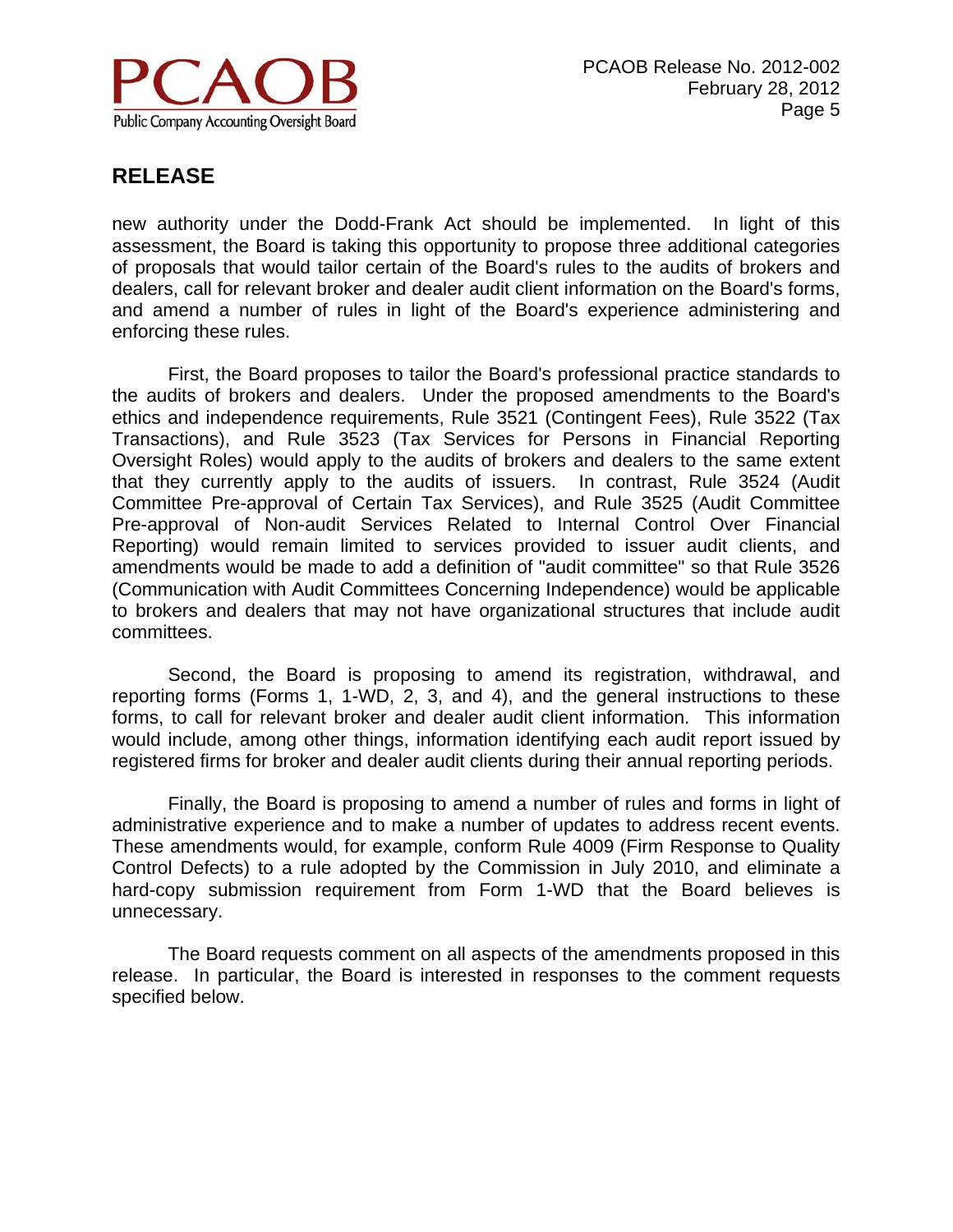

new authority under the Dodd-Frank Act should be implemented. In light of this assessment, the Board is taking this opportunity to propose three additional categories of proposals that would tailor certain of the Board's rules to the audits of brokers and dealers, call for relevant broker and dealer audit client information on the Board's forms, and amend a number of rules in light of the Board's experience administering and enforcing these rules.

 First, the Board proposes to tailor the Board's professional practice standards to the audits of brokers and dealers. Under the proposed amendments to the Board's ethics and independence requirements, Rule 3521 (Contingent Fees), Rule 3522 (Tax Transactions), and Rule 3523 (Tax Services for Persons in Financial Reporting Oversight Roles) would apply to the audits of brokers and dealers to the same extent that they currently apply to the audits of issuers. In contrast, Rule 3524 (Audit Committee Pre-approval of Certain Tax Services), and Rule 3525 (Audit Committee Pre-approval of Non-audit Services Related to Internal Control Over Financial Reporting) would remain limited to services provided to issuer audit clients, and amendments would be made to add a definition of "audit committee" so that Rule 3526 (Communication with Audit Committees Concerning Independence) would be applicable to brokers and dealers that may not have organizational structures that include audit committees.

 Second, the Board is proposing to amend its registration, withdrawal, and reporting forms (Forms 1, 1-WD, 2, 3, and 4), and the general instructions to these forms, to call for relevant broker and dealer audit client information. This information would include, among other things, information identifying each audit report issued by registered firms for broker and dealer audit clients during their annual reporting periods.

 Finally, the Board is proposing to amend a number of rules and forms in light of administrative experience and to make a number of updates to address recent events. These amendments would, for example, conform Rule 4009 (Firm Response to Quality Control Defects) to a rule adopted by the Commission in July 2010, and eliminate a hard-copy submission requirement from Form 1-WD that the Board believes is unnecessary.

 The Board requests comment on all aspects of the amendments proposed in this release. In particular, the Board is interested in responses to the comment requests specified below.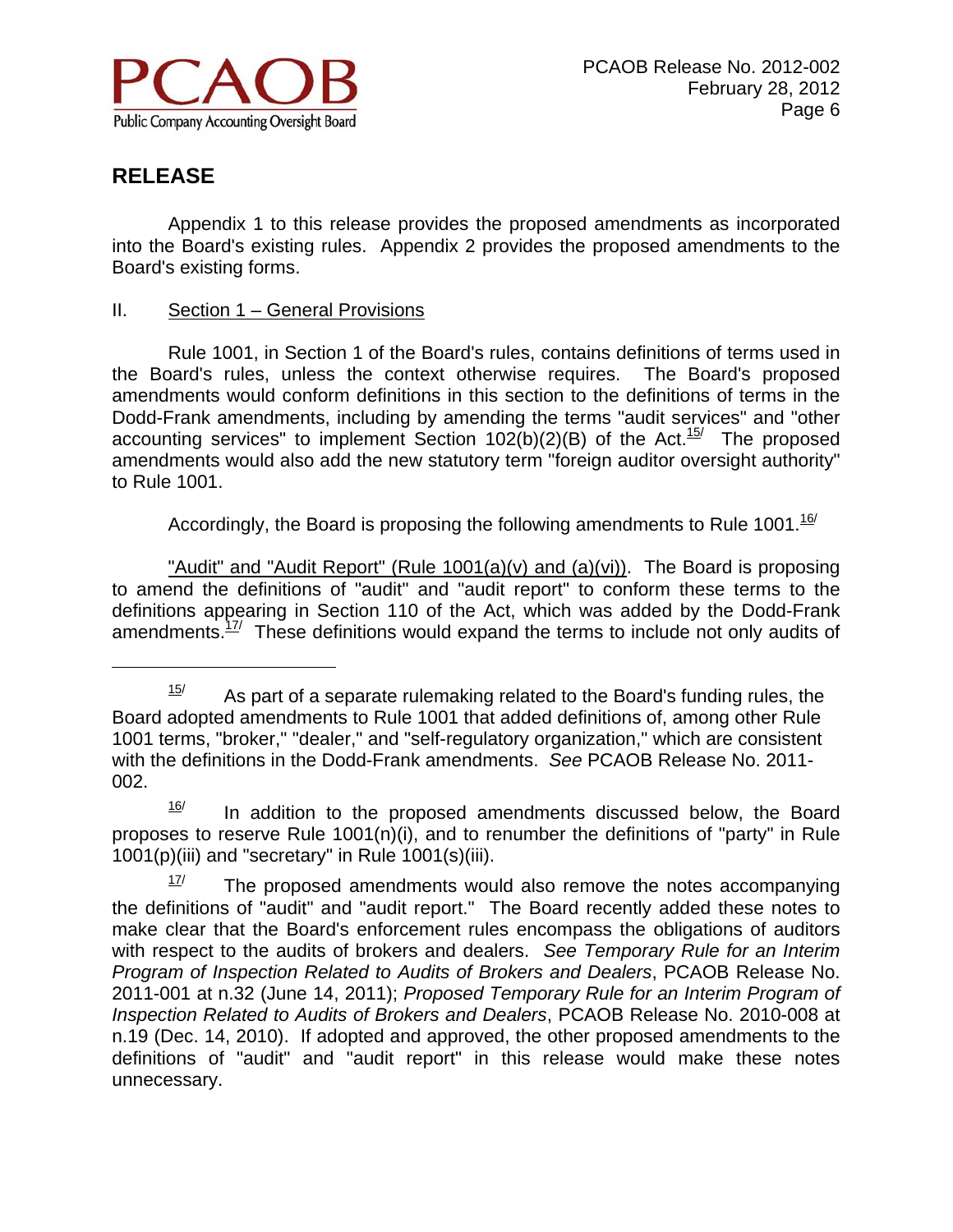

 $\overline{a}$ 

 Appendix 1 to this release provides the proposed amendments as incorporated into the Board's existing rules. Appendix 2 provides the proposed amendments to the Board's existing forms.

II. Section 1 – General Provisions

 Rule 1001, in Section 1 of the Board's rules, contains definitions of terms used in the Board's rules, unless the context otherwise requires. The Board's proposed amendments would conform definitions in this section to the definitions of terms in the Dodd-Frank amendments, including by amending the terms "audit services" and "other accounting services" to implement Section 102(b)(2)(B) of the Act.<sup>15/</sup> The proposed amendments would also add the new statutory term "foreign auditor oversight authority" to Rule 1001.

Accordingly, the Board is proposing the following amendments to Rule 1001.<sup>16</sup>

"Audit" and "Audit Report" (Rule 1001(a)(v) and (a)(vi)). The Board is proposing to amend the definitions of "audit" and "audit report" to conform these terms to the definitions appearing in Section 110 of the Act, which was added by the Dodd-Frank amendments. $17$ <sup>/</sup> These definitions would expand the terms to include not only audits of

 $16$  In addition to the proposed amendments discussed below, the Board proposes to reserve Rule  $1001(n)(i)$ , and to renumber the definitions of "party" in Rule 1001(p)(iii) and "secretary" in Rule 1001(s)(iii).

 $15$  As part of a separate rulemaking related to the Board's funding rules, the Board adopted amendments to Rule 1001 that added definitions of, among other Rule 1001 terms, "broker," "dealer," and "self-regulatory organization," which are consistent with the definitions in the Dodd-Frank amendments. *See* PCAOB Release No. 2011- 002.

 $17$  The proposed amendments would also remove the notes accompanying the definitions of "audit" and "audit report." The Board recently added these notes to make clear that the Board's enforcement rules encompass the obligations of auditors with respect to the audits of brokers and dealers. *See Temporary Rule for an Interim Program of Inspection Related to Audits of Brokers and Dealers*, PCAOB Release No. 2011-001 at n.32 (June 14, 2011); *Proposed Temporary Rule for an Interim Program of Inspection Related to Audits of Brokers and Dealers*, PCAOB Release No. 2010-008 at n.19 (Dec. 14, 2010). If adopted and approved, the other proposed amendments to the definitions of "audit" and "audit report" in this release would make these notes unnecessary.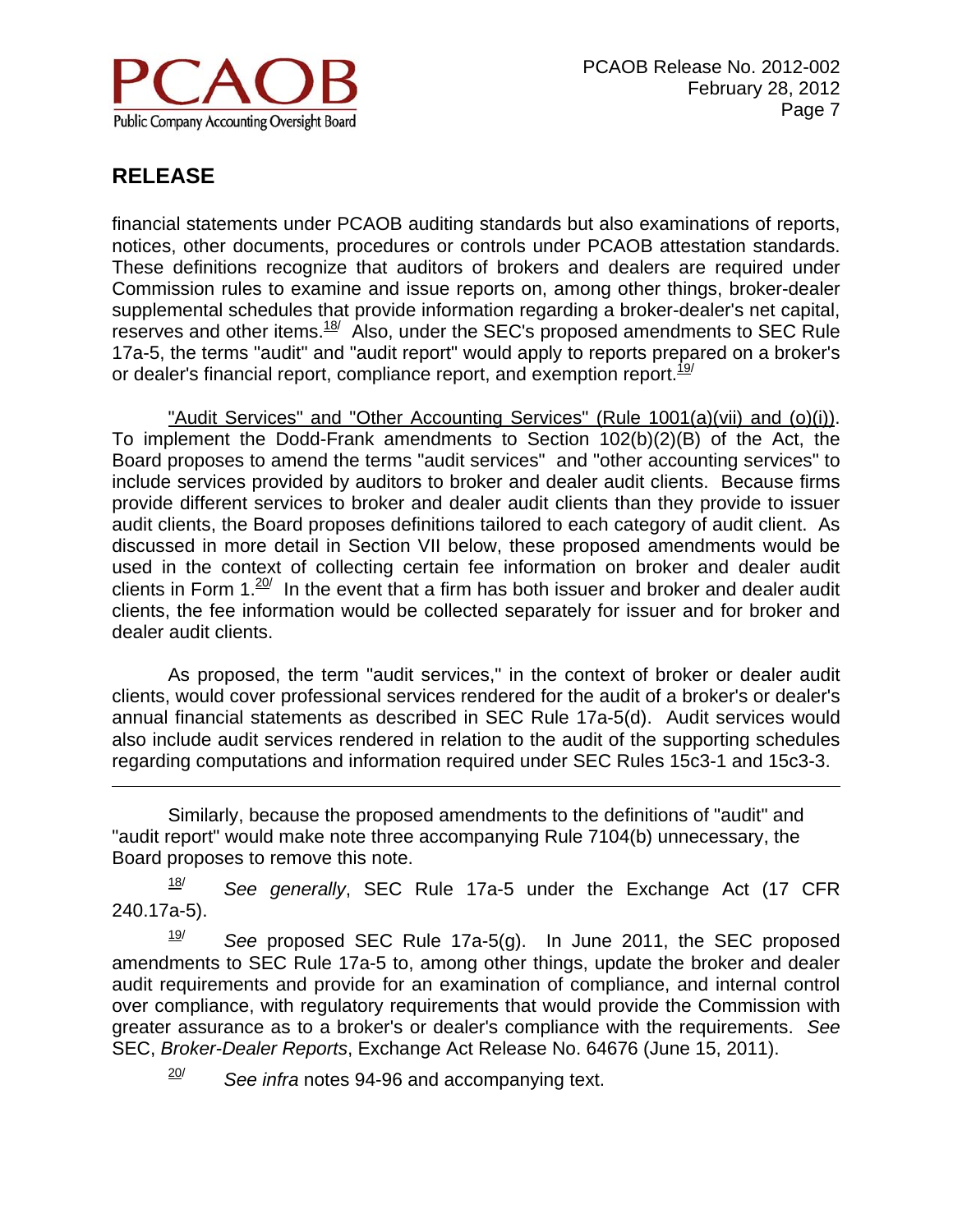

 $\overline{a}$ 

financial statements under PCAOB auditing standards but also examinations of reports, notices, other documents, procedures or controls under PCAOB attestation standards. These definitions recognize that auditors of brokers and dealers are required under Commission rules to examine and issue reports on, among other things, broker-dealer supplemental schedules that provide information regarding a broker-dealer's net capital, reserves and other items.<sup>18/</sup> Also, under the SEC's proposed amendments to SEC Rule 17a-5, the terms "audit" and "audit report" would apply to reports prepared on a broker's or dealer's financial report, compliance report, and exemption report.  $19/1$ 

 "Audit Services" and "Other Accounting Services" (Rule 1001(a)(vii) and (o)(i)). To implement the Dodd-Frank amendments to Section 102(b)(2)(B) of the Act, the Board proposes to amend the terms "audit services" and "other accounting services" to include services provided by auditors to broker and dealer audit clients. Because firms provide different services to broker and dealer audit clients than they provide to issuer audit clients, the Board proposes definitions tailored to each category of audit client. As discussed in more detail in Section VII below, these proposed amendments would be used in the context of collecting certain fee information on broker and dealer audit clients in Form  $1.20$ <sup>t</sup> In the event that a firm has both issuer and broker and dealer audit clients, the fee information would be collected separately for issuer and for broker and dealer audit clients.

As proposed, the term "audit services," in the context of broker or dealer audit clients, would cover professional services rendered for the audit of a broker's or dealer's annual financial statements as described in SEC Rule 17a-5(d). Audit services would also include audit services rendered in relation to the audit of the supporting schedules regarding computations and information required under SEC Rules 15c3-1 and 15c3-3.

Similarly, because the proposed amendments to the definitions of "audit" and "audit report" would make note three accompanying Rule 7104(b) unnecessary, the Board proposes to remove this note.

18/ *See generally*, SEC Rule 17a-5 under the Exchange Act (17 CFR 240.17a-5).

19/ *See* proposed SEC Rule 17a-5(g). In June 2011, the SEC proposed amendments to SEC Rule 17a-5 to, among other things, update the broker and dealer audit requirements and provide for an examination of compliance, and internal control over compliance, with regulatory requirements that would provide the Commission with greater assurance as to a broker's or dealer's compliance with the requirements. *See* SEC, *Broker-Dealer Reports*, Exchange Act Release No. 64676 (June 15, 2011).

20/ *See infra* notes 94-96 and accompanying text.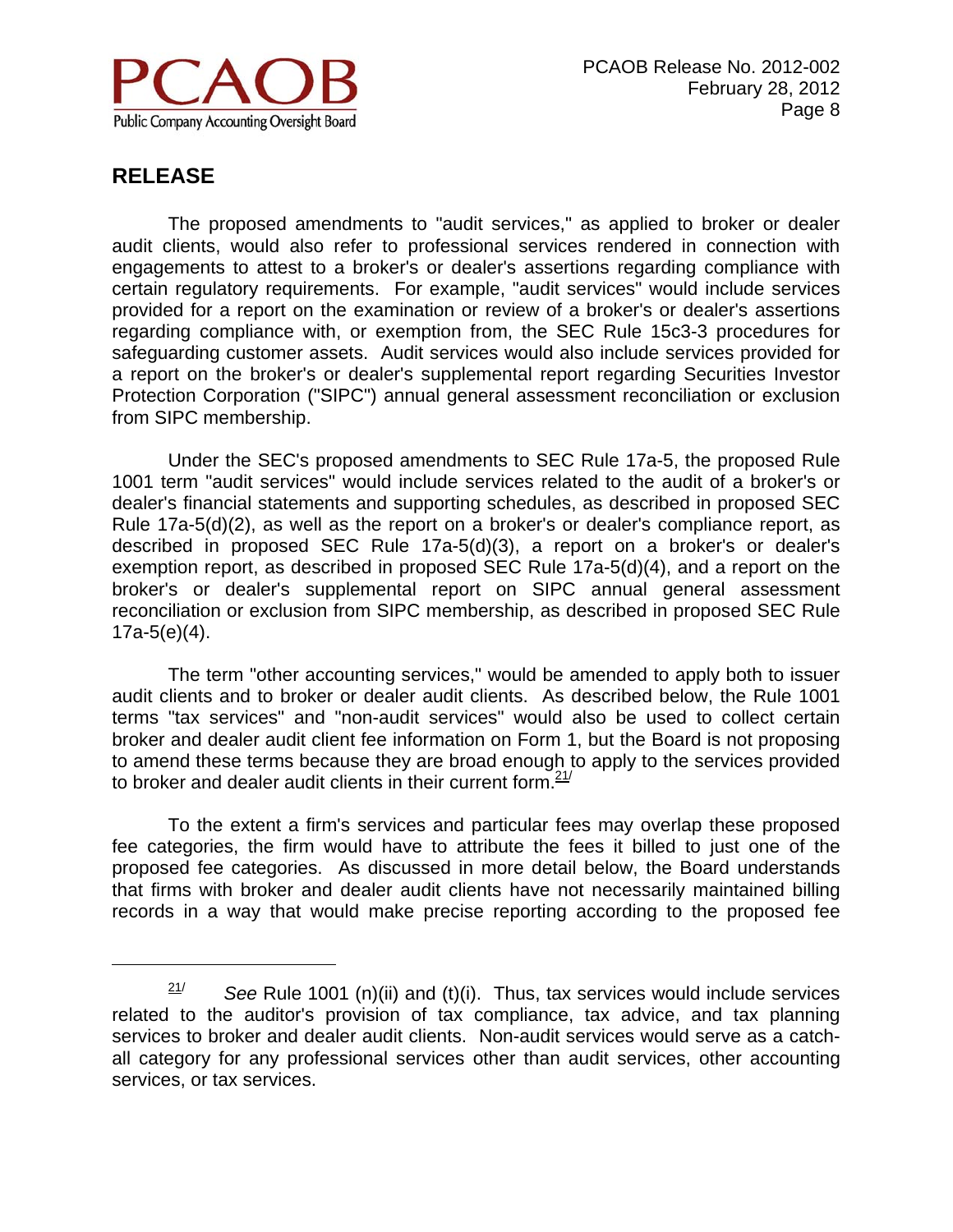

 $\overline{a}$ 

The proposed amendments to "audit services," as applied to broker or dealer audit clients, would also refer to professional services rendered in connection with engagements to attest to a broker's or dealer's assertions regarding compliance with certain regulatory requirements. For example, "audit services" would include services provided for a report on the examination or review of a broker's or dealer's assertions regarding compliance with, or exemption from, the SEC Rule 15c3-3 procedures for safeguarding customer assets. Audit services would also include services provided for a report on the broker's or dealer's supplemental report regarding Securities Investor Protection Corporation ("SIPC") annual general assessment reconciliation or exclusion from SIPC membership.

Under the SEC's proposed amendments to SEC Rule 17a-5, the proposed Rule 1001 term "audit services" would include services related to the audit of a broker's or dealer's financial statements and supporting schedules, as described in proposed SEC Rule 17a-5(d)(2), as well as the report on a broker's or dealer's compliance report, as described in proposed SEC Rule 17a-5(d)(3), a report on a broker's or dealer's exemption report, as described in proposed SEC Rule 17a-5(d)(4), and a report on the broker's or dealer's supplemental report on SIPC annual general assessment reconciliation or exclusion from SIPC membership, as described in proposed SEC Rule  $17a-5(e)(4)$ .

The term "other accounting services," would be amended to apply both to issuer audit clients and to broker or dealer audit clients. As described below, the Rule 1001 terms "tax services" and "non-audit services" would also be used to collect certain broker and dealer audit client fee information on Form 1, but the Board is not proposing to amend these terms because they are broad enough to apply to the services provided to broker and dealer audit clients in their current form. $21/2$ 

To the extent a firm's services and particular fees may overlap these proposed fee categories, the firm would have to attribute the fees it billed to just one of the proposed fee categories. As discussed in more detail below, the Board understands that firms with broker and dealer audit clients have not necessarily maintained billing records in a way that would make precise reporting according to the proposed fee

 $21$ <sup>/</sup> See Rule 1001 (n)(ii) and (t)(i). Thus, tax services would include services related to the auditor's provision of tax compliance, tax advice, and tax planning services to broker and dealer audit clients. Non-audit services would serve as a catchall category for any professional services other than audit services, other accounting services, or tax services.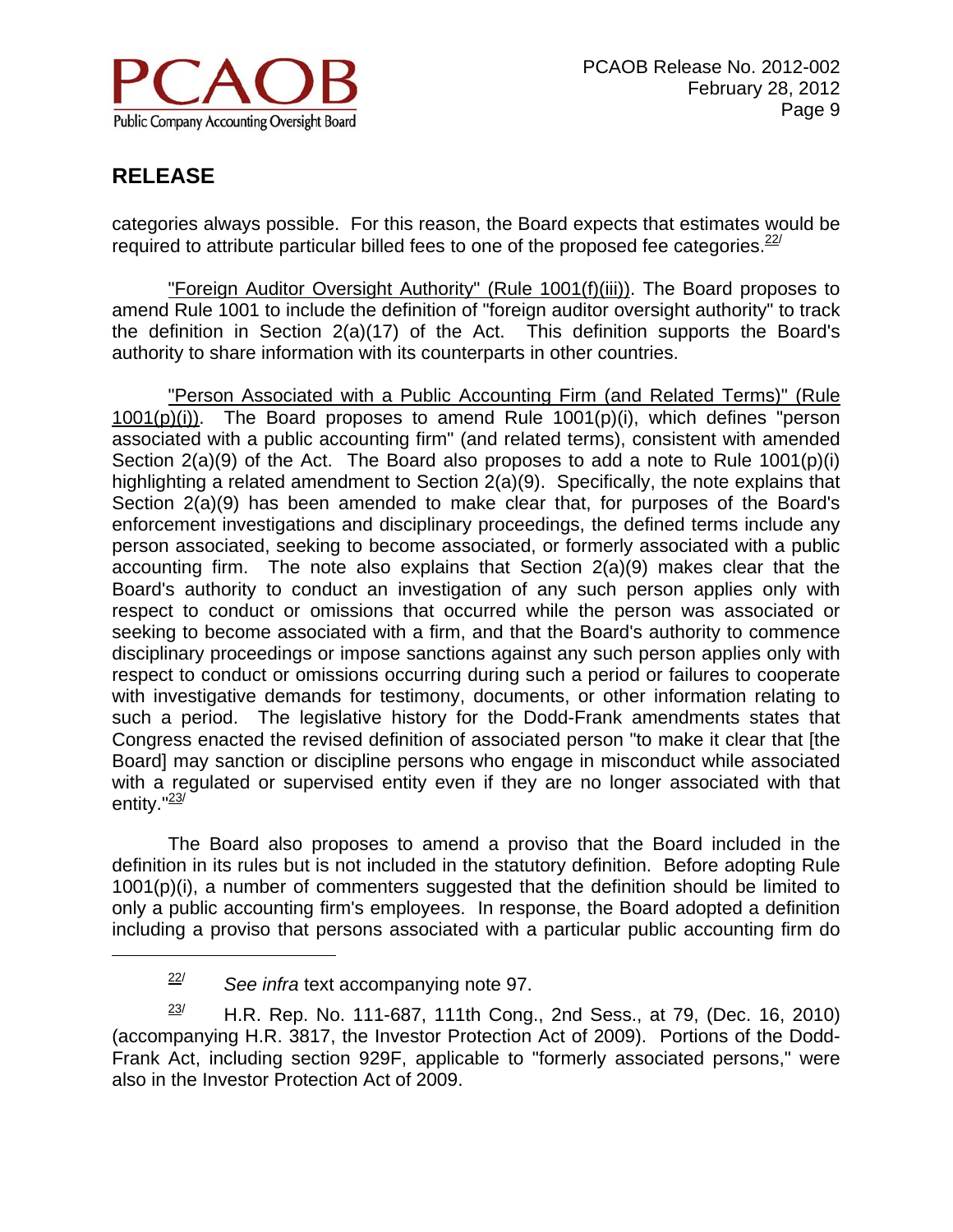

 $\overline{a}$ 

categories always possible. For this reason, the Board expects that estimates would be required to attribute particular billed fees to one of the proposed fee categories.  $22$ 

 "Foreign Auditor Oversight Authority" (Rule 1001(f)(iii)). The Board proposes to amend Rule 1001 to include the definition of "foreign auditor oversight authority" to track the definition in Section 2(a)(17) of the Act. This definition supports the Board's authority to share information with its counterparts in other countries.

"Person Associated with a Public Accounting Firm (and Related Terms)" (Rule 1001(p)(i)). The Board proposes to amend Rule 1001(p)(i), which defines "person associated with a public accounting firm" (and related terms), consistent with amended Section 2(a)(9) of the Act. The Board also proposes to add a note to Rule 1001(p)(i) highlighting a related amendment to Section 2(a)(9). Specifically, the note explains that Section 2(a)(9) has been amended to make clear that, for purposes of the Board's enforcement investigations and disciplinary proceedings, the defined terms include any person associated, seeking to become associated, or formerly associated with a public accounting firm. The note also explains that Section 2(a)(9) makes clear that the Board's authority to conduct an investigation of any such person applies only with respect to conduct or omissions that occurred while the person was associated or seeking to become associated with a firm, and that the Board's authority to commence disciplinary proceedings or impose sanctions against any such person applies only with respect to conduct or omissions occurring during such a period or failures to cooperate with investigative demands for testimony, documents, or other information relating to such a period. The legislative history for the Dodd-Frank amendments states that Congress enacted the revised definition of associated person "to make it clear that [the Board] may sanction or discipline persons who engage in misconduct while associated with a regulated or supervised entity even if they are no longer associated with that entity." $23/$ 

 The Board also proposes to amend a proviso that the Board included in the definition in its rules but is not included in the statutory definition. Before adopting Rule 1001(p)(i), a number of commenters suggested that the definition should be limited to only a public accounting firm's employees. In response, the Board adopted a definition including a proviso that persons associated with a particular public accounting firm do

<sup>22/</sup> *See infra* text accompanying note 97.

 $23/$  H.R. Rep. No. 111-687, 111th Cong., 2nd Sess., at 79, (Dec. 16, 2010) (accompanying H.R. 3817, the Investor Protection Act of 2009). Portions of the Dodd-Frank Act, including section 929F, applicable to "formerly associated persons," were also in the Investor Protection Act of 2009.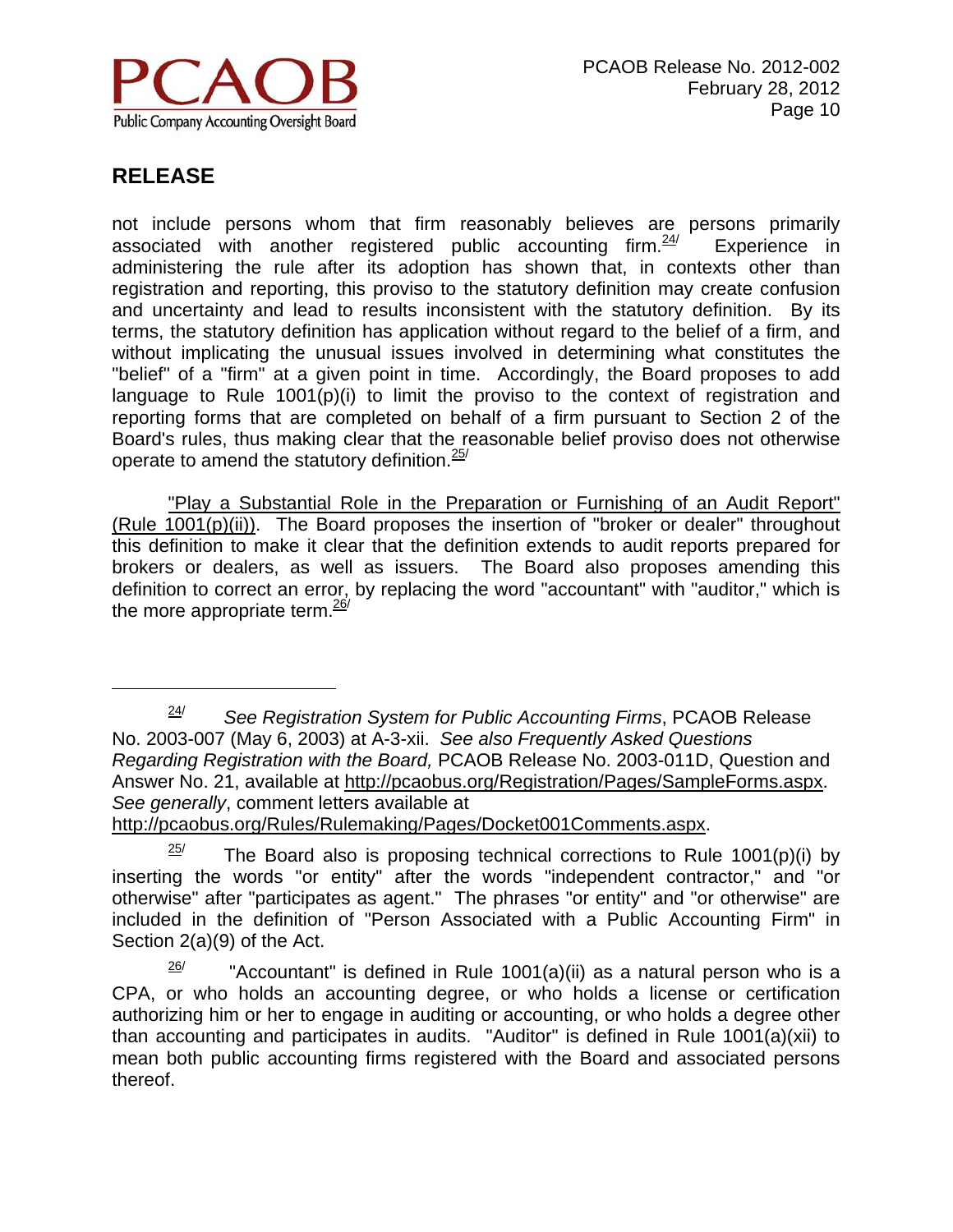

 $\overline{a}$ 

not include persons whom that firm reasonably believes are persons primarily associated with another registered public accounting firm. $24/$  Experience in administering the rule after its adoption has shown that, in contexts other than registration and reporting, this proviso to the statutory definition may create confusion and uncertainty and lead to results inconsistent with the statutory definition. By its terms, the statutory definition has application without regard to the belief of a firm, and without implicating the unusual issues involved in determining what constitutes the "belief" of a "firm" at a given point in time. Accordingly, the Board proposes to add language to Rule 1001(p)(i) to limit the proviso to the context of registration and reporting forms that are completed on behalf of a firm pursuant to Section 2 of the Board's rules, thus making clear that the reasonable belief proviso does not otherwise operate to amend the statutory definition.  $25$ /

 "Play a Substantial Role in the Preparation or Furnishing of an Audit Report" (Rule 1001(p)(ii)). The Board proposes the insertion of "broker or dealer" throughout this definition to make it clear that the definition extends to audit reports prepared for brokers or dealers, as well as issuers. The Board also proposes amending this definition to correct an error, by replacing the word "accountant" with "auditor," which is the more appropriate term.  $\frac{26}{ }$ 

 $25$  The Board also is proposing technical corrections to Rule 1001(p)(i) by inserting the words "or entity" after the words "independent contractor," and "or otherwise" after "participates as agent." The phrases "or entity" and "or otherwise" are

included in the definition of "Person Associated with a Public Accounting Firm" in Section 2(a)(9) of the Act.

 $\frac{26}{1}$  "Accountant" is defined in Rule 1001(a)(ii) as a natural person who is a CPA, or who holds an accounting degree, or who holds a license or certification authorizing him or her to engage in auditing or accounting, or who holds a degree other than accounting and participates in audits. "Auditor" is defined in Rule 1001(a)(xii) to mean both public accounting firms registered with the Board and associated persons thereof.

<sup>24/</sup> *See Registration System for Public Accounting Firms*, PCAOB Release No. 2003-007 (May 6, 2003) at A-3-xii. *See also Frequently Asked Questions Regarding Registration with the Board,* PCAOB Release No. 2003-011D, Question and Answer No. 21, available at http://pcaobus.org/Registration/Pages/SampleForms.aspx. *See generally*, comment letters available at http://pcaobus.org/Rules/Rulemaking/Pages/Docket001Comments.aspx.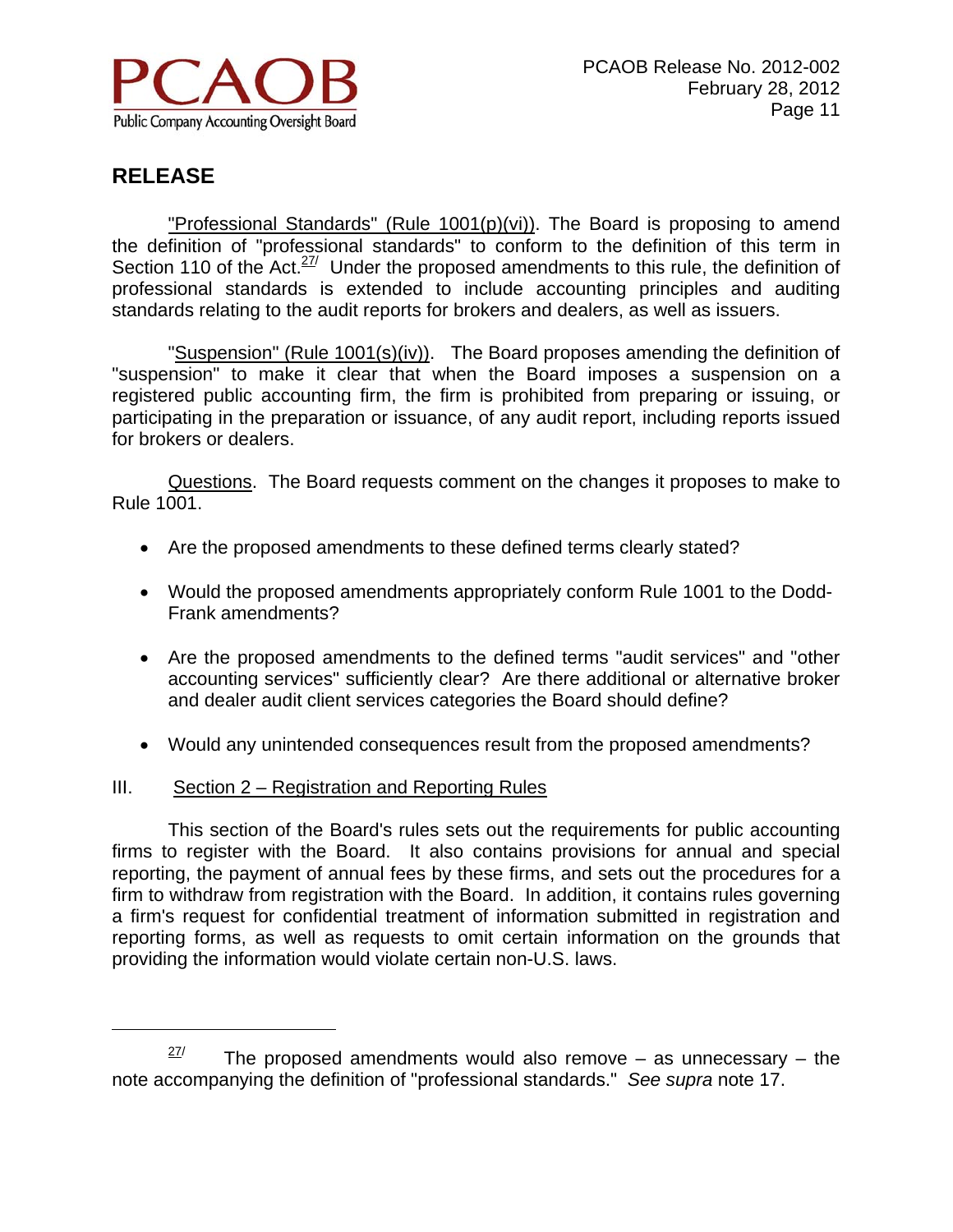

<u>.</u>

 "Professional Standards" (Rule 1001(p)(vi)). The Board is proposing to amend the definition of "professional standards" to conform to the definition of this term in Section 110 of the Act. $27/$  Under the proposed amendments to this rule, the definition of professional standards is extended to include accounting principles and auditing standards relating to the audit reports for brokers and dealers, as well as issuers.

"Suspension" (Rule 1001(s)(iv)). The Board proposes amending the definition of "suspension" to make it clear that when the Board imposes a suspension on a registered public accounting firm, the firm is prohibited from preparing or issuing, or participating in the preparation or issuance, of any audit report, including reports issued for brokers or dealers.

 Questions. The Board requests comment on the changes it proposes to make to Rule 1001.

- Are the proposed amendments to these defined terms clearly stated?
- Would the proposed amendments appropriately conform Rule 1001 to the Dodd-Frank amendments?
- Are the proposed amendments to the defined terms "audit services" and "other accounting services" sufficiently clear? Are there additional or alternative broker and dealer audit client services categories the Board should define?
- Would any unintended consequences result from the proposed amendments?

#### III. Section 2 – Registration and Reporting Rules

This section of the Board's rules sets out the requirements for public accounting firms to register with the Board. It also contains provisions for annual and special reporting, the payment of annual fees by these firms, and sets out the procedures for a firm to withdraw from registration with the Board. In addition, it contains rules governing a firm's request for confidential treatment of information submitted in registration and reporting forms, as well as requests to omit certain information on the grounds that providing the information would violate certain non-U.S. laws.

 $27/27$  The proposed amendments would also remove – as unnecessary – the note accompanying the definition of "professional standards." *See supra* note 17.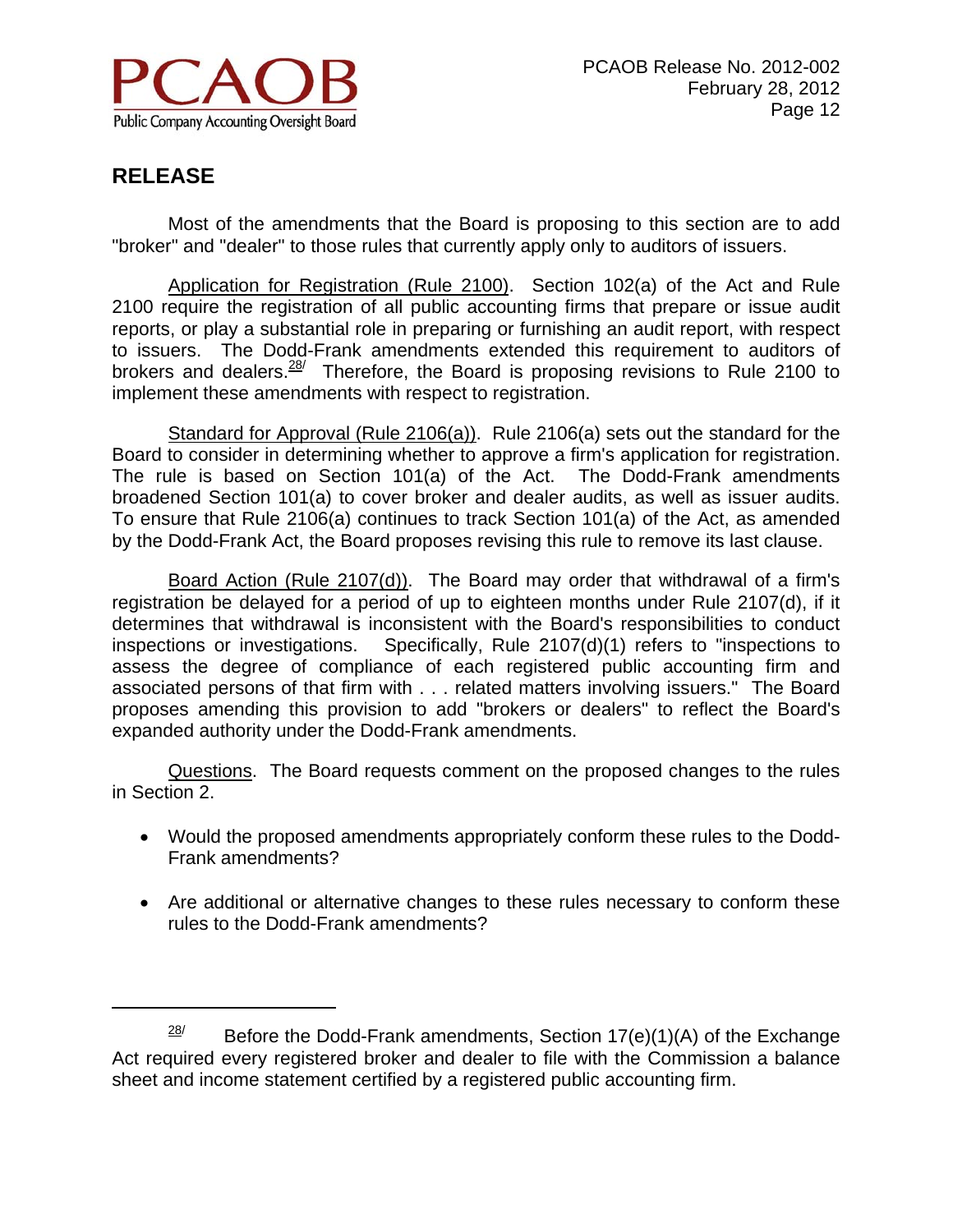

 $\overline{a}$ 

Most of the amendments that the Board is proposing to this section are to add "broker" and "dealer" to those rules that currently apply only to auditors of issuers.

Application for Registration (Rule 2100). Section 102(a) of the Act and Rule 2100 require the registration of all public accounting firms that prepare or issue audit reports, or play a substantial role in preparing or furnishing an audit report, with respect to issuers. The Dodd-Frank amendments extended this requirement to auditors of brokers and dealers.  $28/$  Therefore, the Board is proposing revisions to Rule 2100 to implement these amendments with respect to registration.

Standard for Approval (Rule 2106(a)). Rule 2106(a) sets out the standard for the Board to consider in determining whether to approve a firm's application for registration. The rule is based on Section 101(a) of the Act. The Dodd-Frank amendments broadened Section 101(a) to cover broker and dealer audits, as well as issuer audits. To ensure that Rule 2106(a) continues to track Section 101(a) of the Act, as amended by the Dodd-Frank Act, the Board proposes revising this rule to remove its last clause.

Board Action (Rule 2107(d)). The Board may order that withdrawal of a firm's registration be delayed for a period of up to eighteen months under Rule 2107(d), if it determines that withdrawal is inconsistent with the Board's responsibilities to conduct inspections or investigations. Specifically, Rule 2107(d)(1) refers to "inspections to assess the degree of compliance of each registered public accounting firm and associated persons of that firm with . . . related matters involving issuers." The Board proposes amending this provision to add "brokers or dealers" to reflect the Board's expanded authority under the Dodd-Frank amendments.

Questions. The Board requests comment on the proposed changes to the rules in Section 2.

- Would the proposed amendments appropriately conform these rules to the Dodd-Frank amendments?
- Are additional or alternative changes to these rules necessary to conform these rules to the Dodd-Frank amendments?

<sup>&</sup>lt;sup>28/</sup> Before the Dodd-Frank amendments, Section 17(e)(1)(A) of the Exchange Act required every registered broker and dealer to file with the Commission a balance sheet and income statement certified by a registered public accounting firm.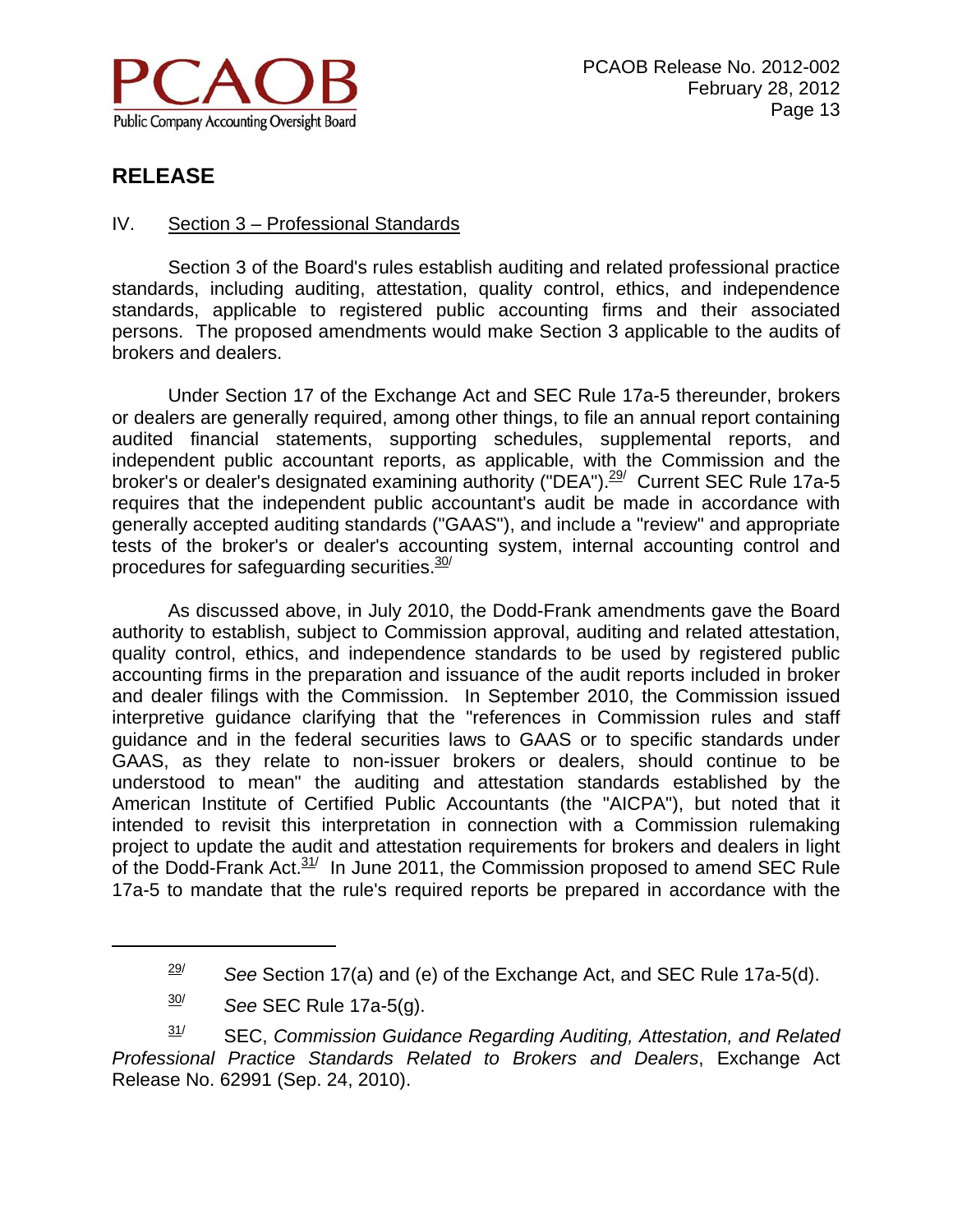

#### IV. Section 3 – Professional Standards

Section 3 of the Board's rules establish auditing and related professional practice standards, including auditing, attestation, quality control, ethics, and independence standards, applicable to registered public accounting firms and their associated persons. The proposed amendments would make Section 3 applicable to the audits of brokers and dealers.

Under Section 17 of the Exchange Act and SEC Rule 17a-5 thereunder, brokers or dealers are generally required, among other things, to file an annual report containing audited financial statements, supporting schedules, supplemental reports, and independent public accountant reports, as applicable, with the Commission and the broker's or dealer's designated examining authority ("DEA").<sup>29/</sup> Current SEC Rule 17a-5 requires that the independent public accountant's audit be made in accordance with generally accepted auditing standards ("GAAS"), and include a "review" and appropriate tests of the broker's or dealer's accounting system, internal accounting control and procedures for safeguarding securities. $30/2$ 

As discussed above, in July 2010, the Dodd-Frank amendments gave the Board authority to establish, subject to Commission approval, auditing and related attestation, quality control, ethics, and independence standards to be used by registered public accounting firms in the preparation and issuance of the audit reports included in broker and dealer filings with the Commission. In September 2010, the Commission issued interpretive guidance clarifying that the "references in Commission rules and staff guidance and in the federal securities laws to GAAS or to specific standards under GAAS, as they relate to non-issuer brokers or dealers, should continue to be understood to mean" the auditing and attestation standards established by the American Institute of Certified Public Accountants (the "AICPA"), but noted that it intended to revisit this interpretation in connection with a Commission rulemaking project to update the audit and attestation requirements for brokers and dealers in light of the Dodd-Frank Act. $31/$  In June 2011, the Commission proposed to amend SEC Rule 17a-5 to mandate that the rule's required reports be prepared in accordance with the

 $\overline{a}$ 

31/ SEC, *Commission Guidance Regarding Auditing, Attestation, and Related Professional Practice Standards Related to Brokers and Dealers*, Exchange Act Release No. 62991 (Sep. 24, 2010).

 $\frac{29}{1}$  See Section 17(a) and (e) of the Exchange Act, and SEC Rule 17a-5(d).

<sup>30/</sup> *See* SEC Rule 17a-5(g).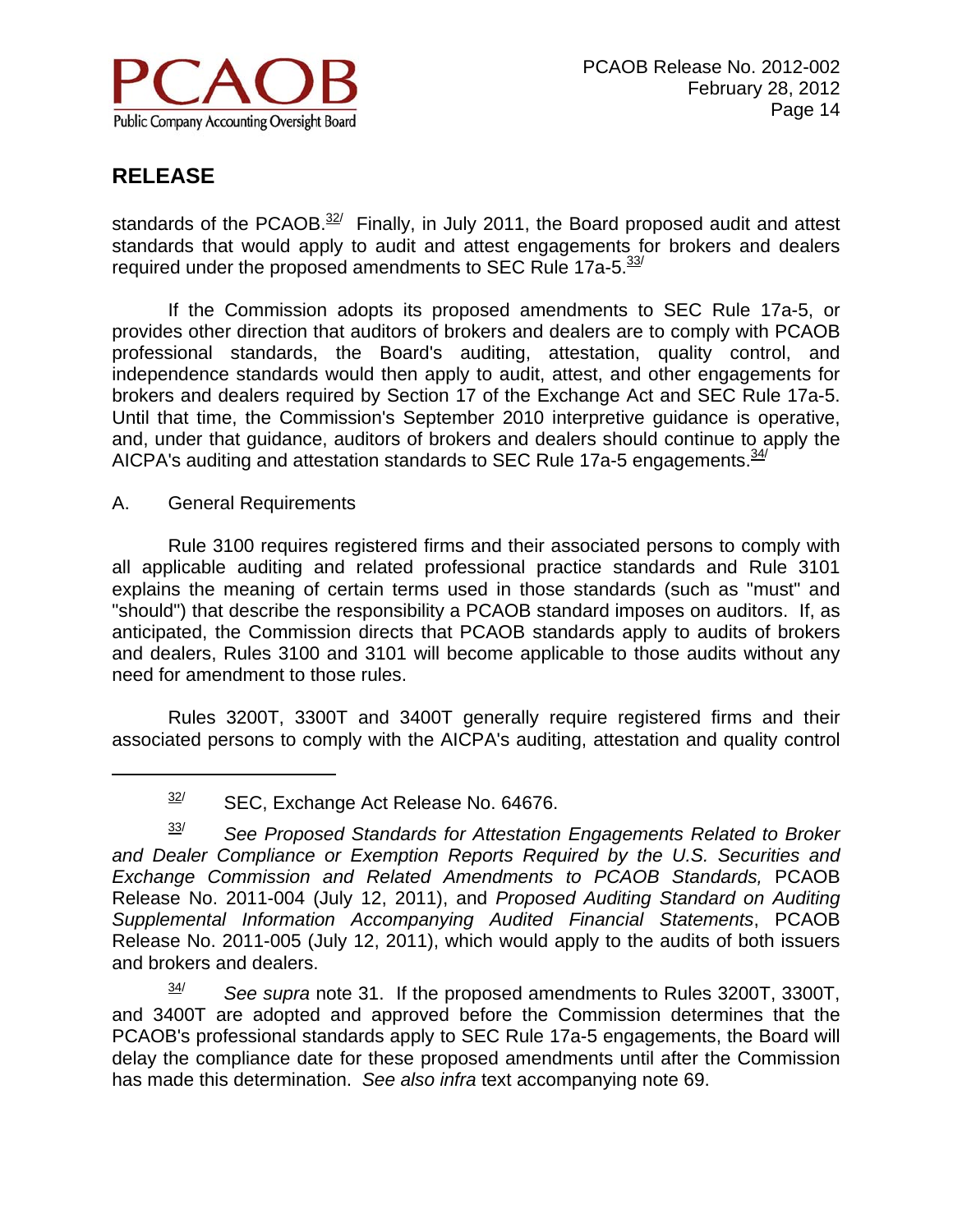

 $\overline{a}$ 

standards of the PCAOB. $32/$  Finally, in July 2011, the Board proposed audit and attest standards that would apply to audit and attest engagements for brokers and dealers required under the proposed amendments to SEC Rule 17a-5.<sup>33/</sup>

If the Commission adopts its proposed amendments to SEC Rule 17a-5, or provides other direction that auditors of brokers and dealers are to comply with PCAOB professional standards, the Board's auditing, attestation, quality control, and independence standards would then apply to audit, attest, and other engagements for brokers and dealers required by Section 17 of the Exchange Act and SEC Rule 17a-5. Until that time, the Commission's September 2010 interpretive guidance is operative, and, under that guidance, auditors of brokers and dealers should continue to apply the AICPA's auditing and attestation standards to SEC Rule 17a-5 engagements.  $\frac{34}{2}$ 

A. General Requirements

Rule 3100 requires registered firms and their associated persons to comply with all applicable auditing and related professional practice standards and Rule 3101 explains the meaning of certain terms used in those standards (such as "must" and "should") that describe the responsibility a PCAOB standard imposes on auditors. If, as anticipated, the Commission directs that PCAOB standards apply to audits of brokers and dealers, Rules 3100 and 3101 will become applicable to those audits without any need for amendment to those rules.

 Rules 3200T, 3300T and 3400T generally require registered firms and their associated persons to comply with the AICPA's auditing, attestation and quality control

 $32$  SEC, Exchange Act Release No. 64676.

<sup>33/</sup> *See Proposed Standards for Attestation Engagements Related to Broker and Dealer Compliance or Exemption Reports Required by the U.S. Securities and Exchange Commission and Related Amendments to PCAOB Standards,* PCAOB Release No. 2011-004 (July 12, 2011), and *Proposed Auditing Standard on Auditing Supplemental Information Accompanying Audited Financial Statements*, PCAOB Release No. 2011-005 (July 12, 2011), which would apply to the audits of both issuers and brokers and dealers.

<sup>34/</sup> *See supra* note 31. If the proposed amendments to Rules 3200T, 3300T, and 3400T are adopted and approved before the Commission determines that the PCAOB's professional standards apply to SEC Rule 17a-5 engagements, the Board will delay the compliance date for these proposed amendments until after the Commission has made this determination. *See also infra* text accompanying note 69.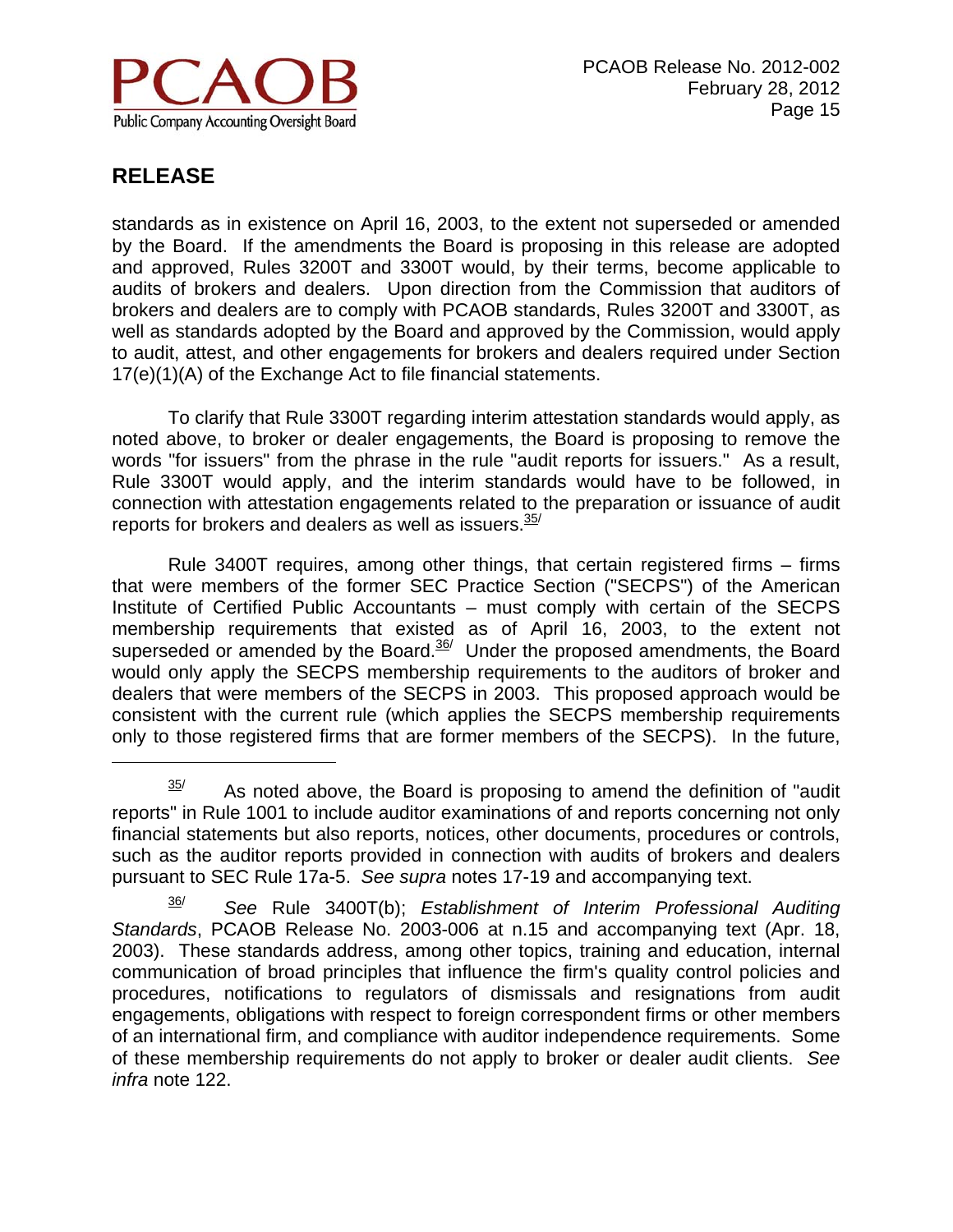

 $\overline{a}$ 

standards as in existence on April 16, 2003, to the extent not superseded or amended by the Board. If the amendments the Board is proposing in this release are adopted and approved, Rules 3200T and 3300T would, by their terms, become applicable to audits of brokers and dealers. Upon direction from the Commission that auditors of brokers and dealers are to comply with PCAOB standards, Rules 3200T and 3300T, as well as standards adopted by the Board and approved by the Commission, would apply to audit, attest, and other engagements for brokers and dealers required under Section 17(e)(1)(A) of the Exchange Act to file financial statements.

 To clarify that Rule 3300T regarding interim attestation standards would apply, as noted above, to broker or dealer engagements, the Board is proposing to remove the words "for issuers" from the phrase in the rule "audit reports for issuers." As a result, Rule 3300T would apply, and the interim standards would have to be followed, in connection with attestation engagements related to the preparation or issuance of audit reports for brokers and dealers as well as issuers. $35/$ 

Rule 3400T requires, among other things, that certain registered firms – firms that were members of the former SEC Practice Section ("SECPS") of the American Institute of Certified Public Accountants – must comply with certain of the SECPS membership requirements that existed as of April 16, 2003, to the extent not superseded or amended by the Board.<sup>36/</sup> Under the proposed amendments, the Board would only apply the SECPS membership requirements to the auditors of broker and dealers that were members of the SECPS in 2003. This proposed approach would be consistent with the current rule (which applies the SECPS membership requirements only to those registered firms that are former members of the SECPS). In the future,

 $35/$  As noted above, the Board is proposing to amend the definition of "audit" reports" in Rule 1001 to include auditor examinations of and reports concerning not only financial statements but also reports, notices, other documents, procedures or controls, such as the auditor reports provided in connection with audits of brokers and dealers pursuant to SEC Rule 17a-5. *See supra* notes 17-19 and accompanying text.

<sup>36/</sup> *See* Rule 3400T(b); *Establishment of Interim Professional Auditing Standards*, PCAOB Release No. 2003-006 at n.15 and accompanying text (Apr. 18, 2003). These standards address, among other topics, training and education, internal communication of broad principles that influence the firm's quality control policies and procedures, notifications to regulators of dismissals and resignations from audit engagements, obligations with respect to foreign correspondent firms or other members of an international firm, and compliance with auditor independence requirements. Some of these membership requirements do not apply to broker or dealer audit clients. *See infra* note 122.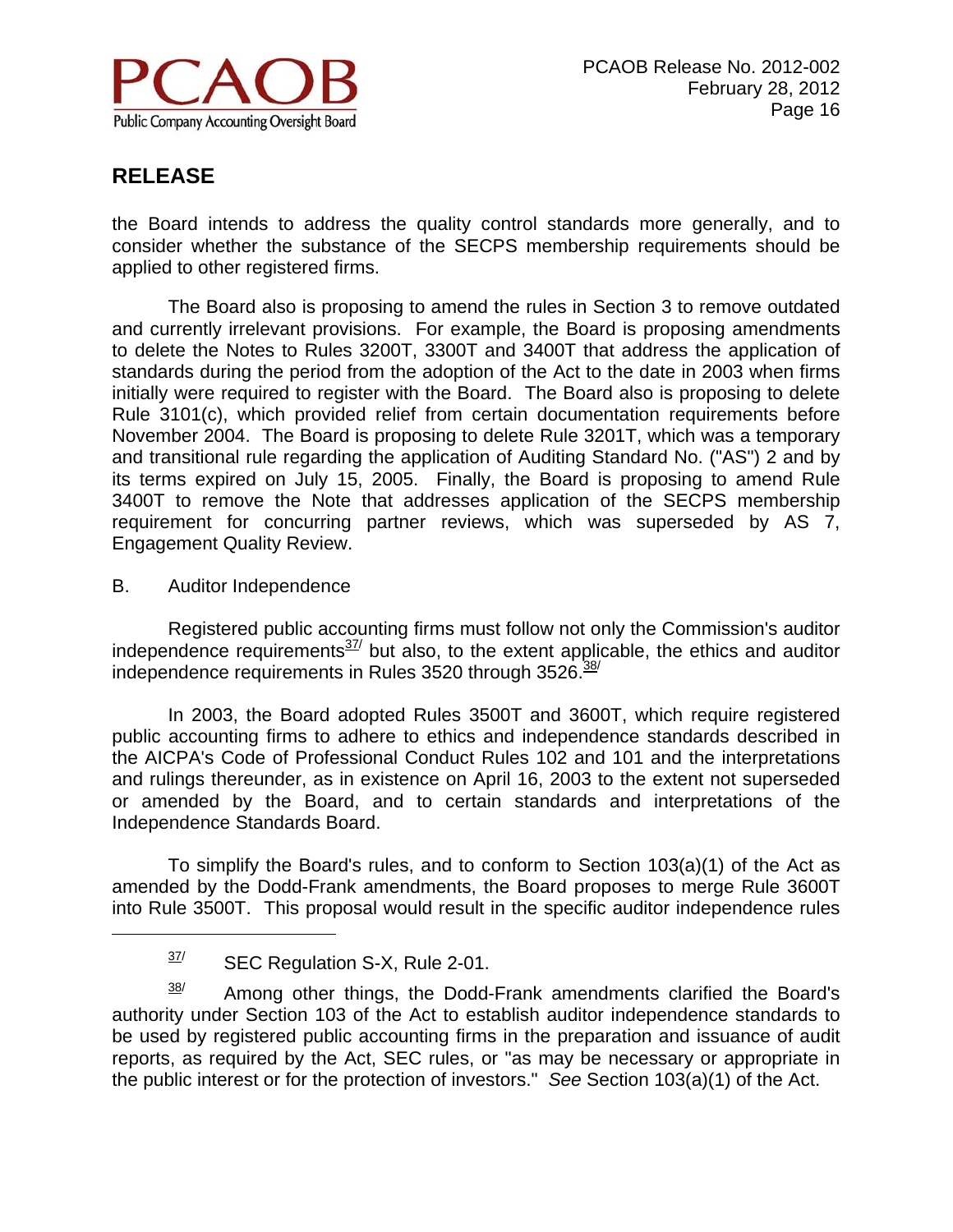

the Board intends to address the quality control standards more generally, and to consider whether the substance of the SECPS membership requirements should be applied to other registered firms.

 The Board also is proposing to amend the rules in Section 3 to remove outdated and currently irrelevant provisions. For example, the Board is proposing amendments to delete the Notes to Rules 3200T, 3300T and 3400T that address the application of standards during the period from the adoption of the Act to the date in 2003 when firms initially were required to register with the Board. The Board also is proposing to delete Rule 3101(c), which provided relief from certain documentation requirements before November 2004. The Board is proposing to delete Rule 3201T, which was a temporary and transitional rule regarding the application of Auditing Standard No. ("AS") 2 and by its terms expired on July 15, 2005. Finally, the Board is proposing to amend Rule 3400T to remove the Note that addresses application of the SECPS membership requirement for concurring partner reviews, which was superseded by AS 7, Engagement Quality Review.

B. Auditor Independence

 $\overline{a}$ 

 Registered public accounting firms must follow not only the Commission's auditor independence requirements $37/$  but also, to the extent applicable, the ethics and auditor independence requirements in Rules  $3520$  through  $3526.\frac{38}{10}$ 

 In 2003, the Board adopted Rules 3500T and 3600T, which require registered public accounting firms to adhere to ethics and independence standards described in the AICPA's Code of Professional Conduct Rules 102 and 101 and the interpretations and rulings thereunder, as in existence on April 16, 2003 to the extent not superseded or amended by the Board, and to certain standards and interpretations of the Independence Standards Board.

 To simplify the Board's rules, and to conform to Section 103(a)(1) of the Act as amended by the Dodd-Frank amendments, the Board proposes to merge Rule 3600T into Rule 3500T. This proposal would result in the specific auditor independence rules

 $38$  Among other things, the Dodd-Frank amendments clarified the Board's authority under Section 103 of the Act to establish auditor independence standards to be used by registered public accounting firms in the preparation and issuance of audit reports, as required by the Act, SEC rules, or "as may be necessary or appropriate in the public interest or for the protection of investors." *See* Section 103(a)(1) of the Act.

 $37$  SEC Regulation S-X, Rule 2-01.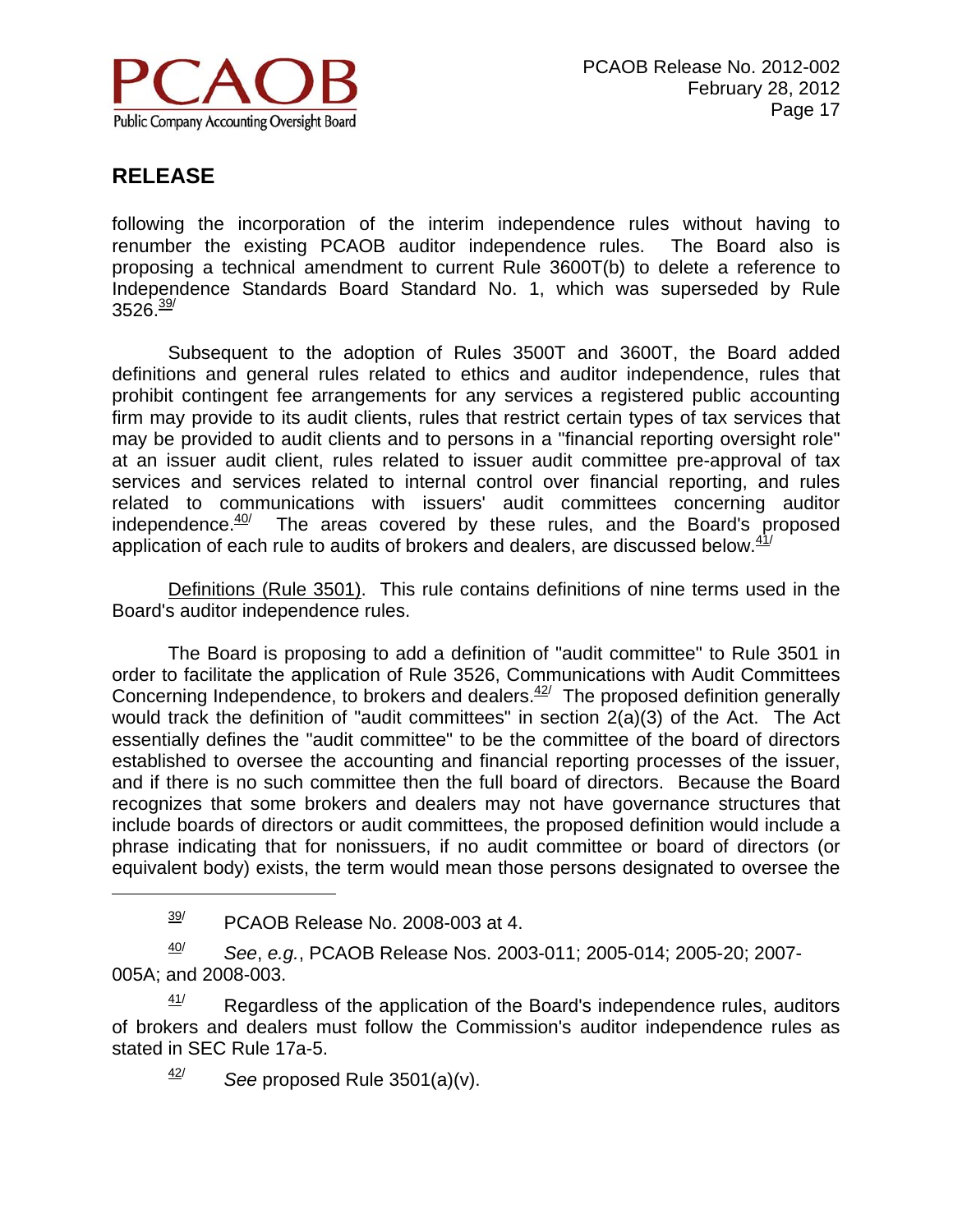

 $\overline{a}$ 

following the incorporation of the interim independence rules without having to renumber the existing PCAOB auditor independence rules. The Board also is proposing a technical amendment to current Rule 3600T(b) to delete a reference to Independence Standards Board Standard No. 1, which was superseded by Rule  $3526.<sup>39</sup>$ 

Subsequent to the adoption of Rules 3500T and 3600T, the Board added definitions and general rules related to ethics and auditor independence, rules that prohibit contingent fee arrangements for any services a registered public accounting firm may provide to its audit clients, rules that restrict certain types of tax services that may be provided to audit clients and to persons in a "financial reporting oversight role" at an issuer audit client, rules related to issuer audit committee pre-approval of tax services and services related to internal control over financial reporting, and rules related to communications with issuers' audit committees concerning auditor independence. $\frac{40}{7}$  The areas covered by these rules, and the Board's proposed application of each rule to audits of brokers and dealers, are discussed below. $41/$ 

 Definitions (Rule 3501). This rule contains definitions of nine terms used in the Board's auditor independence rules.

 The Board is proposing to add a definition of "audit committee" to Rule 3501 in order to facilitate the application of Rule 3526, Communications with Audit Committees Concerning Independence, to brokers and dealers. $42/$  The proposed definition generally would track the definition of "audit committees" in section 2(a)(3) of the Act. The Act essentially defines the "audit committee" to be the committee of the board of directors established to oversee the accounting and financial reporting processes of the issuer, and if there is no such committee then the full board of directors. Because the Board recognizes that some brokers and dealers may not have governance structures that include boards of directors or audit committees, the proposed definition would include a phrase indicating that for nonissuers, if no audit committee or board of directors (or equivalent body) exists, the term would mean those persons designated to oversee the

40/ *See*, *e.g.*, PCAOB Release Nos. 2003-011; 2005-014; 2005-20; 2007- 005A; and 2008-003.

 $41/$  Regardless of the application of the Board's independence rules, auditors of brokers and dealers must follow the Commission's auditor independence rules as stated in SEC Rule 17a-5.

 $\frac{42}{ }$  *See* proposed Rule 3501(a)(v).

 $\frac{39}{1}$  PCAOB Release No. 2008-003 at 4.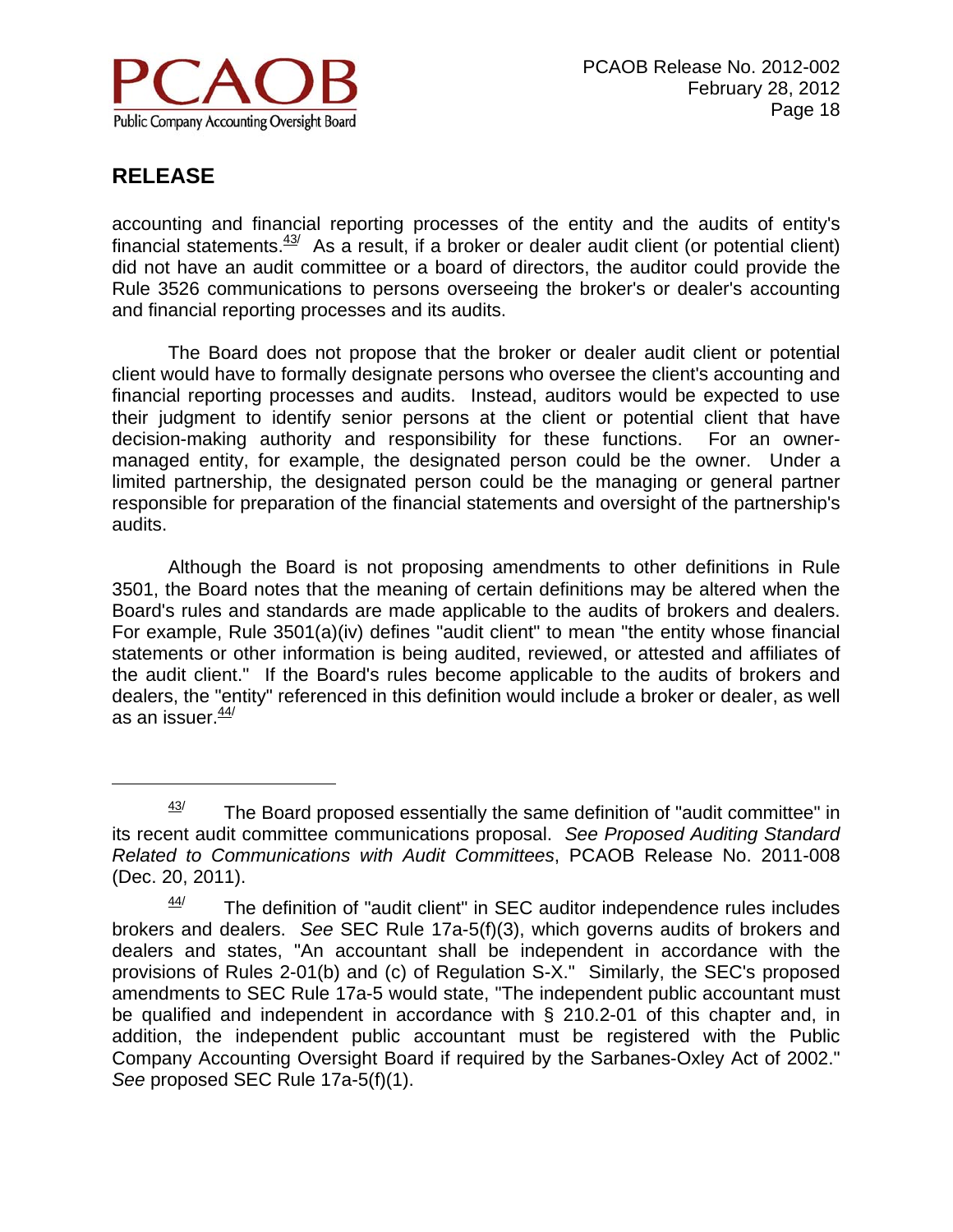

 $\overline{a}$ 

accounting and financial reporting processes of the entity and the audits of entity's financial statements. $43/2$  As a result, if a broker or dealer audit client (or potential client) did not have an audit committee or a board of directors, the auditor could provide the Rule 3526 communications to persons overseeing the broker's or dealer's accounting and financial reporting processes and its audits.

The Board does not propose that the broker or dealer audit client or potential client would have to formally designate persons who oversee the client's accounting and financial reporting processes and audits. Instead, auditors would be expected to use their judgment to identify senior persons at the client or potential client that have decision-making authority and responsibility for these functions. For an ownermanaged entity, for example, the designated person could be the owner. Under a limited partnership, the designated person could be the managing or general partner responsible for preparation of the financial statements and oversight of the partnership's audits.

Although the Board is not proposing amendments to other definitions in Rule 3501, the Board notes that the meaning of certain definitions may be altered when the Board's rules and standards are made applicable to the audits of brokers and dealers. For example, Rule 3501(a)(iv) defines "audit client" to mean "the entity whose financial statements or other information is being audited, reviewed, or attested and affiliates of the audit client." If the Board's rules become applicable to the audits of brokers and dealers, the "entity" referenced in this definition would include a broker or dealer, as well as an issuer. $\frac{44}{7}$ 

 $43/$  The Board proposed essentially the same definition of "audit committee" in its recent audit committee communications proposal. *See Proposed Auditing Standard Related to Communications with Audit Committees*, PCAOB Release No. 2011-008 (Dec. 20, 2011).

 $44$  The definition of "audit client" in SEC auditor independence rules includes brokers and dealers. *See* SEC Rule 17a-5(f)(3), which governs audits of brokers and dealers and states, "An accountant shall be independent in accordance with the provisions of Rules 2-01(b) and (c) of Regulation S-X." Similarly, the SEC's proposed amendments to SEC Rule 17a-5 would state, "The independent public accountant must be qualified and independent in accordance with § 210.2-01 of this chapter and, in addition, the independent public accountant must be registered with the Public Company Accounting Oversight Board if required by the Sarbanes-Oxley Act of 2002." *See* proposed SEC Rule 17a-5(f)(1).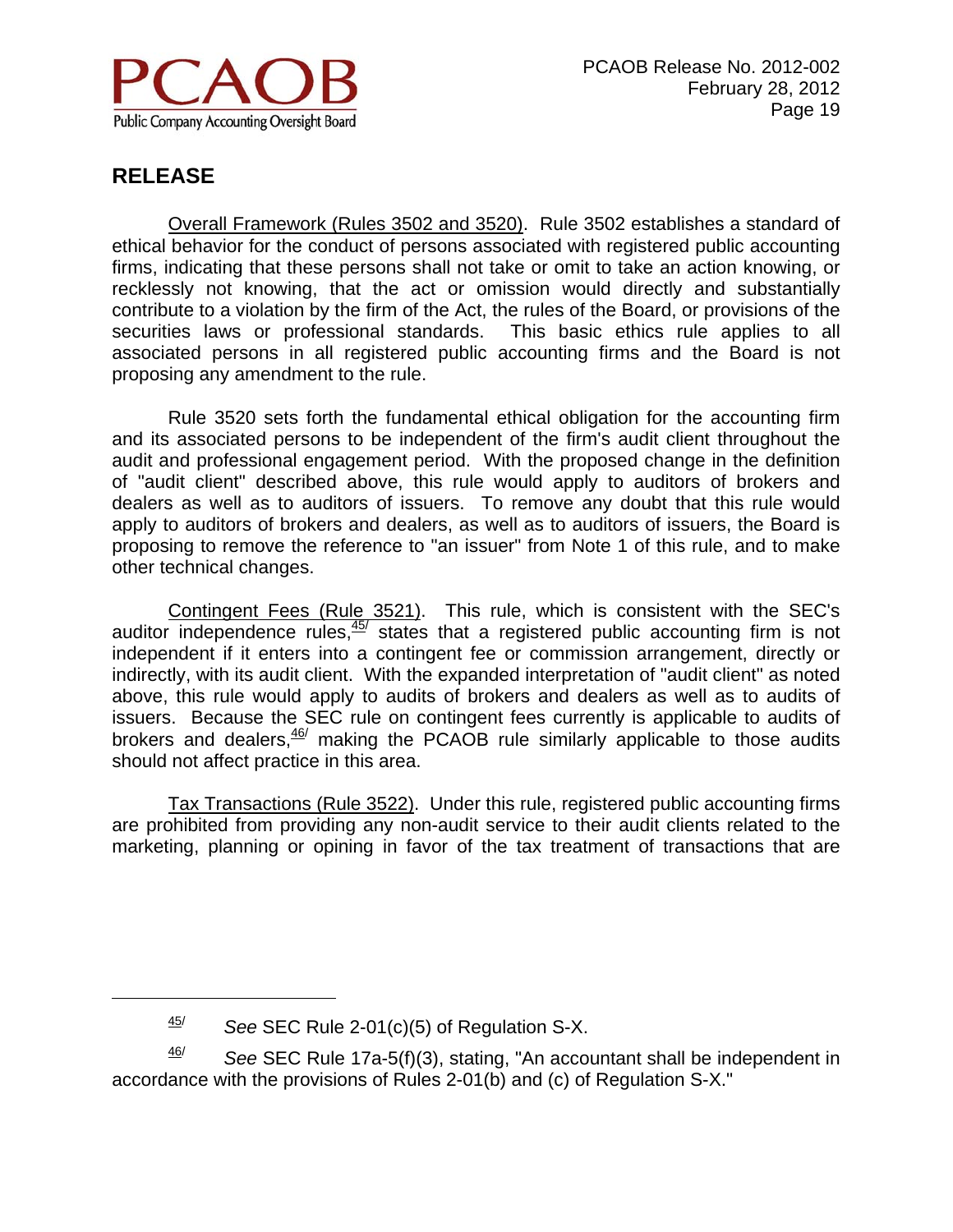

 $\overline{a}$ 

 Overall Framework (Rules 3502 and 3520). Rule 3502 establishes a standard of ethical behavior for the conduct of persons associated with registered public accounting firms, indicating that these persons shall not take or omit to take an action knowing, or recklessly not knowing, that the act or omission would directly and substantially contribute to a violation by the firm of the Act, the rules of the Board, or provisions of the securities laws or professional standards. This basic ethics rule applies to all associated persons in all registered public accounting firms and the Board is not proposing any amendment to the rule.

 Rule 3520 sets forth the fundamental ethical obligation for the accounting firm and its associated persons to be independent of the firm's audit client throughout the audit and professional engagement period. With the proposed change in the definition of "audit client" described above, this rule would apply to auditors of brokers and dealers as well as to auditors of issuers. To remove any doubt that this rule would apply to auditors of brokers and dealers, as well as to auditors of issuers, the Board is proposing to remove the reference to "an issuer" from Note 1 of this rule, and to make other technical changes.

 Contingent Fees (Rule 3521). This rule, which is consistent with the SEC's auditor independence rules, $45/$  states that a registered public accounting firm is not independent if it enters into a contingent fee or commission arrangement, directly or indirectly, with its audit client. With the expanded interpretation of "audit client" as noted above, this rule would apply to audits of brokers and dealers as well as to audits of issuers. Because the SEC rule on contingent fees currently is applicable to audits of brokers and dealers, $\frac{46}{7}$  making the PCAOB rule similarly applicable to those audits should not affect practice in this area.

 Tax Transactions (Rule 3522). Under this rule, registered public accounting firms are prohibited from providing any non-audit service to their audit clients related to the marketing, planning or opining in favor of the tax treatment of transactions that are

46/ *See* SEC Rule 17a-5(f)(3), stating, "An accountant shall be independent in accordance with the provisions of Rules 2-01(b) and (c) of Regulation S-X."

<sup>45/</sup> *See* SEC Rule 2-01(c)(5) of Regulation S-X.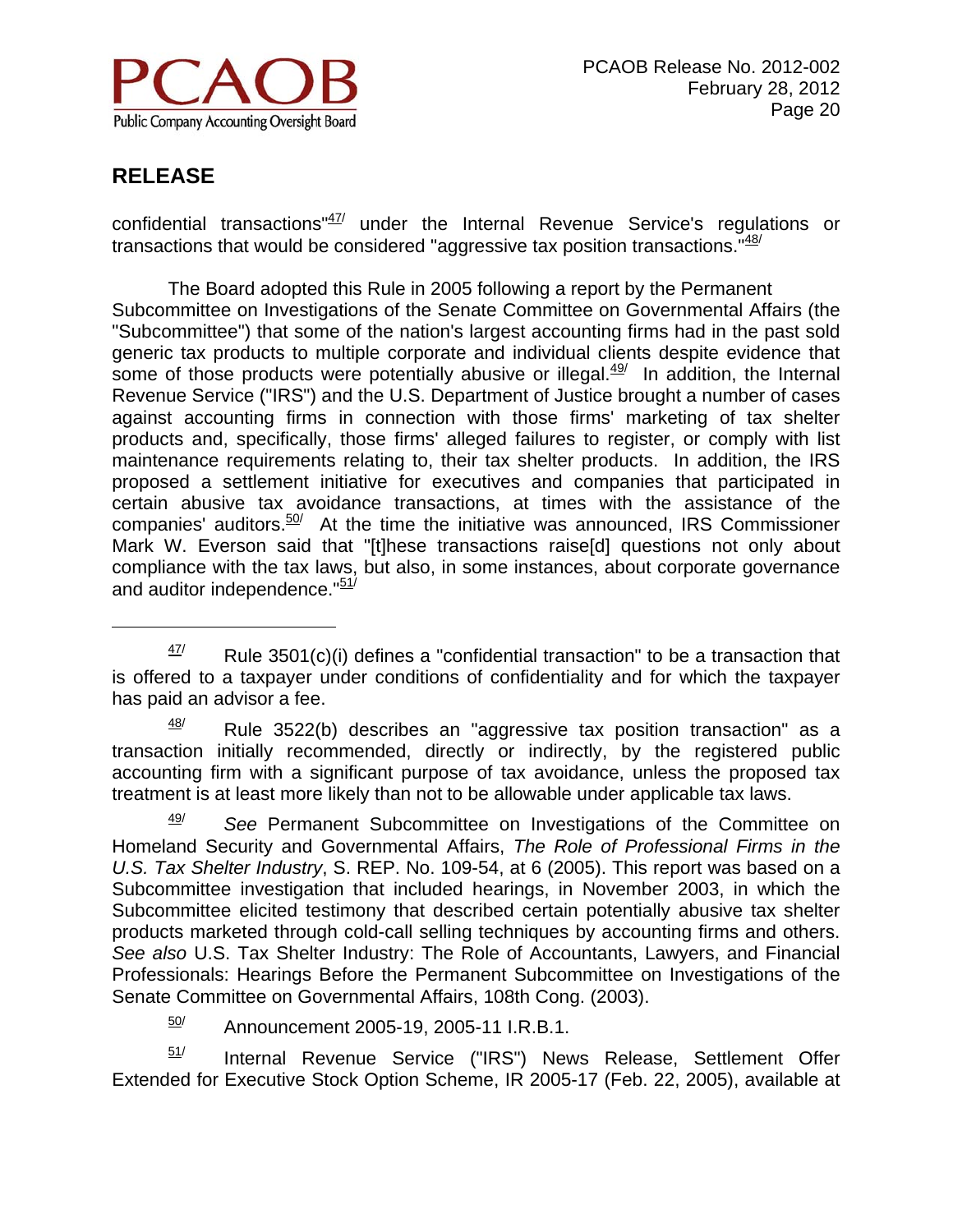

 $\overline{a}$ 

confidential transactions" $47/$  under the Internal Revenue Service's regulations or transactions that would be considered "aggressive tax position transactions." $48/$ 

 The Board adopted this Rule in 2005 following a report by the Permanent Subcommittee on Investigations of the Senate Committee on Governmental Affairs (the "Subcommittee") that some of the nation's largest accounting firms had in the past sold generic tax products to multiple corporate and individual clients despite evidence that some of those products were potentially abusive or illegal. $49/$  In addition, the Internal Revenue Service ("IRS") and the U.S. Department of Justice brought a number of cases against accounting firms in connection with those firms' marketing of tax shelter products and, specifically, those firms' alleged failures to register, or comply with list maintenance requirements relating to, their tax shelter products. In addition, the IRS proposed a settlement initiative for executives and companies that participated in certain abusive tax avoidance transactions, at times with the assistance of the companies' auditors. $50/$  At the time the initiative was announced, IRS Commissioner Mark W. Everson said that "[t]hese transactions raise[d] questions not only about compliance with the tax laws, but also, in some instances, about corporate governance and auditor independence."<sup>51/</sup>

 $48$  Rule 3522(b) describes an "aggressive tax position transaction" as a transaction initially recommended, directly or indirectly, by the registered public accounting firm with a significant purpose of tax avoidance, unless the proposed tax treatment is at least more likely than not to be allowable under applicable tax laws.

49/ *See* Permanent Subcommittee on Investigations of the Committee on Homeland Security and Governmental Affairs, *The Role of Professional Firms in the U.S. Tax Shelter Industry*, S. REP. No. 109-54, at 6 (2005). This report was based on a Subcommittee investigation that included hearings, in November 2003, in which the Subcommittee elicited testimony that described certain potentially abusive tax shelter products marketed through cold-call selling techniques by accounting firms and others. *See also* U.S. Tax Shelter Industry: The Role of Accountants, Lawyers, and Financial Professionals: Hearings Before the Permanent Subcommittee on Investigations of the Senate Committee on Governmental Affairs, 108th Cong. (2003).

 $\frac{50}{1}$  Announcement 2005-19, 2005-11 I.R.B.1.

 $51/$  Internal Revenue Service ("IRS") News Release, Settlement Offer Extended for Executive Stock Option Scheme, IR 2005-17 (Feb. 22, 2005), available at

 $47/$  Rule 3501(c)(i) defines a "confidential transaction" to be a transaction that is offered to a taxpayer under conditions of confidentiality and for which the taxpayer has paid an advisor a fee.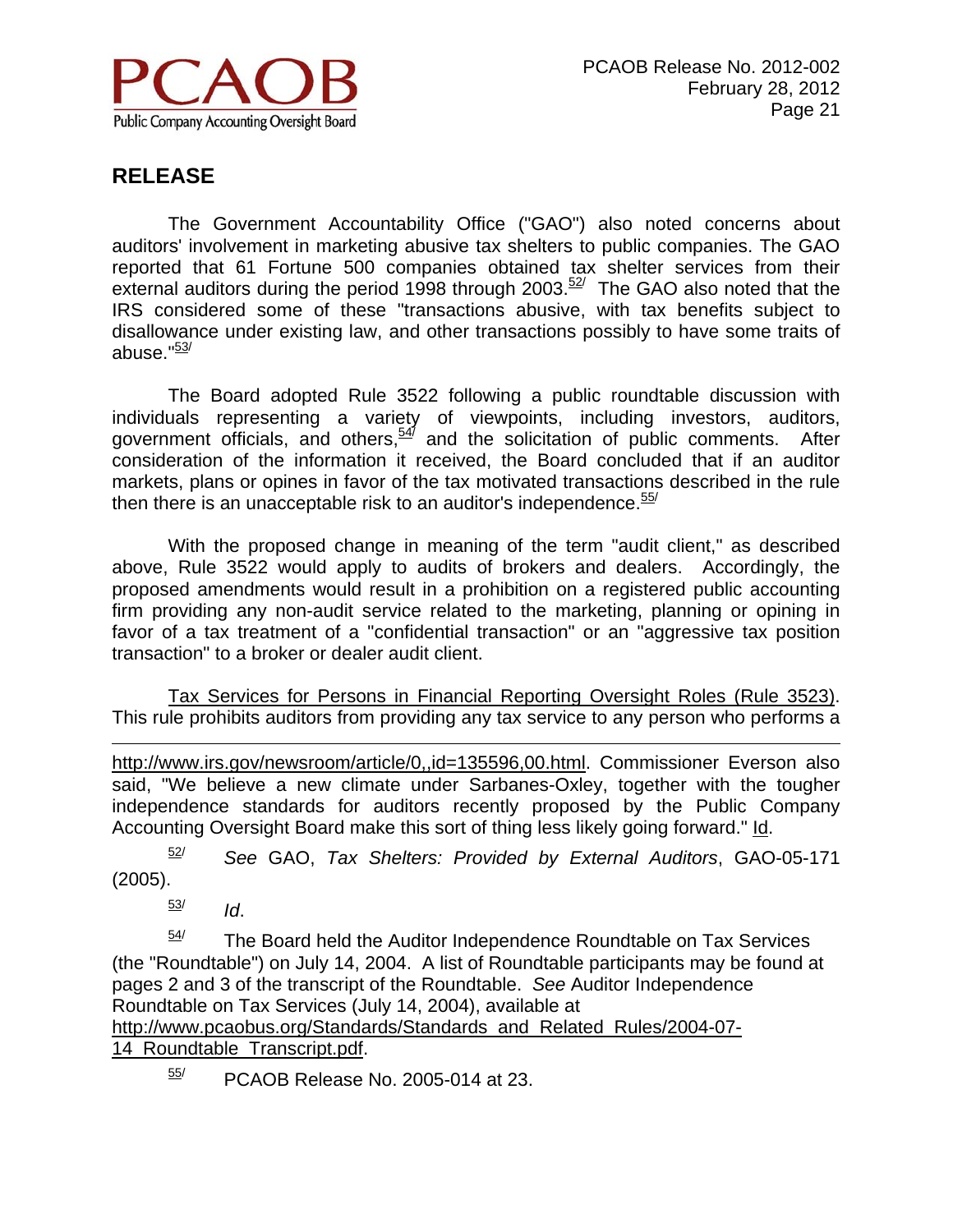

 The Government Accountability Office ("GAO") also noted concerns about auditors' involvement in marketing abusive tax shelters to public companies. The GAO reported that 61 Fortune 500 companies obtained tax shelter services from their external auditors during the period 1998 through 2003. $52/$  The GAO also noted that the IRS considered some of these "transactions abusive, with tax benefits subject to disallowance under existing law, and other transactions possibly to have some traits of abuse." $\frac{53}{ }$ 

 The Board adopted Rule 3522 following a public roundtable discussion with individuals representing a variety of viewpoints, including investors, auditors, government officials, and others,<sup>547</sup> and the solicitation of public comments. After consideration of the information it received, the Board concluded that if an auditor markets, plans or opines in favor of the tax motivated transactions described in the rule then there is an unacceptable risk to an auditor's independence.  $55/$ 

 With the proposed change in meaning of the term "audit client," as described above, Rule 3522 would apply to audits of brokers and dealers. Accordingly, the proposed amendments would result in a prohibition on a registered public accounting firm providing any non-audit service related to the marketing, planning or opining in favor of a tax treatment of a "confidential transaction" or an "aggressive tax position transaction" to a broker or dealer audit client.

Tax Services for Persons in Financial Reporting Oversight Roles (Rule 3523). This rule prohibits auditors from providing any tax service to any person who performs a

 $\overline{a}$ http://www.irs.gov/newsroom/article/0,,id=135596,00.html. Commissioner Everson also said, "We believe a new climate under Sarbanes-Oxley, together with the tougher independence standards for auditors recently proposed by the Public Company Accounting Oversight Board make this sort of thing less likely going forward." Id.

52/ *See* GAO, *Tax Shelters: Provided by External Auditors*, GAO-05-171 (2005).

 $\frac{53}{10}$ 

 $54$  The Board held the Auditor Independence Roundtable on Tax Services (the "Roundtable") on July 14, 2004. A list of Roundtable participants may be found at pages 2 and 3 of the transcript of the Roundtable. *See* Auditor Independence Roundtable on Tax Services (July 14, 2004), available at http://www.pcaobus.org/Standards/Standards\_and\_Related\_Rules/2004-07-

14\_Roundtable\_Transcript.pdf.

 $\frac{55}{10}$  PCAOB Release No. 2005-014 at 23.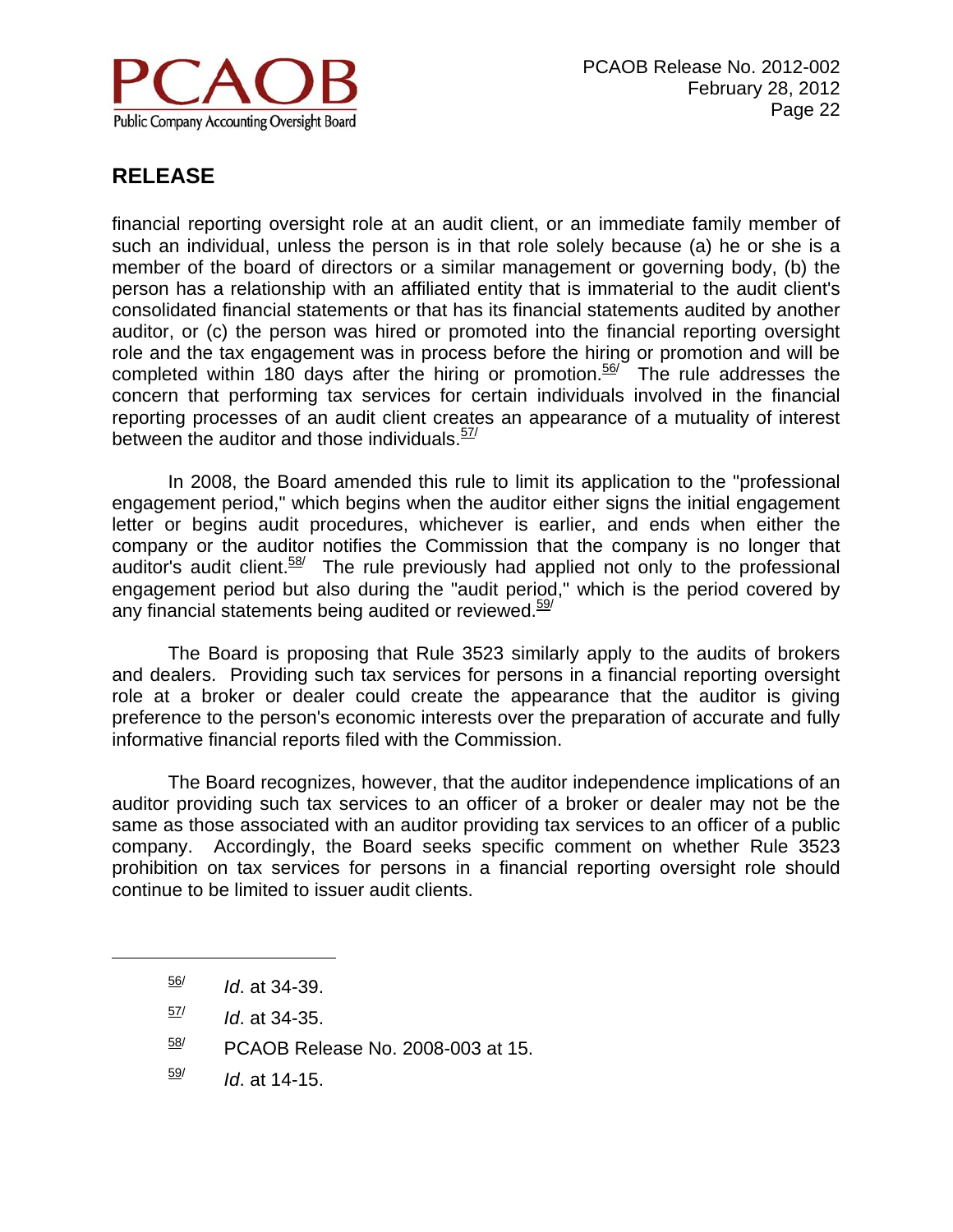

financial reporting oversight role at an audit client, or an immediate family member of such an individual, unless the person is in that role solely because (a) he or she is a member of the board of directors or a similar management or governing body, (b) the person has a relationship with an affiliated entity that is immaterial to the audit client's consolidated financial statements or that has its financial statements audited by another auditor, or (c) the person was hired or promoted into the financial reporting oversight role and the tax engagement was in process before the hiring or promotion and will be completed within 180 days after the hiring or promotion. $56/$  The rule addresses the concern that performing tax services for certain individuals involved in the financial reporting processes of an audit client creates an appearance of a mutuality of interest between the auditor and those individuals. $57/$ 

 In 2008, the Board amended this rule to limit its application to the "professional engagement period," which begins when the auditor either signs the initial engagement letter or begins audit procedures, whichever is earlier, and ends when either the company or the auditor notifies the Commission that the company is no longer that auditor's audit client. $58$ <sup>/</sup> The rule previously had applied not only to the professional engagement period but also during the "audit period," which is the period covered by any financial statements being audited or reviewed.<sup>59/</sup>

 The Board is proposing that Rule 3523 similarly apply to the audits of brokers and dealers. Providing such tax services for persons in a financial reporting oversight role at a broker or dealer could create the appearance that the auditor is giving preference to the person's economic interests over the preparation of accurate and fully informative financial reports filed with the Commission.

The Board recognizes, however, that the auditor independence implications of an auditor providing such tax services to an officer of a broker or dealer may not be the same as those associated with an auditor providing tax services to an officer of a public company. Accordingly, the Board seeks specific comment on whether Rule 3523 prohibition on tax services for persons in a financial reporting oversight role should continue to be limited to issuer audit clients.

 $\overline{a}$ 

 $\frac{59}{10}$  *Id.* at 14-15.

<sup>56/</sup> *Id*. at 34-39.

 $\frac{57}{10}$  *Id.* at 34-35.

 $58$ / PCAOB Release No. 2008-003 at 15.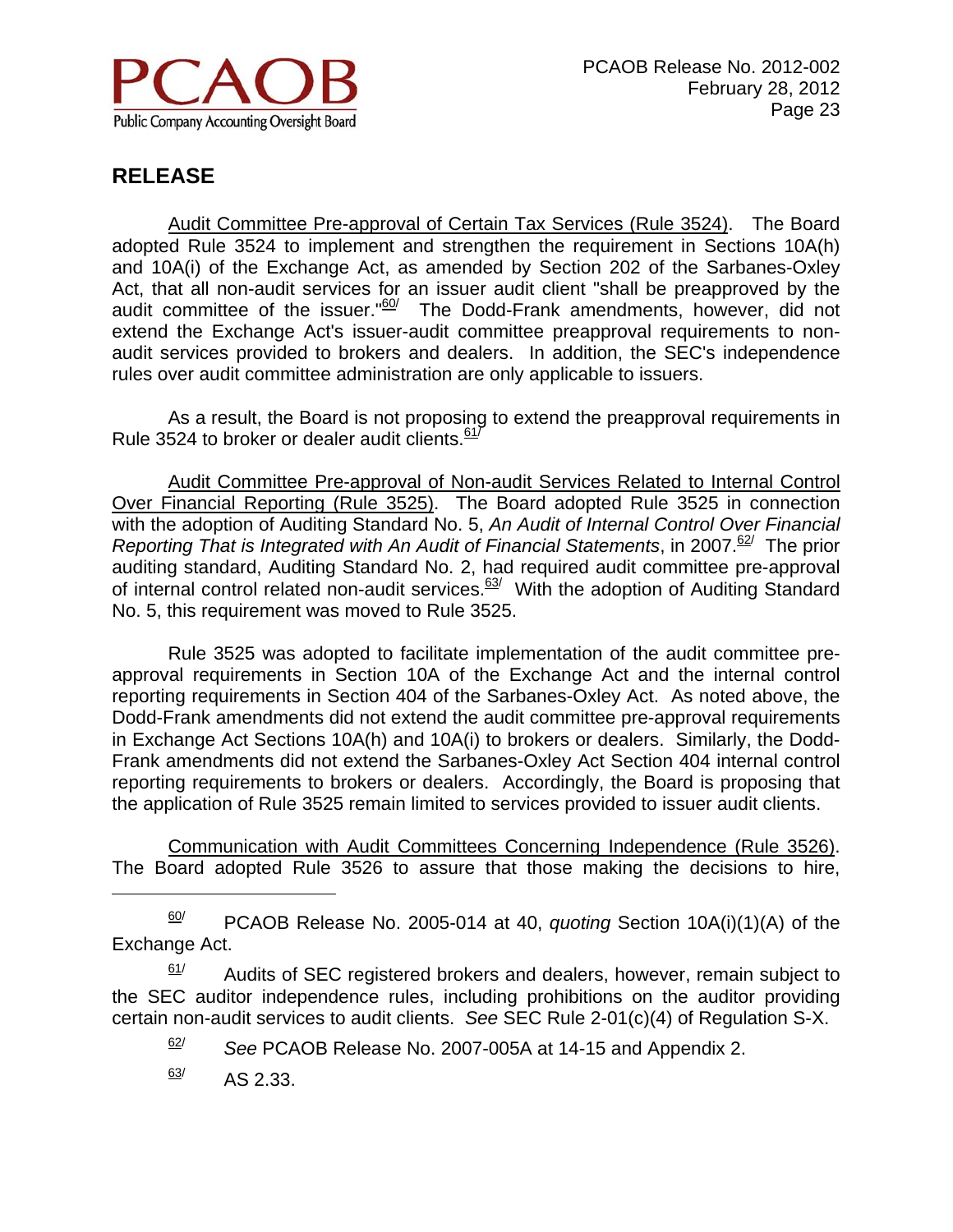

 Audit Committee Pre-approval of Certain Tax Services (Rule 3524). The Board adopted Rule 3524 to implement and strengthen the requirement in Sections 10A(h) and 10A(i) of the Exchange Act, as amended by Section 202 of the Sarbanes-Oxley Act, that all non-audit services for an issuer audit client "shall be preapproved by the audit committee of the issuer." $60/$  The Dodd-Frank amendments, however, did not extend the Exchange Act's issuer-audit committee preapproval requirements to nonaudit services provided to brokers and dealers. In addition, the SEC's independence rules over audit committee administration are only applicable to issuers.

 As a result, the Board is not proposing to extend the preapproval requirements in Rule 3524 to broker or dealer audit clients. $61/$ 

 Audit Committee Pre-approval of Non-audit Services Related to Internal Control Over Financial Reporting (Rule 3525). The Board adopted Rule 3525 in connection with the adoption of Auditing Standard No. 5, *An Audit of Internal Control Over Financial Reporting That is Integrated with An Audit of Financial Statements, in 2007.<sup>62/</sup> The prior* auditing standard, Auditing Standard No. 2, had required audit committee pre-approval of internal control related non-audit services.<sup>63/</sup> With the adoption of Auditing Standard No. 5, this requirement was moved to Rule 3525.

 Rule 3525 was adopted to facilitate implementation of the audit committee preapproval requirements in Section 10A of the Exchange Act and the internal control reporting requirements in Section 404 of the Sarbanes-Oxley Act. As noted above, the Dodd-Frank amendments did not extend the audit committee pre-approval requirements in Exchange Act Sections 10A(h) and 10A(i) to brokers or dealers. Similarly, the Dodd-Frank amendments did not extend the Sarbanes-Oxley Act Section 404 internal control reporting requirements to brokers or dealers. Accordingly, the Board is proposing that the application of Rule 3525 remain limited to services provided to issuer audit clients.

 Communication with Audit Committees Concerning Independence (Rule 3526). The Board adopted Rule 3526 to assure that those making the decisions to hire,

60/ PCAOB Release No. 2005-014 at 40, *quoting* Section 10A(i)(1)(A) of the Exchange Act.

 $61/$  Audits of SEC registered brokers and dealers, however, remain subject to the SEC auditor independence rules, including prohibitions on the auditor providing certain non-audit services to audit clients. *See* SEC Rule 2-01(c)(4) of Regulation S-X.

62/ *See* PCAOB Release No. 2007-005A at 14-15 and Appendix 2.

 $\frac{63}{ }$  AS 2.33.

 $\overline{a}$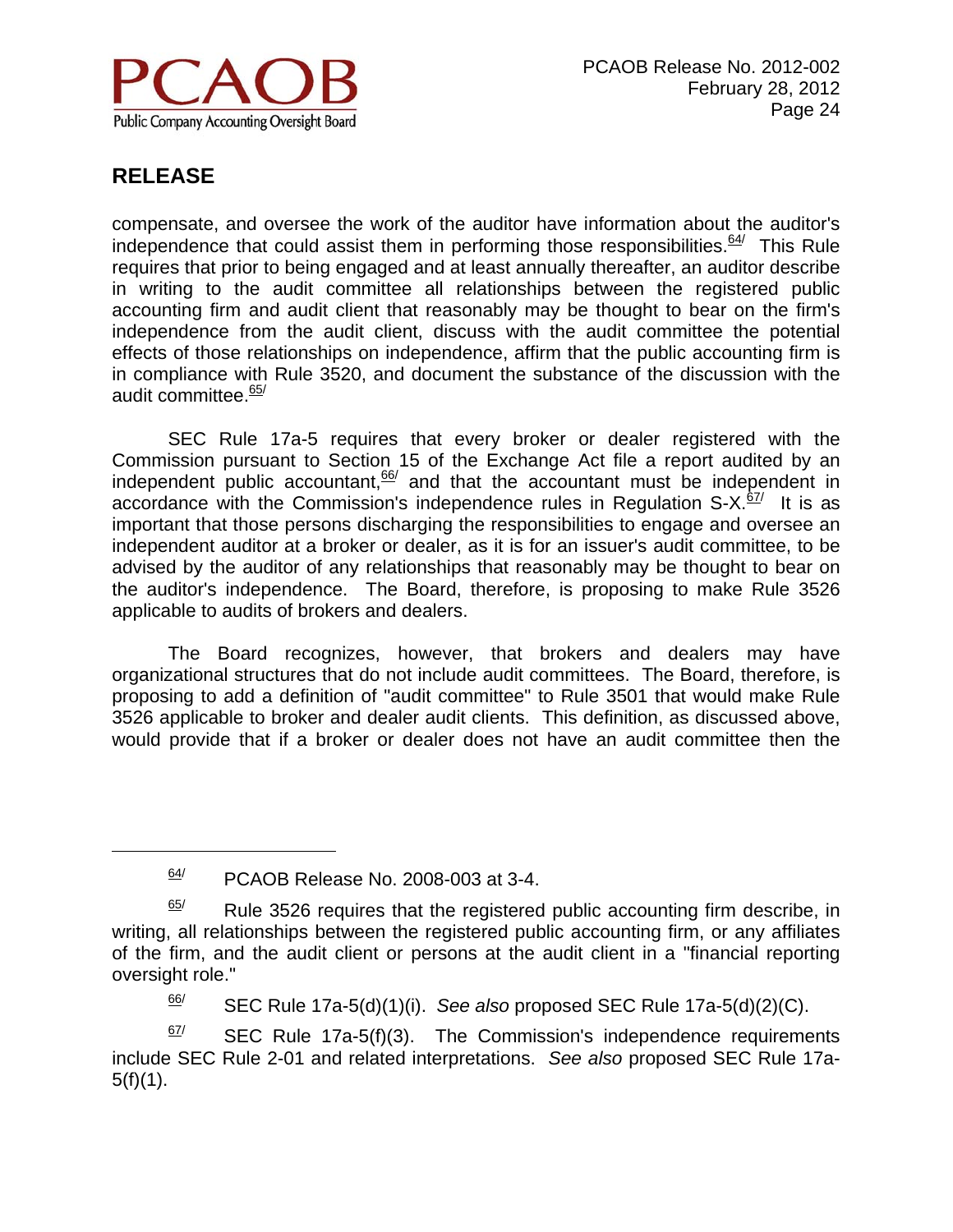

 $\overline{a}$ 

compensate, and oversee the work of the auditor have information about the auditor's independence that could assist them in performing those responsibilities. $64/$  This Rule requires that prior to being engaged and at least annually thereafter, an auditor describe in writing to the audit committee all relationships between the registered public accounting firm and audit client that reasonably may be thought to bear on the firm's independence from the audit client, discuss with the audit committee the potential effects of those relationships on independence, affirm that the public accounting firm is in compliance with Rule 3520, and document the substance of the discussion with the audit committee.<sup>65/</sup>

 SEC Rule 17a-5 requires that every broker or dealer registered with the Commission pursuant to Section 15 of the Exchange Act file a report audited by an independent public accountant,  $\frac{66}{2}$  and that the accountant must be independent in accordance with the Commission's independence rules in Regulation  $S-X$ .  $\frac{67}{1}$  It is as important that those persons discharging the responsibilities to engage and oversee an independent auditor at a broker or dealer, as it is for an issuer's audit committee, to be advised by the auditor of any relationships that reasonably may be thought to bear on the auditor's independence. The Board, therefore, is proposing to make Rule 3526 applicable to audits of brokers and dealers.

 The Board recognizes, however, that brokers and dealers may have organizational structures that do not include audit committees. The Board, therefore, is proposing to add a definition of "audit committee" to Rule 3501 that would make Rule 3526 applicable to broker and dealer audit clients. This definition, as discussed above, would provide that if a broker or dealer does not have an audit committee then the

 $\frac{66}{ }$  SEC Rule 17a-5(d)(1)(i). *See also* proposed SEC Rule 17a-5(d)(2)(C).

 $67$  SEC Rule 17a-5(f)(3). The Commission's independence requirements include SEC Rule 2-01 and related interpretations. *See also* proposed SEC Rule 17a- $5(f)(1)$ .

 $64$  PCAOB Release No. 2008-003 at 3-4.

 $\frac{65}{}{ }$  Rule 3526 requires that the registered public accounting firm describe, in writing, all relationships between the registered public accounting firm, or any affiliates of the firm, and the audit client or persons at the audit client in a "financial reporting oversight role."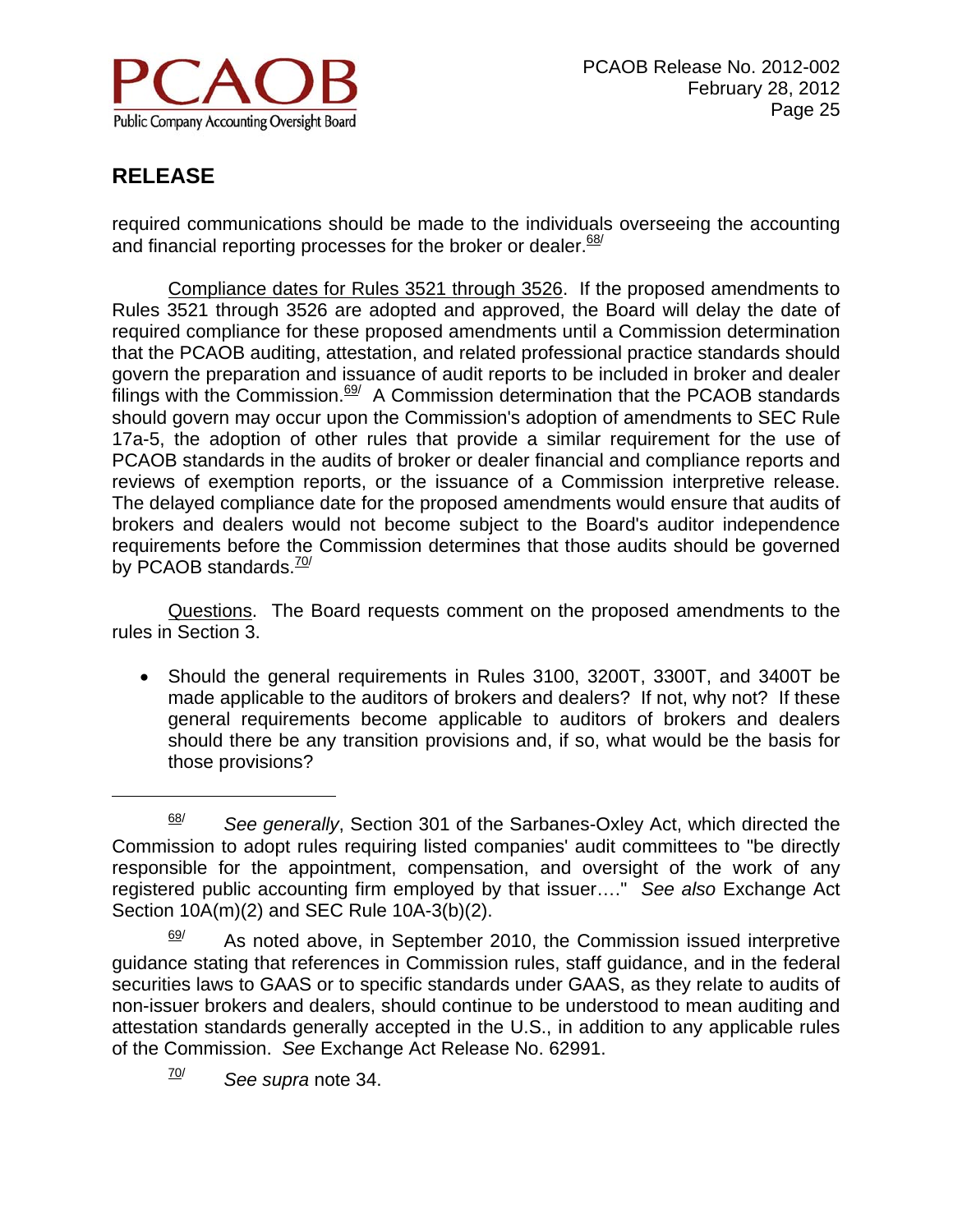

<u>.</u>

required communications should be made to the individuals overseeing the accounting and financial reporting processes for the broker or dealer. $68/$ 

Compliance dates for Rules 3521 through 3526. If the proposed amendments to Rules 3521 through 3526 are adopted and approved, the Board will delay the date of required compliance for these proposed amendments until a Commission determination that the PCAOB auditing, attestation, and related professional practice standards should govern the preparation and issuance of audit reports to be included in broker and dealer filings with the Commission. $69/$  A Commission determination that the PCAOB standards should govern may occur upon the Commission's adoption of amendments to SEC Rule 17a-5, the adoption of other rules that provide a similar requirement for the use of PCAOB standards in the audits of broker or dealer financial and compliance reports and reviews of exemption reports, or the issuance of a Commission interpretive release. The delayed compliance date for the proposed amendments would ensure that audits of brokers and dealers would not become subject to the Board's auditor independence requirements before the Commission determines that those audits should be governed by PCAOB standards. $^{70/7}$ 

 Questions. The Board requests comment on the proposed amendments to the rules in Section 3.

 Should the general requirements in Rules 3100, 3200T, 3300T, and 3400T be made applicable to the auditors of brokers and dealers? If not, why not? If these general requirements become applicable to auditors of brokers and dealers should there be any transition provisions and, if so, what would be the basis for those provisions?

<sup>68/</sup> *See generally*, Section 301 of the Sarbanes-Oxley Act, which directed the Commission to adopt rules requiring listed companies' audit committees to "be directly responsible for the appointment, compensation, and oversight of the work of any registered public accounting firm employed by that issuer…." *See also* Exchange Act Section 10A(m)(2) and SEC Rule 10A-3(b)(2).

As noted above, in September 2010, the Commission issued interpretive guidance stating that references in Commission rules, staff guidance, and in the federal securities laws to GAAS or to specific standards under GAAS, as they relate to audits of non-issuer brokers and dealers, should continue to be understood to mean auditing and attestation standards generally accepted in the U.S., in addition to any applicable rules of the Commission. *See* Exchange Act Release No. 62991.

<sup>70/</sup> *See supra* note 34.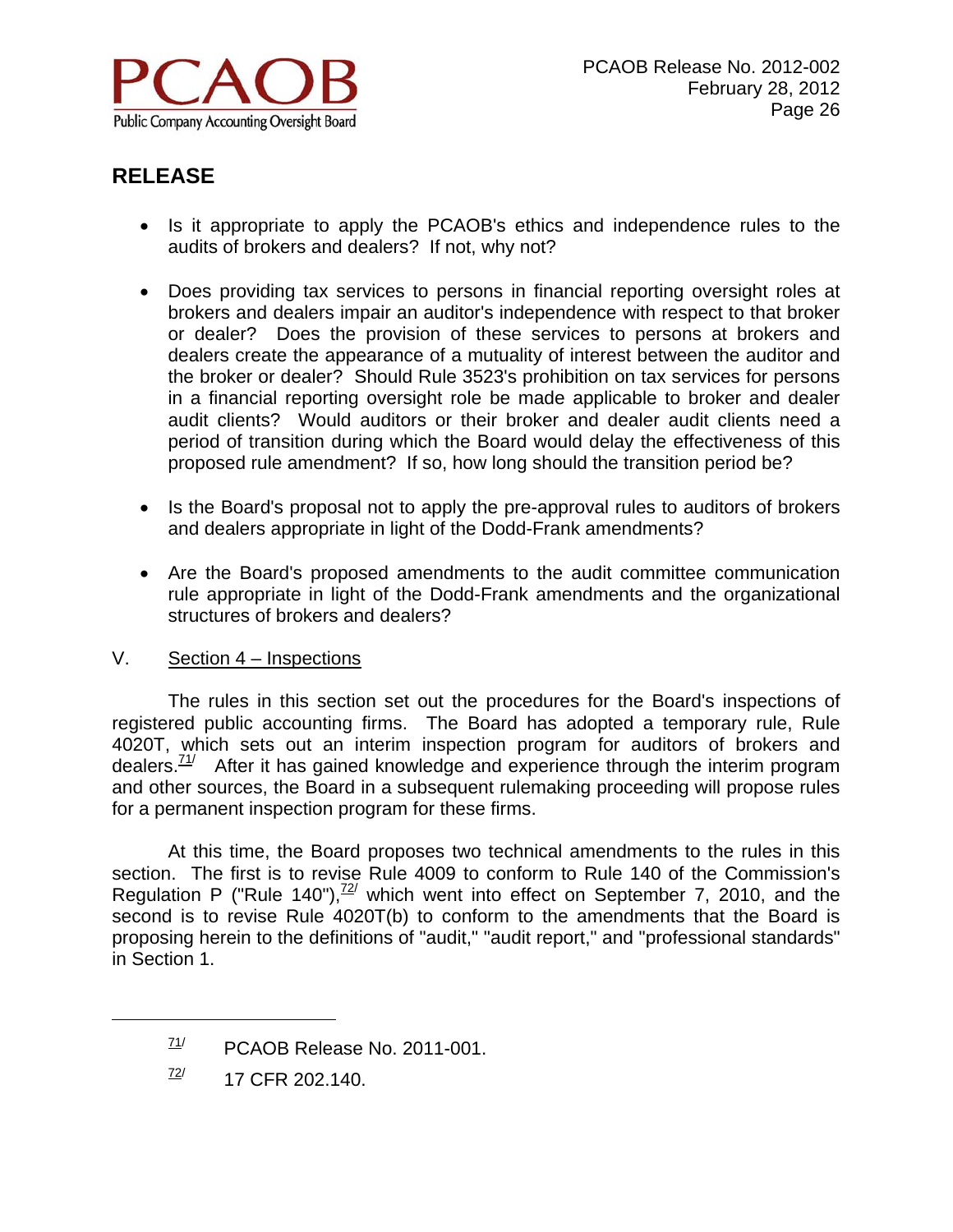

- Is it appropriate to apply the PCAOB's ethics and independence rules to the audits of brokers and dealers? If not, why not?
- Does providing tax services to persons in financial reporting oversight roles at brokers and dealers impair an auditor's independence with respect to that broker or dealer? Does the provision of these services to persons at brokers and dealers create the appearance of a mutuality of interest between the auditor and the broker or dealer? Should Rule 3523's prohibition on tax services for persons in a financial reporting oversight role be made applicable to broker and dealer audit clients? Would auditors or their broker and dealer audit clients need a period of transition during which the Board would delay the effectiveness of this proposed rule amendment? If so, how long should the transition period be?
- Is the Board's proposal not to apply the pre-approval rules to auditors of brokers and dealers appropriate in light of the Dodd-Frank amendments?
- Are the Board's proposed amendments to the audit committee communication rule appropriate in light of the Dodd-Frank amendments and the organizational structures of brokers and dealers?

#### V. Section 4 – Inspections

The rules in this section set out the procedures for the Board's inspections of registered public accounting firms. The Board has adopted a temporary rule, Rule 4020T, which sets out an interim inspection program for auditors of brokers and dealers. $\frac{11}{2}$  After it has gained knowledge and experience through the interim program and other sources, the Board in a subsequent rulemaking proceeding will propose rules for a permanent inspection program for these firms.

At this time, the Board proposes two technical amendments to the rules in this section. The first is to revise Rule 4009 to conform to Rule 140 of the Commission's Regulation P ("Rule 140"), $72/2$  which went into effect on September 7, 2010, and the second is to revise Rule 4020T(b) to conform to the amendments that the Board is proposing herein to the definitions of "audit," "audit report," and "professional standards" in Section 1.

 $\overline{a}$ 

 $71/$  PCAOB Release No. 2011-001.

 $\frac{72}{17}$  17 CFR 202.140.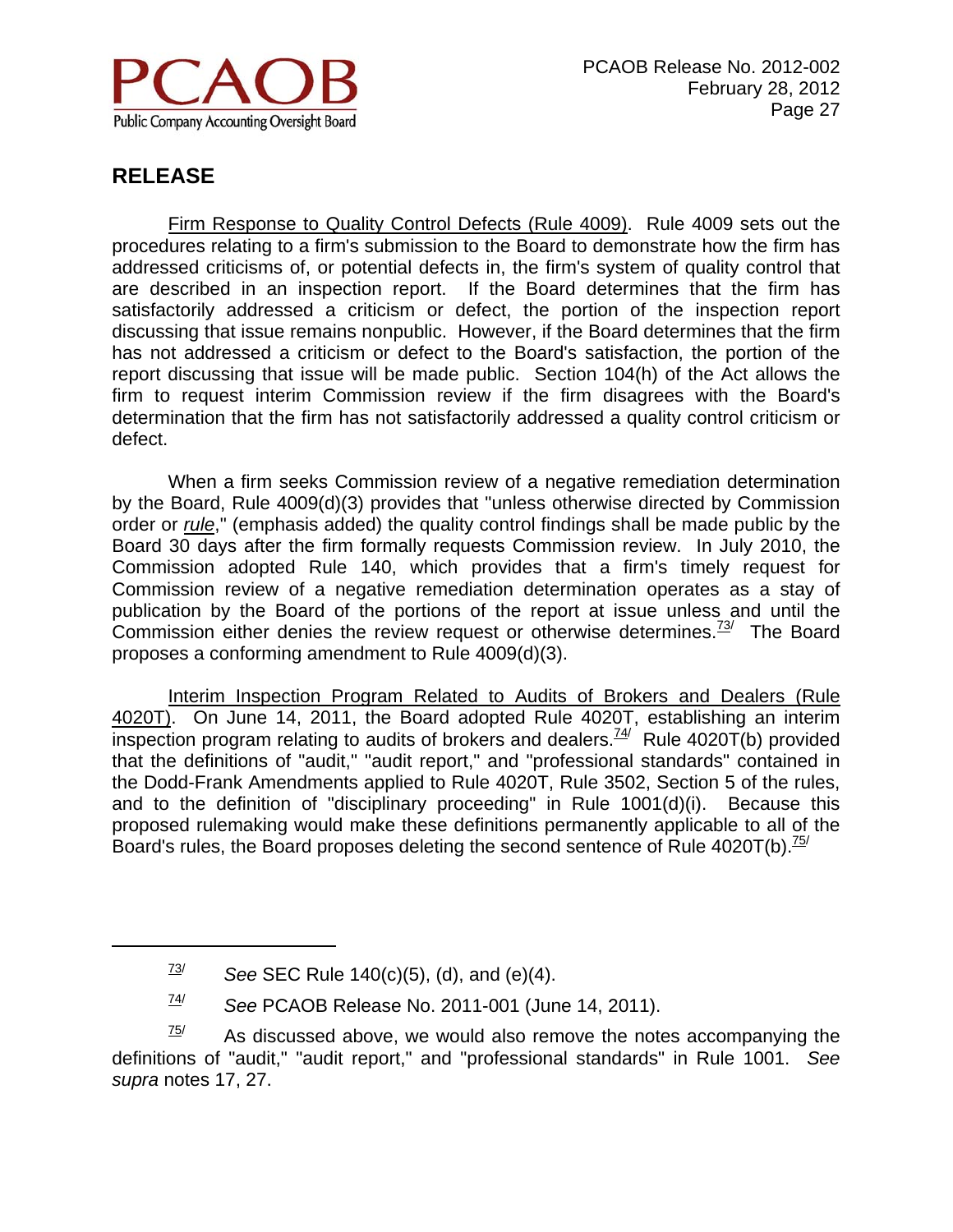

 $\overline{a}$ 

Firm Response to Quality Control Defects (Rule 4009). Rule 4009 sets out the procedures relating to a firm's submission to the Board to demonstrate how the firm has addressed criticisms of, or potential defects in, the firm's system of quality control that are described in an inspection report. If the Board determines that the firm has satisfactorily addressed a criticism or defect, the portion of the inspection report discussing that issue remains nonpublic. However, if the Board determines that the firm has not addressed a criticism or defect to the Board's satisfaction, the portion of the report discussing that issue will be made public. Section 104(h) of the Act allows the firm to request interim Commission review if the firm disagrees with the Board's determination that the firm has not satisfactorily addressed a quality control criticism or defect.

When a firm seeks Commission review of a negative remediation determination by the Board, Rule 4009(d)(3) provides that "unless otherwise directed by Commission order or *rule*," (emphasis added) the quality control findings shall be made public by the Board 30 days after the firm formally requests Commission review. In July 2010, the Commission adopted Rule 140, which provides that a firm's timely request for Commission review of a negative remediation determination operates as a stay of publication by the Board of the portions of the report at issue unless and until the Commission either denies the review request or otherwise determines.<sup>73/</sup> The Board proposes a conforming amendment to Rule 4009(d)(3).

 Interim Inspection Program Related to Audits of Brokers and Dealers (Rule 4020T). On June 14, 2011, the Board adopted Rule 4020T, establishing an interim inspection program relating to audits of brokers and dealers.<sup> $74/$ </sup> Rule 4020T(b) provided that the definitions of "audit," "audit report," and "professional standards" contained in the Dodd-Frank Amendments applied to Rule 4020T, Rule 3502, Section 5 of the rules, and to the definition of "disciplinary proceeding" in Rule 1001(d)(i). Because this proposed rulemaking would make these definitions permanently applicable to all of the Board's rules, the Board proposes deleting the second sentence of Rule  $4020T(b)$ .<sup>75/</sup>

74/ *See* PCAOB Release No. 2011-001 (June 14, 2011).

 $73$  See SEC Rule 140(c)(5), (d), and (e)(4).

 $\frac{75}{10}$  As discussed above, we would also remove the notes accompanying the definitions of "audit," "audit report," and "professional standards" in Rule 1001. *See supra* notes 17, 27.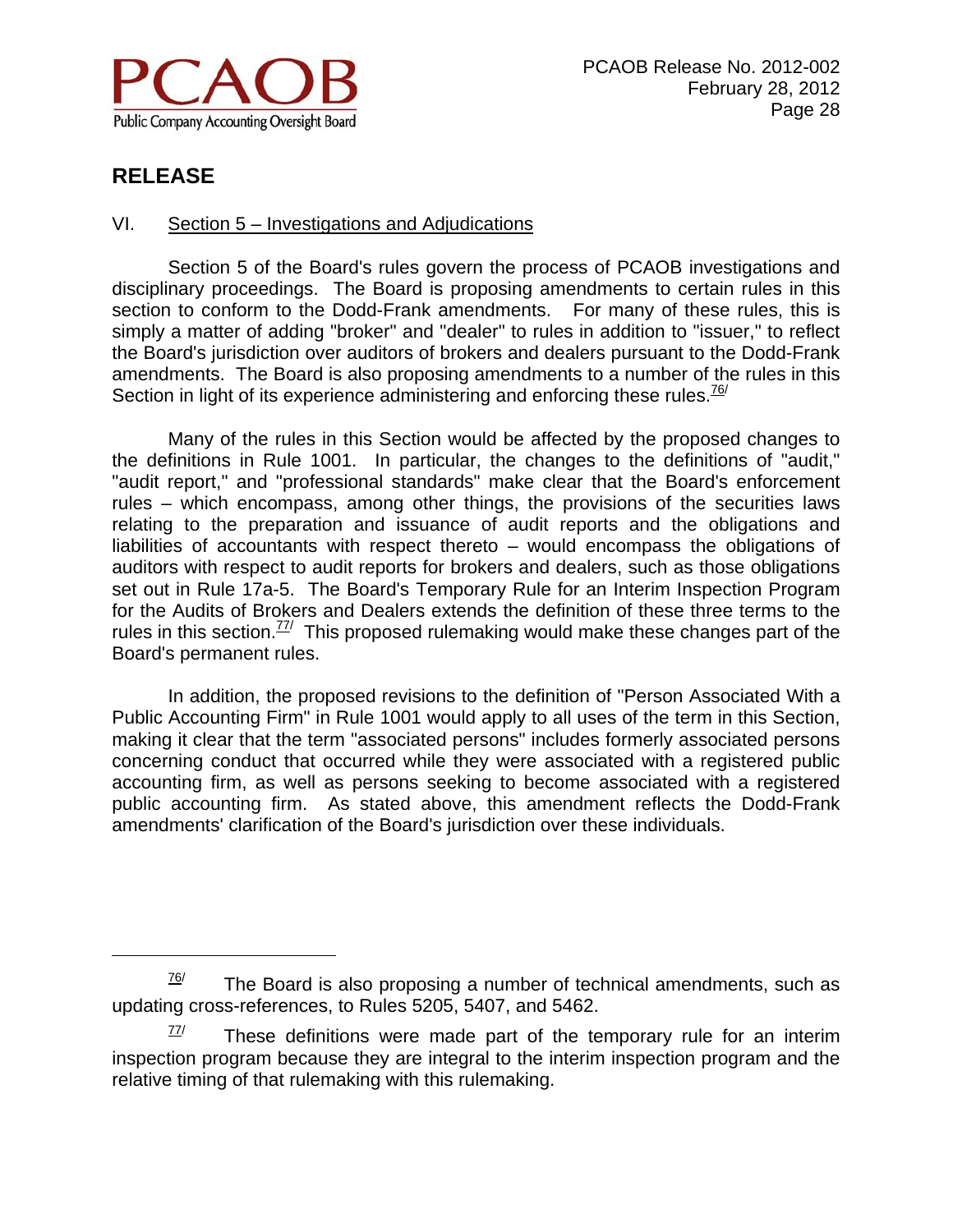

 $\overline{a}$ 

#### VI. Section 5 – Investigations and Adjudications

Section 5 of the Board's rules govern the process of PCAOB investigations and disciplinary proceedings. The Board is proposing amendments to certain rules in this section to conform to the Dodd-Frank amendments. For many of these rules, this is simply a matter of adding "broker" and "dealer" to rules in addition to "issuer," to reflect the Board's jurisdiction over auditors of brokers and dealers pursuant to the Dodd-Frank amendments. The Board is also proposing amendments to a number of the rules in this Section in light of its experience administering and enforcing these rules.  $\frac{76}{7}$ 

Many of the rules in this Section would be affected by the proposed changes to the definitions in Rule 1001. In particular, the changes to the definitions of "audit," "audit report," and "professional standards" make clear that the Board's enforcement rules – which encompass, among other things, the provisions of the securities laws relating to the preparation and issuance of audit reports and the obligations and liabilities of accountants with respect thereto – would encompass the obligations of auditors with respect to audit reports for brokers and dealers, such as those obligations set out in Rule 17a-5. The Board's Temporary Rule for an Interim Inspection Program for the Audits of Brokers and Dealers extends the definition of these three terms to the rules in this section.<sup> $77/7$ </sup> This proposed rulemaking would make these changes part of the Board's permanent rules.

In addition, the proposed revisions to the definition of "Person Associated With a Public Accounting Firm" in Rule 1001 would apply to all uses of the term in this Section, making it clear that the term "associated persons" includes formerly associated persons concerning conduct that occurred while they were associated with a registered public accounting firm, as well as persons seeking to become associated with a registered public accounting firm. As stated above, this amendment reflects the Dodd-Frank amendments' clarification of the Board's jurisdiction over these individuals.

 $76$  The Board is also proposing a number of technical amendments, such as updating cross-references, to Rules 5205, 5407, and 5462.

 $77/$  These definitions were made part of the temporary rule for an interim inspection program because they are integral to the interim inspection program and the relative timing of that rulemaking with this rulemaking.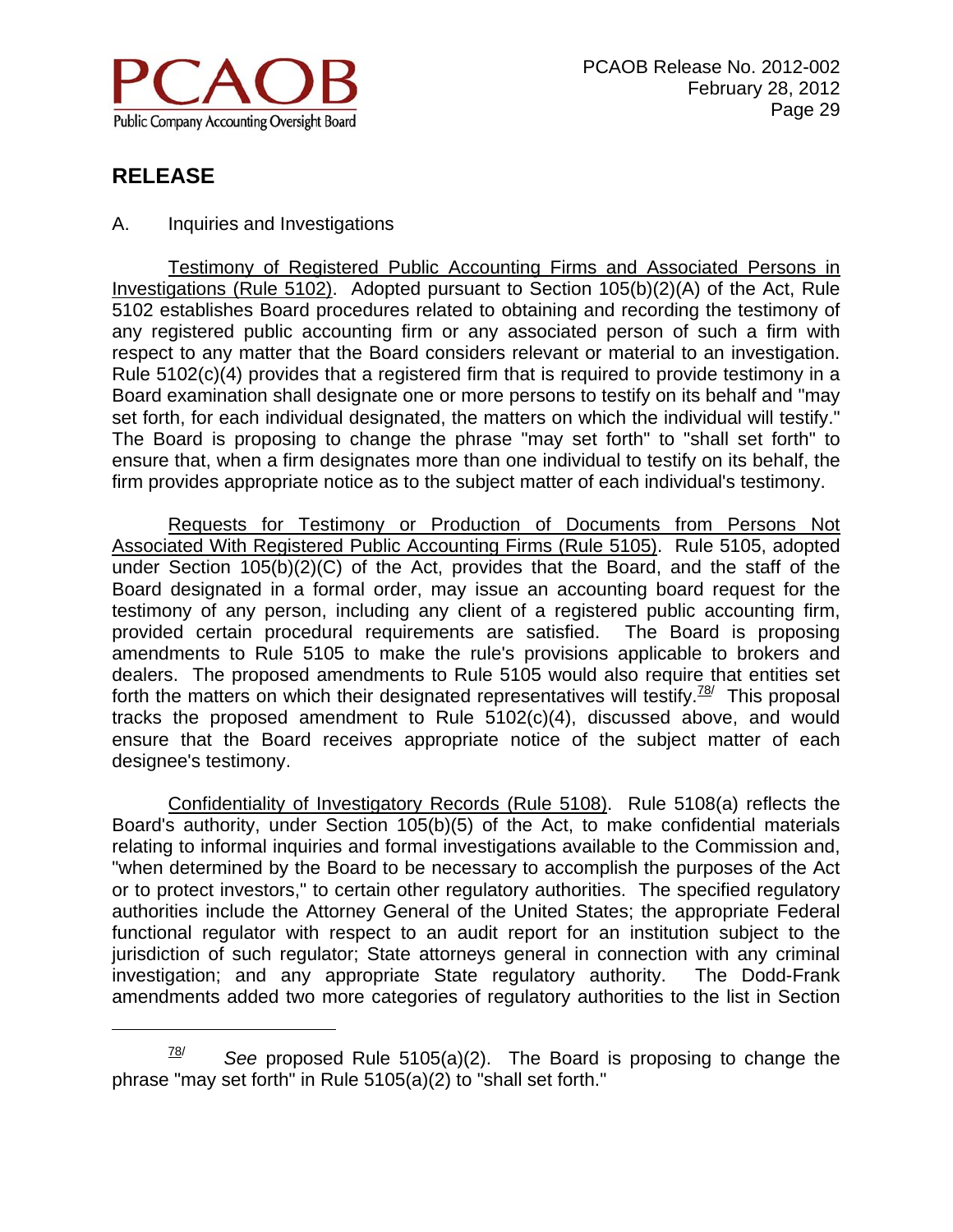

 $\overline{a}$ 

A. Inquiries and Investigations

Testimony of Registered Public Accounting Firms and Associated Persons in Investigations (Rule 5102). Adopted pursuant to Section 105(b)(2)(A) of the Act, Rule 5102 establishes Board procedures related to obtaining and recording the testimony of any registered public accounting firm or any associated person of such a firm with respect to any matter that the Board considers relevant or material to an investigation. Rule 5102(c)(4) provides that a registered firm that is required to provide testimony in a Board examination shall designate one or more persons to testify on its behalf and "may set forth, for each individual designated, the matters on which the individual will testify." The Board is proposing to change the phrase "may set forth" to "shall set forth" to ensure that, when a firm designates more than one individual to testify on its behalf, the firm provides appropriate notice as to the subject matter of each individual's testimony.

Requests for Testimony or Production of Documents from Persons Not Associated With Registered Public Accounting Firms (Rule 5105). Rule 5105, adopted under Section 105(b)(2)(C) of the Act, provides that the Board, and the staff of the Board designated in a formal order, may issue an accounting board request for the testimony of any person, including any client of a registered public accounting firm, provided certain procedural requirements are satisfied. The Board is proposing amendments to Rule 5105 to make the rule's provisions applicable to brokers and dealers. The proposed amendments to Rule 5105 would also require that entities set forth the matters on which their designated representatives will testify.<sup>78/</sup> This proposal tracks the proposed amendment to Rule 5102(c)(4), discussed above, and would ensure that the Board receives appropriate notice of the subject matter of each designee's testimony.

Confidentiality of Investigatory Records (Rule 5108). Rule 5108(a) reflects the Board's authority, under Section 105(b)(5) of the Act, to make confidential materials relating to informal inquiries and formal investigations available to the Commission and, "when determined by the Board to be necessary to accomplish the purposes of the Act or to protect investors," to certain other regulatory authorities. The specified regulatory authorities include the Attorney General of the United States; the appropriate Federal functional regulator with respect to an audit report for an institution subject to the jurisdiction of such regulator; State attorneys general in connection with any criminal investigation; and any appropriate State regulatory authority. The Dodd-Frank amendments added two more categories of regulatory authorities to the list in Section

<sup>78/</sup> *See* proposed Rule 5105(a)(2). The Board is proposing to change the phrase "may set forth" in Rule 5105(a)(2) to "shall set forth."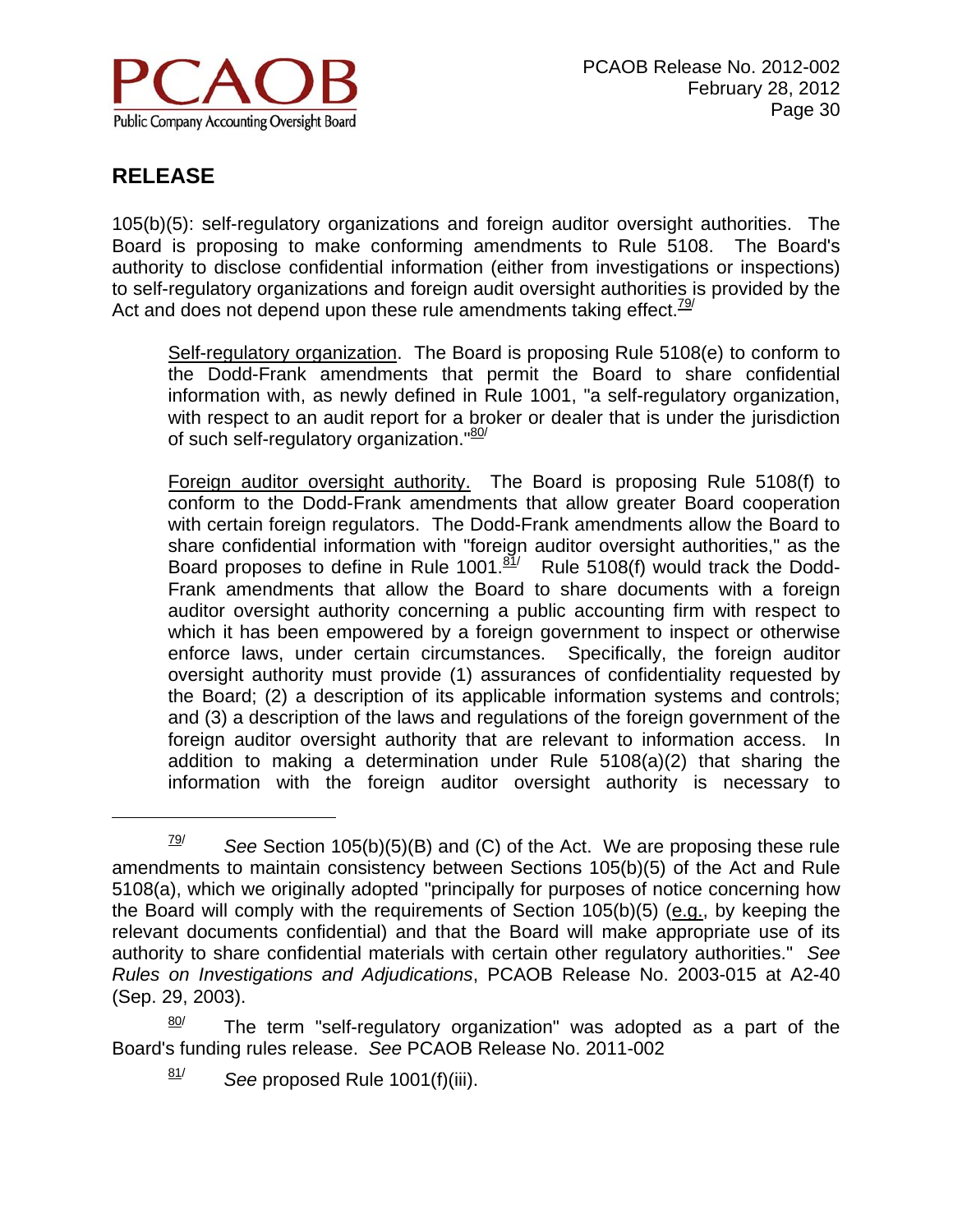

 $\overline{a}$ 

105(b)(5): self-regulatory organizations and foreign auditor oversight authorities. The Board is proposing to make conforming amendments to Rule 5108. The Board's authority to disclose confidential information (either from investigations or inspections) to self-regulatory organizations and foreign audit oversight authorities is provided by the Act and does not depend upon these rule amendments taking effect.  $\frac{79}{2}$ 

Self-regulatory organization. The Board is proposing Rule 5108(e) to conform to the Dodd-Frank amendments that permit the Board to share confidential information with, as newly defined in Rule 1001, "a self-regulatory organization, with respect to an audit report for a broker or dealer that is under the jurisdiction of such self-regulatory organization."<sup>80/</sup>

 Foreign auditor oversight authority. The Board is proposing Rule 5108(f) to conform to the Dodd-Frank amendments that allow greater Board cooperation with certain foreign regulators. The Dodd-Frank amendments allow the Board to share confidential information with "foreign auditor oversight authorities," as the Board proposes to define in Rule 1001. $\frac{81}{1}$  Rule 5108(f) would track the Dodd-Frank amendments that allow the Board to share documents with a foreign auditor oversight authority concerning a public accounting firm with respect to which it has been empowered by a foreign government to inspect or otherwise enforce laws, under certain circumstances. Specifically, the foreign auditor oversight authority must provide (1) assurances of confidentiality requested by the Board; (2) a description of its applicable information systems and controls; and (3) a description of the laws and regulations of the foreign government of the foreign auditor oversight authority that are relevant to information access. In addition to making a determination under Rule 5108(a)(2) that sharing the information with the foreign auditor oversight authority is necessary to

 $79$  See Section 105(b)(5)(B) and (C) of the Act. We are proposing these rule amendments to maintain consistency between Sections 105(b)(5) of the Act and Rule 5108(a), which we originally adopted "principally for purposes of notice concerning how the Board will comply with the requirements of Section 105(b)(5) (e.g., by keeping the relevant documents confidential) and that the Board will make appropriate use of its authority to share confidential materials with certain other regulatory authorities." *See Rules on Investigations and Adjudications*, PCAOB Release No. 2003-015 at A2-40 (Sep. 29, 2003).

 $\frac{80}{1}$  The term "self-regulatory organization" was adopted as a part of the Board's funding rules release. *See* PCAOB Release No. 2011-002

<sup>81/</sup> *See* proposed Rule 1001(f)(iii).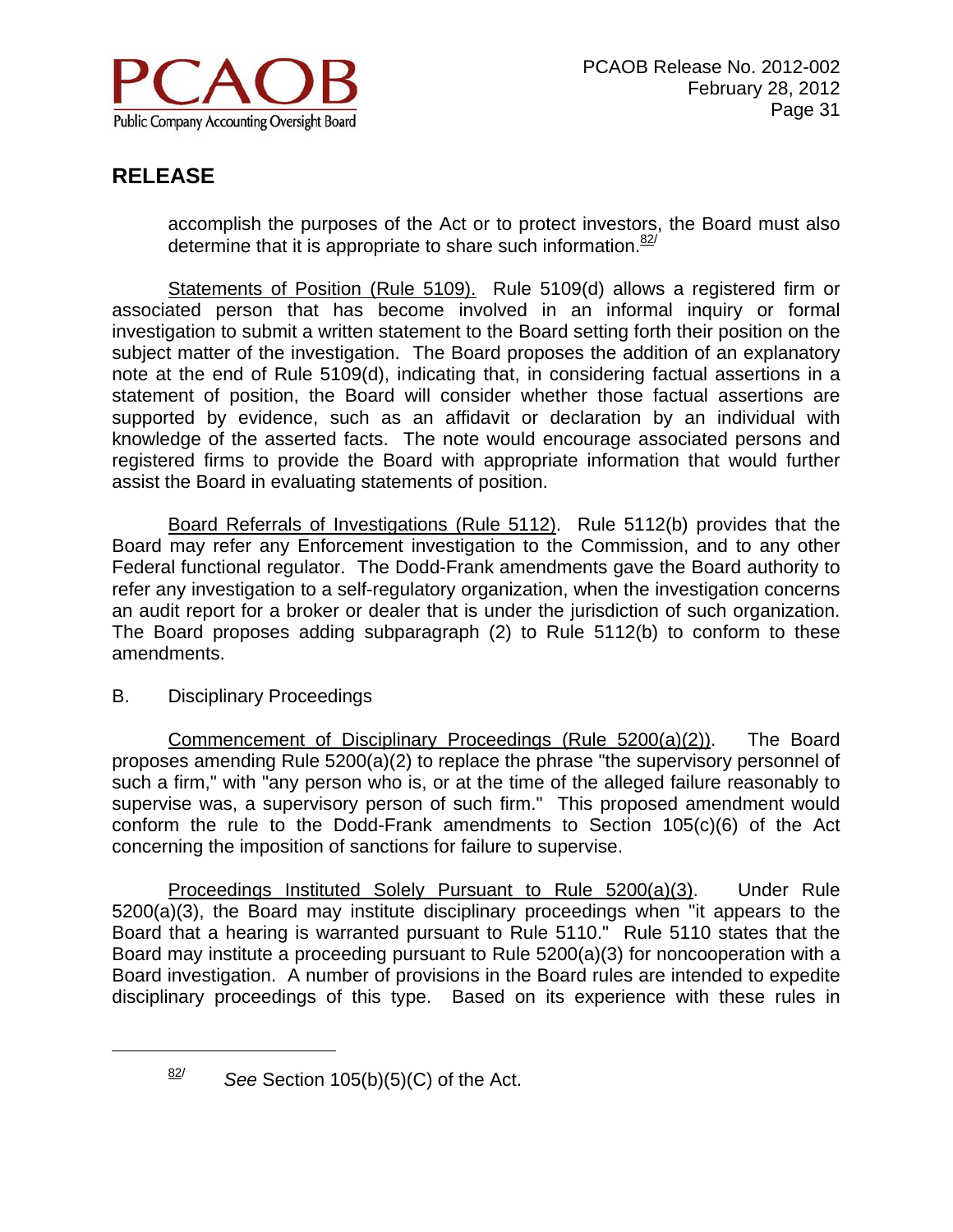

accomplish the purposes of the Act or to protect investors, the Board must also determine that it is appropriate to share such information. $82$ <sup>t</sup>

Statements of Position (Rule 5109). Rule 5109(d) allows a registered firm or associated person that has become involved in an informal inquiry or formal investigation to submit a written statement to the Board setting forth their position on the subject matter of the investigation. The Board proposes the addition of an explanatory note at the end of Rule 5109(d), indicating that, in considering factual assertions in a statement of position, the Board will consider whether those factual assertions are supported by evidence, such as an affidavit or declaration by an individual with knowledge of the asserted facts. The note would encourage associated persons and registered firms to provide the Board with appropriate information that would further assist the Board in evaluating statements of position.

Board Referrals of Investigations (Rule 5112). Rule 5112(b) provides that the Board may refer any Enforcement investigation to the Commission, and to any other Federal functional regulator. The Dodd-Frank amendments gave the Board authority to refer any investigation to a self-regulatory organization, when the investigation concerns an audit report for a broker or dealer that is under the jurisdiction of such organization. The Board proposes adding subparagraph (2) to Rule 5112(b) to conform to these amendments.

B. Disciplinary Proceedings

1

Commencement of Disciplinary Proceedings (Rule 5200(a)(2)). The Board proposes amending Rule 5200(a)(2) to replace the phrase "the supervisory personnel of such a firm," with "any person who is, or at the time of the alleged failure reasonably to supervise was, a supervisory person of such firm." This proposed amendment would conform the rule to the Dodd-Frank amendments to Section 105(c)(6) of the Act concerning the imposition of sanctions for failure to supervise.

Proceedings Instituted Solely Pursuant to Rule 5200(a)(3). Under Rule 5200(a)(3), the Board may institute disciplinary proceedings when "it appears to the Board that a hearing is warranted pursuant to Rule 5110." Rule 5110 states that the Board may institute a proceeding pursuant to Rule 5200(a)(3) for noncooperation with a Board investigation. A number of provisions in the Board rules are intended to expedite disciplinary proceedings of this type. Based on its experience with these rules in

<sup>82/</sup> *See* Section 105(b)(5)(C) of the Act.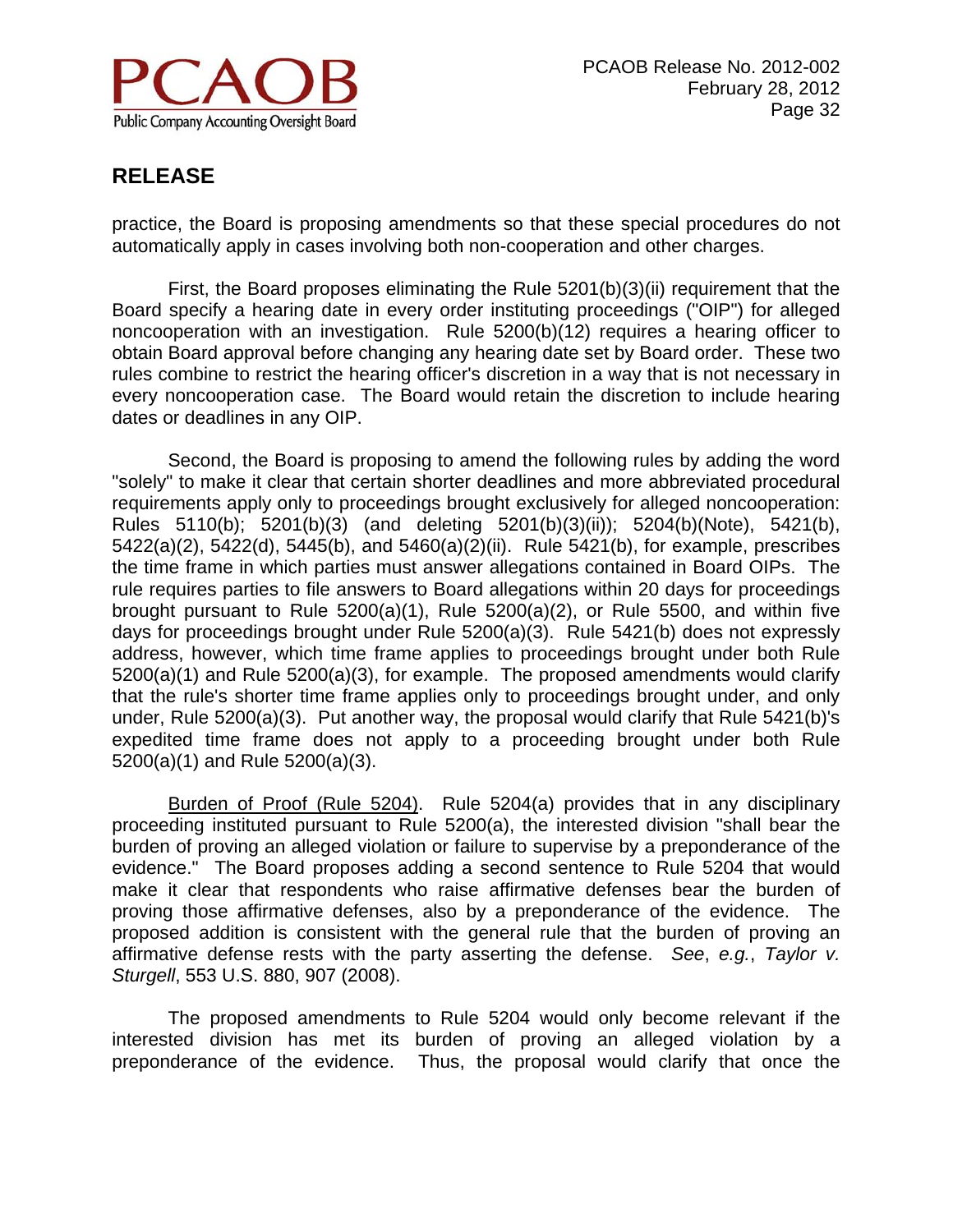

practice, the Board is proposing amendments so that these special procedures do not automatically apply in cases involving both non-cooperation and other charges.

First, the Board proposes eliminating the Rule 5201(b)(3)(ii) requirement that the Board specify a hearing date in every order instituting proceedings ("OIP") for alleged noncooperation with an investigation. Rule 5200(b)(12) requires a hearing officer to obtain Board approval before changing any hearing date set by Board order. These two rules combine to restrict the hearing officer's discretion in a way that is not necessary in every noncooperation case. The Board would retain the discretion to include hearing dates or deadlines in any OIP.

Second, the Board is proposing to amend the following rules by adding the word "solely" to make it clear that certain shorter deadlines and more abbreviated procedural requirements apply only to proceedings brought exclusively for alleged noncooperation: Rules 5110(b); 5201(b)(3) (and deleting 5201(b)(3)(ii)); 5204(b)(Note), 5421(b), 5422(a)(2), 5422(d), 5445(b), and 5460(a)(2)(ii). Rule 5421(b), for example, prescribes the time frame in which parties must answer allegations contained in Board OIPs. The rule requires parties to file answers to Board allegations within 20 days for proceedings brought pursuant to Rule 5200(a)(1), Rule 5200(a)(2), or Rule 5500, and within five days for proceedings brought under Rule 5200(a)(3). Rule 5421(b) does not expressly address, however, which time frame applies to proceedings brought under both Rule 5200(a)(1) and Rule 5200(a)(3), for example. The proposed amendments would clarify that the rule's shorter time frame applies only to proceedings brought under, and only under, Rule 5200(a)(3). Put another way, the proposal would clarify that Rule 5421(b)'s expedited time frame does not apply to a proceeding brought under both Rule 5200(a)(1) and Rule 5200(a)(3).

Burden of Proof (Rule 5204). Rule 5204(a) provides that in any disciplinary proceeding instituted pursuant to Rule 5200(a), the interested division "shall bear the burden of proving an alleged violation or failure to supervise by a preponderance of the evidence." The Board proposes adding a second sentence to Rule 5204 that would make it clear that respondents who raise affirmative defenses bear the burden of proving those affirmative defenses, also by a preponderance of the evidence. The proposed addition is consistent with the general rule that the burden of proving an affirmative defense rests with the party asserting the defense. *See*, *e.g.*, *Taylor v. Sturgell*, 553 U.S. 880, 907 (2008).

The proposed amendments to Rule 5204 would only become relevant if the interested division has met its burden of proving an alleged violation by a preponderance of the evidence. Thus, the proposal would clarify that once the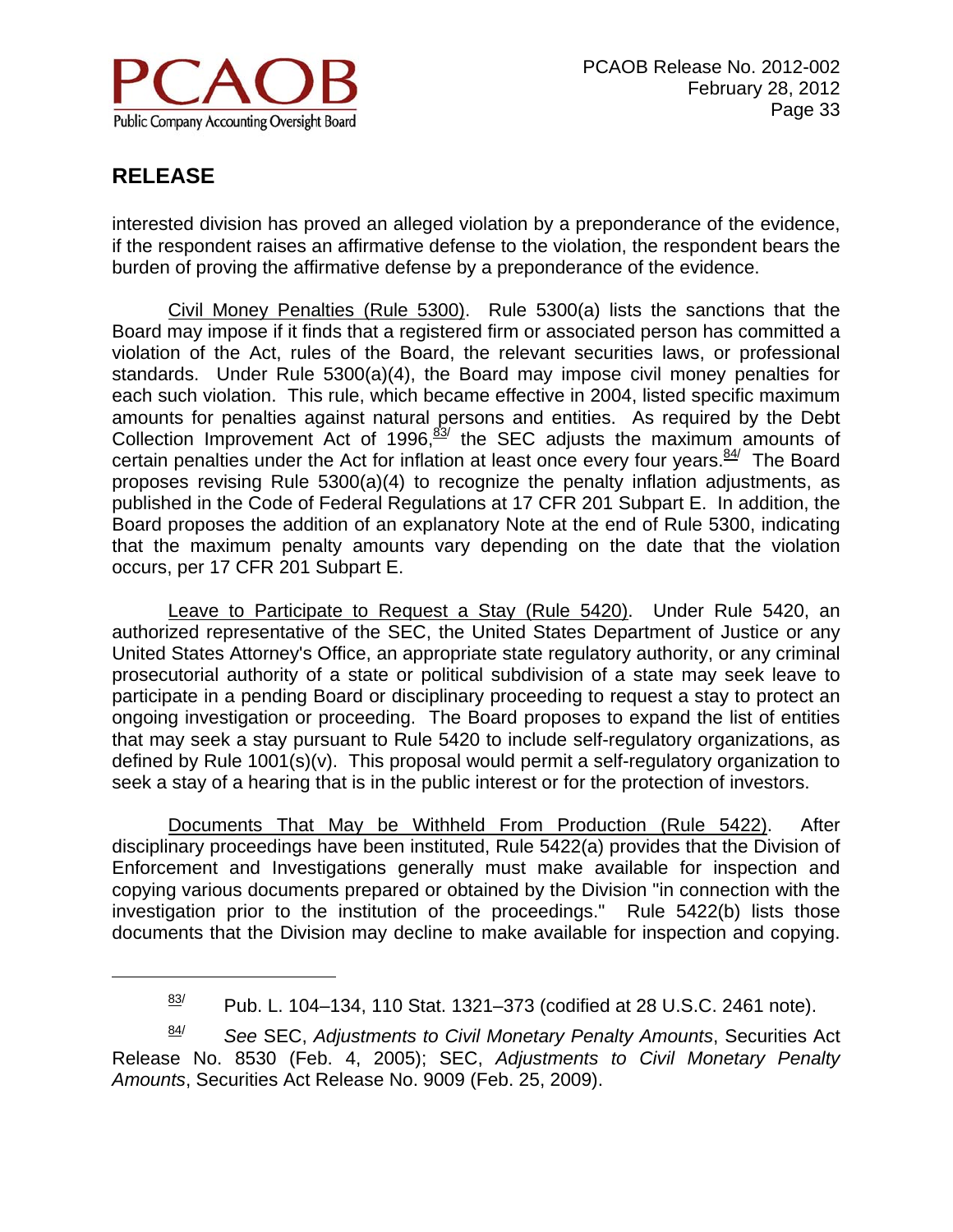

 $\overline{a}$ 

interested division has proved an alleged violation by a preponderance of the evidence, if the respondent raises an affirmative defense to the violation, the respondent bears the burden of proving the affirmative defense by a preponderance of the evidence.

Civil Money Penalties (Rule 5300). Rule 5300(a) lists the sanctions that the Board may impose if it finds that a registered firm or associated person has committed a violation of the Act, rules of the Board, the relevant securities laws, or professional standards. Under Rule 5300(a)(4), the Board may impose civil money penalties for each such violation. This rule, which became effective in 2004, listed specific maximum amounts for penalties against natural persons and entities. As required by the Debt Collection Improvement Act of 1996, $\frac{83}{7}$  the SEC adjusts the maximum amounts of certain penalties under the Act for inflation at least once every four years. $84/$  The Board proposes revising Rule 5300(a)(4) to recognize the penalty inflation adjustments, as published in the Code of Federal Regulations at 17 CFR 201 Subpart E. In addition, the Board proposes the addition of an explanatory Note at the end of Rule 5300, indicating that the maximum penalty amounts vary depending on the date that the violation occurs, per 17 CFR 201 Subpart E.

Leave to Participate to Request a Stay (Rule 5420). Under Rule 5420, an authorized representative of the SEC, the United States Department of Justice or any United States Attorney's Office, an appropriate state regulatory authority, or any criminal prosecutorial authority of a state or political subdivision of a state may seek leave to participate in a pending Board or disciplinary proceeding to request a stay to protect an ongoing investigation or proceeding. The Board proposes to expand the list of entities that may seek a stay pursuant to Rule 5420 to include self-regulatory organizations, as defined by Rule 1001(s)(v). This proposal would permit a self-regulatory organization to seek a stay of a hearing that is in the public interest or for the protection of investors.

Documents That May be Withheld From Production (Rule 5422). After disciplinary proceedings have been instituted, Rule 5422(a) provides that the Division of Enforcement and Investigations generally must make available for inspection and copying various documents prepared or obtained by the Division "in connection with the investigation prior to the institution of the proceedings." Rule 5422(b) lists those documents that the Division may decline to make available for inspection and copying.

84/ *See* SEC, *Adjustments to Civil Monetary Penalty Amounts*, Securities Act Release No. 8530 (Feb. 4, 2005); SEC, *Adjustments to Civil Monetary Penalty Amounts*, Securities Act Release No. 9009 (Feb. 25, 2009).

 $\frac{83}{1}$  Pub. L. 104–134, 110 Stat. 1321–373 (codified at 28 U.S.C. 2461 note).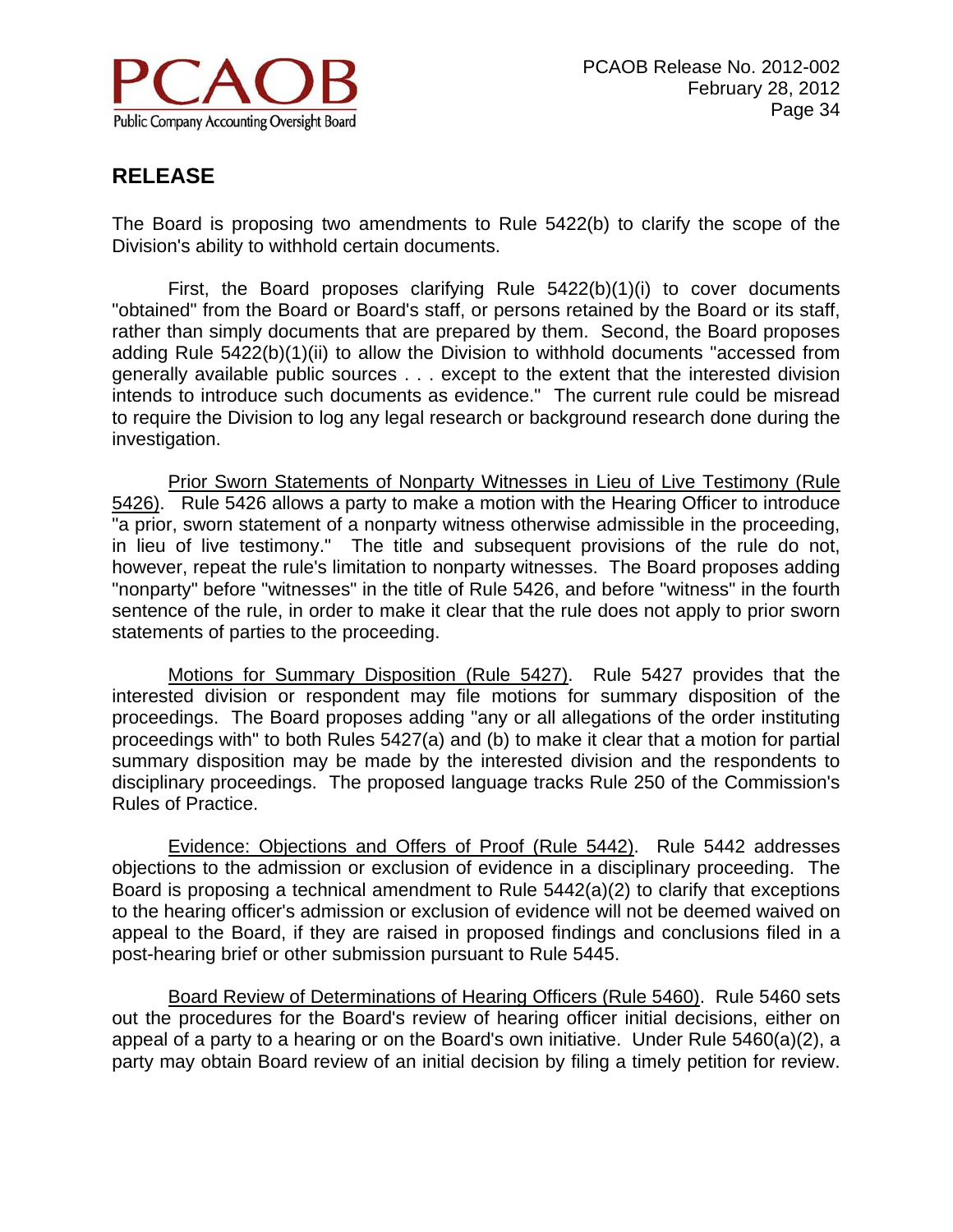

The Board is proposing two amendments to Rule 5422(b) to clarify the scope of the Division's ability to withhold certain documents.

First, the Board proposes clarifying Rule 5422(b)(1)(i) to cover documents "obtained" from the Board or Board's staff, or persons retained by the Board or its staff, rather than simply documents that are prepared by them. Second, the Board proposes adding Rule 5422(b)(1)(ii) to allow the Division to withhold documents "accessed from generally available public sources . . . except to the extent that the interested division intends to introduce such documents as evidence." The current rule could be misread to require the Division to log any legal research or background research done during the investigation.

Prior Sworn Statements of Nonparty Witnesses in Lieu of Live Testimony (Rule 5426). Rule 5426 allows a party to make a motion with the Hearing Officer to introduce "a prior, sworn statement of a nonparty witness otherwise admissible in the proceeding, in lieu of live testimony." The title and subsequent provisions of the rule do not, however, repeat the rule's limitation to nonparty witnesses. The Board proposes adding "nonparty" before "witnesses" in the title of Rule 5426, and before "witness" in the fourth sentence of the rule, in order to make it clear that the rule does not apply to prior sworn statements of parties to the proceeding.

Motions for Summary Disposition (Rule 5427). Rule 5427 provides that the interested division or respondent may file motions for summary disposition of the proceedings. The Board proposes adding "any or all allegations of the order instituting proceedings with" to both Rules 5427(a) and (b) to make it clear that a motion for partial summary disposition may be made by the interested division and the respondents to disciplinary proceedings. The proposed language tracks Rule 250 of the Commission's Rules of Practice.

Evidence: Objections and Offers of Proof (Rule 5442). Rule 5442 addresses objections to the admission or exclusion of evidence in a disciplinary proceeding. The Board is proposing a technical amendment to Rule 5442(a)(2) to clarify that exceptions to the hearing officer's admission or exclusion of evidence will not be deemed waived on appeal to the Board, if they are raised in proposed findings and conclusions filed in a post-hearing brief or other submission pursuant to Rule 5445.

Board Review of Determinations of Hearing Officers (Rule 5460). Rule 5460 sets out the procedures for the Board's review of hearing officer initial decisions, either on appeal of a party to a hearing or on the Board's own initiative. Under Rule 5460(a)(2), a party may obtain Board review of an initial decision by filing a timely petition for review.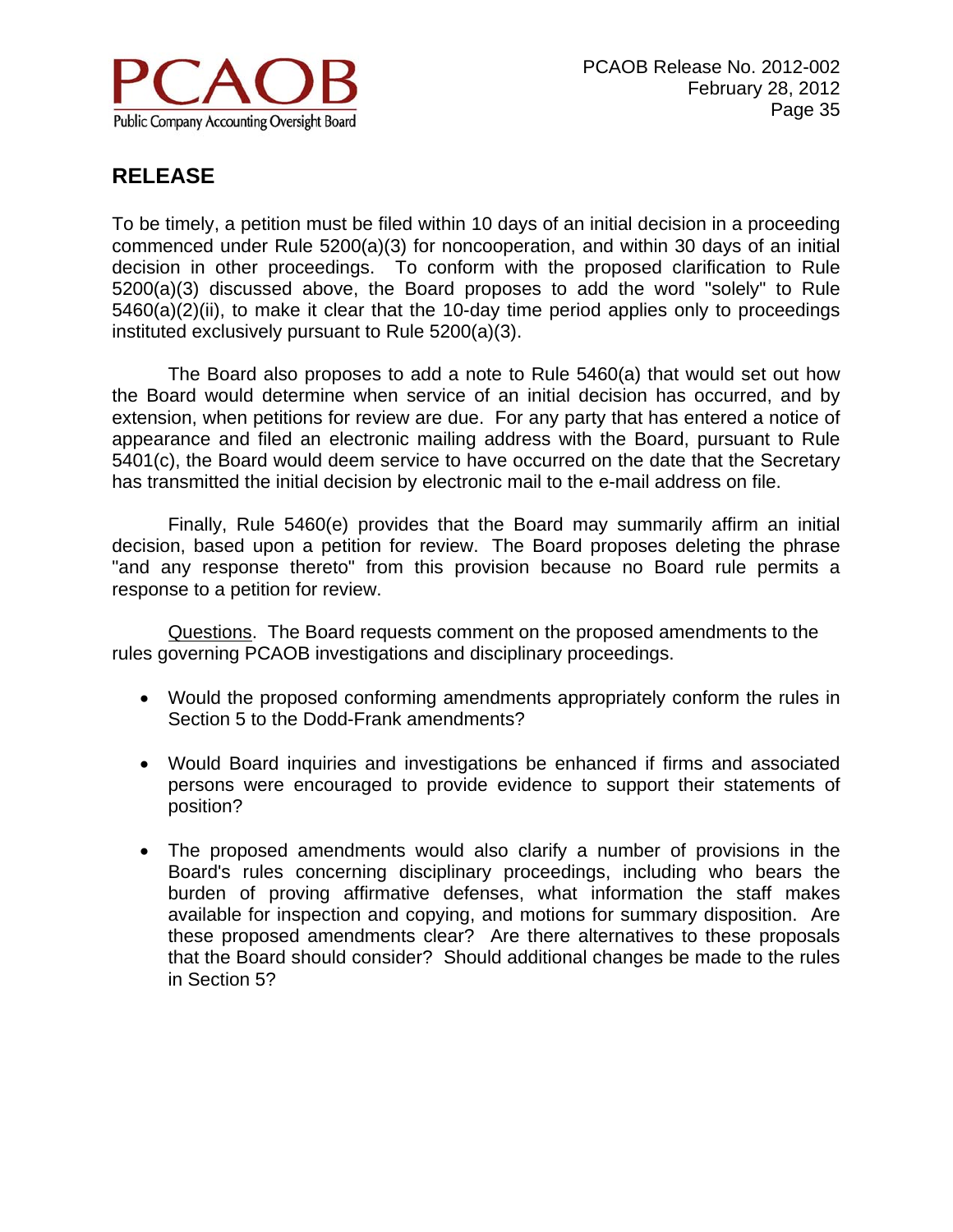

To be timely, a petition must be filed within 10 days of an initial decision in a proceeding commenced under Rule 5200(a)(3) for noncooperation, and within 30 days of an initial decision in other proceedings. To conform with the proposed clarification to Rule 5200(a)(3) discussed above, the Board proposes to add the word "solely" to Rule 5460(a)(2)(ii), to make it clear that the 10-day time period applies only to proceedings instituted exclusively pursuant to Rule 5200(a)(3).

The Board also proposes to add a note to Rule 5460(a) that would set out how the Board would determine when service of an initial decision has occurred, and by extension, when petitions for review are due. For any party that has entered a notice of appearance and filed an electronic mailing address with the Board, pursuant to Rule 5401(c), the Board would deem service to have occurred on the date that the Secretary has transmitted the initial decision by electronic mail to the e-mail address on file.

Finally, Rule 5460(e) provides that the Board may summarily affirm an initial decision, based upon a petition for review. The Board proposes deleting the phrase "and any response thereto" from this provision because no Board rule permits a response to a petition for review.

Questions. The Board requests comment on the proposed amendments to the rules governing PCAOB investigations and disciplinary proceedings.

- Would the proposed conforming amendments appropriately conform the rules in Section 5 to the Dodd-Frank amendments?
- Would Board inquiries and investigations be enhanced if firms and associated persons were encouraged to provide evidence to support their statements of position?
- The proposed amendments would also clarify a number of provisions in the Board's rules concerning disciplinary proceedings, including who bears the burden of proving affirmative defenses, what information the staff makes available for inspection and copying, and motions for summary disposition. Are these proposed amendments clear? Are there alternatives to these proposals that the Board should consider? Should additional changes be made to the rules in Section 5?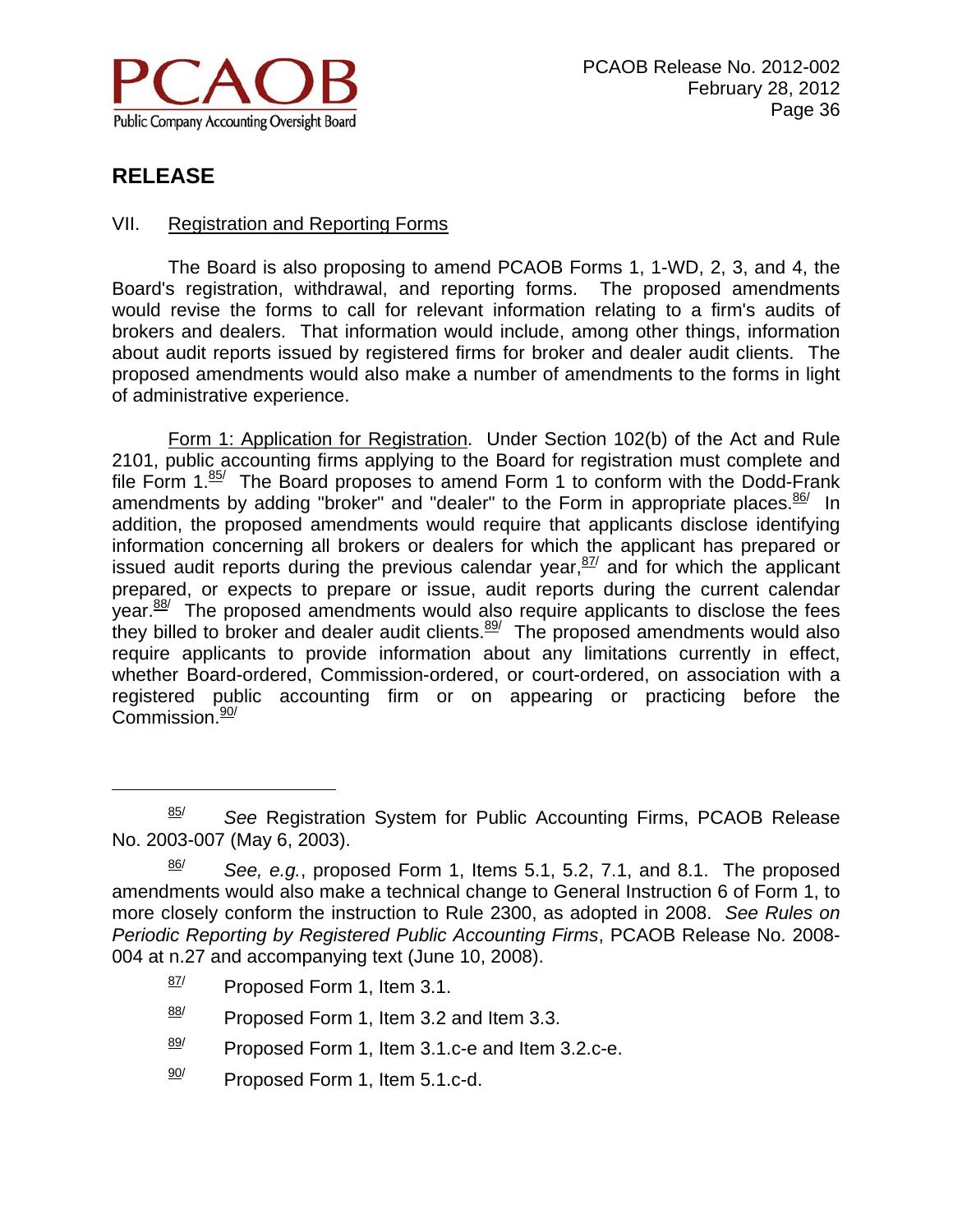

 $\overline{a}$ 

#### VII. Registration and Reporting Forms

 The Board is also proposing to amend PCAOB Forms 1, 1-WD, 2, 3, and 4, the Board's registration, withdrawal, and reporting forms. The proposed amendments would revise the forms to call for relevant information relating to a firm's audits of brokers and dealers. That information would include, among other things, information about audit reports issued by registered firms for broker and dealer audit clients. The proposed amendments would also make a number of amendments to the forms in light of administrative experience.

 Form 1: Application for Registration. Under Section 102(b) of the Act and Rule 2101, public accounting firms applying to the Board for registration must complete and file Form 1.85/ The Board proposes to amend Form 1 to conform with the Dodd-Frank amendments by adding "broker" and "dealer" to the Form in appropriate places. $\frac{86}{1}$  In addition, the proposed amendments would require that applicants disclose identifying information concerning all brokers or dealers for which the applicant has prepared or issued audit reports during the previous calendar year,  $\frac{87}{ }$  and for which the applicant prepared, or expects to prepare or issue, audit reports during the current calendar  $\gamma$  vear. $88/$  The proposed amendments would also require applicants to disclose the fees they billed to broker and dealer audit clients. $89/$  The proposed amendments would also require applicants to provide information about any limitations currently in effect, whether Board-ordered, Commission-ordered, or court-ordered, on association with a registered public accounting firm or on appearing or practicing before the Commission.<sup>90/</sup>

- $\frac{87}{1}$  Proposed Form 1, Item 3.1.
- $\frac{88}{1}$  Proposed Form 1, Item 3.2 and Item 3.3.
- $\frac{89}{10}$  Proposed Form 1, Item 3.1.c-e and Item 3.2.c-e.
- $\frac{90}{7}$  Proposed Form 1, Item 5.1.c-d.

<sup>85/</sup> *See* Registration System for Public Accounting Firms, PCAOB Release No. 2003-007 (May 6, 2003).

<sup>86/</sup> *See, e.g.*, proposed Form 1, Items 5.1, 5.2, 7.1, and 8.1. The proposed amendments would also make a technical change to General Instruction 6 of Form 1, to more closely conform the instruction to Rule 2300, as adopted in 2008. *See Rules on Periodic Reporting by Registered Public Accounting Firms*, PCAOB Release No. 2008- 004 at n.27 and accompanying text (June 10, 2008).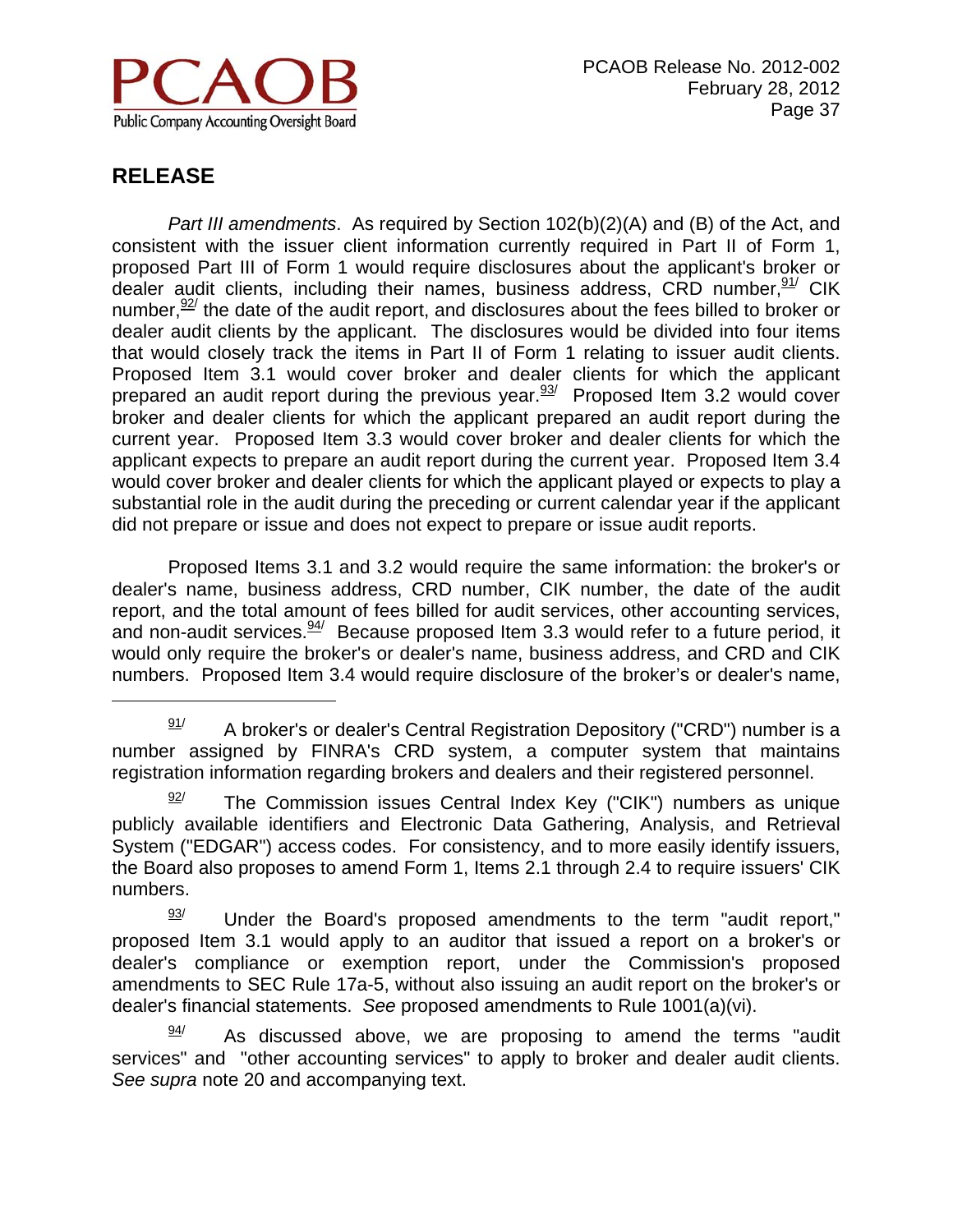

 $\overline{a}$ 

*Part III amendments*. As required by Section 102(b)(2)(A) and (B) of the Act, and consistent with the issuer client information currently required in Part II of Form 1, proposed Part III of Form 1 would require disclosures about the applicant's broker or dealer audit clients, including their names, business address, CRD number,  $91/$  CIK number,  $92/$  the date of the audit report, and disclosures about the fees billed to broker or dealer audit clients by the applicant. The disclosures would be divided into four items that would closely track the items in Part II of Form 1 relating to issuer audit clients. Proposed Item 3.1 would cover broker and dealer clients for which the applicant prepared an audit report during the previous year. $\frac{93}{1}$  Proposed Item 3.2 would cover broker and dealer clients for which the applicant prepared an audit report during the current year. Proposed Item 3.3 would cover broker and dealer clients for which the applicant expects to prepare an audit report during the current year. Proposed Item 3.4 would cover broker and dealer clients for which the applicant played or expects to play a substantial role in the audit during the preceding or current calendar year if the applicant did not prepare or issue and does not expect to prepare or issue audit reports.

 Proposed Items 3.1 and 3.2 would require the same information: the broker's or dealer's name, business address, CRD number, CIK number, the date of the audit report, and the total amount of fees billed for audit services, other accounting services, and non-audit services.  $\frac{94}{1}$  Because proposed Item 3.3 would refer to a future period, it would only require the broker's or dealer's name, business address, and CRD and CIK numbers. Proposed Item 3.4 would require disclosure of the broker's or dealer's name,

 $\frac{91}{}{91}$  A broker's or dealer's Central Registration Depository ("CRD") number is a number assigned by FINRA's CRD system, a computer system that maintains registration information regarding brokers and dealers and their registered personnel.

 $\frac{92}{}{ }$  The Commission issues Central Index Key ("CIK") numbers as unique publicly available identifiers and Electronic Data Gathering, Analysis, and Retrieval System ("EDGAR") access codes. For consistency, and to more easily identify issuers, the Board also proposes to amend Form 1, Items 2.1 through 2.4 to require issuers' CIK numbers.

 $\frac{93}{}{}$  Under the Board's proposed amendments to the term "audit report," proposed Item 3.1 would apply to an auditor that issued a report on a broker's or dealer's compliance or exemption report, under the Commission's proposed amendments to SEC Rule 17a-5, without also issuing an audit report on the broker's or dealer's financial statements. *See* proposed amendments to Rule 1001(a)(vi).

As discussed above, we are proposing to amend the terms "audit" services" and "other accounting services" to apply to broker and dealer audit clients. *See supra* note 20 and accompanying text.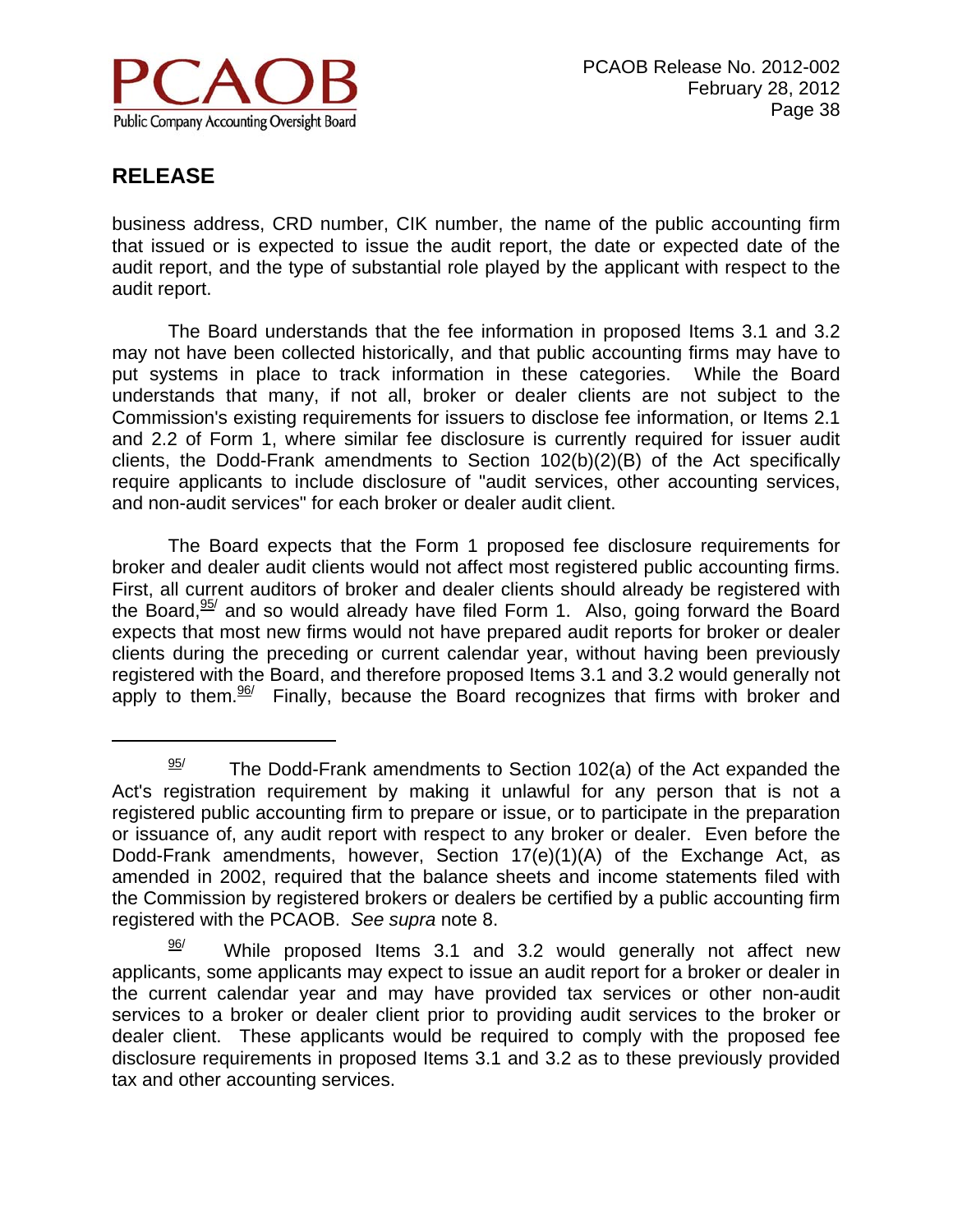

 $\overline{a}$ 

business address, CRD number, CIK number, the name of the public accounting firm that issued or is expected to issue the audit report, the date or expected date of the audit report, and the type of substantial role played by the applicant with respect to the audit report.

 The Board understands that the fee information in proposed Items 3.1 and 3.2 may not have been collected historically, and that public accounting firms may have to put systems in place to track information in these categories. While the Board understands that many, if not all, broker or dealer clients are not subject to the Commission's existing requirements for issuers to disclose fee information, or Items 2.1 and 2.2 of Form 1, where similar fee disclosure is currently required for issuer audit clients, the Dodd-Frank amendments to Section 102(b)(2)(B) of the Act specifically require applicants to include disclosure of "audit services, other accounting services, and non-audit services" for each broker or dealer audit client.

 The Board expects that the Form 1 proposed fee disclosure requirements for broker and dealer audit clients would not affect most registered public accounting firms. First, all current auditors of broker and dealer clients should already be registered with the Board, $\frac{95}{2}$  and so would already have filed Form 1. Also, going forward the Board expects that most new firms would not have prepared audit reports for broker or dealer clients during the preceding or current calendar year, without having been previously registered with the Board, and therefore proposed Items 3.1 and 3.2 would generally not apply to them. $\frac{96}{ }$  Finally, because the Board recognizes that firms with broker and

 $\frac{95}{1}$  The Dodd-Frank amendments to Section 102(a) of the Act expanded the Act's registration requirement by making it unlawful for any person that is not a registered public accounting firm to prepare or issue, or to participate in the preparation or issuance of, any audit report with respect to any broker or dealer. Even before the Dodd-Frank amendments, however, Section 17(e)(1)(A) of the Exchange Act, as amended in 2002, required that the balance sheets and income statements filed with the Commission by registered brokers or dealers be certified by a public accounting firm registered with the PCAOB. *See supra* note 8.

 $\frac{96}{1}$  While proposed Items 3.1 and 3.2 would generally not affect new applicants, some applicants may expect to issue an audit report for a broker or dealer in the current calendar year and may have provided tax services or other non-audit services to a broker or dealer client prior to providing audit services to the broker or dealer client. These applicants would be required to comply with the proposed fee disclosure requirements in proposed Items 3.1 and 3.2 as to these previously provided tax and other accounting services.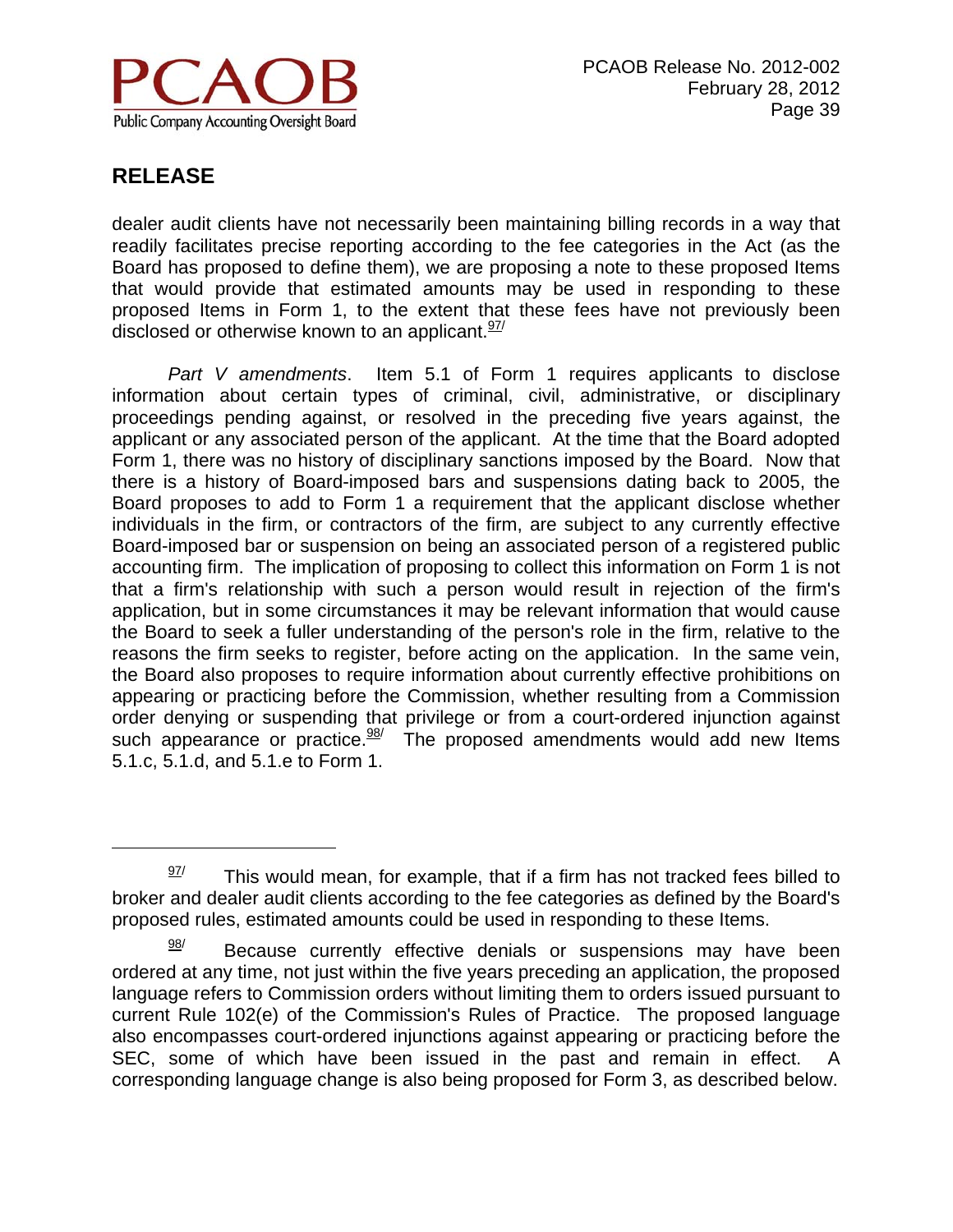

 $\overline{a}$ 

dealer audit clients have not necessarily been maintaining billing records in a way that readily facilitates precise reporting according to the fee categories in the Act (as the Board has proposed to define them), we are proposing a note to these proposed Items that would provide that estimated amounts may be used in responding to these proposed Items in Form 1, to the extent that these fees have not previously been disclosed or otherwise known to an applicant.  $\frac{97}{1}$ 

*Part V amendments*. Item 5.1 of Form 1 requires applicants to disclose information about certain types of criminal, civil, administrative, or disciplinary proceedings pending against, or resolved in the preceding five years against, the applicant or any associated person of the applicant. At the time that the Board adopted Form 1, there was no history of disciplinary sanctions imposed by the Board. Now that there is a history of Board-imposed bars and suspensions dating back to 2005, the Board proposes to add to Form 1 a requirement that the applicant disclose whether individuals in the firm, or contractors of the firm, are subject to any currently effective Board-imposed bar or suspension on being an associated person of a registered public accounting firm. The implication of proposing to collect this information on Form 1 is not that a firm's relationship with such a person would result in rejection of the firm's application, but in some circumstances it may be relevant information that would cause the Board to seek a fuller understanding of the person's role in the firm, relative to the reasons the firm seeks to register, before acting on the application. In the same vein, the Board also proposes to require information about currently effective prohibitions on appearing or practicing before the Commission, whether resulting from a Commission order denying or suspending that privilege or from a court-ordered injunction against such appearance or practice.  $\frac{98}{10}$  The proposed amendments would add new Items 5.1.c, 5.1.d, and 5.1.e to Form 1.

 $\frac{97}{10}$  This would mean, for example, that if a firm has not tracked fees billed to broker and dealer audit clients according to the fee categories as defined by the Board's proposed rules, estimated amounts could be used in responding to these Items.

 $\frac{98}{1}$  Because currently effective denials or suspensions may have been ordered at any time, not just within the five years preceding an application, the proposed language refers to Commission orders without limiting them to orders issued pursuant to current Rule 102(e) of the Commission's Rules of Practice. The proposed language also encompasses court-ordered injunctions against appearing or practicing before the SEC, some of which have been issued in the past and remain in effect. A corresponding language change is also being proposed for Form 3, as described below.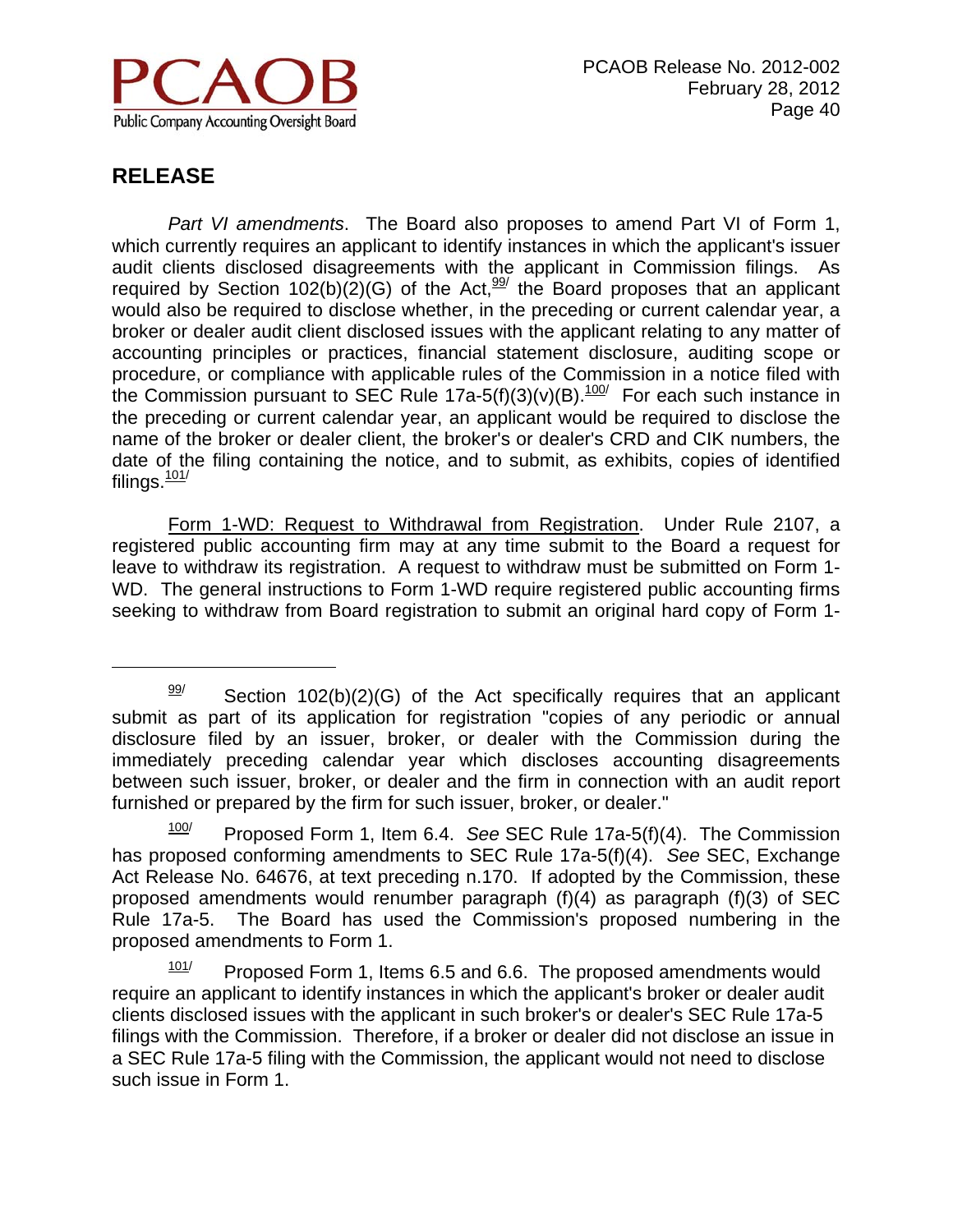

 $\overline{a}$ 

*Part VI amendments*. The Board also proposes to amend Part VI of Form 1, which currently requires an applicant to identify instances in which the applicant's issuer audit clients disclosed disagreements with the applicant in Commission filings. As required by Section 102(b)( $\tilde{2}$ )(G) of the Act,  $\frac{99}{ }$  the Board proposes that an applicant would also be required to disclose whether, in the preceding or current calendar year, a broker or dealer audit client disclosed issues with the applicant relating to any matter of accounting principles or practices, financial statement disclosure, auditing scope or procedure, or compliance with applicable rules of the Commission in a notice filed with the Commission pursuant to SEC Rule  $17a-5(f)(3)(v)(B)$ .<sup>100/</sup> For each such instance in the preceding or current calendar year, an applicant would be required to disclose the name of the broker or dealer client, the broker's or dealer's CRD and CIK numbers, the date of the filing containing the notice, and to submit, as exhibits, copies of identified filings. $101/$ 

Form 1-WD: Request to Withdrawal from Registration. Under Rule 2107, a registered public accounting firm may at any time submit to the Board a request for leave to withdraw its registration. A request to withdraw must be submitted on Form 1- WD. The general instructions to Form 1-WD require registered public accounting firms seeking to withdraw from Board registration to submit an original hard copy of Form 1-

 $\frac{99}{2}$  Section 102(b)(2)(G) of the Act specifically requires that an applicant submit as part of its application for registration "copies of any periodic or annual disclosure filed by an issuer, broker, or dealer with the Commission during the immediately preceding calendar year which discloses accounting disagreements between such issuer, broker, or dealer and the firm in connection with an audit report furnished or prepared by the firm for such issuer, broker, or dealer."

<sup>100/</sup> Proposed Form 1, Item 6.4. *See* SEC Rule 17a-5(f)(4). The Commission has proposed conforming amendments to SEC Rule 17a-5(f)(4). *See* SEC, Exchange Act Release No. 64676, at text preceding n.170. If adopted by the Commission, these proposed amendments would renumber paragraph (f)(4) as paragraph (f)(3) of SEC Rule 17a-5. The Board has used the Commission's proposed numbering in the proposed amendments to Form 1.

 $101/$  Proposed Form 1, Items 6.5 and 6.6. The proposed amendments would require an applicant to identify instances in which the applicant's broker or dealer audit clients disclosed issues with the applicant in such broker's or dealer's SEC Rule 17a-5 filings with the Commission. Therefore, if a broker or dealer did not disclose an issue in a SEC Rule 17a-5 filing with the Commission, the applicant would not need to disclose such issue in Form 1.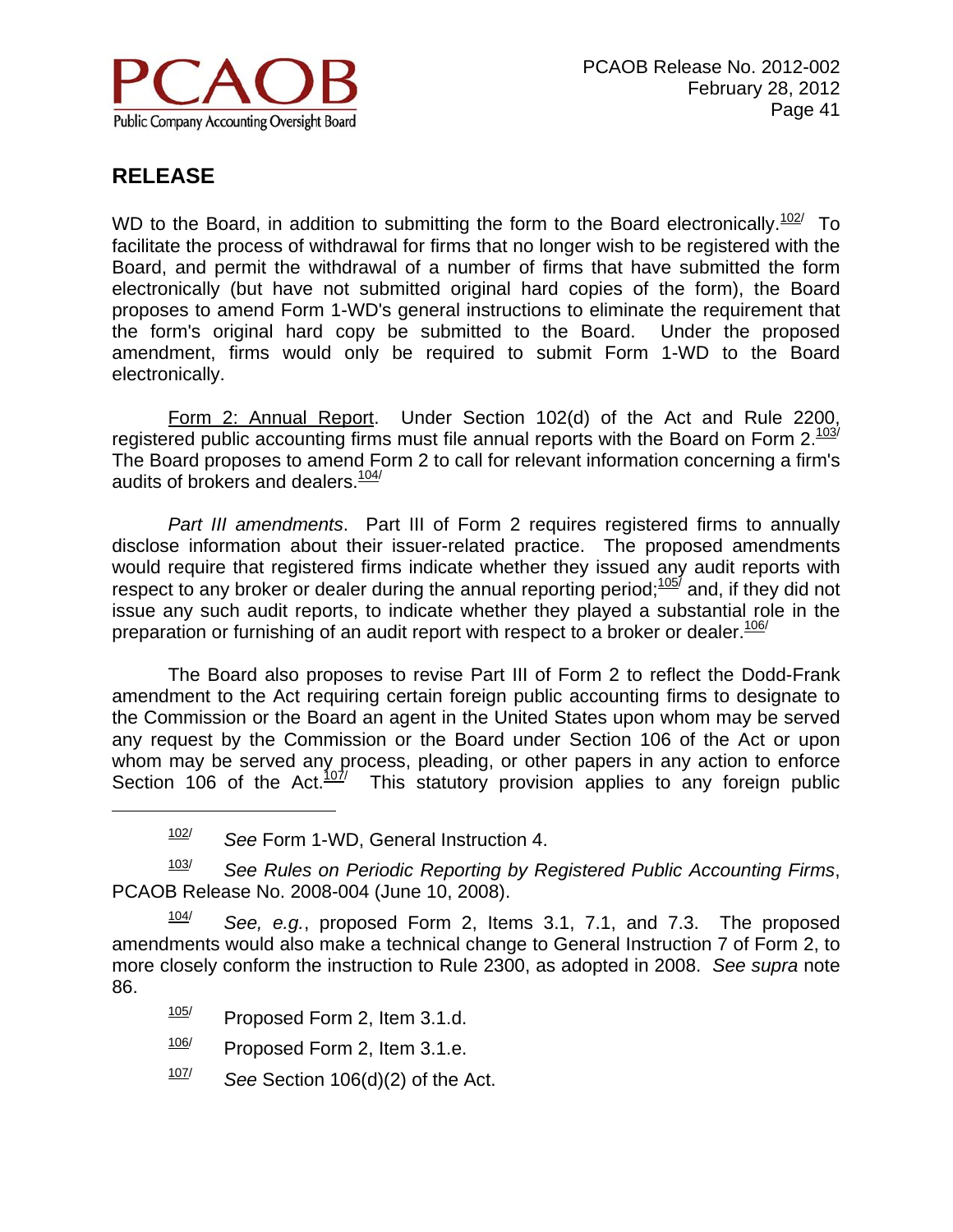

 $\overline{a}$ 

WD to the Board, in addition to submitting the form to the Board electronically.<sup>102/</sup> To facilitate the process of withdrawal for firms that no longer wish to be registered with the Board, and permit the withdrawal of a number of firms that have submitted the form electronically (but have not submitted original hard copies of the form), the Board proposes to amend Form 1-WD's general instructions to eliminate the requirement that the form's original hard copy be submitted to the Board. Under the proposed amendment, firms would only be required to submit Form 1-WD to the Board electronically.

 Form 2: Annual Report. Under Section 102(d) of the Act and Rule 2200, registered public accounting firms must file annual reports with the Board on Form 2.103/ The Board proposes to amend Form 2 to call for relevant information concerning a firm's audits of brokers and dealers.<sup>104/</sup>

*Part III amendments*. Part III of Form 2 requires registered firms to annually disclose information about their issuer-related practice. The proposed amendments would require that registered firms indicate whether they issued any audit reports with respect to any broker or dealer during the annual reporting period;<sup>1057</sup> and, if they did not issue any such audit reports, to indicate whether they played a substantial role in the preparation or furnishing of an audit report with respect to a broker or dealer.  $106/100$ 

The Board also proposes to revise Part III of Form 2 to reflect the Dodd-Frank amendment to the Act requiring certain foreign public accounting firms to designate to the Commission or the Board an agent in the United States upon whom may be served any request by the Commission or the Board under Section 106 of the Act or upon whom may be served any process, pleading, or other papers in any action to enforce Section 106 of the Act. $\frac{107}{7}$  This statutory provision applies to any foreign public

103/ *See Rules on Periodic Reporting by Registered Public Accounting Firms*, PCAOB Release No. 2008-004 (June 10, 2008).

104/ *See, e.g.*, proposed Form 2, Items 3.1, 7.1, and 7.3. The proposed amendments would also make a technical change to General Instruction 7 of Form 2, to more closely conform the instruction to Rule 2300, as adopted in 2008. *See supra* note 86.

- $105$  Proposed Form 2, Item 3.1.d.
- $\frac{106}{100}$  Proposed Form 2, Item 3.1.e.
- 107/ *See* Section 106(d)(2) of the Act.

<sup>102/</sup> *See* Form 1-WD, General Instruction 4.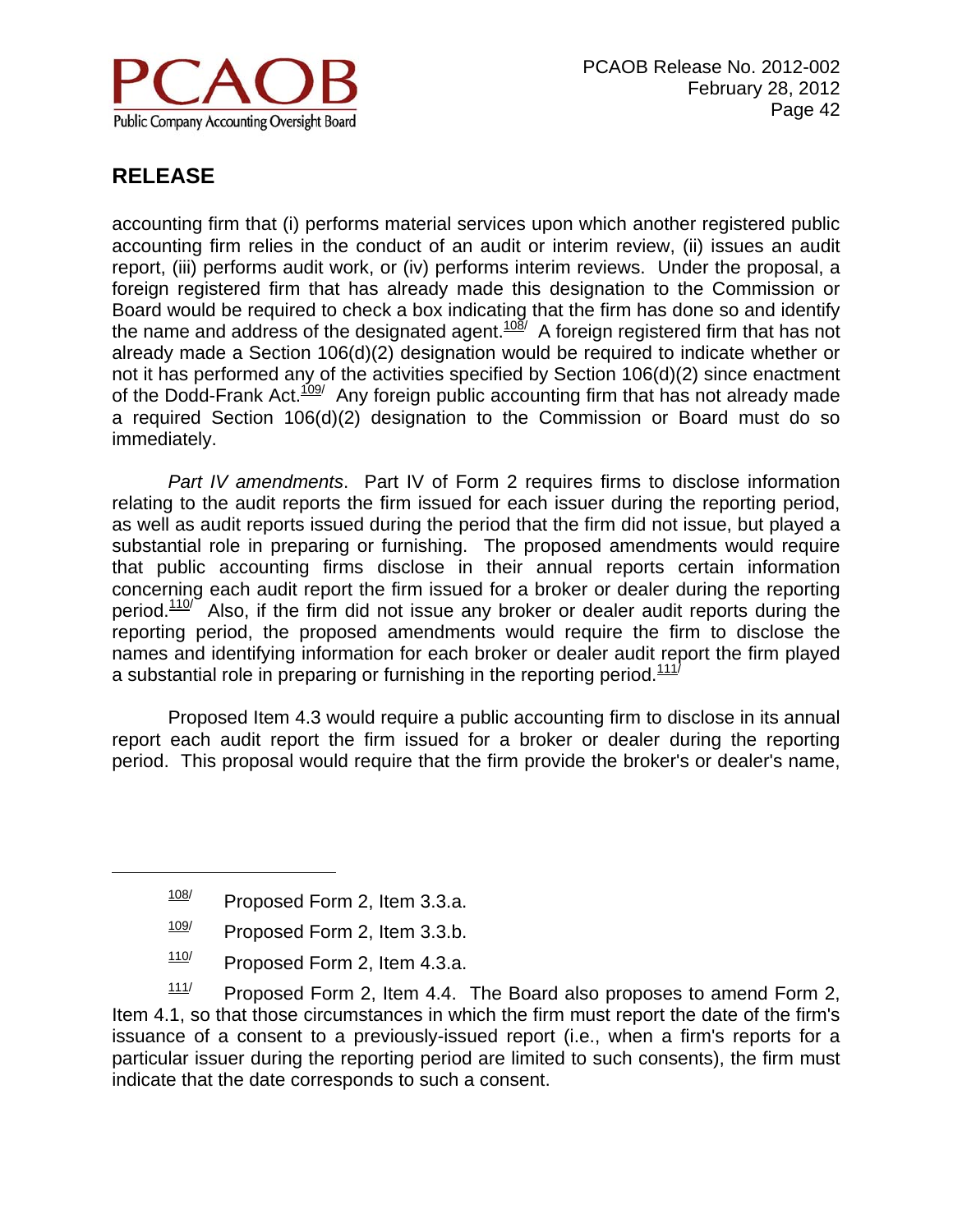

 $\overline{a}$ 

accounting firm that (i) performs material services upon which another registered public accounting firm relies in the conduct of an audit or interim review, (ii) issues an audit report, (iii) performs audit work, or (iv) performs interim reviews. Under the proposal, a foreign registered firm that has already made this designation to the Commission or Board would be required to check a box indicating that the firm has done so and identify the name and address of the designated agent. $108/$  A foreign registered firm that has not already made a Section 106(d)(2) designation would be required to indicate whether or not it has performed any of the activities specified by Section 106(d)(2) since enactment of the Dodd-Frank Act.<sup>109</sup>/ Any foreign public accounting firm that has not already made a required Section 106(d)(2) designation to the Commission or Board must do so immediately.

*Part IV amendments*. Part IV of Form 2 requires firms to disclose information relating to the audit reports the firm issued for each issuer during the reporting period, as well as audit reports issued during the period that the firm did not issue, but played a substantial role in preparing or furnishing. The proposed amendments would require that public accounting firms disclose in their annual reports certain information concerning each audit report the firm issued for a broker or dealer during the reporting period.<sup>110/</sup> Also, if the firm did not issue any broker or dealer audit reports during the reporting period, the proposed amendments would require the firm to disclose the names and identifying information for each broker or dealer audit report the firm played a substantial role in preparing or furnishing in the reporting period.<sup>111/</sup>

 Proposed Item 4.3 would require a public accounting firm to disclose in its annual report each audit report the firm issued for a broker or dealer during the reporting period. This proposal would require that the firm provide the broker's or dealer's name,

- $\frac{109}{109}$  Proposed Form 2, Item 3.3.b.
- $110$  Proposed Form 2, Item 4.3.a.

 $111/$  Proposed Form 2, Item 4.4. The Board also proposes to amend Form 2, Item 4.1, so that those circumstances in which the firm must report the date of the firm's issuance of a consent to a previously-issued report (i.e., when a firm's reports for a particular issuer during the reporting period are limited to such consents), the firm must indicate that the date corresponds to such a consent.

 $\frac{108}{108}$  Proposed Form 2, Item 3.3.a.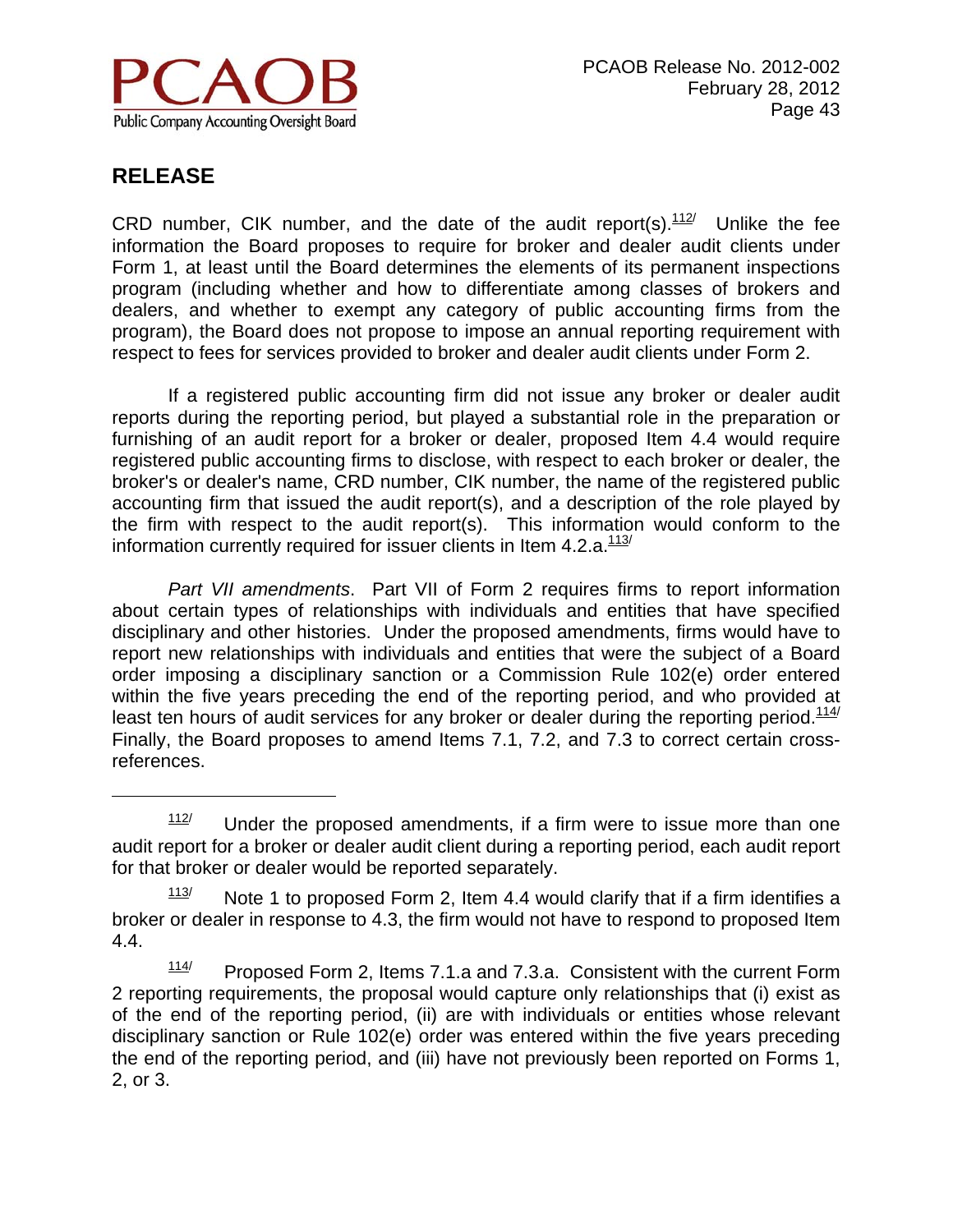

 $\overline{a}$ 

CRD number. CIK number, and the date of the audit report(s). $112$  Unlike the fee information the Board proposes to require for broker and dealer audit clients under Form 1, at least until the Board determines the elements of its permanent inspections program (including whether and how to differentiate among classes of brokers and dealers, and whether to exempt any category of public accounting firms from the program), the Board does not propose to impose an annual reporting requirement with respect to fees for services provided to broker and dealer audit clients under Form 2.

 If a registered public accounting firm did not issue any broker or dealer audit reports during the reporting period, but played a substantial role in the preparation or furnishing of an audit report for a broker or dealer, proposed Item 4.4 would require registered public accounting firms to disclose, with respect to each broker or dealer, the broker's or dealer's name, CRD number, CIK number, the name of the registered public accounting firm that issued the audit report(s), and a description of the role played by the firm with respect to the audit report(s). This information would conform to the information currently required for issuer clients in Item  $4.2.a.<sup>113/</sup>$ 

*Part VII amendments*. Part VII of Form 2 requires firms to report information about certain types of relationships with individuals and entities that have specified disciplinary and other histories. Under the proposed amendments, firms would have to report new relationships with individuals and entities that were the subject of a Board order imposing a disciplinary sanction or a Commission Rule 102(e) order entered within the five years preceding the end of the reporting period, and who provided at least ten hours of audit services for any broker or dealer during the reporting period. $114/$ Finally, the Board proposes to amend Items 7.1, 7.2, and 7.3 to correct certain crossreferences.

 $112$  Under the proposed amendments, if a firm were to issue more than one audit report for a broker or dealer audit client during a reporting period, each audit report for that broker or dealer would be reported separately.

 $113$  Note 1 to proposed Form 2, Item 4.4 would clarify that if a firm identifies a broker or dealer in response to 4.3, the firm would not have to respond to proposed Item 4.4.

 $114$  Proposed Form 2, Items 7.1.a and 7.3.a. Consistent with the current Form 2 reporting requirements, the proposal would capture only relationships that (i) exist as of the end of the reporting period, (ii) are with individuals or entities whose relevant disciplinary sanction or Rule 102(e) order was entered within the five years preceding the end of the reporting period, and (iii) have not previously been reported on Forms 1, 2, or 3.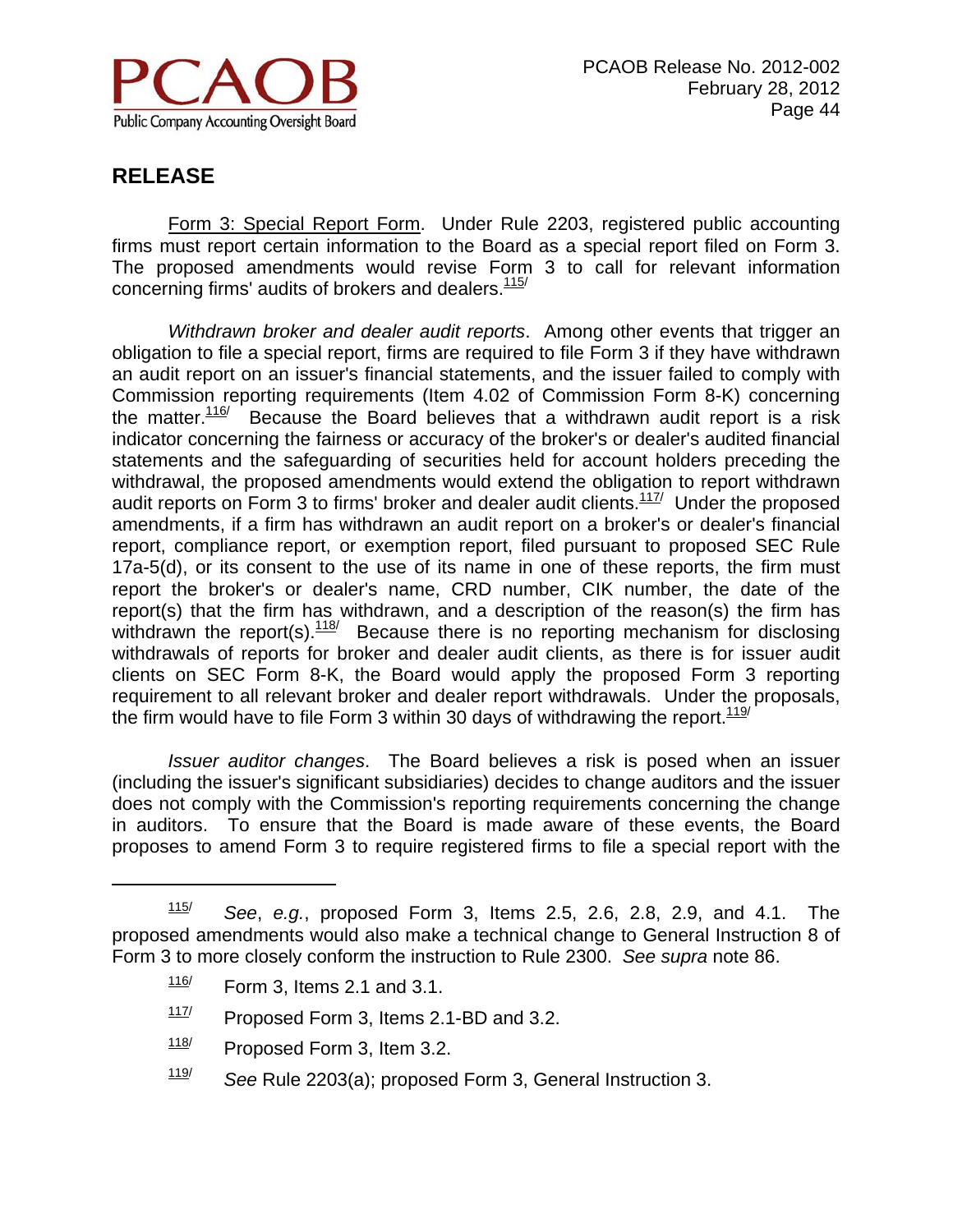

 $\overline{a}$ 

 Form 3: Special Report Form. Under Rule 2203, registered public accounting firms must report certain information to the Board as a special report filed on Form 3. The proposed amendments would revise Form 3 to call for relevant information concerning firms' audits of brokers and dealers. $115/$ 

*Withdrawn broker and dealer audit reports*. Among other events that trigger an obligation to file a special report, firms are required to file Form 3 if they have withdrawn an audit report on an issuer's financial statements, and the issuer failed to comply with Commission reporting requirements (Item 4.02 of Commission Form 8-K) concerning the matter.<sup>116/</sup> Because the Board believes that a withdrawn audit report is a risk indicator concerning the fairness or accuracy of the broker's or dealer's audited financial statements and the safeguarding of securities held for account holders preceding the withdrawal, the proposed amendments would extend the obligation to report withdrawn audit reports on Form 3 to firms' broker and dealer audit clients. $117/2$  Under the proposed amendments, if a firm has withdrawn an audit report on a broker's or dealer's financial report, compliance report, or exemption report, filed pursuant to proposed SEC Rule 17a-5(d), or its consent to the use of its name in one of these reports, the firm must report the broker's or dealer's name, CRD number, CIK number, the date of the report(s) that the firm has withdrawn, and a description of the reason(s) the firm has withdrawn the report(s). $\frac{118}{18}$  Because there is no reporting mechanism for disclosing withdrawals of reports for broker and dealer audit clients, as there is for issuer audit clients on SEC Form 8-K, the Board would apply the proposed Form 3 reporting requirement to all relevant broker and dealer report withdrawals. Under the proposals, the firm would have to file Form 3 within 30 days of withdrawing the report.  $119/119$ 

*Issuer auditor changes*. The Board believes a risk is posed when an issuer (including the issuer's significant subsidiaries) decides to change auditors and the issuer does not comply with the Commission's reporting requirements concerning the change in auditors. To ensure that the Board is made aware of these events, the Board proposes to amend Form 3 to require registered firms to file a special report with the

- $117$  Proposed Form 3, Items 2.1-BD and 3.2.
- $118$  Proposed Form 3, Item 3.2.
- 119/ *See* Rule 2203(a); proposed Form 3, General Instruction 3.

<sup>115/</sup> *See*, *e.g.*, proposed Form 3, Items 2.5, 2.6, 2.8, 2.9, and 4.1. The proposed amendments would also make a technical change to General Instruction 8 of Form 3 to more closely conform the instruction to Rule 2300. *See supra* note 86.

 $\frac{116}{10}$  Form 3, Items 2.1 and 3.1.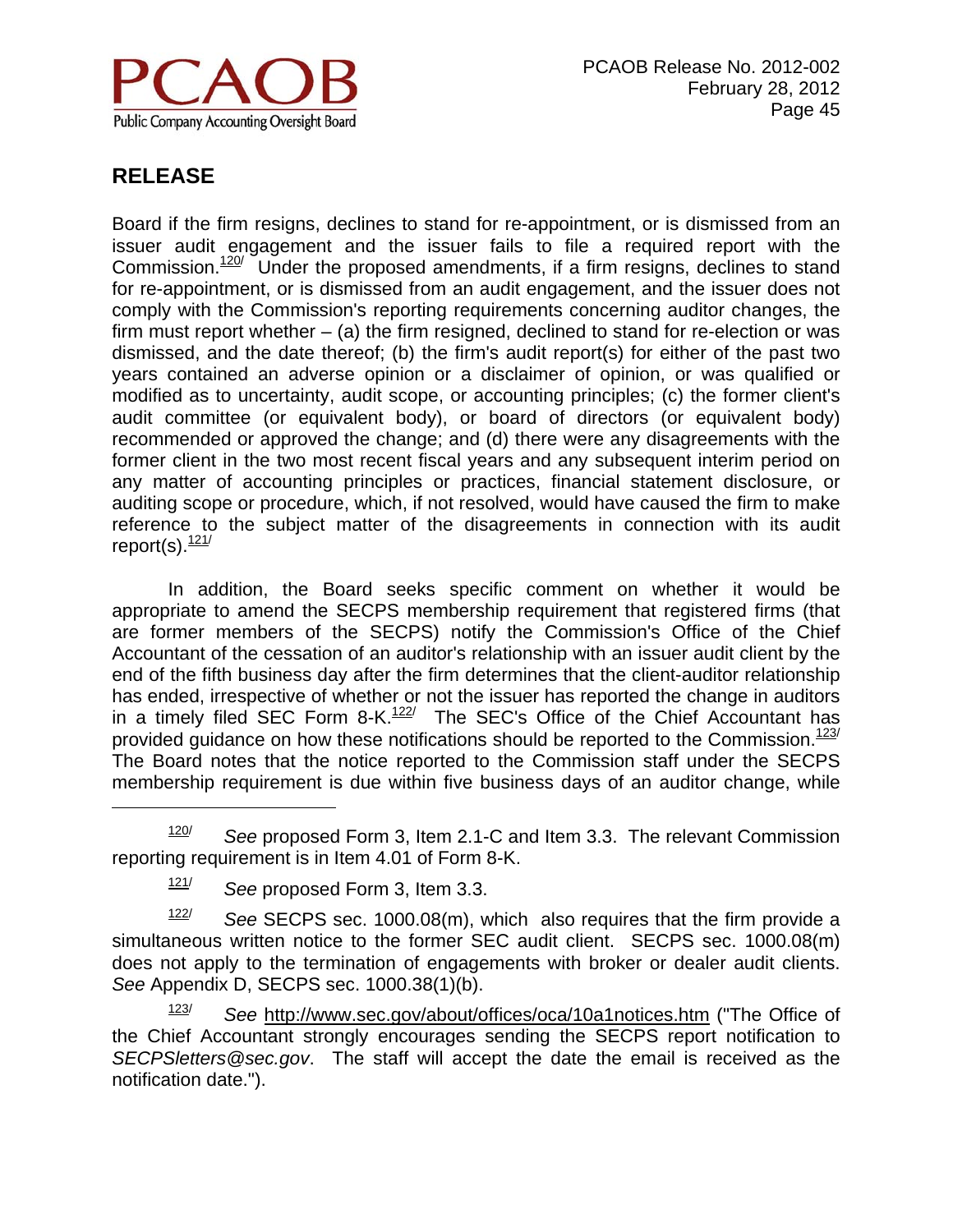

 $\overline{a}$ 

Board if the firm resigns, declines to stand for re-appointment, or is dismissed from an issuer audit engagement and the issuer fails to file a required report with the Commission. $120$  Under the proposed amendments, if a firm resigns, declines to stand for re-appointment, or is dismissed from an audit engagement, and the issuer does not comply with the Commission's reporting requirements concerning auditor changes, the firm must report whether  $-$  (a) the firm resigned, declined to stand for re-election or was dismissed, and the date thereof; (b) the firm's audit report(s) for either of the past two years contained an adverse opinion or a disclaimer of opinion, or was qualified or modified as to uncertainty, audit scope, or accounting principles; (c) the former client's audit committee (or equivalent body), or board of directors (or equivalent body) recommended or approved the change; and (d) there were any disagreements with the former client in the two most recent fiscal years and any subsequent interim period on any matter of accounting principles or practices, financial statement disclosure, or auditing scope or procedure, which, if not resolved, would have caused the firm to make reference to the subject matter of the disagreements in connection with its audit report(s). $\frac{121}{121}$ 

 In addition, the Board seeks specific comment on whether it would be appropriate to amend the SECPS membership requirement that registered firms (that are former members of the SECPS) notify the Commission's Office of the Chief Accountant of the cessation of an auditor's relationship with an issuer audit client by the end of the fifth business day after the firm determines that the client-auditor relationship has ended, irrespective of whether or not the issuer has reported the change in auditors in a timely filed SEC Form 8-K.<sup>122/</sup> The SEC's Office of the Chief Accountant has provided guidance on how these notifications should be reported to the Commission. $123/$ The Board notes that the notice reported to the Commission staff under the SECPS membership requirement is due within five business days of an auditor change, while

120/ *See* proposed Form 3, Item 2.1-C and Item 3.3. The relevant Commission reporting requirement is in Item 4.01 of Form 8-K.

122/ *See* SECPS sec. 1000.08(m), which also requires that the firm provide a simultaneous written notice to the former SEC audit client. SECPS sec. 1000.08(m) does not apply to the termination of engagements with broker or dealer audit clients. *See* Appendix D, SECPS sec. 1000.38(1)(b).

123/ *See* http://www.sec.gov/about/offices/oca/10a1notices.htm ("The Office of the Chief Accountant strongly encourages sending the SECPS report notification to *SECPSletters@sec.gov*. The staff will accept the date the email is received as the notification date.").

<sup>121/</sup> *See* proposed Form 3, Item 3.3.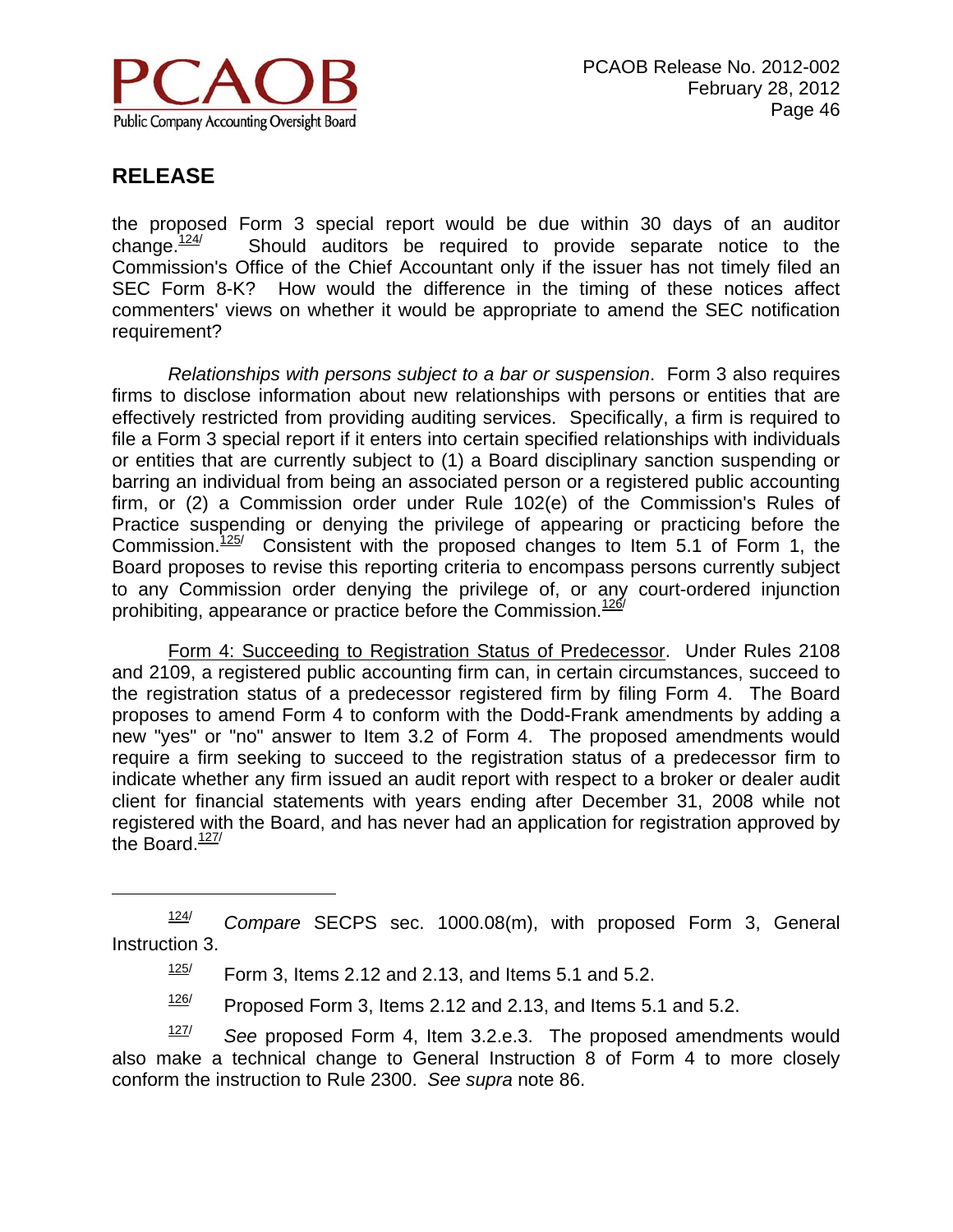

 $\overline{a}$ 

the proposed Form 3 special report would be due within 30 days of an auditor change. $124$  Should auditors be required to provide separate notice to the Commission's Office of the Chief Accountant only if the issuer has not timely filed an SEC Form 8-K? How would the difference in the timing of these notices affect commenters' views on whether it would be appropriate to amend the SEC notification requirement?

*Relationships with persons subject to a bar or suspension*. Form 3 also requires firms to disclose information about new relationships with persons or entities that are effectively restricted from providing auditing services. Specifically, a firm is required to file a Form 3 special report if it enters into certain specified relationships with individuals or entities that are currently subject to (1) a Board disciplinary sanction suspending or barring an individual from being an associated person or a registered public accounting firm, or (2) a Commission order under Rule 102(e) of the Commission's Rules of Practice suspending or denying the privilege of appearing or practicing before the Commission. $125/$  Consistent with the proposed changes to Item 5.1 of Form 1, the Board proposes to revise this reporting criteria to encompass persons currently subject to any Commission order denying the privilege of, or any court-ordered injunction prohibiting, appearance or practice before the Commission. $126/$ 

 Form 4: Succeeding to Registration Status of Predecessor. Under Rules 2108 and 2109, a registered public accounting firm can, in certain circumstances, succeed to the registration status of a predecessor registered firm by filing Form 4. The Board proposes to amend Form 4 to conform with the Dodd-Frank amendments by adding a new "yes" or "no" answer to Item 3.2 of Form 4. The proposed amendments would require a firm seeking to succeed to the registration status of a predecessor firm to indicate whether any firm issued an audit report with respect to a broker or dealer audit client for financial statements with years ending after December 31, 2008 while not registered with the Board, and has never had an application for registration approved by the Board. $\frac{127}{127}$ 

 $126$  Proposed Form 3, Items 2.12 and 2.13, and Items 5.1 and 5.2.

127/ *See* proposed Form 4, Item 3.2.e.3. The proposed amendments would also make a technical change to General Instruction 8 of Form 4 to more closely conform the instruction to Rule 2300. *See supra* note 86.

<sup>124/</sup> *Compare* SECPS sec. 1000.08(m), with proposed Form 3, General Instruction 3.

 $125/$  Form 3, Items 2.12 and 2.13, and Items 5.1 and 5.2.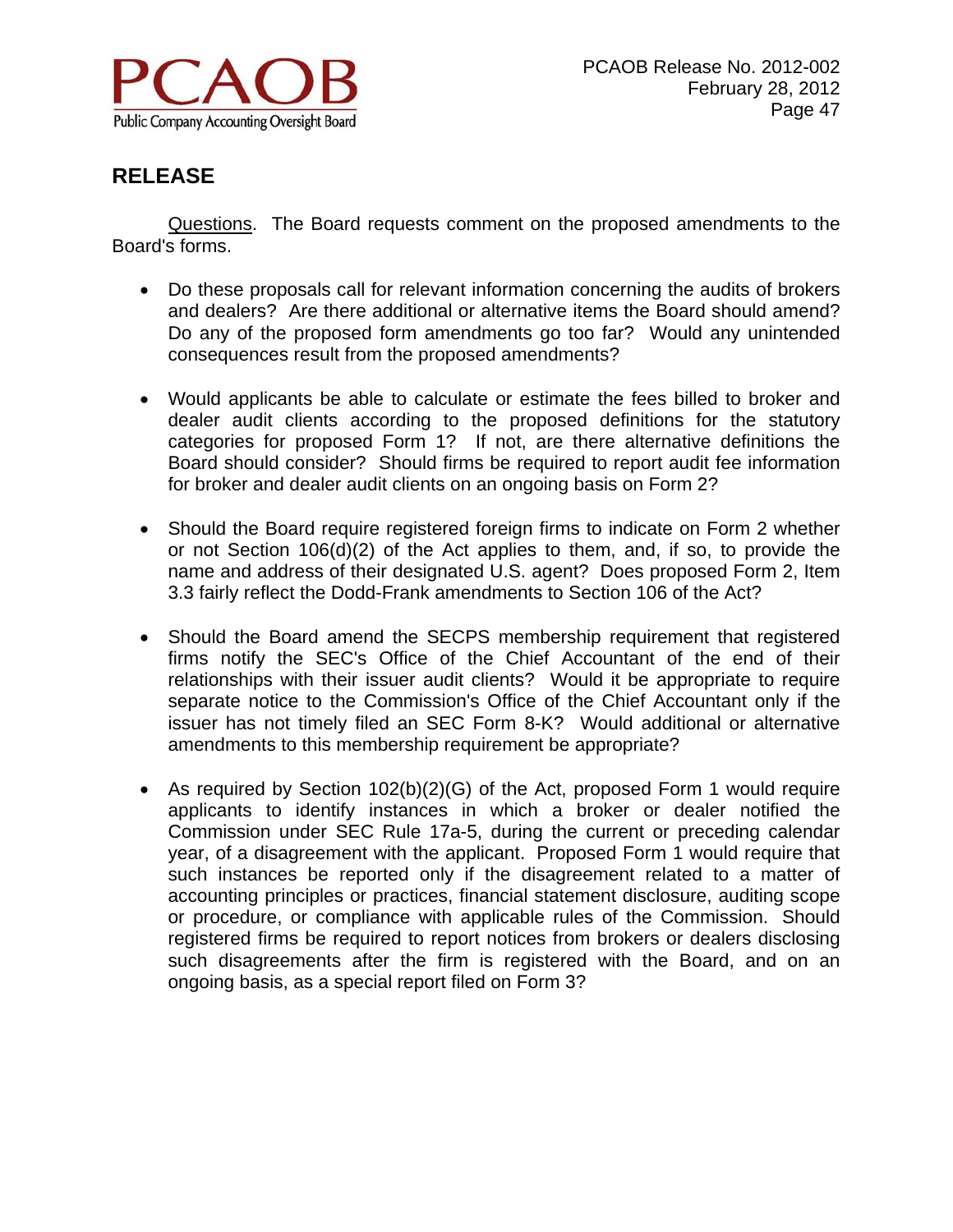

 Questions. The Board requests comment on the proposed amendments to the Board's forms.

- Do these proposals call for relevant information concerning the audits of brokers and dealers? Are there additional or alternative items the Board should amend? Do any of the proposed form amendments go too far? Would any unintended consequences result from the proposed amendments?
- Would applicants be able to calculate or estimate the fees billed to broker and dealer audit clients according to the proposed definitions for the statutory categories for proposed Form 1? If not, are there alternative definitions the Board should consider? Should firms be required to report audit fee information for broker and dealer audit clients on an ongoing basis on Form 2?
- Should the Board require registered foreign firms to indicate on Form 2 whether or not Section 106(d)(2) of the Act applies to them, and, if so, to provide the name and address of their designated U.S. agent? Does proposed Form 2, Item 3.3 fairly reflect the Dodd-Frank amendments to Section 106 of the Act?
- Should the Board amend the SECPS membership requirement that registered firms notify the SEC's Office of the Chief Accountant of the end of their relationships with their issuer audit clients? Would it be appropriate to require separate notice to the Commission's Office of the Chief Accountant only if the issuer has not timely filed an SEC Form 8-K? Would additional or alternative amendments to this membership requirement be appropriate?
- As required by Section 102(b)(2)(G) of the Act, proposed Form 1 would require applicants to identify instances in which a broker or dealer notified the Commission under SEC Rule 17a-5, during the current or preceding calendar year, of a disagreement with the applicant. Proposed Form 1 would require that such instances be reported only if the disagreement related to a matter of accounting principles or practices, financial statement disclosure, auditing scope or procedure, or compliance with applicable rules of the Commission. Should registered firms be required to report notices from brokers or dealers disclosing such disagreements after the firm is registered with the Board, and on an ongoing basis, as a special report filed on Form 3?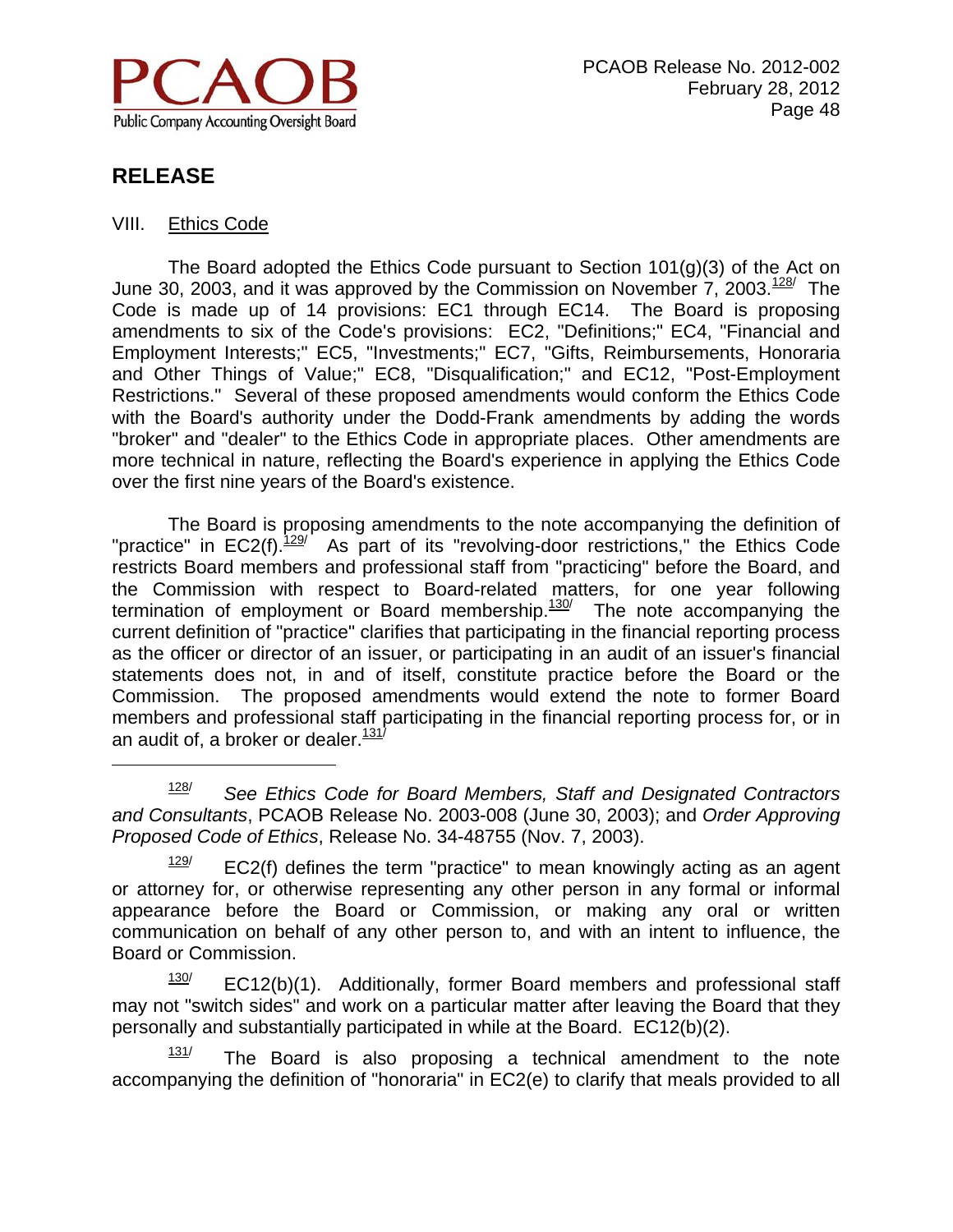

 $\overline{a}$ 

#### VIII. Ethics Code

The Board adopted the Ethics Code pursuant to Section  $101(q)(3)$  of the Act on June 30, 2003, and it was approved by the Commission on November 7, 2003. $128/$  The Code is made up of 14 provisions: EC1 through EC14. The Board is proposing amendments to six of the Code's provisions: EC2, "Definitions;" EC4, "Financial and Employment Interests;" EC5, "Investments;" EC7, "Gifts, Reimbursements, Honoraria and Other Things of Value;" EC8, "Disqualification;" and EC12, "Post-Employment Restrictions." Several of these proposed amendments would conform the Ethics Code with the Board's authority under the Dodd-Frank amendments by adding the words "broker" and "dealer" to the Ethics Code in appropriate places. Other amendments are more technical in nature, reflecting the Board's experience in applying the Ethics Code over the first nine years of the Board's existence.

 The Board is proposing amendments to the note accompanying the definition of "practice" in  $EC2(f).$   $\frac{129}{7}$  As part of its "revolving-door restrictions," the Ethics Code restricts Board members and professional staff from "practicing" before the Board, and the Commission with respect to Board-related matters, for one year following termination of employment or Board membership. $\frac{130}{120}$  The note accompanying the current definition of "practice" clarifies that participating in the financial reporting process as the officer or director of an issuer, or participating in an audit of an issuer's financial statements does not, in and of itself, constitute practice before the Board or the Commission. The proposed amendments would extend the note to former Board members and professional staff participating in the financial reporting process for, or in an audit of, a broker or dealer. $\frac{131}{7}$ 

 $131/$  The Board is also proposing a technical amendment to the note accompanying the definition of "honoraria" in EC2(e) to clarify that meals provided to all

<sup>128/</sup> *See Ethics Code for Board Members, Staff and Designated Contractors and Consultants*, PCAOB Release No. 2003-008 (June 30, 2003); and *Order Approving Proposed Code of Ethics*, Release No. 34-48755 (Nov. 7, 2003).

 $129$  EC2(f) defines the term "practice" to mean knowingly acting as an agent or attorney for, or otherwise representing any other person in any formal or informal appearance before the Board or Commission, or making any oral or written communication on behalf of any other person to, and with an intent to influence, the Board or Commission.

 $130$  EC12(b)(1). Additionally, former Board members and professional staff may not "switch sides" and work on a particular matter after leaving the Board that they personally and substantially participated in while at the Board. EC12(b)(2).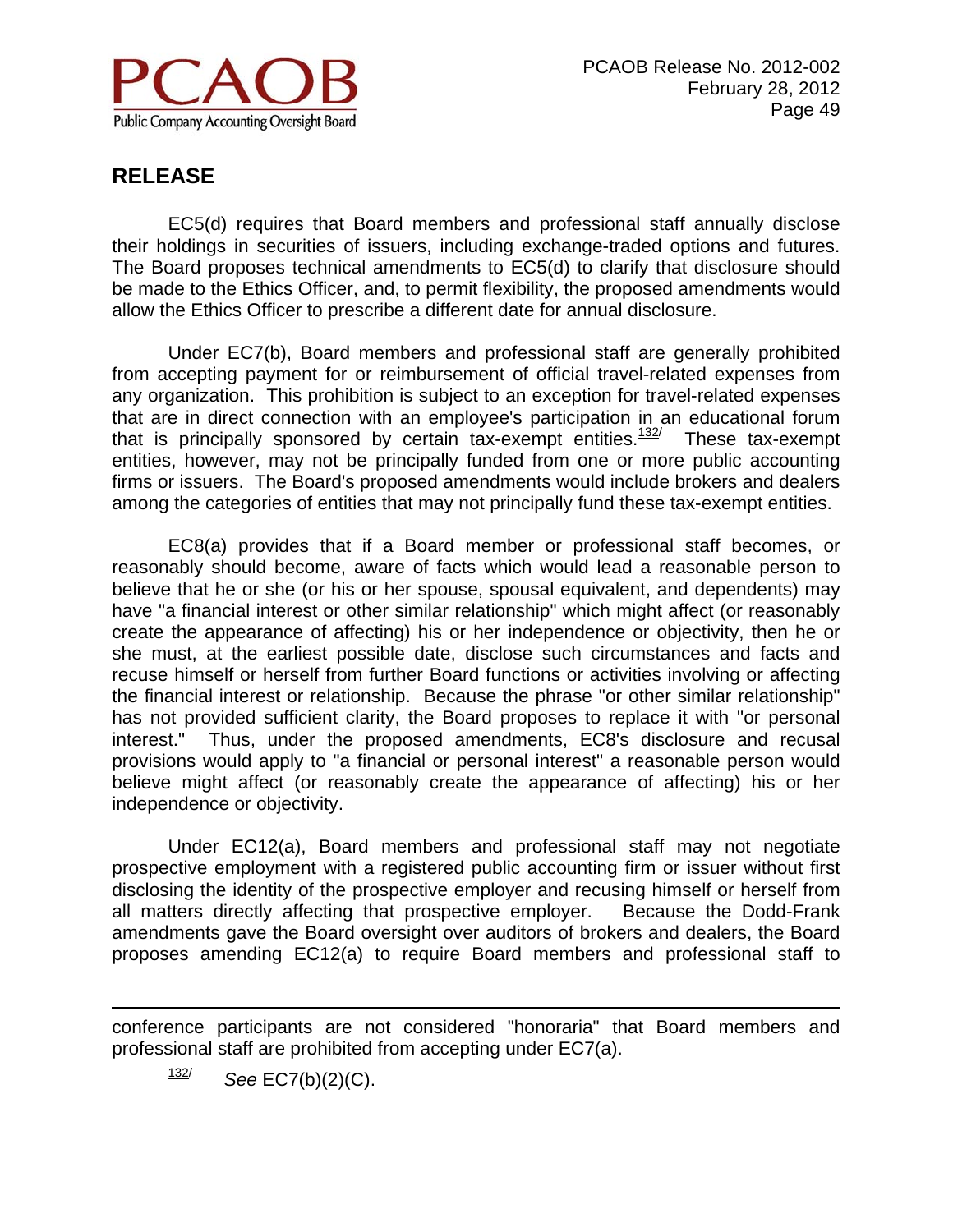

 EC5(d) requires that Board members and professional staff annually disclose their holdings in securities of issuers, including exchange-traded options and futures. The Board proposes technical amendments to EC5(d) to clarify that disclosure should be made to the Ethics Officer, and, to permit flexibility, the proposed amendments would allow the Ethics Officer to prescribe a different date for annual disclosure.

 Under EC7(b), Board members and professional staff are generally prohibited from accepting payment for or reimbursement of official travel-related expenses from any organization. This prohibition is subject to an exception for travel-related expenses that are in direct connection with an employee's participation in an educational forum that is principally sponsored by certain tax-exempt entities. $132/$  These tax-exempt entities, however, may not be principally funded from one or more public accounting firms or issuers. The Board's proposed amendments would include brokers and dealers among the categories of entities that may not principally fund these tax-exempt entities.

 EC8(a) provides that if a Board member or professional staff becomes, or reasonably should become, aware of facts which would lead a reasonable person to believe that he or she (or his or her spouse, spousal equivalent, and dependents) may have "a financial interest or other similar relationship" which might affect (or reasonably create the appearance of affecting) his or her independence or objectivity, then he or she must, at the earliest possible date, disclose such circumstances and facts and recuse himself or herself from further Board functions or activities involving or affecting the financial interest or relationship. Because the phrase "or other similar relationship" has not provided sufficient clarity, the Board proposes to replace it with "or personal interest." Thus, under the proposed amendments, EC8's disclosure and recusal provisions would apply to "a financial or personal interest" a reasonable person would believe might affect (or reasonably create the appearance of affecting) his or her independence or objectivity.

 Under EC12(a), Board members and professional staff may not negotiate prospective employment with a registered public accounting firm or issuer without first disclosing the identity of the prospective employer and recusing himself or herself from all matters directly affecting that prospective employer. Because the Dodd-Frank amendments gave the Board oversight over auditors of brokers and dealers, the Board proposes amending EC12(a) to require Board members and professional staff to

conference participants are not considered "honoraria" that Board members and professional staff are prohibited from accepting under EC7(a).

132/ *See* EC7(b)(2)(C).

 $\overline{a}$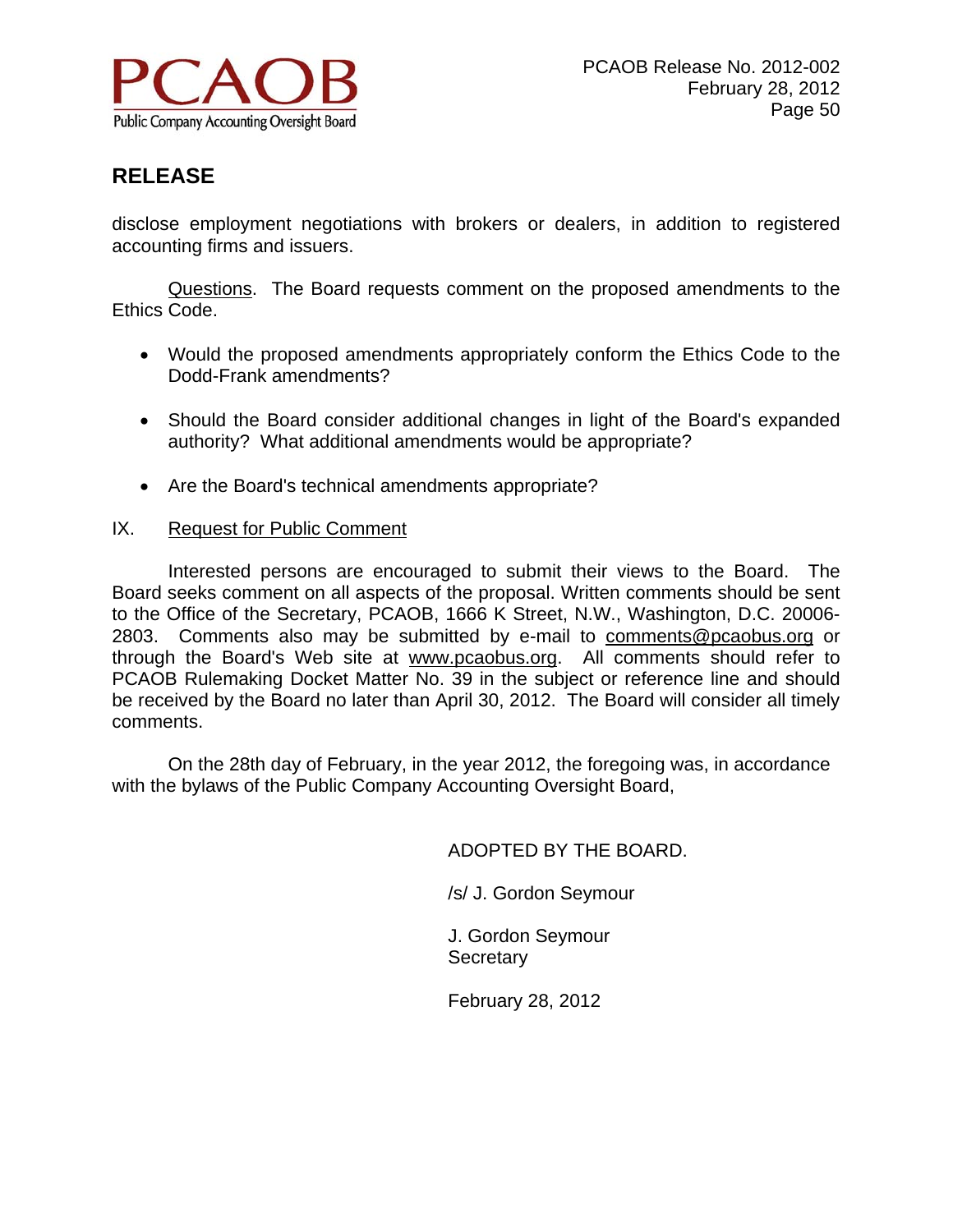

disclose employment negotiations with brokers or dealers, in addition to registered accounting firms and issuers.

Questions. The Board requests comment on the proposed amendments to the Ethics Code.

- Would the proposed amendments appropriately conform the Ethics Code to the Dodd-Frank amendments?
- Should the Board consider additional changes in light of the Board's expanded authority? What additional amendments would be appropriate?
- Are the Board's technical amendments appropriate?

#### IX. Request for Public Comment

 Interested persons are encouraged to submit their views to the Board. The Board seeks comment on all aspects of the proposal. Written comments should be sent to the Office of the Secretary, PCAOB, 1666 K Street, N.W., Washington, D.C. 20006- 2803. Comments also may be submitted by e-mail to comments@pcaobus.org or through the Board's Web site at www.pcaobus.org. All comments should refer to PCAOB Rulemaking Docket Matter No. 39 in the subject or reference line and should be received by the Board no later than April 30, 2012. The Board will consider all timely comments.

 On the 28th day of February, in the year 2012, the foregoing was, in accordance with the bylaws of the Public Company Accounting Oversight Board,

ADOPTED BY THE BOARD.

/s/ J. Gordon Seymour

J. Gordon Seymour **Secretary** 

February 28, 2012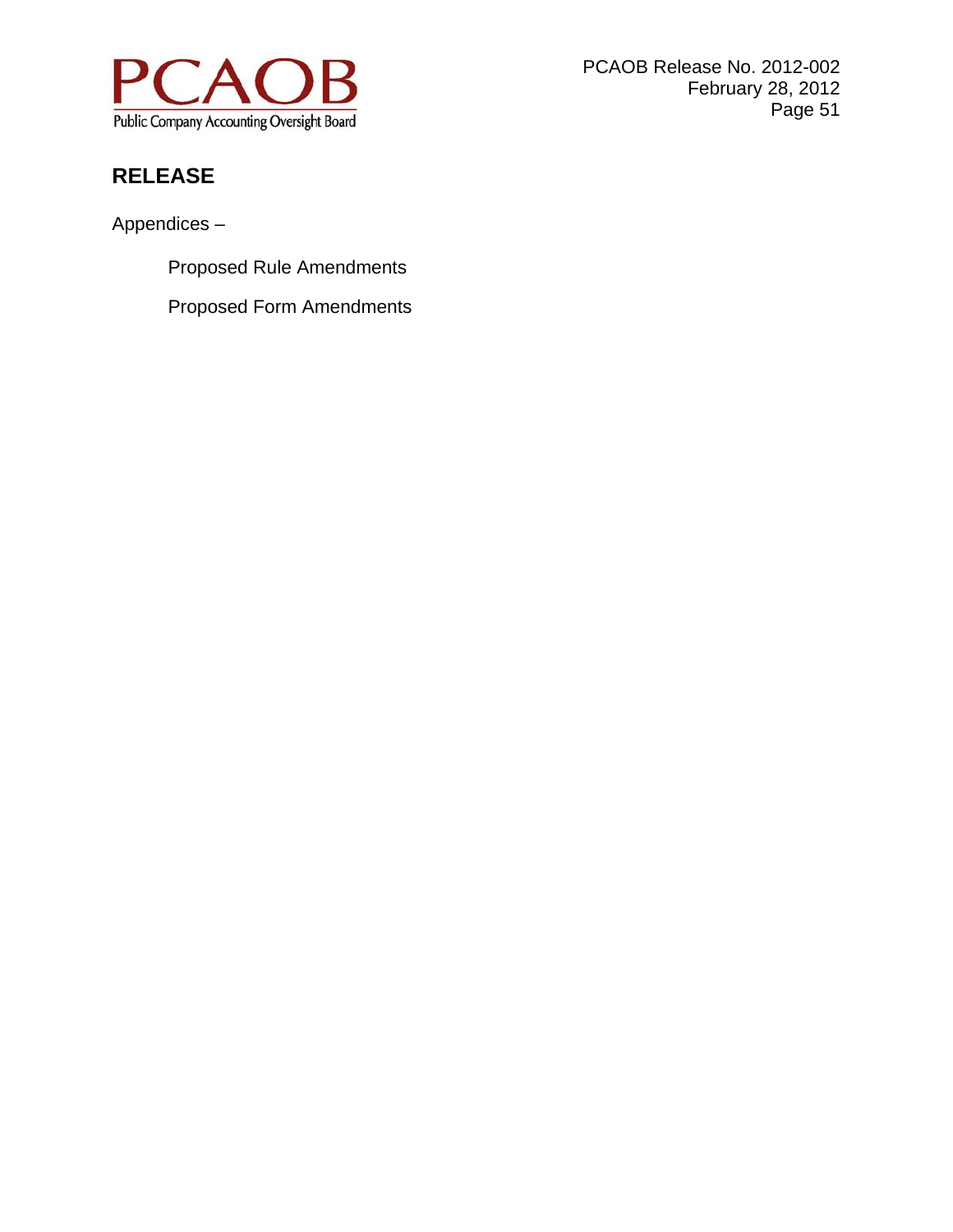

PCAOB Release No. 2012-002 February 28, 2012 Page 51

# **RELEASE**

Appendices –

Proposed Rule Amendments

Proposed Form Amendments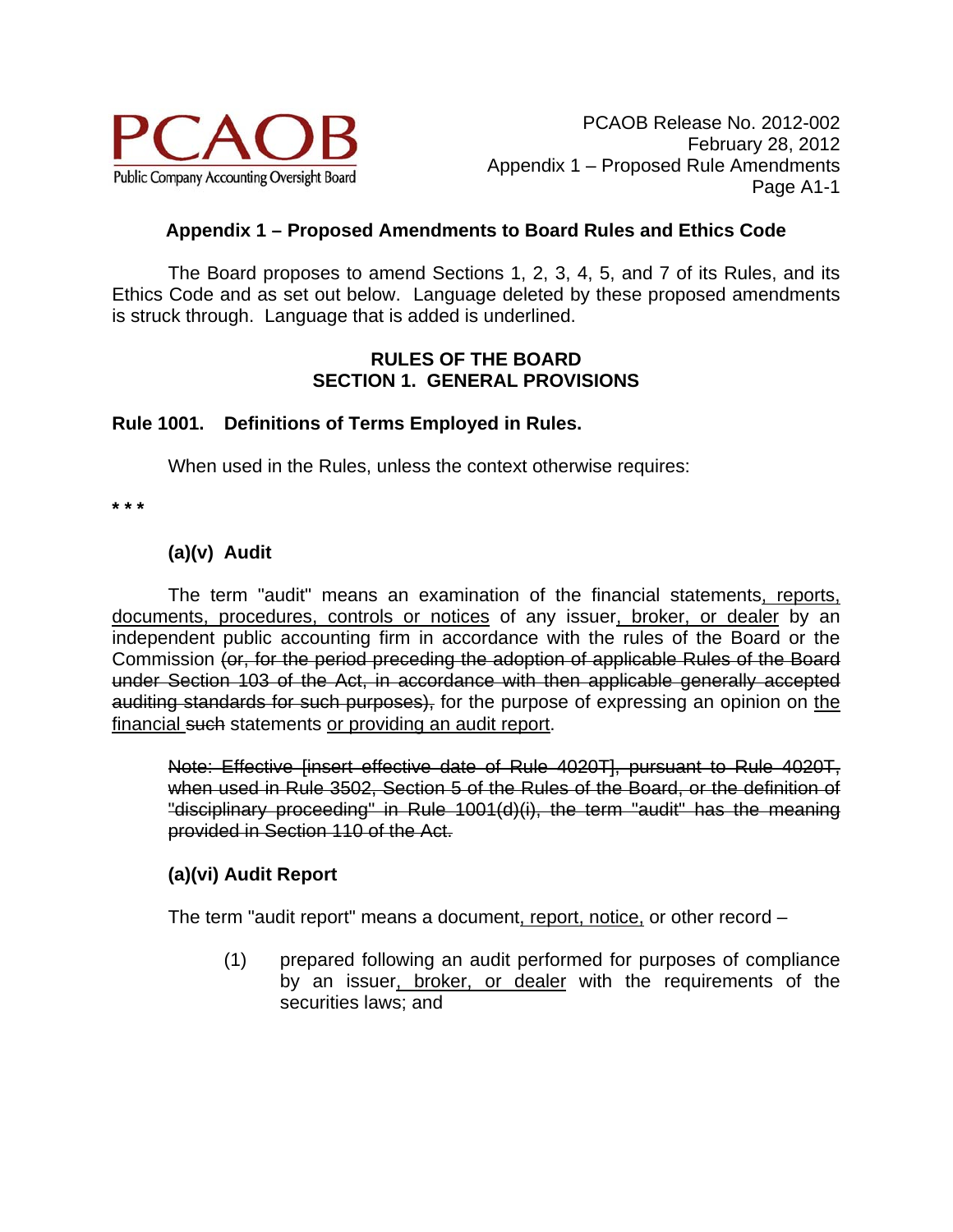

## **Appendix 1 – Proposed Amendments to Board Rules and Ethics Code**

 The Board proposes to amend Sections 1, 2, 3, 4, 5, and 7 of its Rules, and its Ethics Code and as set out below. Language deleted by these proposed amendments is struck through. Language that is added is underlined.

## **RULES OF THE BOARD SECTION 1. GENERAL PROVISIONS**

## **Rule 1001. Definitions of Terms Employed in Rules.**

When used in the Rules, unless the context otherwise requires:

**\* \* \*** 

# **(a)(v) Audit**

The term "audit" means an examination of the financial statements, reports, documents, procedures, controls or notices of any issuer, broker, or dealer by an independent public accounting firm in accordance with the rules of the Board or the Commission (or, for the period preceding the adoption of applicable Rules of the Board under Section 103 of the Act, in accordance with then applicable generally accepted auditing standards for such purposes), for the purpose of expressing an opinion on the financial such statements or providing an audit report.

Note: Effective [insert effective date of Rule 4020T], pursuant to Rule 4020T, when used in Rule 3502, Section 5 of the Rules of the Board, or the definition of "disciplinary proceeding" in Rule 1001(d)(i), the term "audit" has the meaning provided in Section 110 of the Act.

## **(a)(vi) Audit Report**

The term "audit report" means a document, report, notice, or other record –

(1) prepared following an audit performed for purposes of compliance by an issuer, broker, or dealer with the requirements of the securities laws; and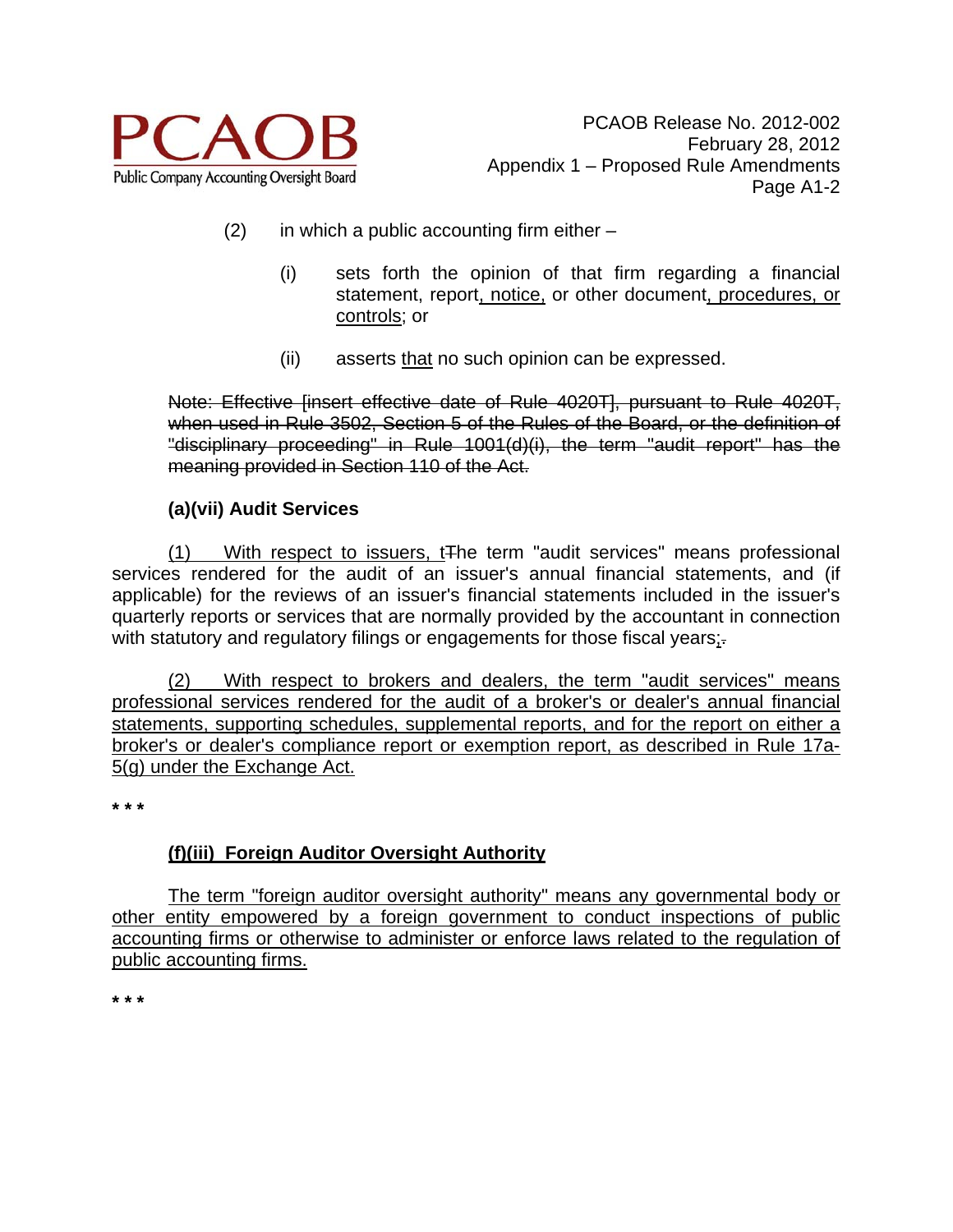

- $(2)$  in which a public accounting firm either
	- (i) sets forth the opinion of that firm regarding a financial statement, report, notice, or other document, procedures, or controls; or
	- (ii) asserts that no such opinion can be expressed.

Note: Effective [insert effective date of Rule 4020T], pursuant to Rule 4020T, when used in Rule 3502. Section 5 of the Rules of the Board, or the definition of "disciplinary proceeding" in Rule 1001(d)(i), the term "audit report" has the meaning provided in Section 110 of the Act.

## **(a)(vii) Audit Services**

(1) With respect to issuers, tThe term "audit services" means professional services rendered for the audit of an issuer's annual financial statements, and (if applicable) for the reviews of an issuer's financial statements included in the issuer's quarterly reports or services that are normally provided by the accountant in connection with statutory and regulatory filings or engagements for those fiscal years;-

 (2) With respect to brokers and dealers, the term "audit services" means professional services rendered for the audit of a broker's or dealer's annual financial statements, supporting schedules, supplemental reports, and for the report on either a broker's or dealer's compliance report or exemption report, as described in Rule 17a-5(g) under the Exchange Act.

**\* \* \*** 

# **(f)(iii) Foreign Auditor Oversight Authority**

The term "foreign auditor oversight authority" means any governmental body or other entity empowered by a foreign government to conduct inspections of public accounting firms or otherwise to administer or enforce laws related to the regulation of public accounting firms.

**\* \* \***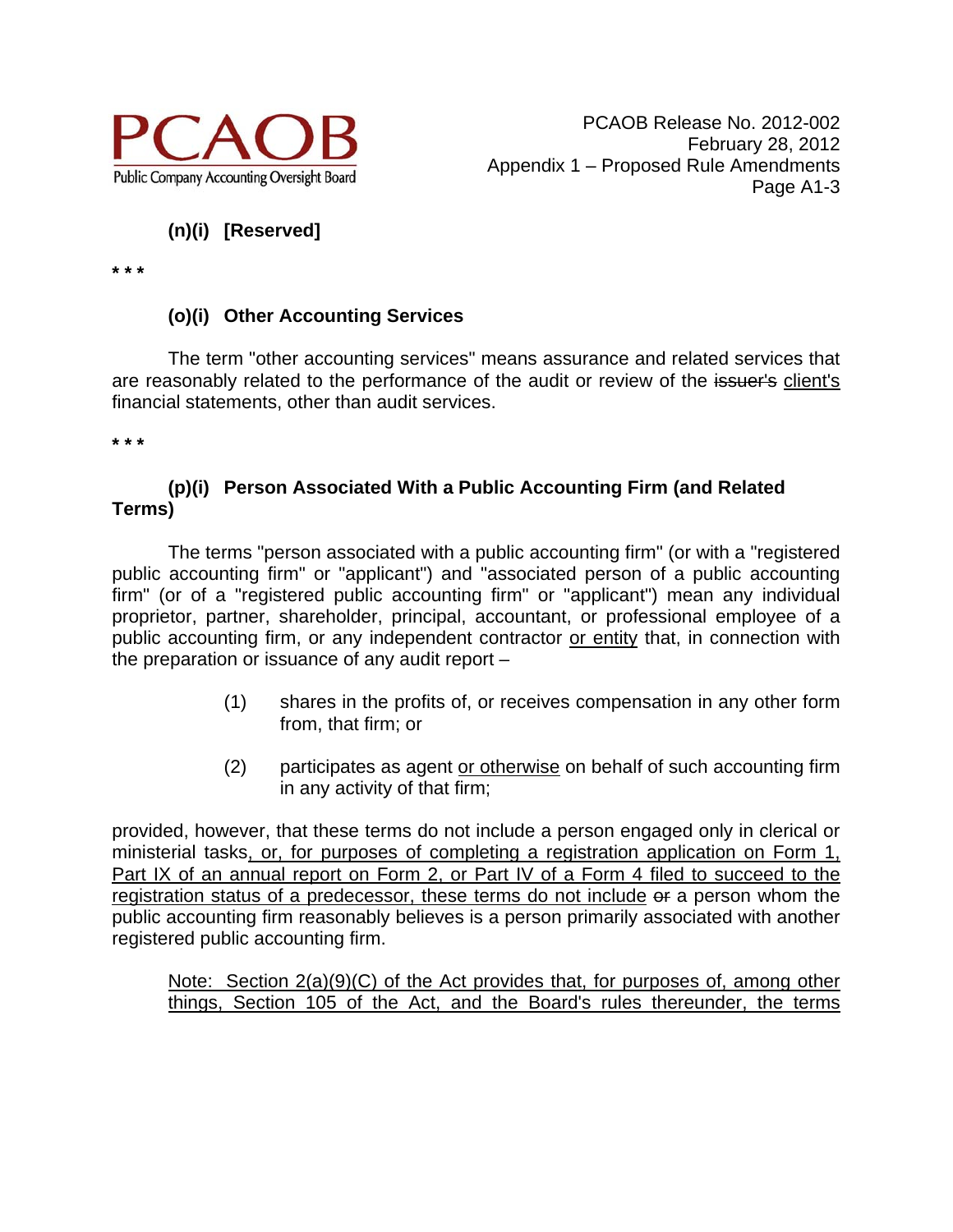

# **(n)(i) [Reserved]**

**\* \* \*** 

# **(o)(i) Other Accounting Services**

 The term "other accounting services" means assurance and related services that are reasonably related to the performance of the audit or review of the issuer's client's financial statements, other than audit services.

**\* \* \*** 

## **(p)(i) Person Associated With a Public Accounting Firm (and Related Terms)**

 The terms "person associated with a public accounting firm" (or with a "registered public accounting firm" or "applicant") and "associated person of a public accounting firm" (or of a "registered public accounting firm" or "applicant") mean any individual proprietor, partner, shareholder, principal, accountant, or professional employee of a public accounting firm, or any independent contractor or entity that, in connection with the preparation or issuance of any audit report –

- (1) shares in the profits of, or receives compensation in any other form from, that firm; or
- (2) participates as agent or otherwise on behalf of such accounting firm in any activity of that firm;

provided, however, that these terms do not include a person engaged only in clerical or ministerial tasks, or, for purposes of completing a registration application on Form 1, Part IX of an annual report on Form 2, or Part IV of a Form 4 filed to succeed to the registration status of a predecessor, these terms do not include of a person whom the public accounting firm reasonably believes is a person primarily associated with another registered public accounting firm.

Note: Section 2(a)(9)(C) of the Act provides that, for purposes of, among other things, Section 105 of the Act, and the Board's rules thereunder, the terms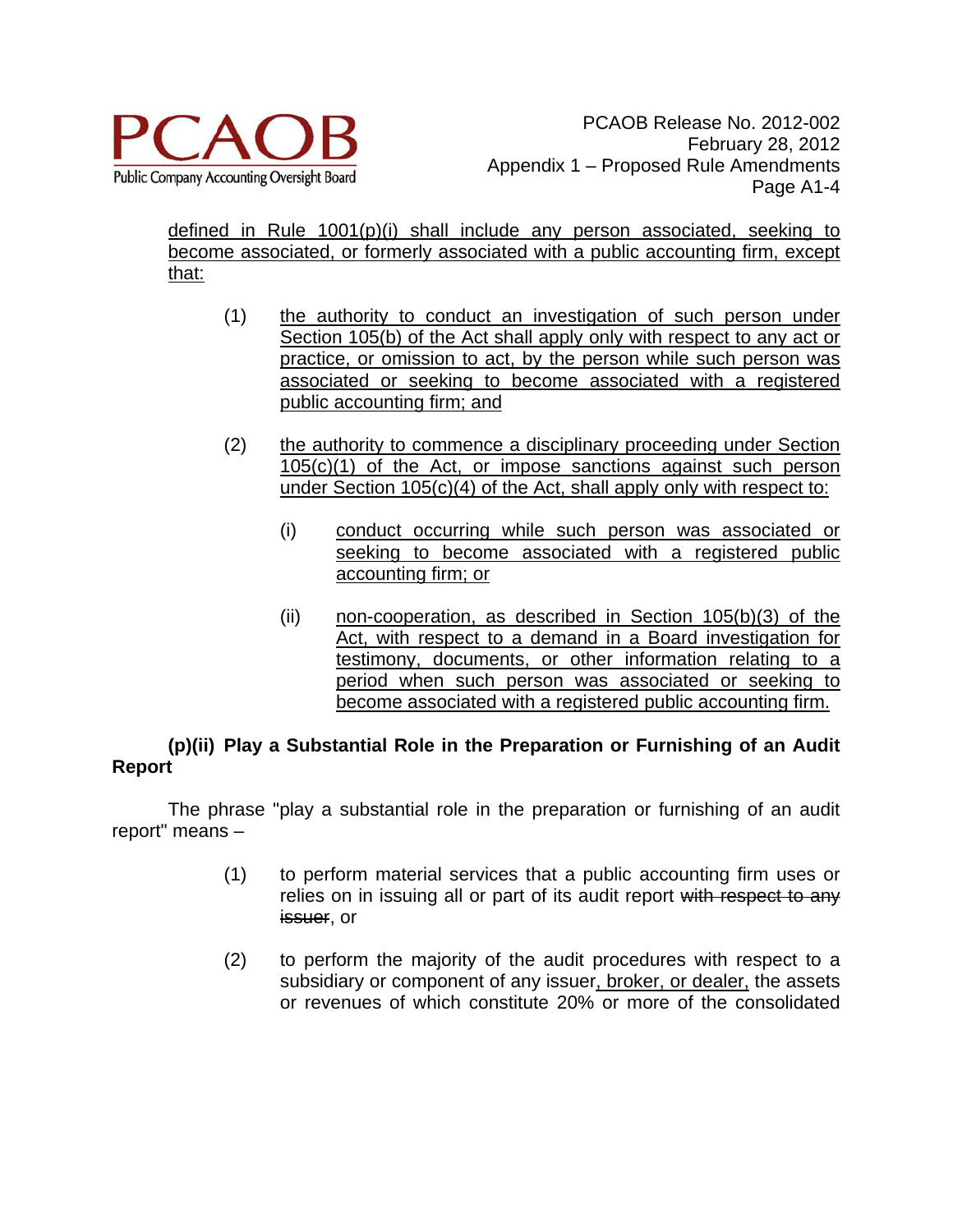

defined in Rule 1001(p)(i) shall include any person associated, seeking to become associated, or formerly associated with a public accounting firm, except that:

- (1) the authority to conduct an investigation of such person under Section 105(b) of the Act shall apply only with respect to any act or practice, or omission to act, by the person while such person was associated or seeking to become associated with a registered public accounting firm; and
- (2) the authority to commence a disciplinary proceeding under Section 105(c)(1) of the Act, or impose sanctions against such person under Section 105(c)(4) of the Act, shall apply only with respect to:
	- (i) conduct occurring while such person was associated or seeking to become associated with a registered public accounting firm; or
	- (ii) non-cooperation, as described in Section 105(b)(3) of the Act, with respect to a demand in a Board investigation for testimony, documents, or other information relating to a period when such person was associated or seeking to become associated with a registered public accounting firm.

# **(p)(ii) Play a Substantial Role in the Preparation or Furnishing of an Audit Report**

The phrase "play a substantial role in the preparation or furnishing of an audit report" means –

- (1) to perform material services that a public accounting firm uses or relies on in issuing all or part of its audit report with respect to any issuer, or
- (2) to perform the majority of the audit procedures with respect to a subsidiary or component of any issuer, broker, or dealer, the assets or revenues of which constitute 20% or more of the consolidated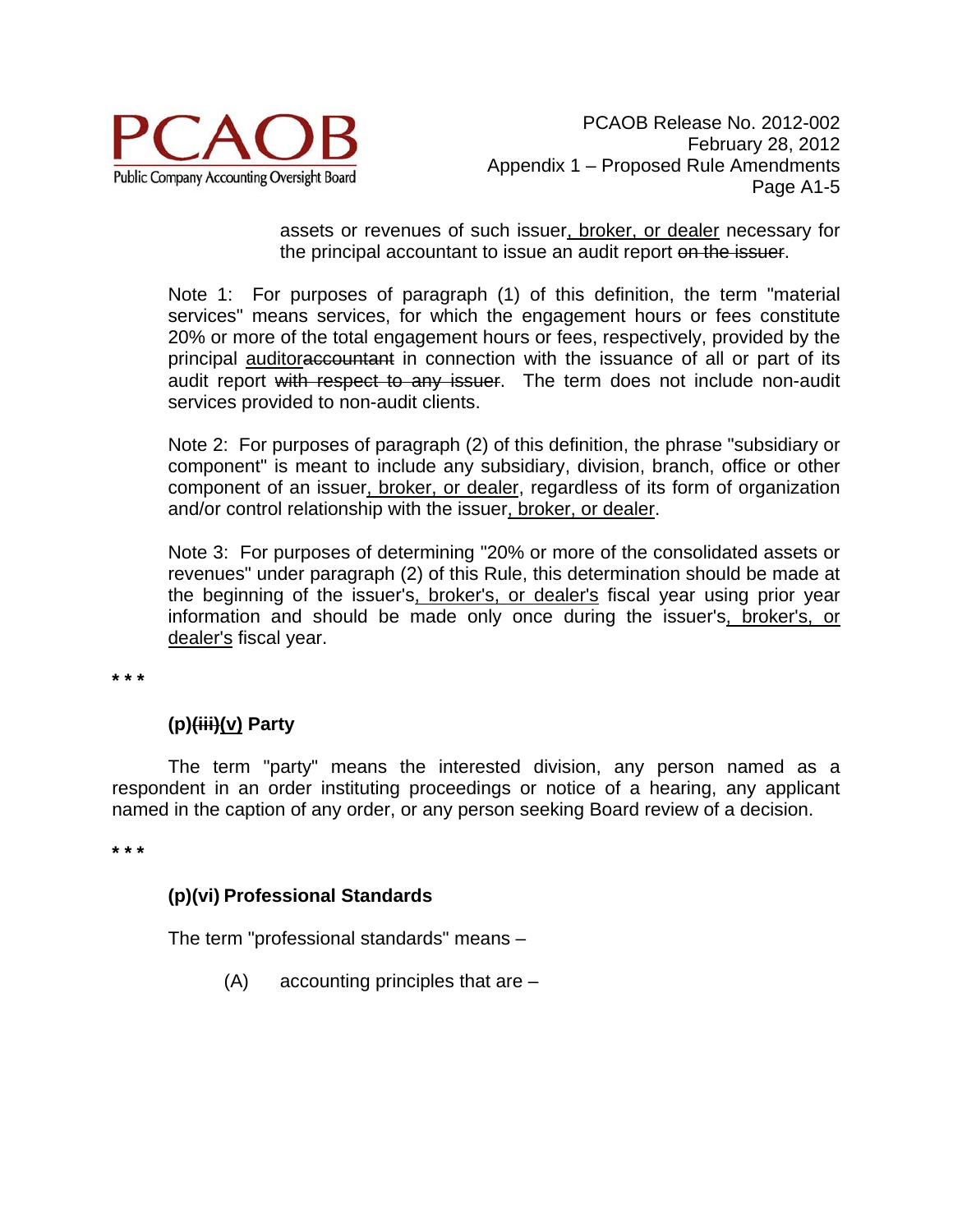

assets or revenues of such issuer, broker, or dealer necessary for the principal accountant to issue an audit report on the issuer.

Note 1: For purposes of paragraph (1) of this definition, the term "material services" means services, for which the engagement hours or fees constitute 20% or more of the total engagement hours or fees, respectively, provided by the principal auditoraccountant in connection with the issuance of all or part of its audit report with respect to any issuer. The term does not include non-audit services provided to non-audit clients.

Note 2: For purposes of paragraph (2) of this definition, the phrase "subsidiary or component" is meant to include any subsidiary, division, branch, office or other component of an issuer, broker, or dealer, regardless of its form of organization and/or control relationship with the issuer, broker, or dealer.

Note 3: For purposes of determining "20% or more of the consolidated assets or revenues" under paragraph (2) of this Rule, this determination should be made at the beginning of the issuer's, broker's, or dealer's fiscal year using prior year information and should be made only once during the issuer's, broker's, or dealer's fiscal year.

**\* \* \***

# **(p)(iii)(v) Party**

The term "party" means the interested division, any person named as a respondent in an order instituting proceedings or notice of a hearing, any applicant named in the caption of any order, or any person seeking Board review of a decision.

**\* \* \*** 

## **(p)(vi) Professional Standards**

The term "professional standards" means –

(A) accounting principles that are –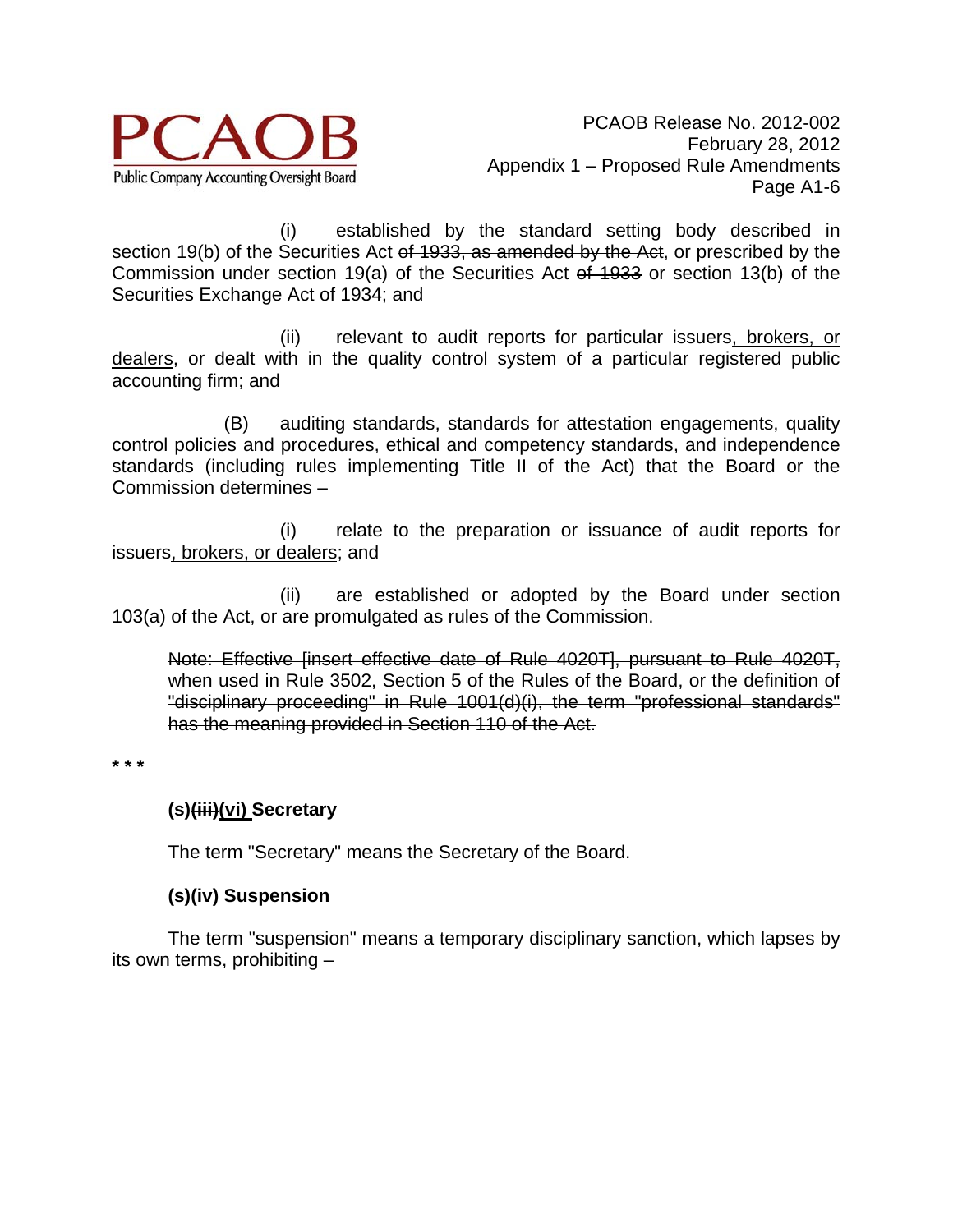

 (i) established by the standard setting body described in section 19(b) of the Securities Act of 1933, as amended by the Act, or prescribed by the Commission under section 19(a) of the Securities Act of 1933 or section 13(b) of the Securities Exchange Act of 1934; and

 (ii) relevant to audit reports for particular issuers, brokers, or dealers, or dealt with in the quality control system of a particular registered public accounting firm; and

 (B) auditing standards, standards for attestation engagements, quality control policies and procedures, ethical and competency standards, and independence standards (including rules implementing Title II of the Act) that the Board or the Commission determines –

 (i) relate to the preparation or issuance of audit reports for issuers, brokers, or dealers; and

 (ii) are established or adopted by the Board under section 103(a) of the Act, or are promulgated as rules of the Commission.

Note: Effective [insert effective date of Rule 4020T], pursuant to Rule 4020T, when used in Rule 3502, Section 5 of the Rules of the Board, or the definition of "disciplinary proceeding" in Rule 1001(d)(i), the term "professional standards" has the meaning provided in Section 110 of the Act.

**\* \* \*** 

# **(s)(iii)(vi) Secretary**

The term "Secretary" means the Secretary of the Board.

# **(s)(iv) Suspension**

 The term "suspension" means a temporary disciplinary sanction, which lapses by its own terms, prohibiting –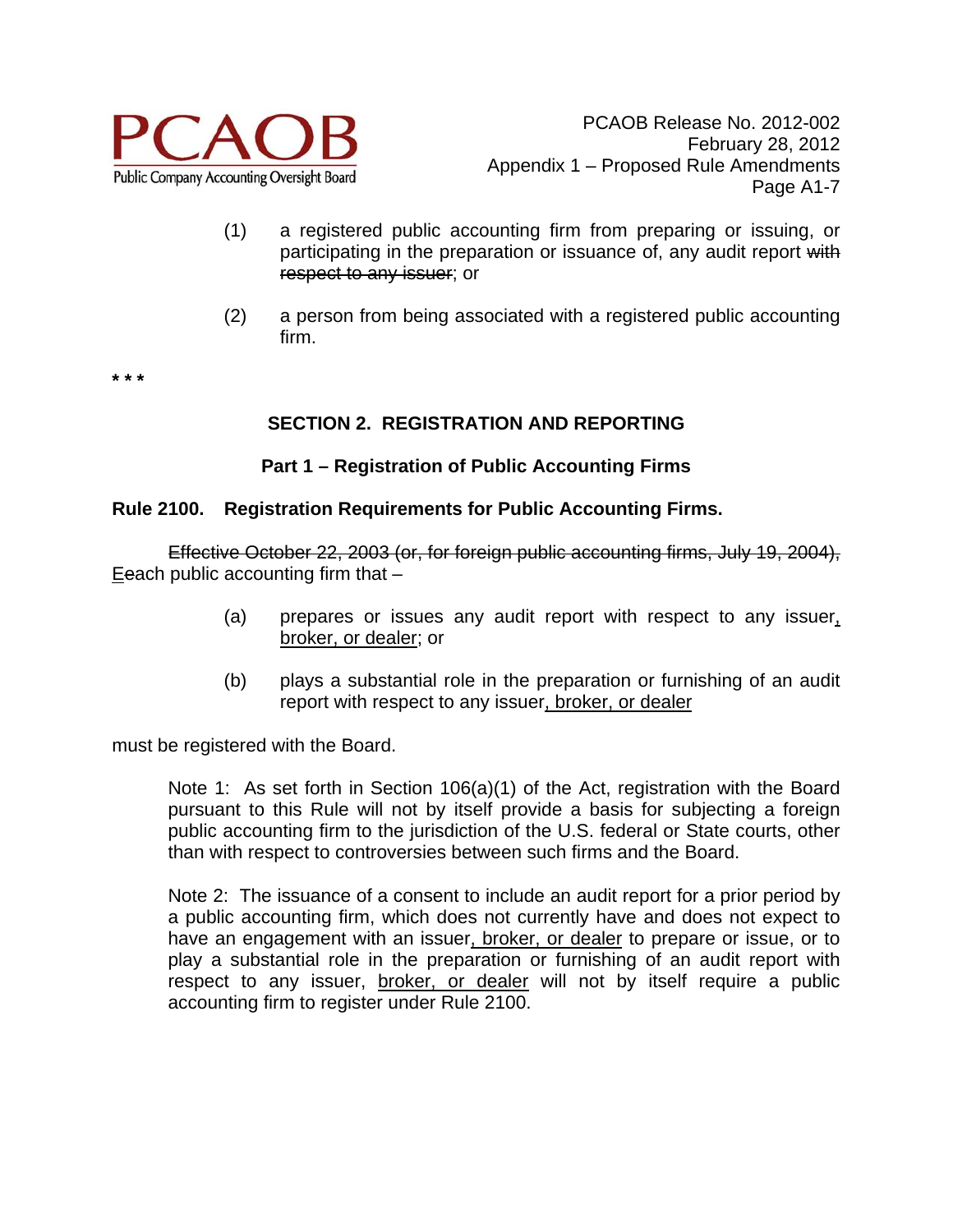

- (1) a registered public accounting firm from preparing or issuing, or participating in the preparation or issuance of, any audit report with respect to any issuer; or
- (2) a person from being associated with a registered public accounting firm.

**\* \* \*** 

## **SECTION 2. REGISTRATION AND REPORTING**

## **Part 1 – Registration of Public Accounting Firms**

#### **Rule 2100. Registration Requirements for Public Accounting Firms.**

Effective October 22, 2003 (or, for foreign public accounting firms, July 19, 2004), Eeach public accounting firm that  $-$ 

- (a) prepares or issues any audit report with respect to any issuer, broker, or dealer; or
- (b) plays a substantial role in the preparation or furnishing of an audit report with respect to any issuer, broker, or dealer

must be registered with the Board.

Note 1: As set forth in Section 106(a)(1) of the Act, registration with the Board pursuant to this Rule will not by itself provide a basis for subjecting a foreign public accounting firm to the jurisdiction of the U.S. federal or State courts, other than with respect to controversies between such firms and the Board.

Note 2: The issuance of a consent to include an audit report for a prior period by a public accounting firm, which does not currently have and does not expect to have an engagement with an issuer, broker, or dealer to prepare or issue, or to play a substantial role in the preparation or furnishing of an audit report with respect to any issuer, broker, or dealer will not by itself require a public accounting firm to register under Rule 2100.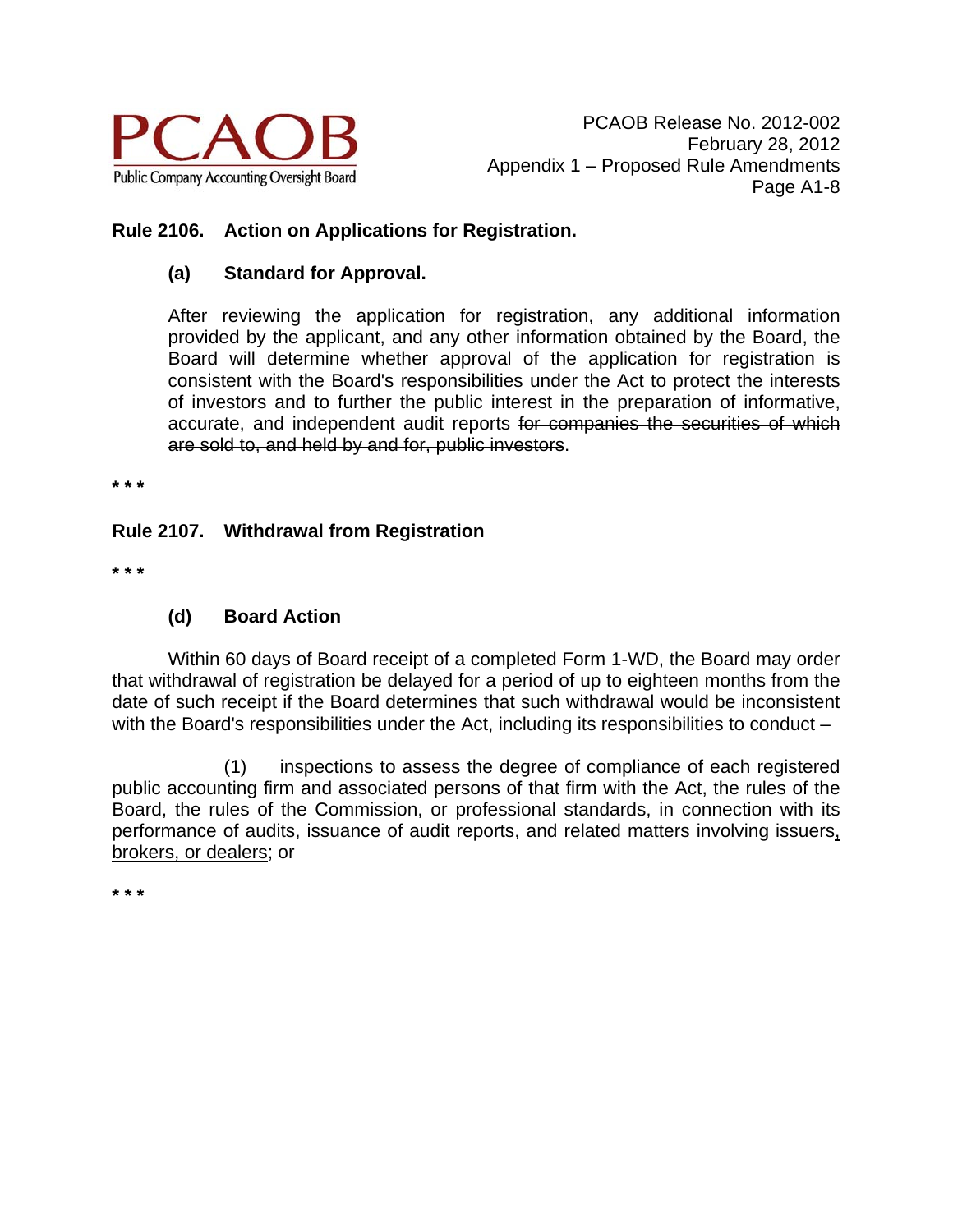

## **Rule 2106. Action on Applications for Registration.**

## **(a) Standard for Approval.**

After reviewing the application for registration, any additional information provided by the applicant, and any other information obtained by the Board, the Board will determine whether approval of the application for registration is consistent with the Board's responsibilities under the Act to protect the interests of investors and to further the public interest in the preparation of informative, accurate, and independent audit reports for companies the securities of which are sold to, and held by and for, public investors.

**\* \* \*** 

## **Rule 2107. Withdrawal from Registration**

**\* \* \*** 

## **(d) Board Action**

Within 60 days of Board receipt of a completed Form 1-WD, the Board may order that withdrawal of registration be delayed for a period of up to eighteen months from the date of such receipt if the Board determines that such withdrawal would be inconsistent with the Board's responsibilities under the Act, including its responsibilities to conduct –

 (1) inspections to assess the degree of compliance of each registered public accounting firm and associated persons of that firm with the Act, the rules of the Board, the rules of the Commission, or professional standards, in connection with its performance of audits, issuance of audit reports, and related matters involving issuers, brokers, or dealers; or

**\* \* \***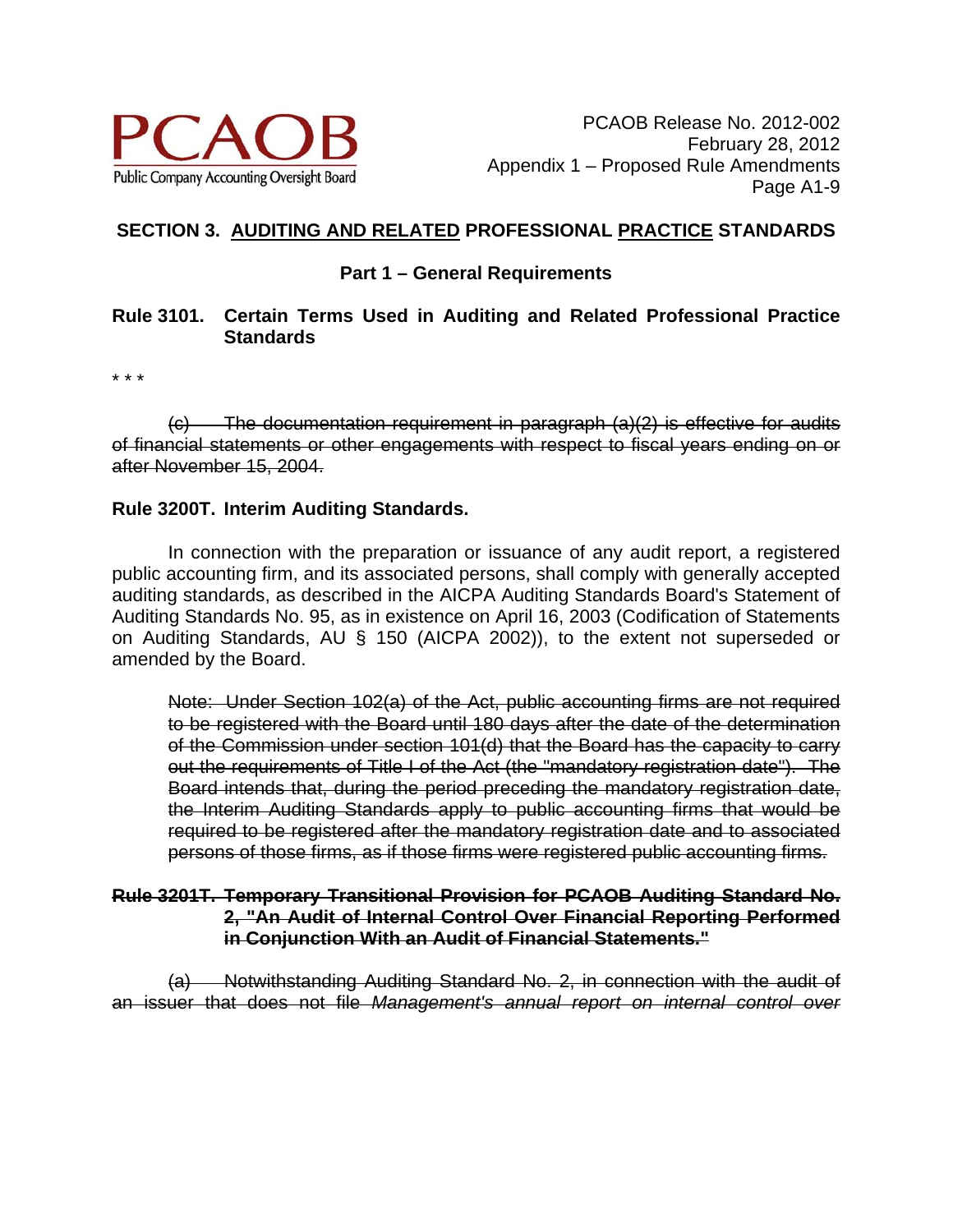

## **SECTION 3. AUDITING AND RELATED PROFESSIONAL PRACTICE STANDARDS**

### **Part 1 – General Requirements**

#### **Rule 3101. Certain Terms Used in Auditing and Related Professional Practice Standards**

\* \* \*

 $\overline{c}$  The documentation requirement in paragraph  $\overline{a}(2)$  is effective for audits of financial statements or other engagements with respect to fiscal years ending on or after November 15, 2004.

#### **Rule 3200T. Interim Auditing Standards.**

 In connection with the preparation or issuance of any audit report, a registered public accounting firm, and its associated persons, shall comply with generally accepted auditing standards, as described in the AICPA Auditing Standards Board's Statement of Auditing Standards No. 95, as in existence on April 16, 2003 (Codification of Statements on Auditing Standards, AU § 150 (AICPA 2002)), to the extent not superseded or amended by the Board.

Note: Under Section 102(a) of the Act, public accounting firms are not required to be registered with the Board until 180 days after the date of the determination of the Commission under section 101(d) that the Board has the capacity to carry out the requirements of Title I of the Act (the "mandatory registration date"). The Board intends that, during the period preceding the mandatory registration date, the Interim Auditing Standards apply to public accounting firms that would be required to be registered after the mandatory registration date and to associated persons of those firms, as if those firms were registered public accounting firms.

#### **Rule 3201T. Temporary Transitional Provision for PCAOB Auditing Standard No. 2, "An Audit of Internal Control Over Financial Reporting Performed in Conjunction With an Audit of Financial Statements."**

(a) Notwithstanding Auditing Standard No. 2, in connection with the audit of an issuer that does not file *Management's annual report on internal control over*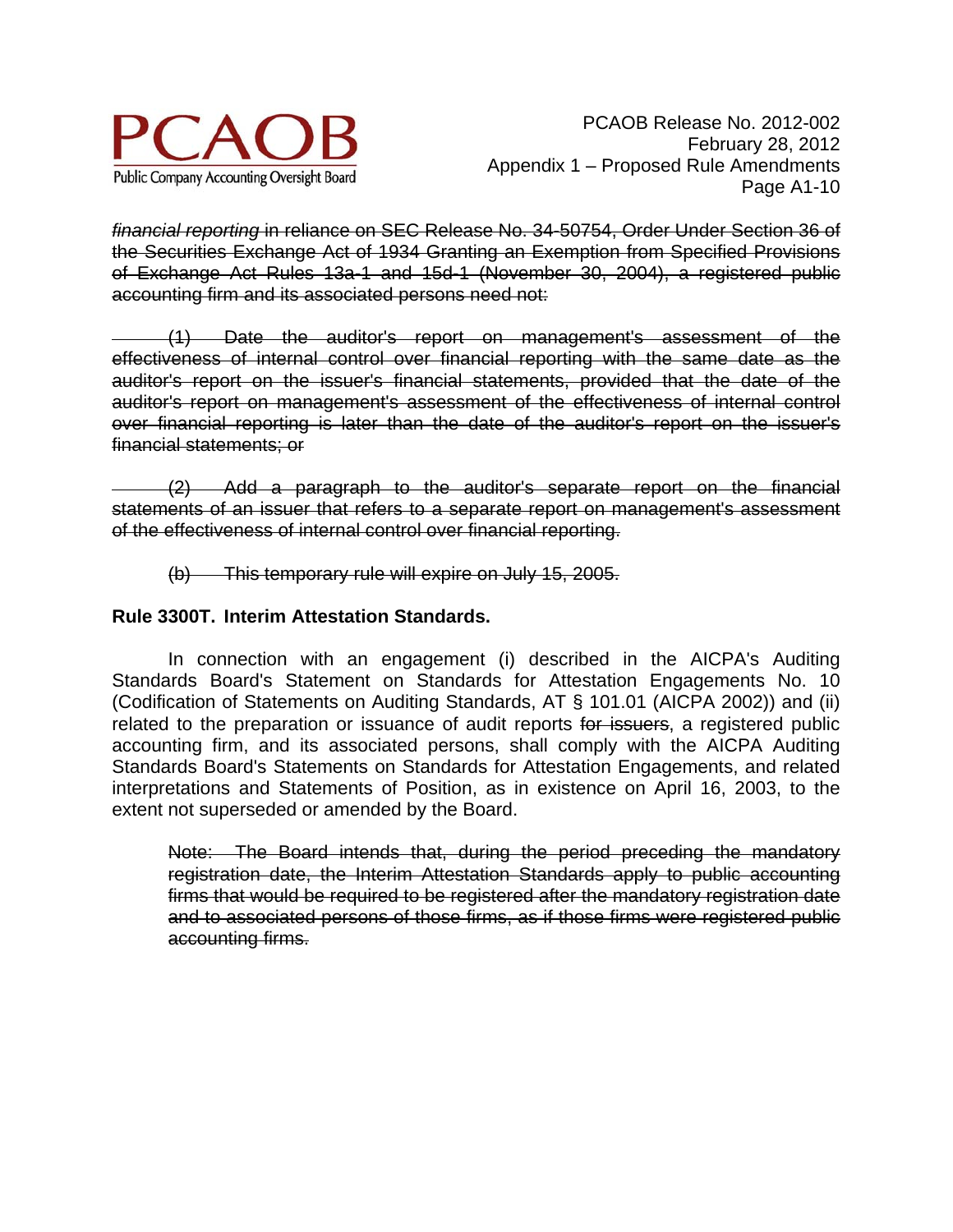

*financial reporting* in reliance on SEC Release No. 34-50754, Order Under Section 36 of the Securities Exchange Act of 1934 Granting an Exemption from Specified Provisions of Exchange Act Rules 13a-1 and 15d-1 (November 30, 2004), a registered public accounting firm and its associated persons need not:

 (1) Date the auditor's report on management's assessment of the effectiveness of internal control over financial reporting with the same date as the auditor's report on the issuer's financial statements, provided that the date of the auditor's report on management's assessment of the effectiveness of internal control over financial reporting is later than the date of the auditor's report on the issuer's financial statements; or

 (2) Add a paragraph to the auditor's separate report on the financial statements of an issuer that refers to a separate report on management's assessment of the effectiveness of internal control over financial reporting.

(b) This temporary rule will expire on July 15, 2005.

## **Rule 3300T. Interim Attestation Standards.**

 In connection with an engagement (i) described in the AICPA's Auditing Standards Board's Statement on Standards for Attestation Engagements No. 10 (Codification of Statements on Auditing Standards, AT § 101.01 (AICPA 2002)) and (ii) related to the preparation or issuance of audit reports for issuers, a registered public accounting firm, and its associated persons, shall comply with the AICPA Auditing Standards Board's Statements on Standards for Attestation Engagements, and related interpretations and Statements of Position, as in existence on April 16, 2003, to the extent not superseded or amended by the Board.

Note: The Board intends that, during the period preceding the mandatory registration date, the Interim Attestation Standards apply to public accounting firms that would be required to be registered after the mandatory registration date and to associated persons of those firms, as if those firms were registered public accounting firms.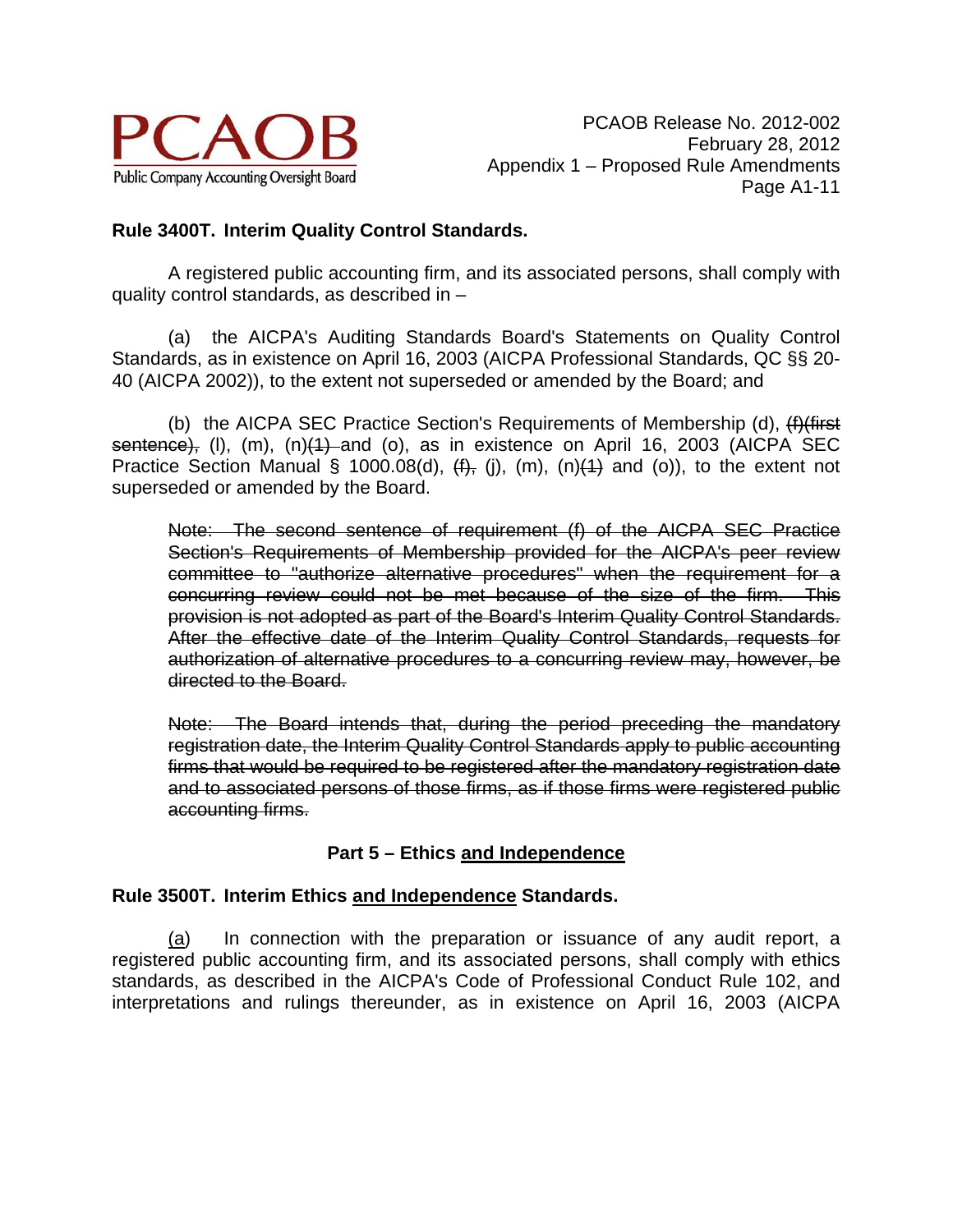

## **Rule 3400T. Interim Quality Control Standards.**

 A registered public accounting firm, and its associated persons, shall comply with quality control standards, as described in –

(a) the AICPA's Auditing Standards Board's Statements on Quality Control Standards, as in existence on April 16, 2003 (AICPA Professional Standards, QC §§ 20- 40 (AICPA 2002)), to the extent not superseded or amended by the Board; and

(b) the AICPA SEC Practice Section's Requirements of Membership (d), (f)(first sentence), (I), (m), (n)(1) and (o), as in existence on April 16, 2003 (AICPA SEC Practice Section Manual § 1000.08(d),  $(f)$ , (j), (m), (n) $(1)$  and (o)), to the extent not superseded or amended by the Board.

Note: The second sentence of requirement (f) of the AICPA SEC Practice Section's Requirements of Membership provided for the AICPA's peer review committee to "authorize alternative procedures" when the requirement for a concurring review could not be met because of the size of the firm. This provision is not adopted as part of the Board's Interim Quality Control Standards. After the effective date of the Interim Quality Control Standards, requests for authorization of alternative procedures to a concurring review may, however, be directed to the Board.

Note: The Board intends that, during the period preceding the mandatory registration date, the Interim Quality Control Standards apply to public accounting firms that would be required to be registered after the mandatory registration date and to associated persons of those firms, as if those firms were registered public accounting firms.

# **Part 5 – Ethics and Independence**

## **Rule 3500T. Interim Ethics and Independence Standards.**

 (a) In connection with the preparation or issuance of any audit report, a registered public accounting firm, and its associated persons, shall comply with ethics standards, as described in the AICPA's Code of Professional Conduct Rule 102, and interpretations and rulings thereunder, as in existence on April 16, 2003 (AICPA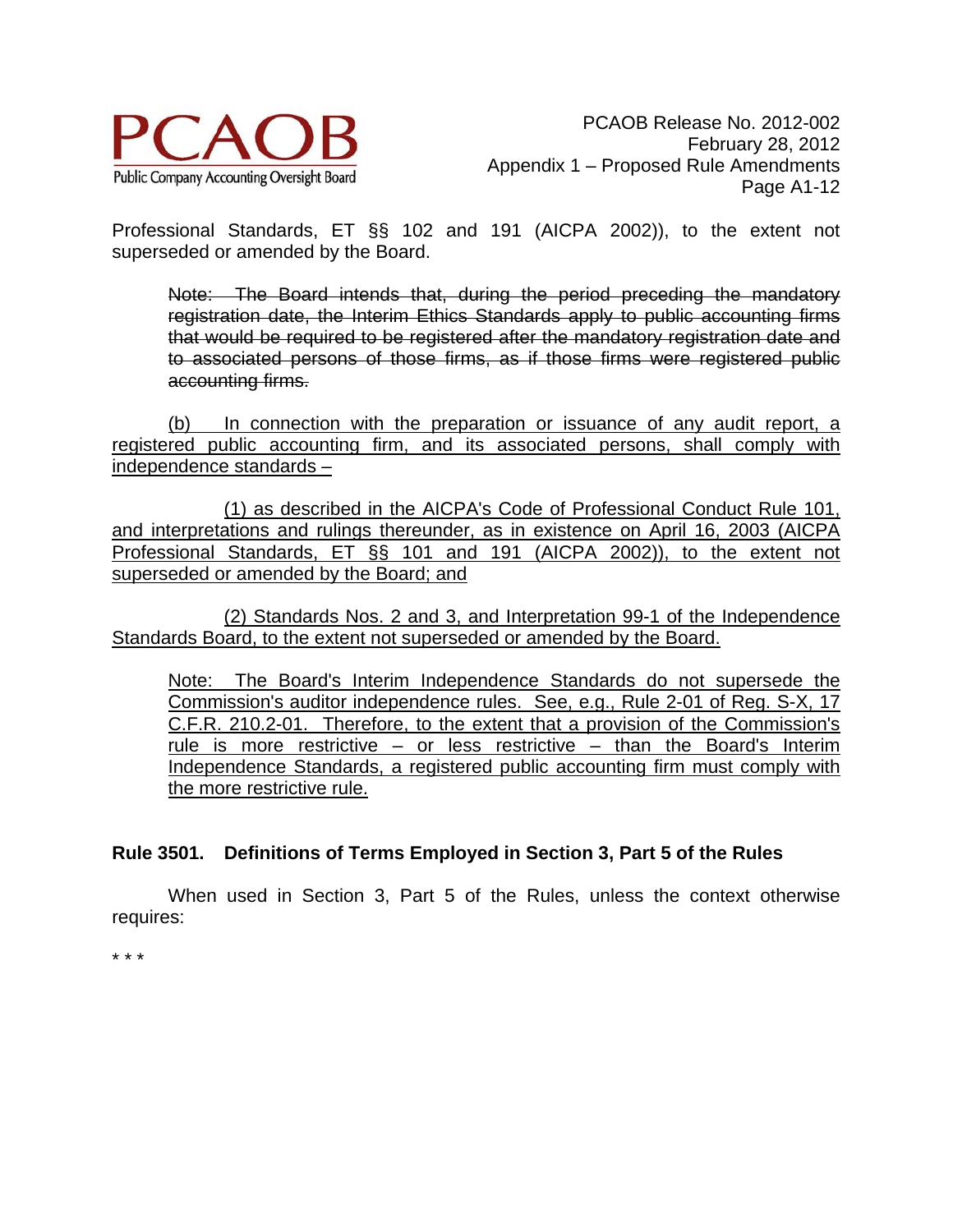

Professional Standards, ET §§ 102 and 191 (AICPA 2002)), to the extent not superseded or amended by the Board.

Note: The Board intends that, during the period preceding the mandatory registration date, the Interim Ethics Standards apply to public accounting firms that would be required to be registered after the mandatory registration date and to associated persons of those firms, as if those firms were registered public accounting firms.

(b) In connection with the preparation or issuance of any audit report, a registered public accounting firm, and its associated persons, shall comply with independence standards –

(1) as described in the AICPA's Code of Professional Conduct Rule 101, and interpretations and rulings thereunder, as in existence on April 16, 2003 (AICPA Professional Standards, ET §§ 101 and 191 (AICPA 2002)), to the extent not superseded or amended by the Board; and

(2) Standards Nos. 2 and 3, and Interpretation 99-1 of the Independence Standards Board, to the extent not superseded or amended by the Board.

Note: The Board's Interim Independence Standards do not supersede the Commission's auditor independence rules. See, e.g., Rule 2-01 of Reg. S-X, 17 C.F.R. 210.2-01. Therefore, to the extent that a provision of the Commission's rule is more restrictive – or less restrictive – than the Board's Interim Independence Standards, a registered public accounting firm must comply with the more restrictive rule.

## **Rule 3501. Definitions of Terms Employed in Section 3, Part 5 of the Rules**

 When used in Section 3, Part 5 of the Rules, unless the context otherwise requires:

\* \* \*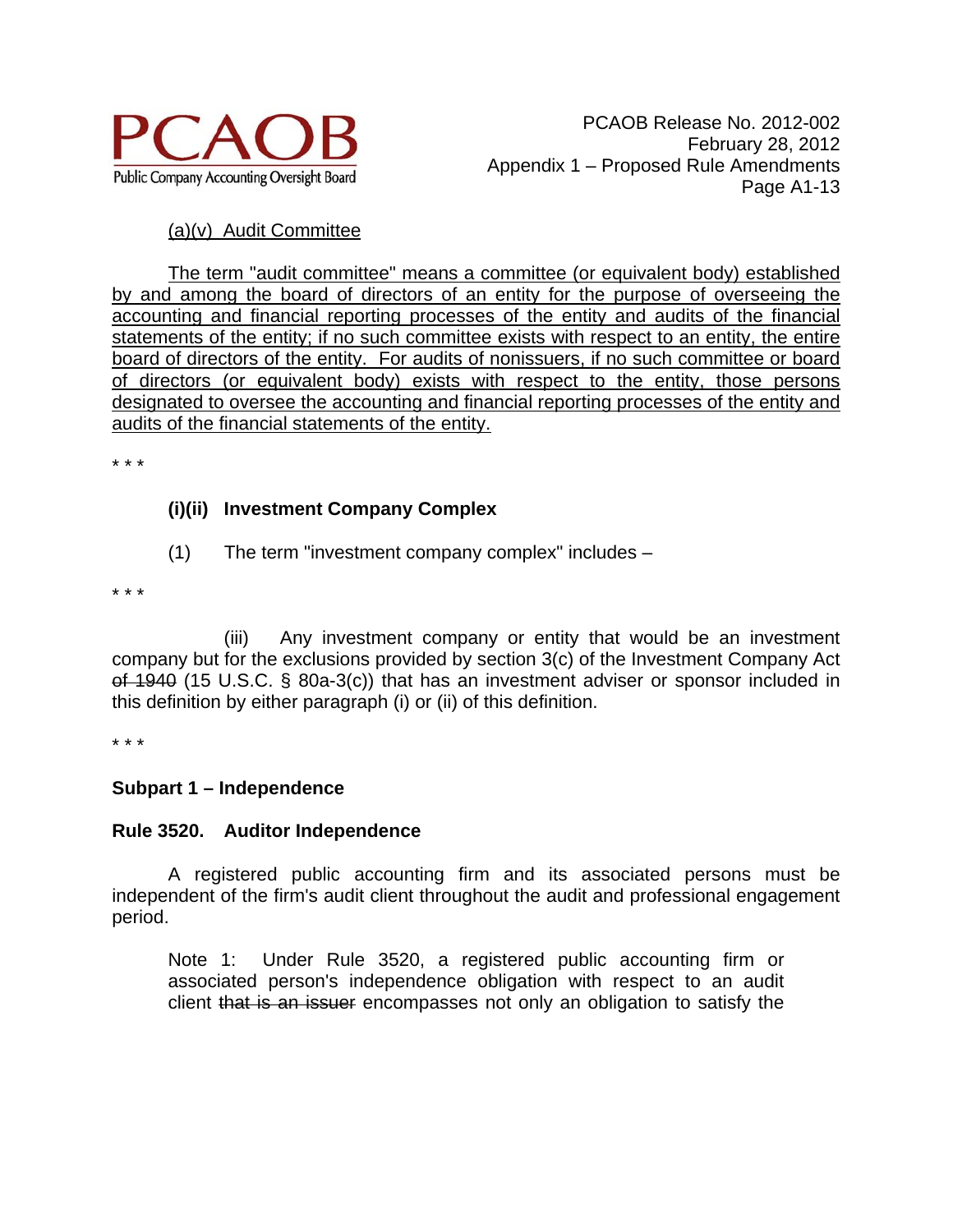

## (a)(v) Audit Committee

 The term "audit committee" means a committee (or equivalent body) established by and among the board of directors of an entity for the purpose of overseeing the accounting and financial reporting processes of the entity and audits of the financial statements of the entity; if no such committee exists with respect to an entity, the entire board of directors of the entity. For audits of nonissuers, if no such committee or board of directors (or equivalent body) exists with respect to the entity, those persons designated to oversee the accounting and financial reporting processes of the entity and audits of the financial statements of the entity.

\* \* \*

## **(i)(ii) Investment Company Complex**

(1) The term "investment company complex" includes –

\* \* \*

(iii) Any investment company or entity that would be an investment company but for the exclusions provided by section 3(c) of the Investment Company Act of 1940 (15 U.S.C. § 80a-3(c)) that has an investment adviser or sponsor included in this definition by either paragraph (i) or (ii) of this definition.

\* \* \*

## **Subpart 1 – Independence**

## **Rule 3520. Auditor Independence**

 A registered public accounting firm and its associated persons must be independent of the firm's audit client throughout the audit and professional engagement period.

Note 1: Under Rule 3520, a registered public accounting firm or associated person's independence obligation with respect to an audit client that is an issuer encompasses not only an obligation to satisfy the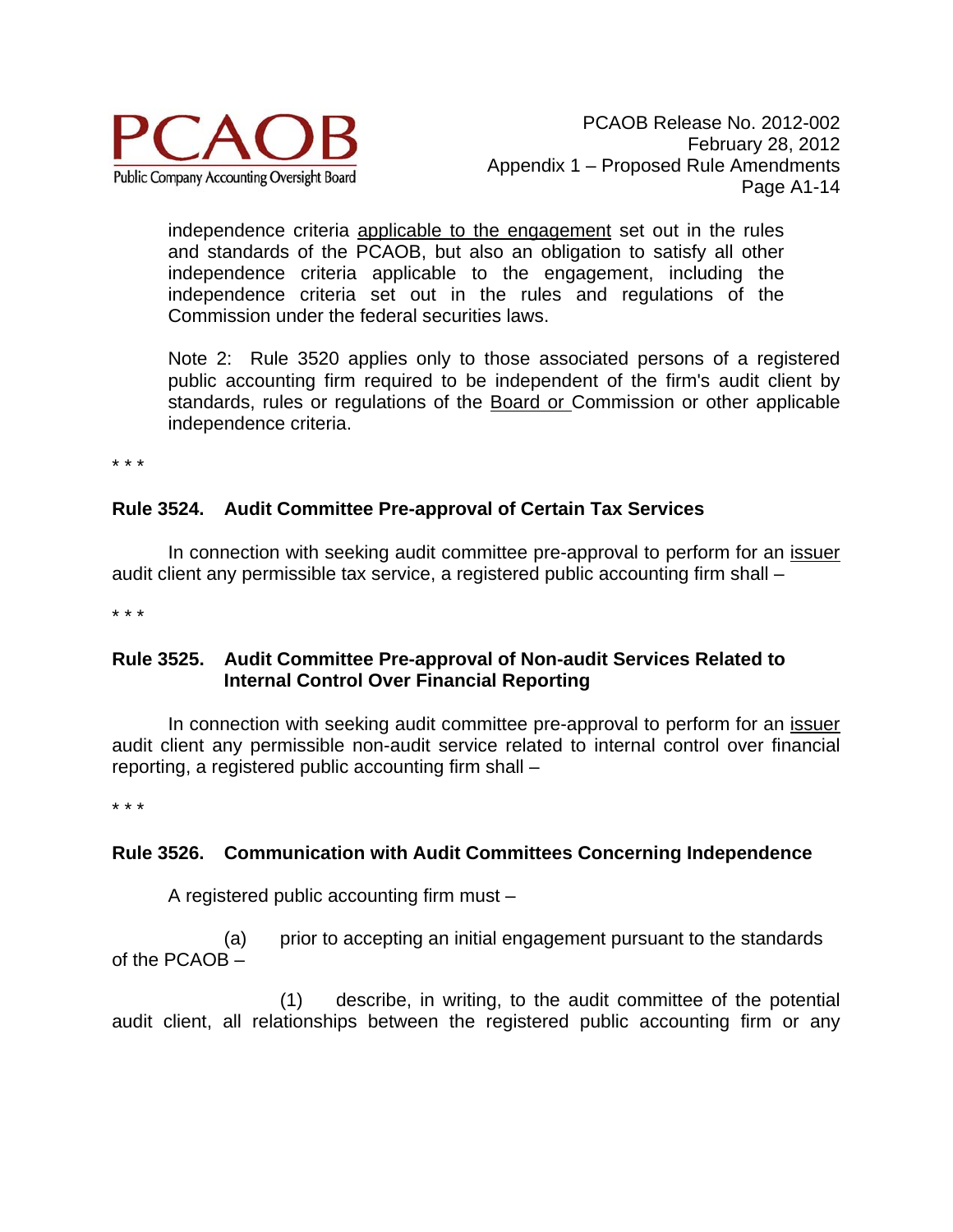

independence criteria applicable to the engagement set out in the rules and standards of the PCAOB, but also an obligation to satisfy all other independence criteria applicable to the engagement, including the independence criteria set out in the rules and regulations of the Commission under the federal securities laws.

Note 2: Rule 3520 applies only to those associated persons of a registered public accounting firm required to be independent of the firm's audit client by standards, rules or regulations of the Board or Commission or other applicable independence criteria.

\* \* \*

## **Rule 3524. Audit Committee Pre-approval of Certain Tax Services**

In connection with seeking audit committee pre-approval to perform for an issuer audit client any permissible tax service, a registered public accounting firm shall –

\* \* \*

## **Rule 3525. Audit Committee Pre-approval of Non-audit Services Related to Internal Control Over Financial Reporting**

In connection with seeking audit committee pre-approval to perform for an *issuer* audit client any permissible non-audit service related to internal control over financial reporting, a registered public accounting firm shall –

\* \* \*

## **Rule 3526. Communication with Audit Committees Concerning Independence**

A registered public accounting firm must –

(a) prior to accepting an initial engagement pursuant to the standards of the PCAOB –

(1) describe, in writing, to the audit committee of the potential audit client, all relationships between the registered public accounting firm or any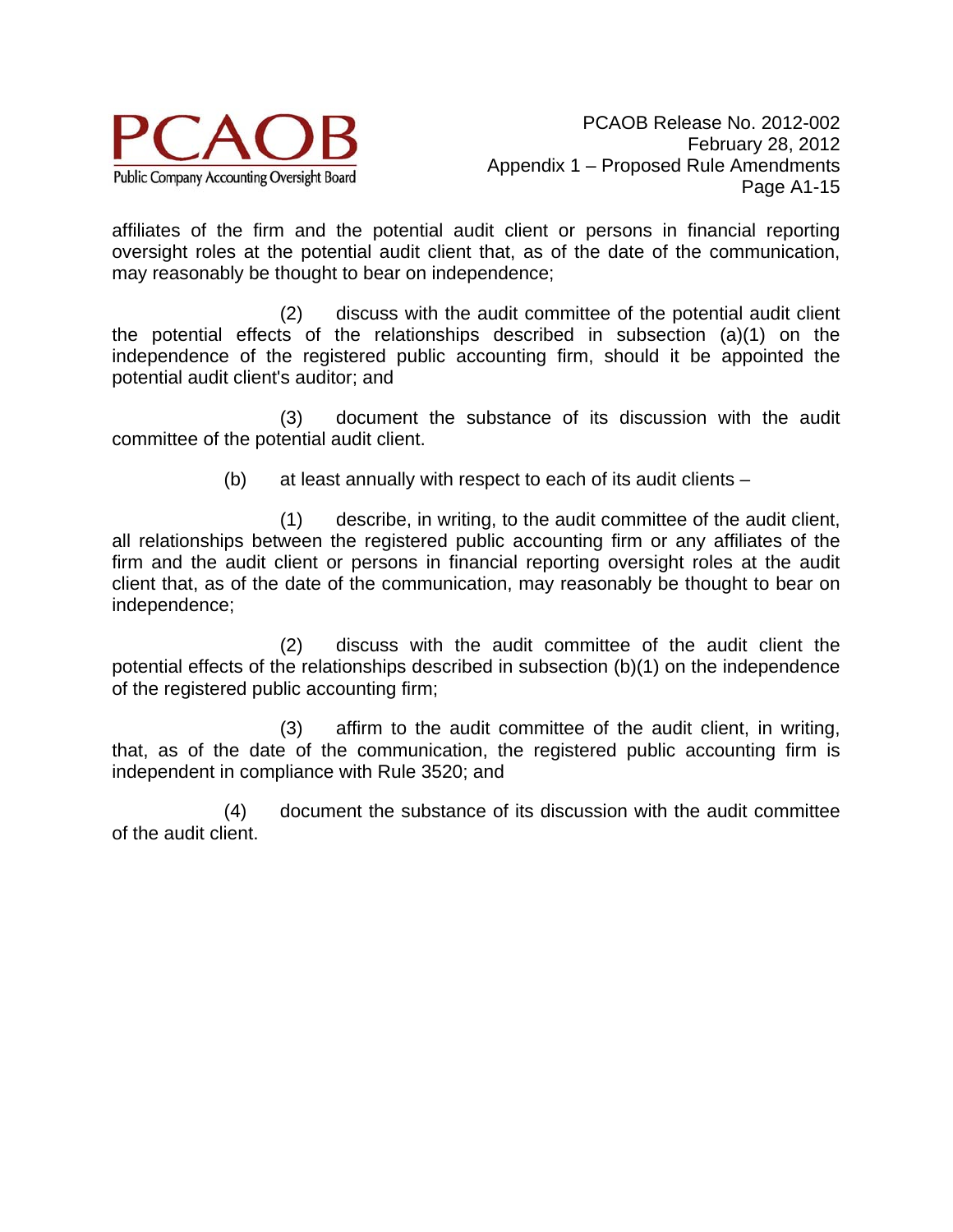

affiliates of the firm and the potential audit client or persons in financial reporting oversight roles at the potential audit client that, as of the date of the communication, may reasonably be thought to bear on independence;

(2) discuss with the audit committee of the potential audit client the potential effects of the relationships described in subsection (a)(1) on the independence of the registered public accounting firm, should it be appointed the potential audit client's auditor; and

(3) document the substance of its discussion with the audit committee of the potential audit client.

(b) at least annually with respect to each of its audit clients –

(1) describe, in writing, to the audit committee of the audit client, all relationships between the registered public accounting firm or any affiliates of the firm and the audit client or persons in financial reporting oversight roles at the audit client that, as of the date of the communication, may reasonably be thought to bear on independence;

(2) discuss with the audit committee of the audit client the potential effects of the relationships described in subsection (b)(1) on the independence of the registered public accounting firm;

(3) affirm to the audit committee of the audit client, in writing, that, as of the date of the communication, the registered public accounting firm is independent in compliance with Rule 3520; and

(4) document the substance of its discussion with the audit committee of the audit client.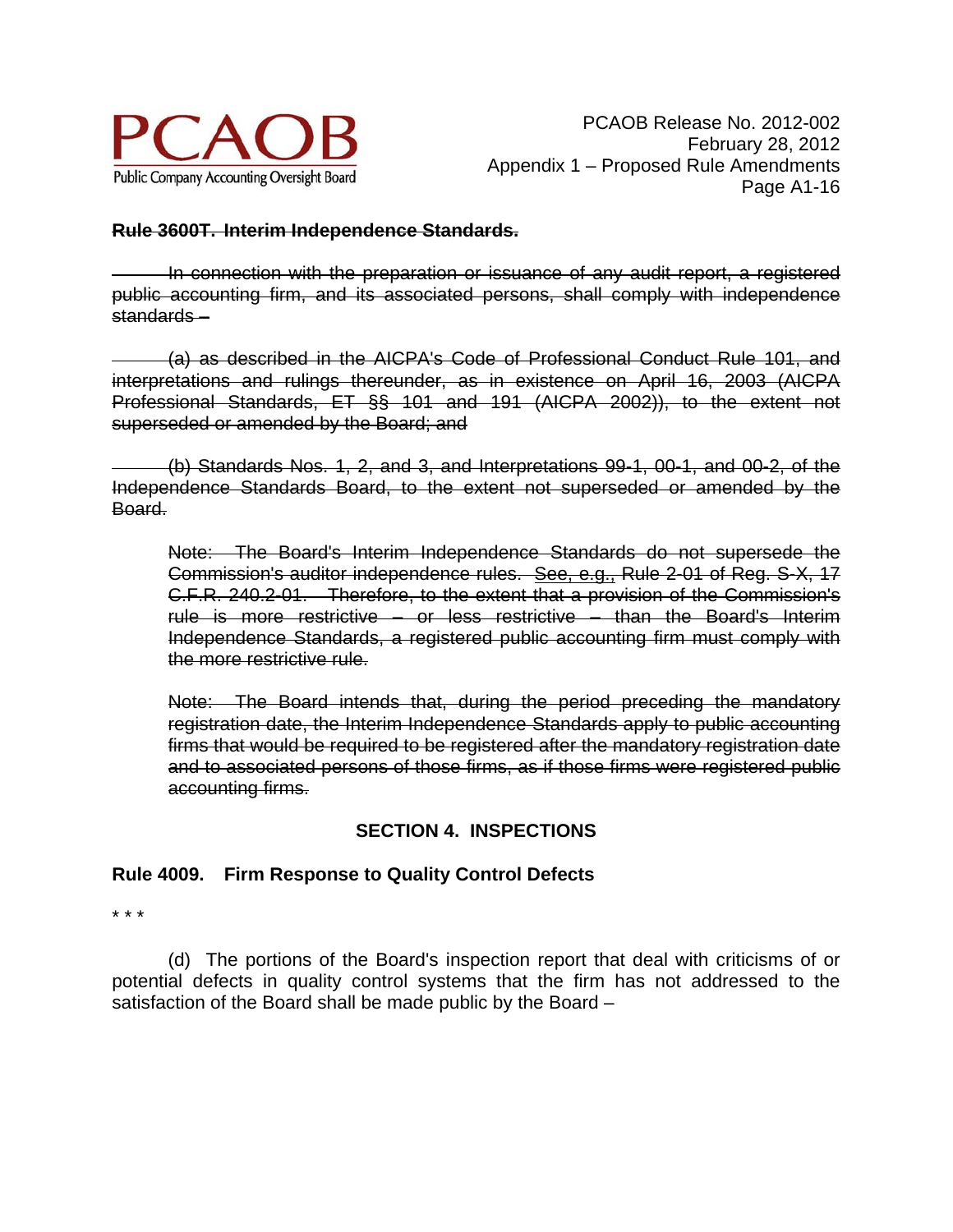

## **Rule 3600T. Interim Independence Standards.**

 In connection with the preparation or issuance of any audit report, a registered public accounting firm, and its associated persons, shall comply with independence standards –

 (a) as described in the AICPA's Code of Professional Conduct Rule 101, and interpretations and rulings thereunder, as in existence on April 16, 2003 (AICPA Professional Standards, ET §§ 101 and 191 (AICPA 2002)), to the extent not superseded or amended by the Board; and

 (b) Standards Nos. 1, 2, and 3, and Interpretations 99-1, 00-1, and 00-2, of the Independence Standards Board, to the extent not superseded or amended by the Board.

Note: The Board's Interim Independence Standards do not supersede the Commission's auditor independence rules. See, e.g., Rule 2-01 of Reg. S-X, 17 C.F.R. 240.2-01. Therefore, to the extent that a provision of the Commission's rule is more restrictive – or less restrictive – than the Board's Interim Independence Standards, a registered public accounting firm must comply with the more restrictive rule.

Note: The Board intends that, during the period preceding the mandatory registration date, the Interim Independence Standards apply to public accounting firms that would be required to be registered after the mandatory registration date and to associated persons of those firms, as if those firms were registered public accounting firms.

# **SECTION 4. INSPECTIONS**

## **Rule 4009. Firm Response to Quality Control Defects**

\* \* \*

(d) The portions of the Board's inspection report that deal with criticisms of or potential defects in quality control systems that the firm has not addressed to the satisfaction of the Board shall be made public by the Board –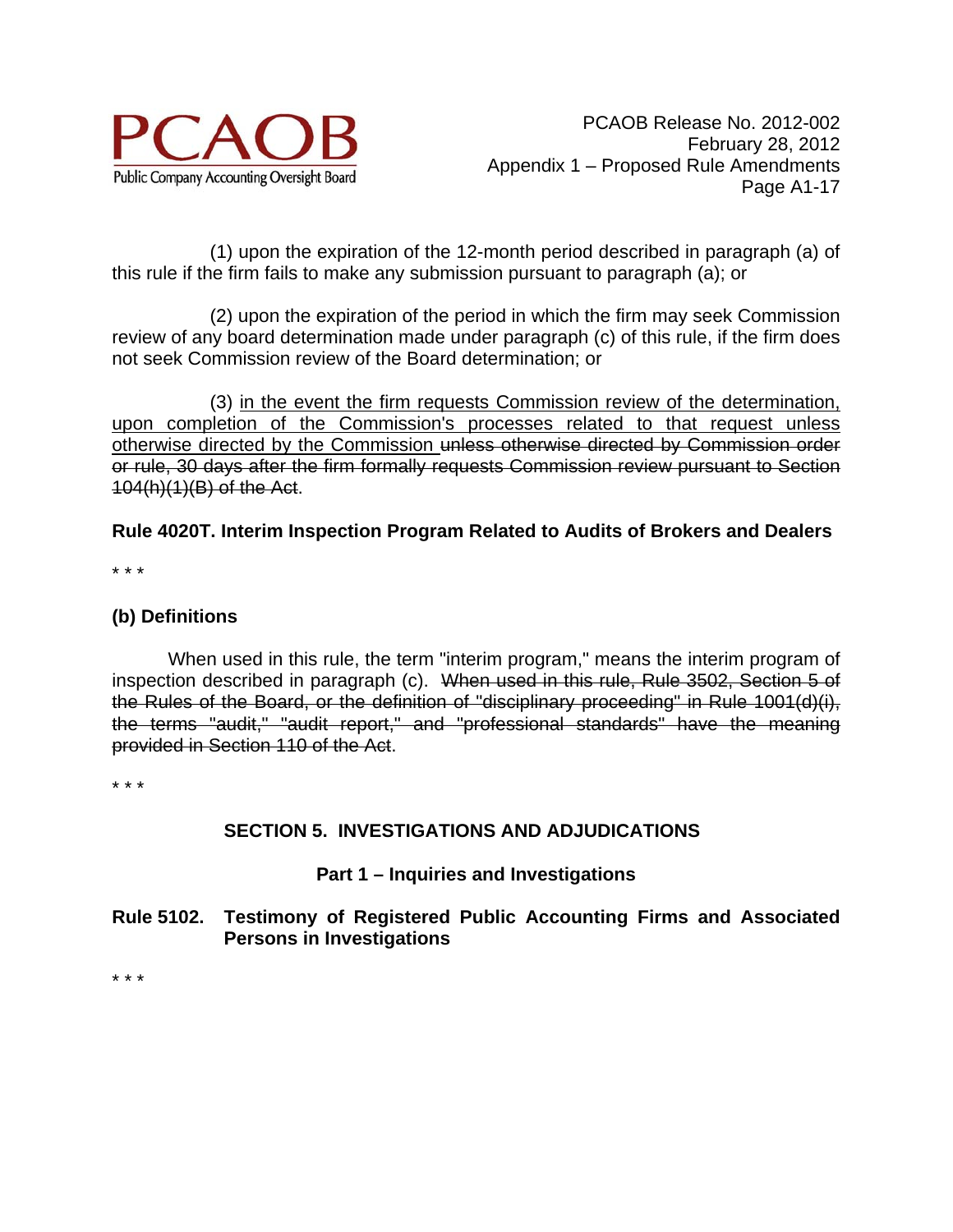

(1) upon the expiration of the 12-month period described in paragraph (a) of this rule if the firm fails to make any submission pursuant to paragraph (a); or

(2) upon the expiration of the period in which the firm may seek Commission review of any board determination made under paragraph (c) of this rule, if the firm does not seek Commission review of the Board determination; or

(3) in the event the firm requests Commission review of the determination, upon completion of the Commission's processes related to that request unless otherwise directed by the Commission unless otherwise directed by Commission order or rule, 30 days after the firm formally requests Commission review pursuant to Section 104(h)(1)(B) of the Act.

**Rule 4020T. Interim Inspection Program Related to Audits of Brokers and Dealers** 

\* \* \*

## **(b) Definitions**

When used in this rule, the term "interim program," means the interim program of inspection described in paragraph (c). When used in this rule, Rule 3502, Section 5 of the Rules of the Board, or the definition of "disciplinary proceeding" in Rule 1001(d)(i), the terms "audit," "audit report," and "professional standards" have the meaning provided in Section 110 of the Act.

\* \* \*

# **SECTION 5. INVESTIGATIONS AND ADJUDICATIONS**

## **Part 1 – Inquiries and Investigations**

## **Rule 5102. Testimony of Registered Public Accounting Firms and Associated Persons in Investigations**

\* \* \*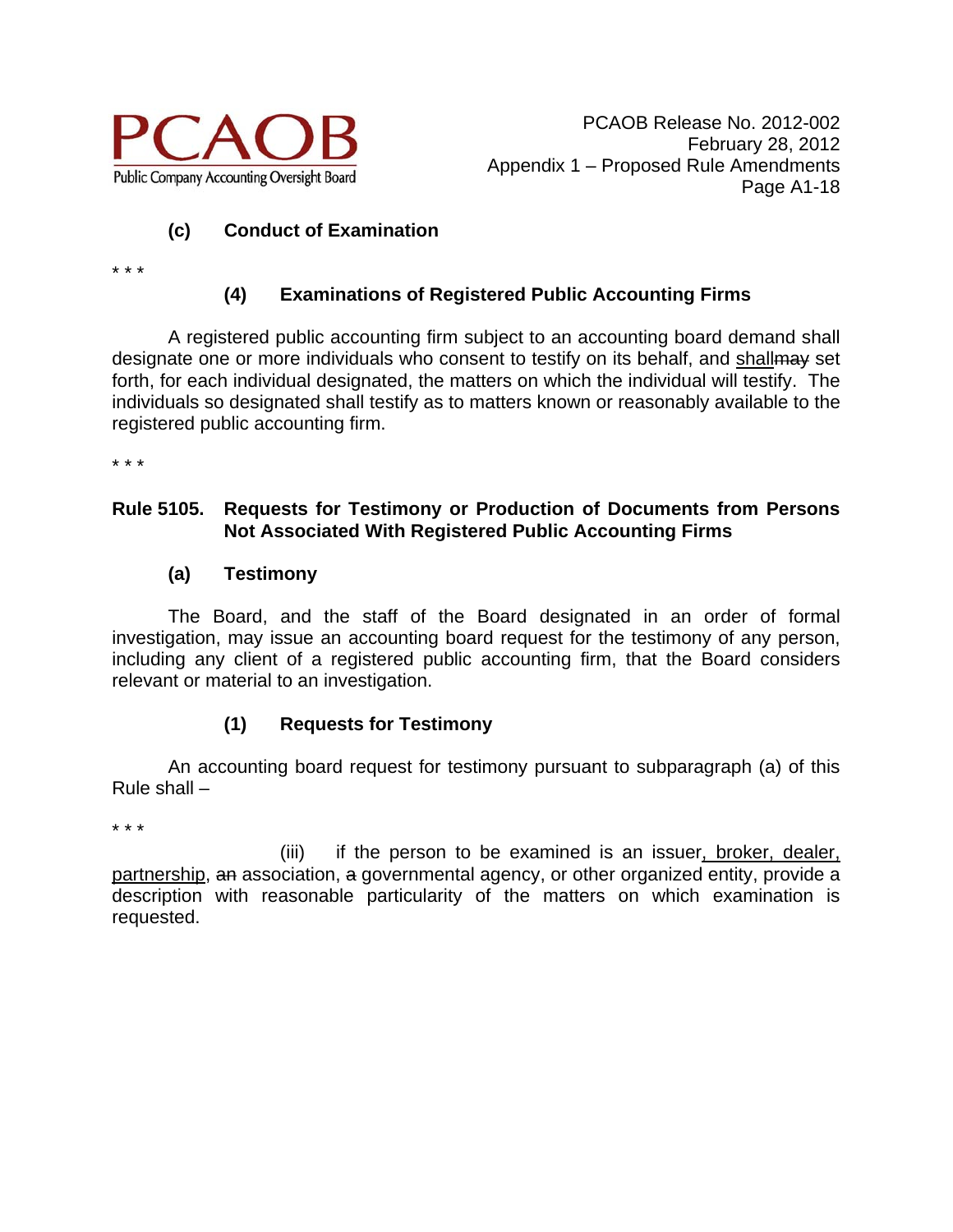

# **(c) Conduct of Examination**

\* \* \*

# **(4) Examinations of Registered Public Accounting Firms**

 A registered public accounting firm subject to an accounting board demand shall designate one or more individuals who consent to testify on its behalf, and shallmay set forth, for each individual designated, the matters on which the individual will testify. The individuals so designated shall testify as to matters known or reasonably available to the registered public accounting firm.

\* \* \*

## **Rule 5105. Requests for Testimony or Production of Documents from Persons Not Associated With Registered Public Accounting Firms**

## **(a) Testimony**

 The Board, and the staff of the Board designated in an order of formal investigation, may issue an accounting board request for the testimony of any person, including any client of a registered public accounting firm, that the Board considers relevant or material to an investigation.

# **(1) Requests for Testimony**

 An accounting board request for testimony pursuant to subparagraph (a) of this Rule shall –

\* \* \*

(iii) if the person to be examined is an issuer, broker, dealer, partnership, an association, a governmental agency, or other organized entity, provide a description with reasonable particularity of the matters on which examination is requested.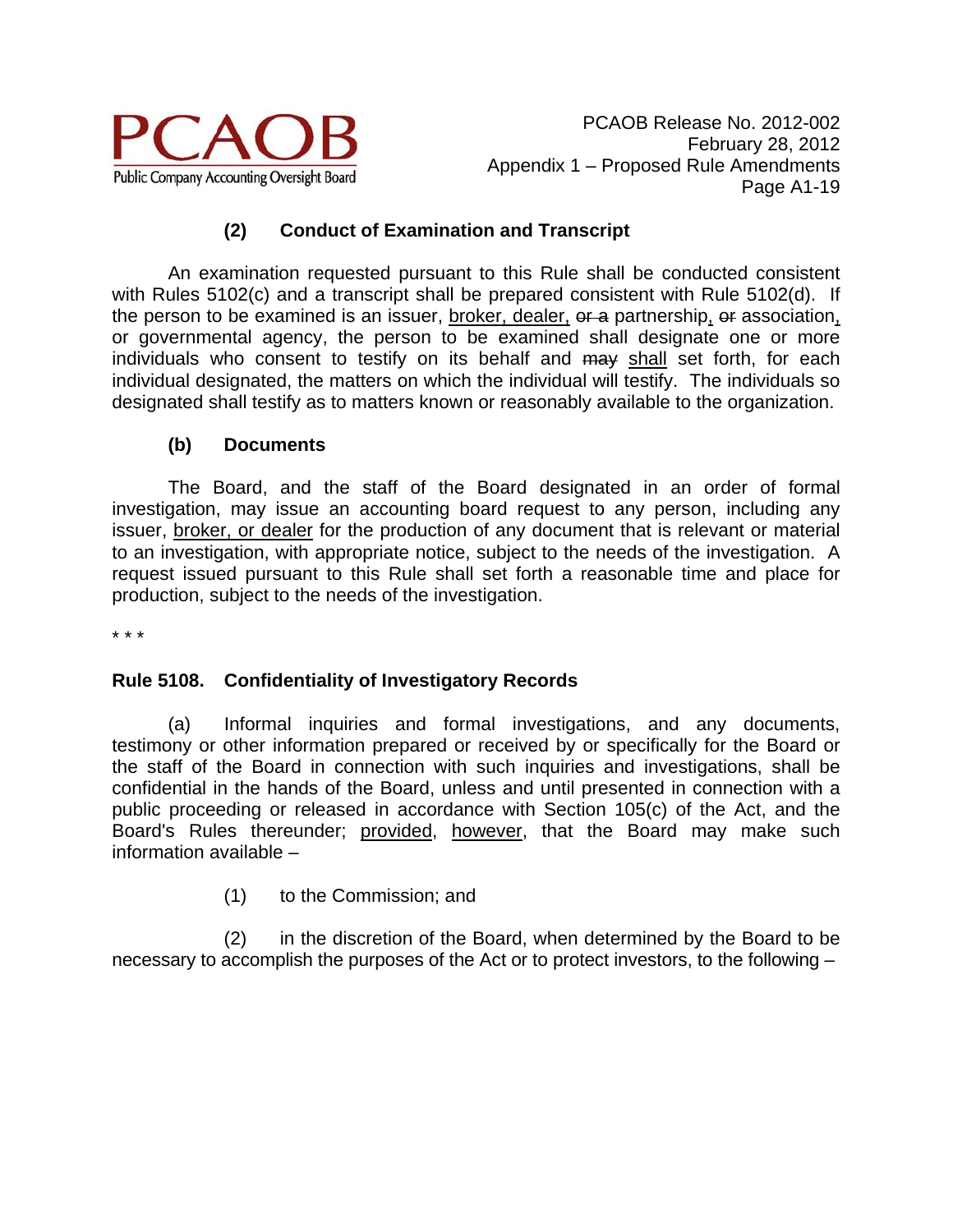

PCAOB Release No. 2012-002 February 28, 2012 Appendix 1 – Proposed Rule Amendments Page A1-19

## **(2) Conduct of Examination and Transcript**

 An examination requested pursuant to this Rule shall be conducted consistent with Rules 5102(c) and a transcript shall be prepared consistent with Rule 5102(d). If the person to be examined is an issuer, broker, dealer, or a partnership, or association, or governmental agency, the person to be examined shall designate one or more individuals who consent to testify on its behalf and may shall set forth, for each individual designated, the matters on which the individual will testify. The individuals so designated shall testify as to matters known or reasonably available to the organization.

## **(b) Documents**

The Board, and the staff of the Board designated in an order of formal investigation, may issue an accounting board request to any person, including any issuer, broker, or dealer for the production of any document that is relevant or material to an investigation, with appropriate notice, subject to the needs of the investigation. A request issued pursuant to this Rule shall set forth a reasonable time and place for production, subject to the needs of the investigation.

\* \* \*

## **Rule 5108. Confidentiality of Investigatory Records**

(a) Informal inquiries and formal investigations, and any documents, testimony or other information prepared or received by or specifically for the Board or the staff of the Board in connection with such inquiries and investigations, shall be confidential in the hands of the Board, unless and until presented in connection with a public proceeding or released in accordance with Section 105(c) of the Act, and the Board's Rules thereunder; provided, however, that the Board may make such information available –

(1) to the Commission; and

(2) in the discretion of the Board, when determined by the Board to be necessary to accomplish the purposes of the Act or to protect investors, to the following –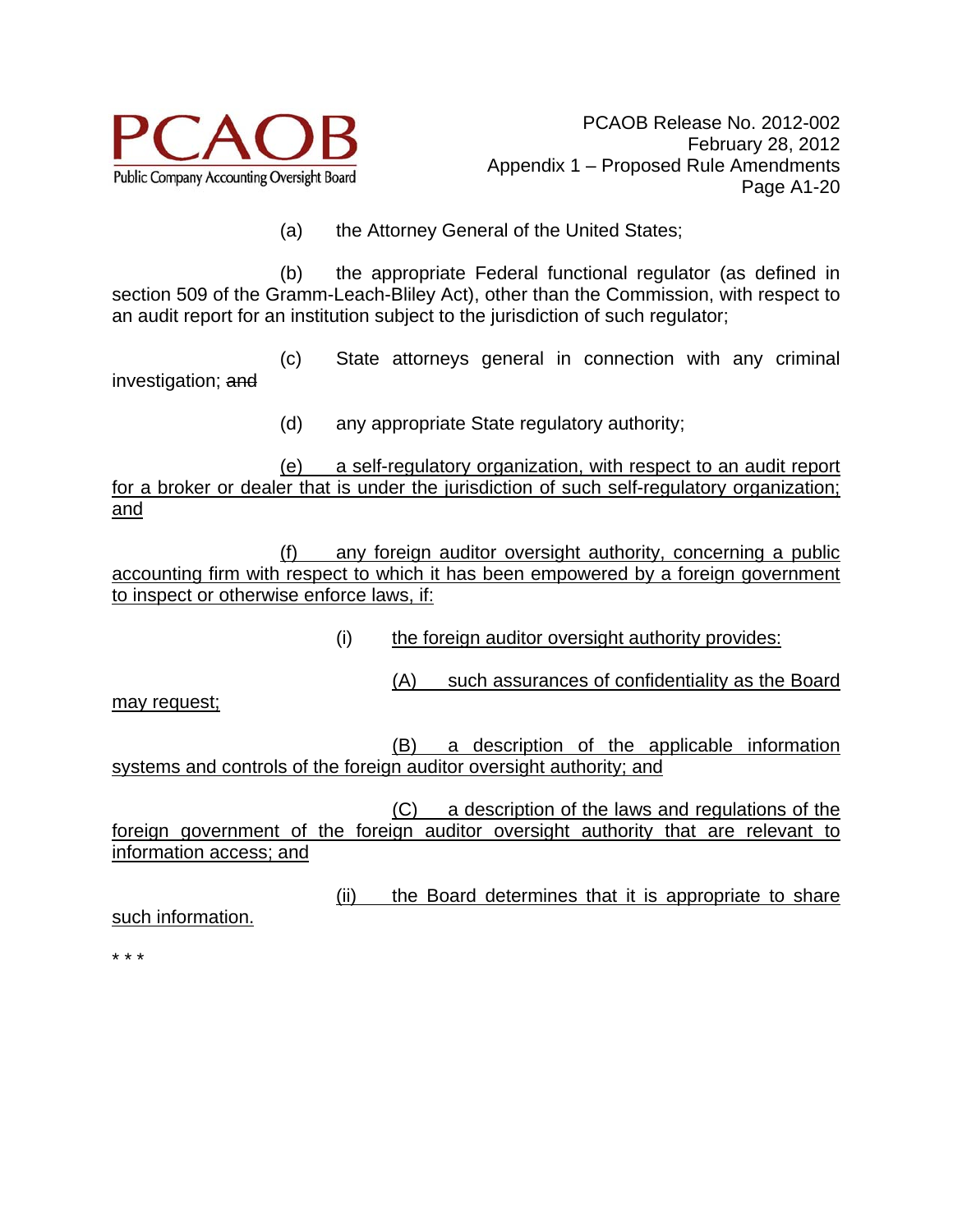

(a) the Attorney General of the United States;

(b) the appropriate Federal functional regulator (as defined in section 509 of the Gramm-Leach-Bliley Act), other than the Commission, with respect to an audit report for an institution subject to the jurisdiction of such regulator;

(c) State attorneys general in connection with any criminal investigation; and

(d) any appropriate State regulatory authority;

(e) a self-regulatory organization, with respect to an audit report for a broker or dealer that is under the jurisdiction of such self-regulatory organization; and

(f) any foreign auditor oversight authority, concerning a public accounting firm with respect to which it has been empowered by a foreign government to inspect or otherwise enforce laws, if:

(i) the foreign auditor oversight authority provides:

(A) such assurances of confidentiality as the Board

may request;

(B) a description of the applicable information systems and controls of the foreign auditor oversight authority; and

(C) a description of the laws and regulations of the foreign government of the foreign auditor oversight authority that are relevant to information access; and

(ii) the Board determines that it is appropriate to share

such information.

\* \* \*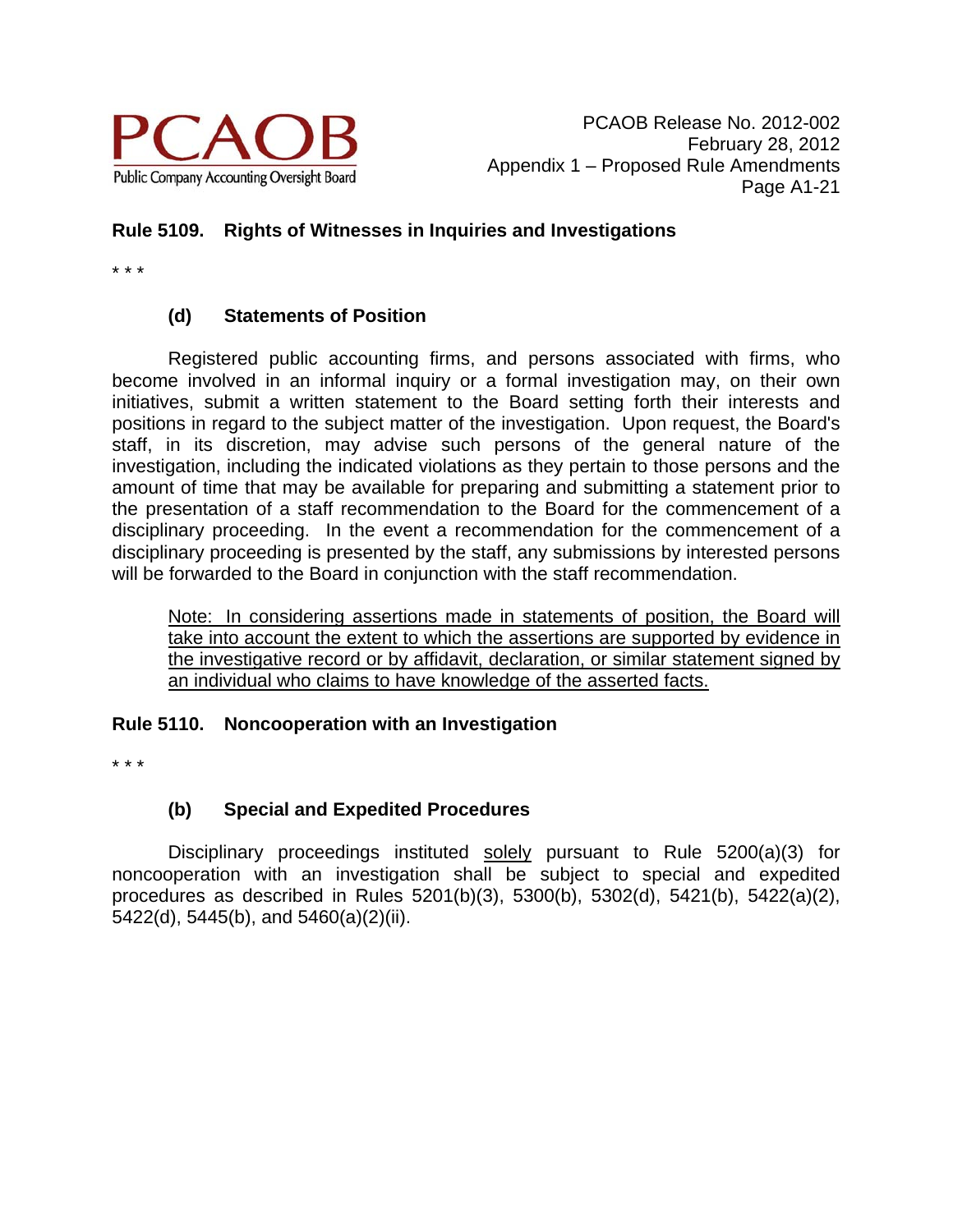

# **Rule 5109. Rights of Witnesses in Inquiries and Investigations**

\* \* \*

# **(d) Statements of Position**

 Registered public accounting firms, and persons associated with firms, who become involved in an informal inquiry or a formal investigation may, on their own initiatives, submit a written statement to the Board setting forth their interests and positions in regard to the subject matter of the investigation. Upon request, the Board's staff, in its discretion, may advise such persons of the general nature of the investigation, including the indicated violations as they pertain to those persons and the amount of time that may be available for preparing and submitting a statement prior to the presentation of a staff recommendation to the Board for the commencement of a disciplinary proceeding. In the event a recommendation for the commencement of a disciplinary proceeding is presented by the staff, any submissions by interested persons will be forwarded to the Board in conjunction with the staff recommendation.

Note: In considering assertions made in statements of position, the Board will take into account the extent to which the assertions are supported by evidence in the investigative record or by affidavit, declaration, or similar statement signed by an individual who claims to have knowledge of the asserted facts.

## **Rule 5110. Noncooperation with an Investigation**

\* \* \*

# **(b) Special and Expedited Procedures**

 Disciplinary proceedings instituted solely pursuant to Rule 5200(a)(3) for noncooperation with an investigation shall be subject to special and expedited procedures as described in Rules 5201(b)(3), 5300(b), 5302(d), 5421(b), 5422(a)(2), 5422(d), 5445(b), and 5460(a)(2)(ii).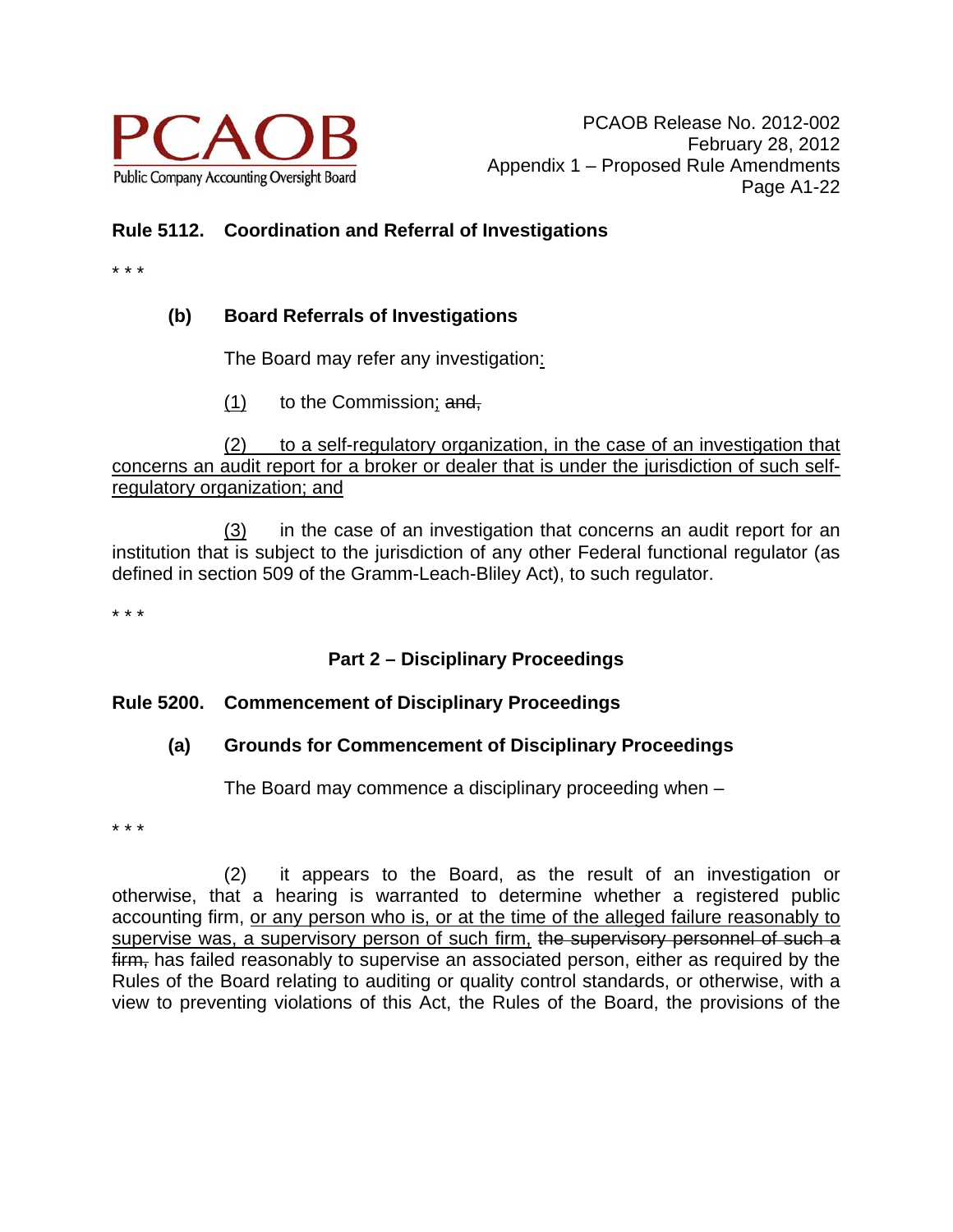

# **Rule 5112. Coordination and Referral of Investigations**

\* \* \*

# **(b) Board Referrals of Investigations**

The Board may refer any investigation:

 $(1)$  to the Commission; and,

(2) to a self-regulatory organization, in the case of an investigation that concerns an audit report for a broker or dealer that is under the jurisdiction of such selfregulatory organization; and

(3) in the case of an investigation that concerns an audit report for an institution that is subject to the jurisdiction of any other Federal functional regulator (as defined in section 509 of the Gramm-Leach-Bliley Act), to such regulator.

\* \* \*

# **Part 2 – Disciplinary Proceedings**

# **Rule 5200. Commencement of Disciplinary Proceedings**

# **(a) Grounds for Commencement of Disciplinary Proceedings**

The Board may commence a disciplinary proceeding when –

\* \* \*

(2) it appears to the Board, as the result of an investigation or otherwise, that a hearing is warranted to determine whether a registered public accounting firm, or any person who is, or at the time of the alleged failure reasonably to supervise was, a supervisory person of such firm, the supervisory personnel of such a firm, has failed reasonably to supervise an associated person, either as required by the Rules of the Board relating to auditing or quality control standards, or otherwise, with a view to preventing violations of this Act, the Rules of the Board, the provisions of the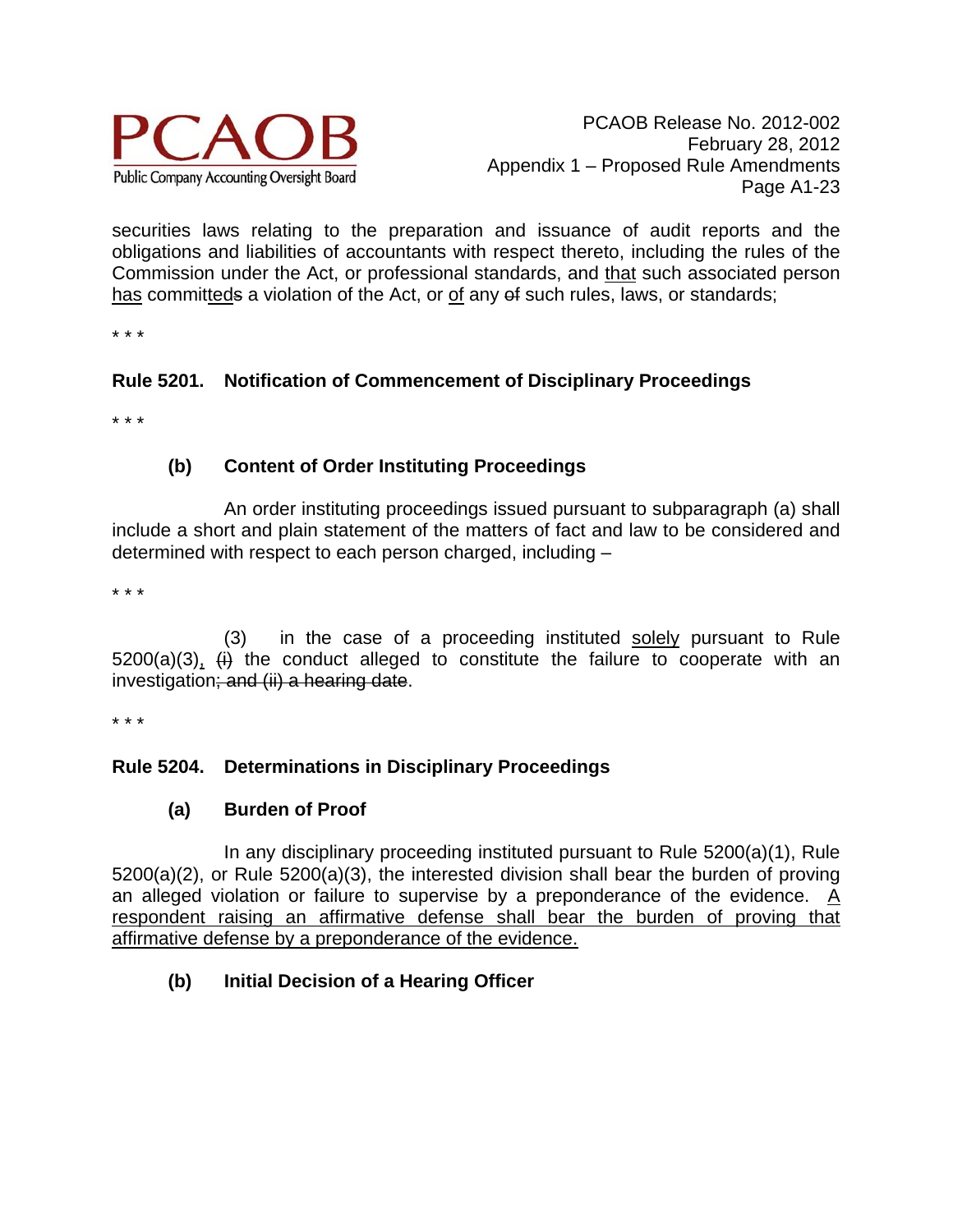

securities laws relating to the preparation and issuance of audit reports and the obligations and liabilities of accountants with respect thereto, including the rules of the Commission under the Act, or professional standards, and that such associated person has committeds a violation of the Act, or of any of such rules, laws, or standards;

\* \* \*

# **Rule 5201. Notification of Commencement of Disciplinary Proceedings**

\* \* \*

# **(b) Content of Order Instituting Proceedings**

An order instituting proceedings issued pursuant to subparagraph (a) shall include a short and plain statement of the matters of fact and law to be considered and determined with respect to each person charged, including –

\* \* \*

(3) in the case of a proceeding instituted solely pursuant to Rule  $5200(a)(3)$ ,  $\leftrightarrow$  the conduct alleged to constitute the failure to cooperate with an investigation; and (ii) a hearing date.

\* \* \*

# **Rule 5204. Determinations in Disciplinary Proceedings**

#### **(a) Burden of Proof**

In any disciplinary proceeding instituted pursuant to Rule 5200(a)(1), Rule 5200(a)(2), or Rule 5200(a)(3), the interested division shall bear the burden of proving an alleged violation or failure to supervise by a preponderance of the evidence.  $\underline{A}$ respondent raising an affirmative defense shall bear the burden of proving that affirmative defense by a preponderance of the evidence.

# **(b) Initial Decision of a Hearing Officer**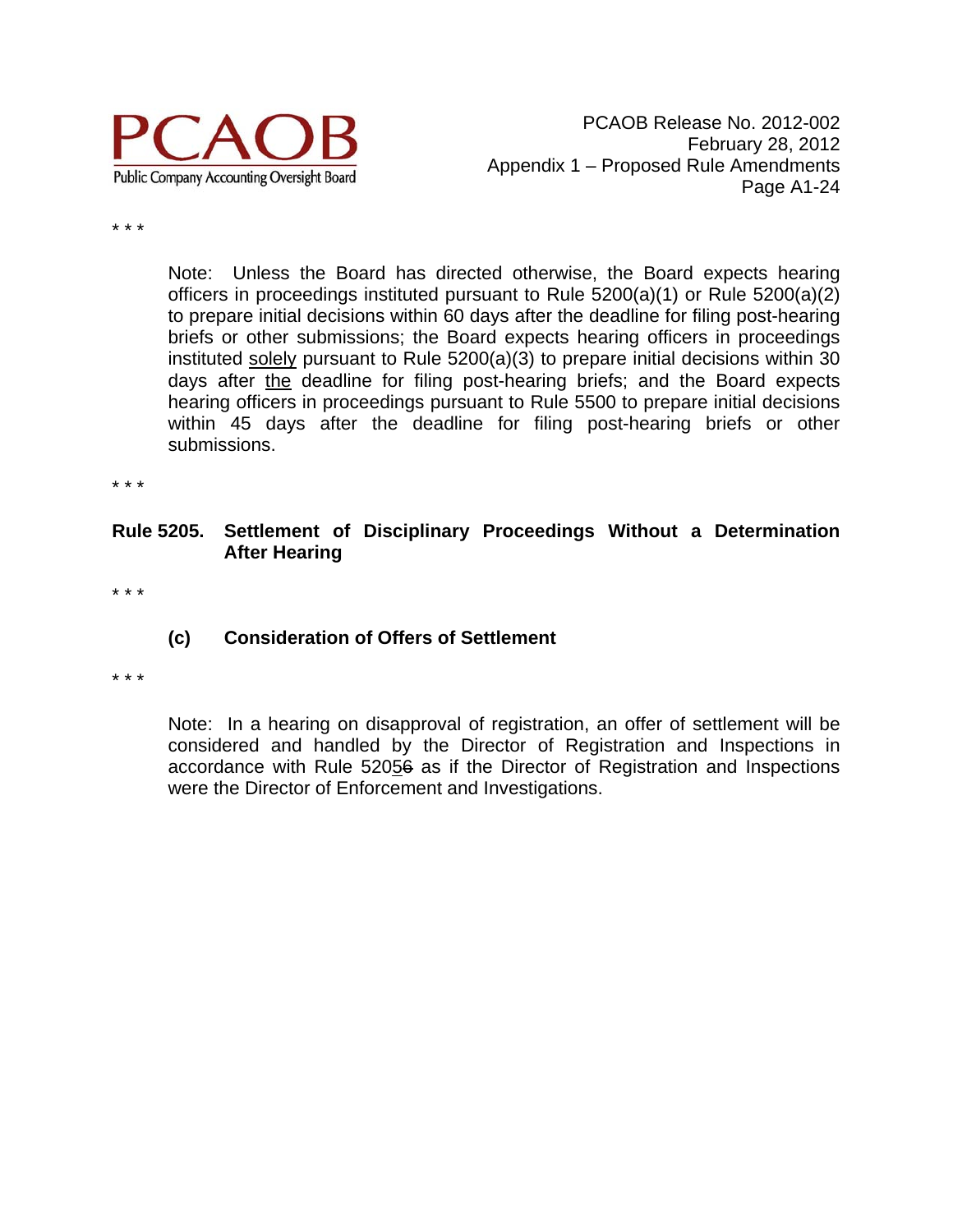

\* \* \*

Note: Unless the Board has directed otherwise, the Board expects hearing officers in proceedings instituted pursuant to Rule 5200(a)(1) or Rule 5200(a)(2) to prepare initial decisions within 60 days after the deadline for filing post-hearing briefs or other submissions; the Board expects hearing officers in proceedings instituted solely pursuant to Rule 5200(a)(3) to prepare initial decisions within 30 days after the deadline for filing post-hearing briefs; and the Board expects hearing officers in proceedings pursuant to Rule 5500 to prepare initial decisions within 45 days after the deadline for filing post-hearing briefs or other submissions.

\* \* \*

#### **Rule 5205. Settlement of Disciplinary Proceedings Without a Determination After Hearing**

\* \* \*

#### **(c) Consideration of Offers of Settlement**

\* \* \*

Note: In a hearing on disapproval of registration, an offer of settlement will be considered and handled by the Director of Registration and Inspections in accordance with Rule 52056 as if the Director of Registration and Inspections were the Director of Enforcement and Investigations.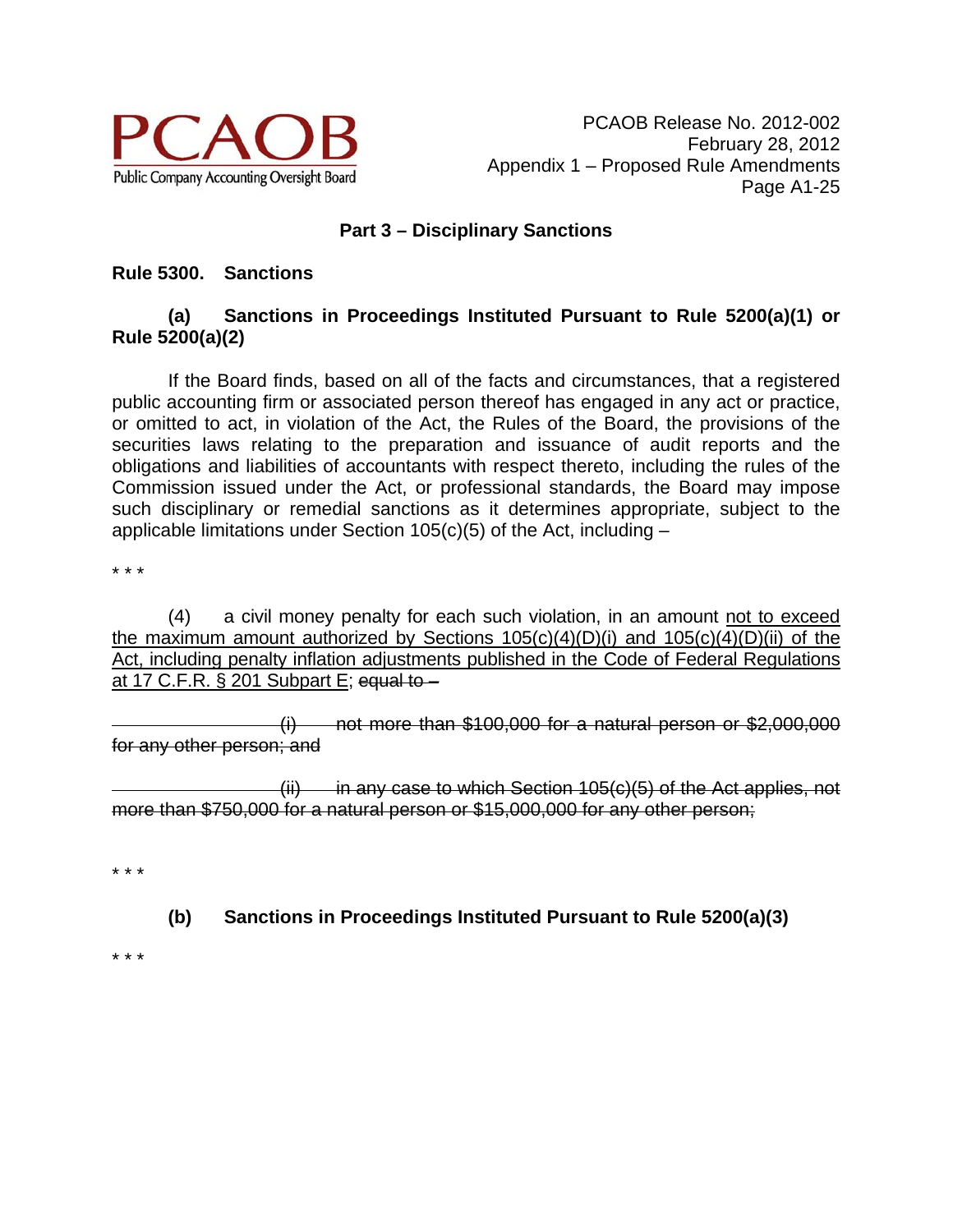

PCAOB Release No. 2012-002 February 28, 2012 Appendix 1 – Proposed Rule Amendments Page A1-25

#### **Part 3 – Disciplinary Sanctions**

#### **Rule 5300. Sanctions**

### **(a) Sanctions in Proceedings Instituted Pursuant to Rule 5200(a)(1) or Rule 5200(a)(2)**

 If the Board finds, based on all of the facts and circumstances, that a registered public accounting firm or associated person thereof has engaged in any act or practice, or omitted to act, in violation of the Act, the Rules of the Board, the provisions of the securities laws relating to the preparation and issuance of audit reports and the obligations and liabilities of accountants with respect thereto, including the rules of the Commission issued under the Act, or professional standards, the Board may impose such disciplinary or remedial sanctions as it determines appropriate, subject to the applicable limitations under Section  $105(c)(5)$  of the Act, including  $-$ 

\* \* \*

(4) a civil money penalty for each such violation, in an amount not to exceed the maximum amount authorized by Sections  $105(c)(4)(D)(i)$  and  $105(c)(4)(D)(ii)$  of the Act, including penalty inflation adjustments published in the Code of Federal Regulations at 17 C.F.R.  $\S$  201 Subpart E; equal to  $-$ 

 $(i)$  not more than \$100,000 for a natural person or \$2,000,000 for any other person; and

 $(iii)$  in any case to which Section 105(c)(5) of the Act applies, not more than \$750,000 for a natural person or \$15,000,000 for any other person;

\* \* \*

**(b) Sanctions in Proceedings Instituted Pursuant to Rule 5200(a)(3)** 

\* \* \*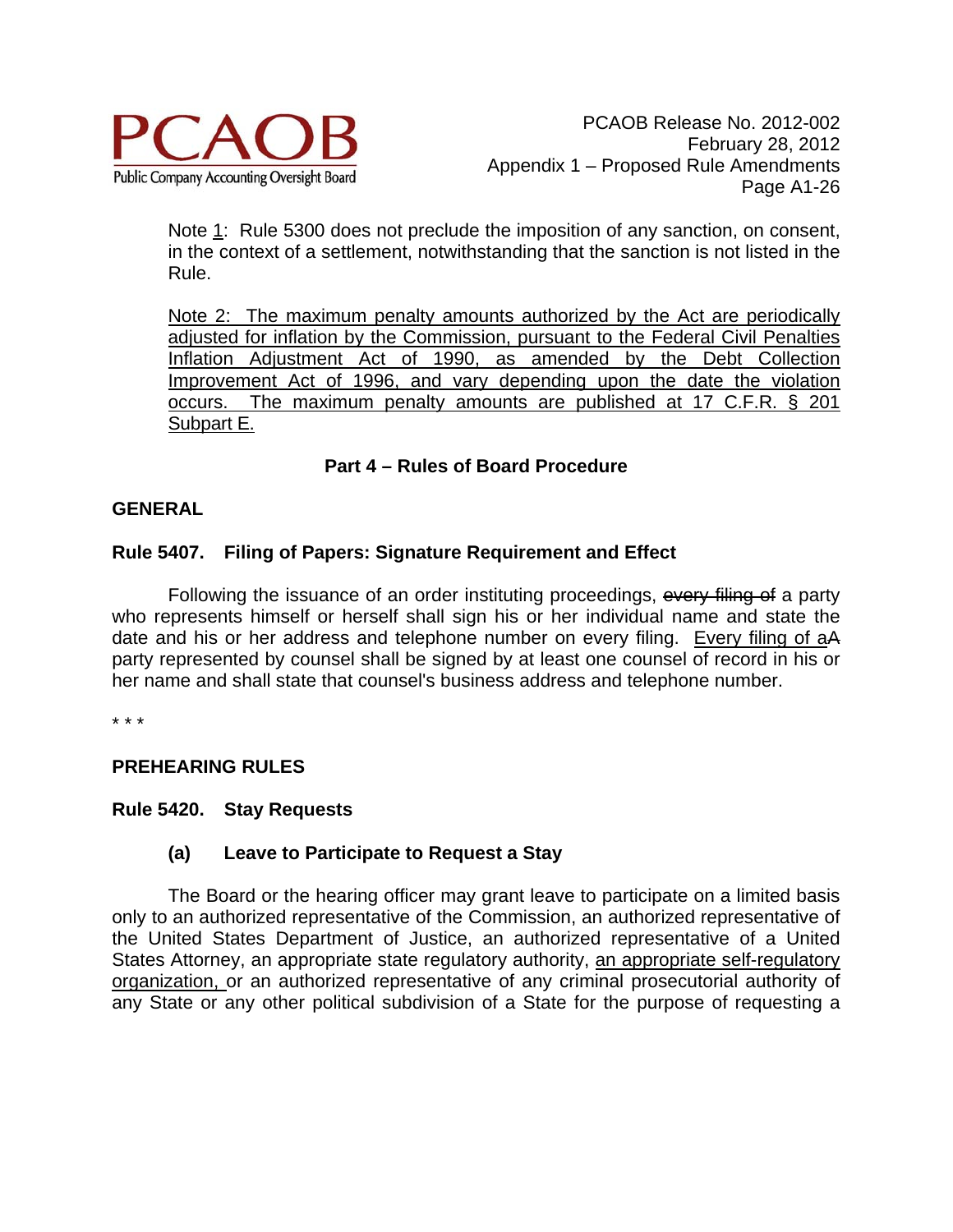

Note 1: Rule 5300 does not preclude the imposition of any sanction, on consent, in the context of a settlement, notwithstanding that the sanction is not listed in the Rule.

Note 2: The maximum penalty amounts authorized by the Act are periodically adjusted for inflation by the Commission, pursuant to the Federal Civil Penalties Inflation Adjustment Act of 1990, as amended by the Debt Collection Improvement Act of 1996, and vary depending upon the date the violation occurs. The maximum penalty amounts are published at 17 C.F.R. § 201 Subpart E.

# **Part 4 – Rules of Board Procedure**

# **GENERAL**

#### **Rule 5407. Filing of Papers: Signature Requirement and Effect**

Following the issuance of an order instituting proceedings, every filing of a party who represents himself or herself shall sign his or her individual name and state the date and his or her address and telephone number on every filing. Every filing of aA party represented by counsel shall be signed by at least one counsel of record in his or her name and shall state that counsel's business address and telephone number.

\* \* \*

#### **PREHEARING RULES**

#### **Rule 5420. Stay Requests**

#### **(a) Leave to Participate to Request a Stay**

The Board or the hearing officer may grant leave to participate on a limited basis only to an authorized representative of the Commission, an authorized representative of the United States Department of Justice, an authorized representative of a United States Attorney, an appropriate state regulatory authority, an appropriate self-regulatory organization, or an authorized representative of any criminal prosecutorial authority of any State or any other political subdivision of a State for the purpose of requesting a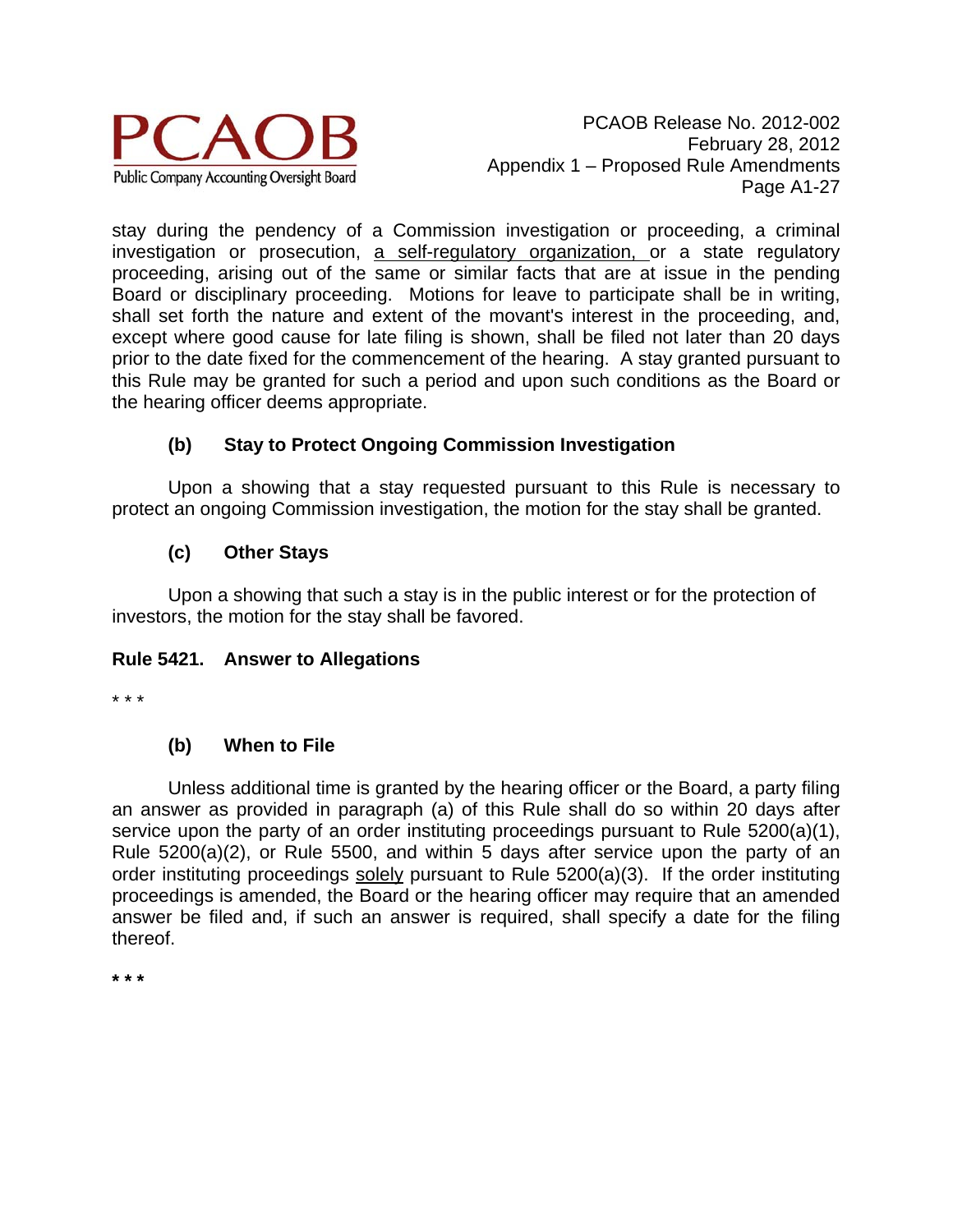

stay during the pendency of a Commission investigation or proceeding, a criminal investigation or prosecution, a self-regulatory organization, or a state regulatory proceeding, arising out of the same or similar facts that are at issue in the pending Board or disciplinary proceeding. Motions for leave to participate shall be in writing, shall set forth the nature and extent of the movant's interest in the proceeding, and, except where good cause for late filing is shown, shall be filed not later than 20 days prior to the date fixed for the commencement of the hearing. A stay granted pursuant to this Rule may be granted for such a period and upon such conditions as the Board or the hearing officer deems appropriate.

# **(b) Stay to Protect Ongoing Commission Investigation**

Upon a showing that a stay requested pursuant to this Rule is necessary to protect an ongoing Commission investigation, the motion for the stay shall be granted.

# **(c) Other Stays**

Upon a showing that such a stay is in the public interest or for the protection of investors, the motion for the stay shall be favored.

# **Rule 5421. Answer to Allegations**

\* \* \*

# **(b) When to File**

 Unless additional time is granted by the hearing officer or the Board, a party filing an answer as provided in paragraph (a) of this Rule shall do so within 20 days after service upon the party of an order instituting proceedings pursuant to Rule 5200(a)(1), Rule 5200(a)(2), or Rule 5500, and within 5 days after service upon the party of an order instituting proceedings solely pursuant to Rule 5200(a)(3). If the order instituting proceedings is amended, the Board or the hearing officer may require that an amended answer be filed and, if such an answer is required, shall specify a date for the filing thereof.

**\* \* \***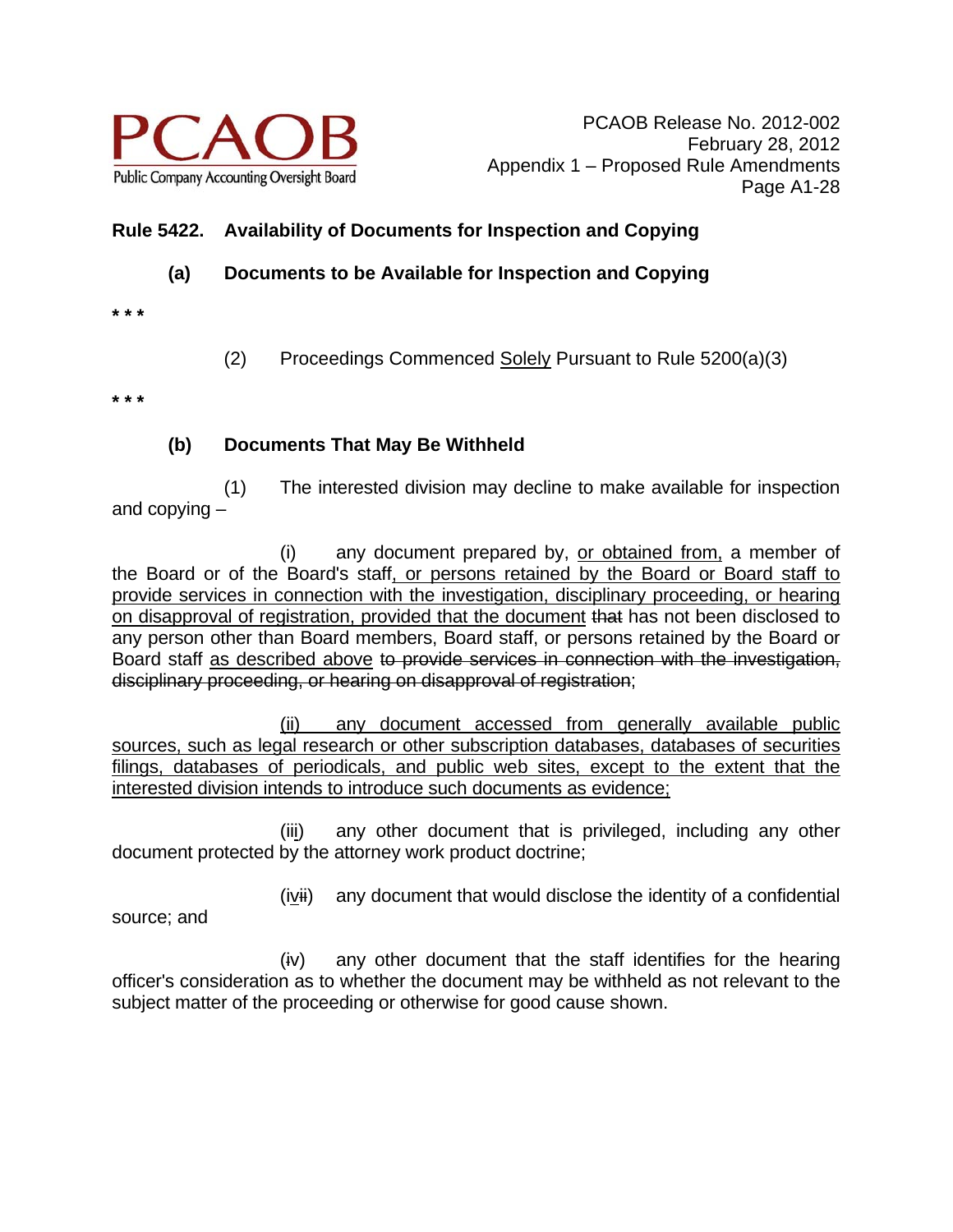

# **Rule 5422. Availability of Documents for Inspection and Copying**

# **(a) Documents to be Available for Inspection and Copying**

- **\* \* \***
- (2) Proceedings Commenced Solely Pursuant to Rule 5200(a)(3)

**\* \* \*** 

# **(b) Documents That May Be Withheld**

 (1) The interested division may decline to make available for inspection and copying –

 (i) any document prepared by, or obtained from, a member of the Board or of the Board's staff, or persons retained by the Board or Board staff to provide services in connection with the investigation, disciplinary proceeding, or hearing on disapproval of registration, provided that the document that has not been disclosed to any person other than Board members, Board staff, or persons retained by the Board or Board staff as described above to provide services in connection with the investigation, disciplinary proceeding, or hearing on disapproval of registration;

(ii) any document accessed from generally available public sources, such as legal research or other subscription databases, databases of securities filings, databases of periodicals, and public web sites, except to the extent that the interested division intends to introduce such documents as evidence;

 (iii) any other document that is privileged, including any other document protected by the attorney work product doctrine;

 $(ivii)$  any document that would disclose the identity of a confidential

source; and

 (iv) any other document that the staff identifies for the hearing officer's consideration as to whether the document may be withheld as not relevant to the subject matter of the proceeding or otherwise for good cause shown.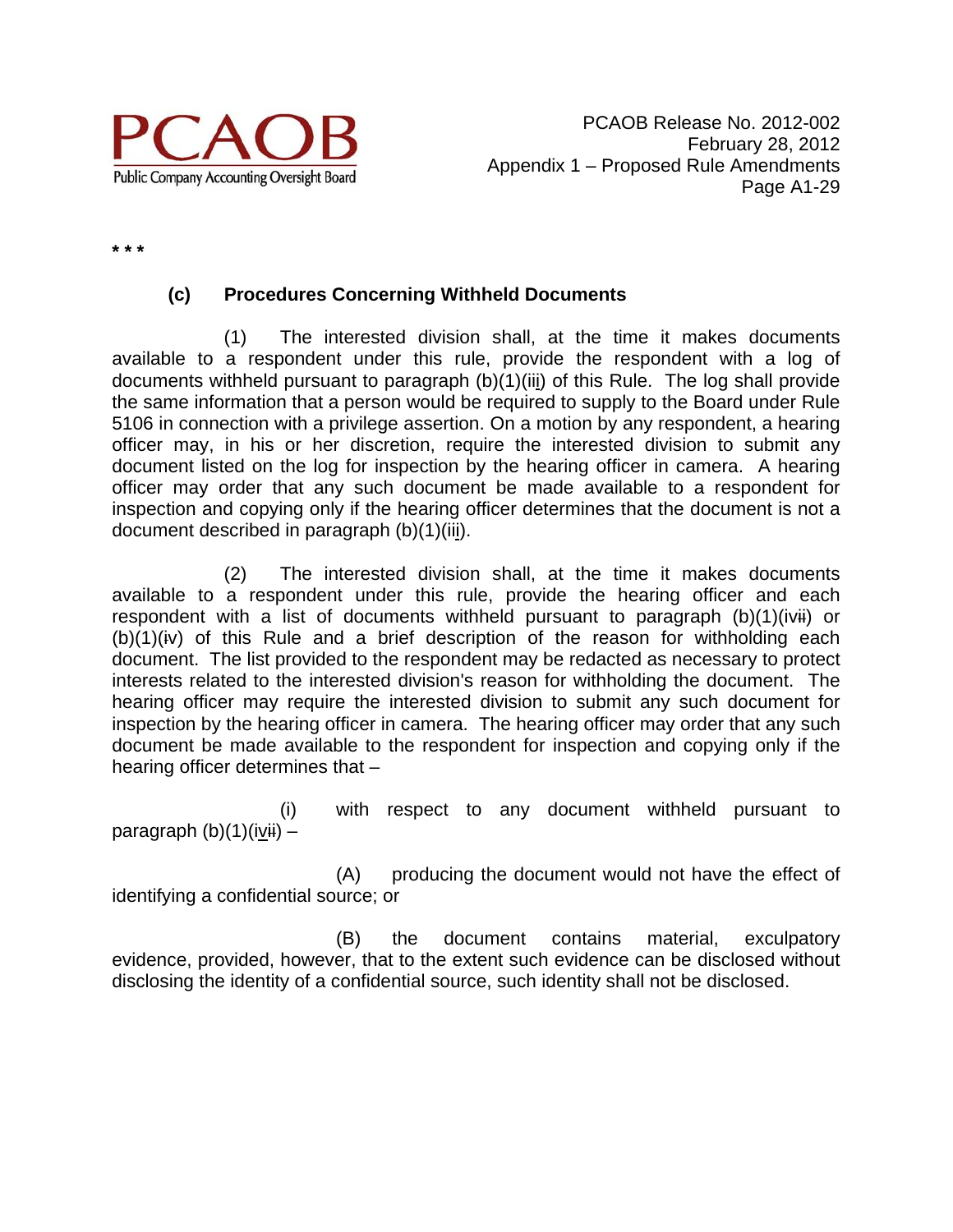

**\* \* \*** 

# **(c) Procedures Concerning Withheld Documents**

 (1) The interested division shall, at the time it makes documents available to a respondent under this rule, provide the respondent with a log of documents withheld pursuant to paragraph (b)(1)(iii) of this Rule. The log shall provide the same information that a person would be required to supply to the Board under Rule 5106 in connection with a privilege assertion. On a motion by any respondent, a hearing officer may, in his or her discretion, require the interested division to submit any document listed on the log for inspection by the hearing officer in camera. A hearing officer may order that any such document be made available to a respondent for inspection and copying only if the hearing officer determines that the document is not a document described in paragraph (b)(1)(iii).

 (2) The interested division shall, at the time it makes documents available to a respondent under this rule, provide the hearing officer and each respondent with a list of documents withheld pursuant to paragraph (b)(1)(ivii) or  $(b)(1)(iv)$  of this Rule and a brief description of the reason for withholding each document. The list provided to the respondent may be redacted as necessary to protect interests related to the interested division's reason for withholding the document. The hearing officer may require the interested division to submit any such document for inspection by the hearing officer in camera. The hearing officer may order that any such document be made available to the respondent for inspection and copying only if the hearing officer determines that –

 (i) with respect to any document withheld pursuant to paragraph  $(b)(1)(ivii)$  –

 (A) producing the document would not have the effect of identifying a confidential source; or

 (B) the document contains material, exculpatory evidence, provided, however, that to the extent such evidence can be disclosed without disclosing the identity of a confidential source, such identity shall not be disclosed.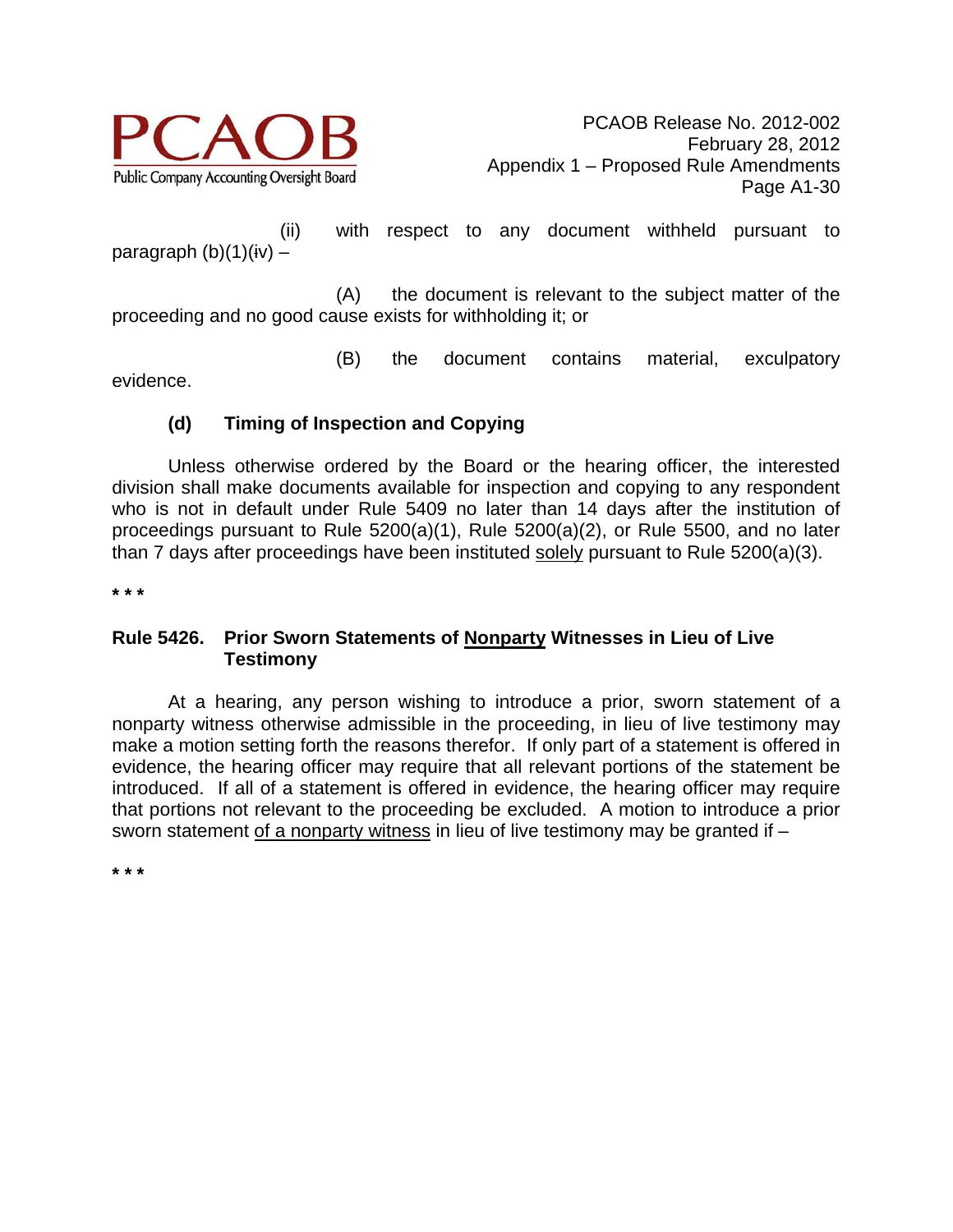

 (ii) with respect to any document withheld pursuant to paragraph  $(b)(1)(iv)$  –

 (A) the document is relevant to the subject matter of the proceeding and no good cause exists for withholding it; or

(B) the document contains material, exculpatory

evidence.

# **(d) Timing of Inspection and Copying**

 Unless otherwise ordered by the Board or the hearing officer, the interested division shall make documents available for inspection and copying to any respondent who is not in default under Rule 5409 no later than 14 days after the institution of proceedings pursuant to Rule 5200(a)(1), Rule 5200(a)(2), or Rule 5500, and no later than 7 days after proceedings have been instituted solely pursuant to Rule 5200(a)(3).

**\* \* \*** 

#### **Rule 5426. Prior Sworn Statements of Nonparty Witnesses in Lieu of Live Testimony**

 At a hearing, any person wishing to introduce a prior, sworn statement of a nonparty witness otherwise admissible in the proceeding, in lieu of live testimony may make a motion setting forth the reasons therefor. If only part of a statement is offered in evidence, the hearing officer may require that all relevant portions of the statement be introduced. If all of a statement is offered in evidence, the hearing officer may require that portions not relevant to the proceeding be excluded. A motion to introduce a prior sworn statement of a nonparty witness in lieu of live testimony may be granted if –

**\* \* \***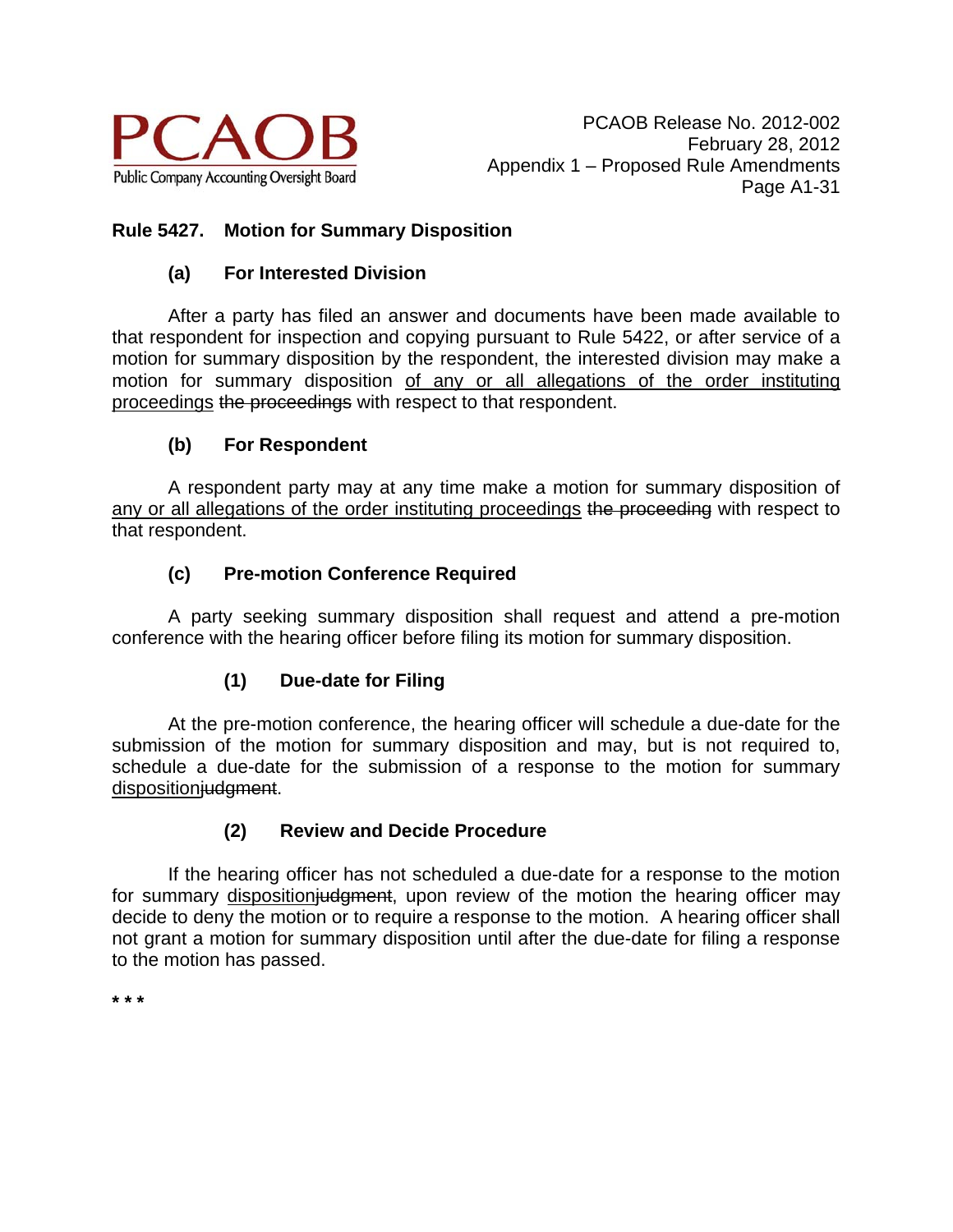

# **Rule 5427. Motion for Summary Disposition**

# **(a) For Interested Division**

 After a party has filed an answer and documents have been made available to that respondent for inspection and copying pursuant to Rule 5422, or after service of a motion for summary disposition by the respondent, the interested division may make a motion for summary disposition of any or all allegations of the order instituting proceedings the proceedings with respect to that respondent.

# **(b) For Respondent**

 A respondent party may at any time make a motion for summary disposition of any or all allegations of the order instituting proceedings the proceeding with respect to that respondent.

# **(c) Pre-motion Conference Required**

 A party seeking summary disposition shall request and attend a pre-motion conference with the hearing officer before filing its motion for summary disposition.

# **(1) Due-date for Filing**

 At the pre-motion conference, the hearing officer will schedule a due-date for the submission of the motion for summary disposition and may, but is not required to, schedule a due-date for the submission of a response to the motion for summary dispositioniudgment.

# **(2) Review and Decide Procedure**

 If the hearing officer has not scheduled a due-date for a response to the motion for summary disposition judgment, upon review of the motion the hearing officer may decide to deny the motion or to require a response to the motion. A hearing officer shall not grant a motion for summary disposition until after the due-date for filing a response to the motion has passed.

**\* \* \***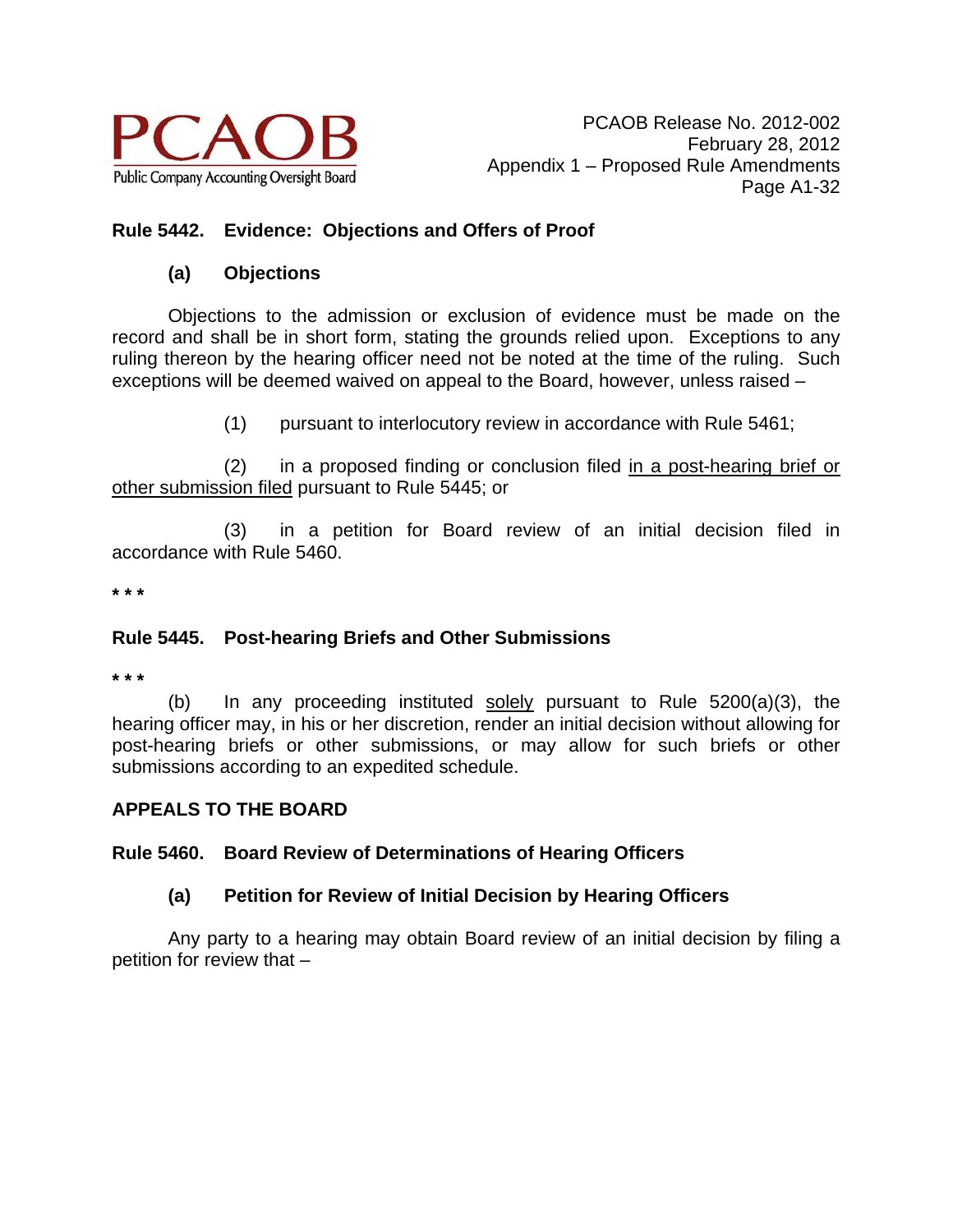

### **Rule 5442. Evidence: Objections and Offers of Proof**

#### **(a) Objections**

 Objections to the admission or exclusion of evidence must be made on the record and shall be in short form, stating the grounds relied upon. Exceptions to any ruling thereon by the hearing officer need not be noted at the time of the ruling. Such exceptions will be deemed waived on appeal to the Board, however, unless raised –

(1) pursuant to interlocutory review in accordance with Rule 5461;

 (2) in a proposed finding or conclusion filed in a post-hearing brief or other submission filed pursuant to Rule 5445; or

 (3) in a petition for Board review of an initial decision filed in accordance with Rule 5460.

**\* \* \*** 

#### **Rule 5445. Post-hearing Briefs and Other Submissions**

**\* \* \*** 

(b) In any proceeding instituted solely pursuant to Rule 5200(a)(3), the hearing officer may, in his or her discretion, render an initial decision without allowing for post-hearing briefs or other submissions, or may allow for such briefs or other submissions according to an expedited schedule.

# **APPEALS TO THE BOARD**

#### **Rule 5460. Board Review of Determinations of Hearing Officers**

#### **(a) Petition for Review of Initial Decision by Hearing Officers**

 Any party to a hearing may obtain Board review of an initial decision by filing a petition for review that –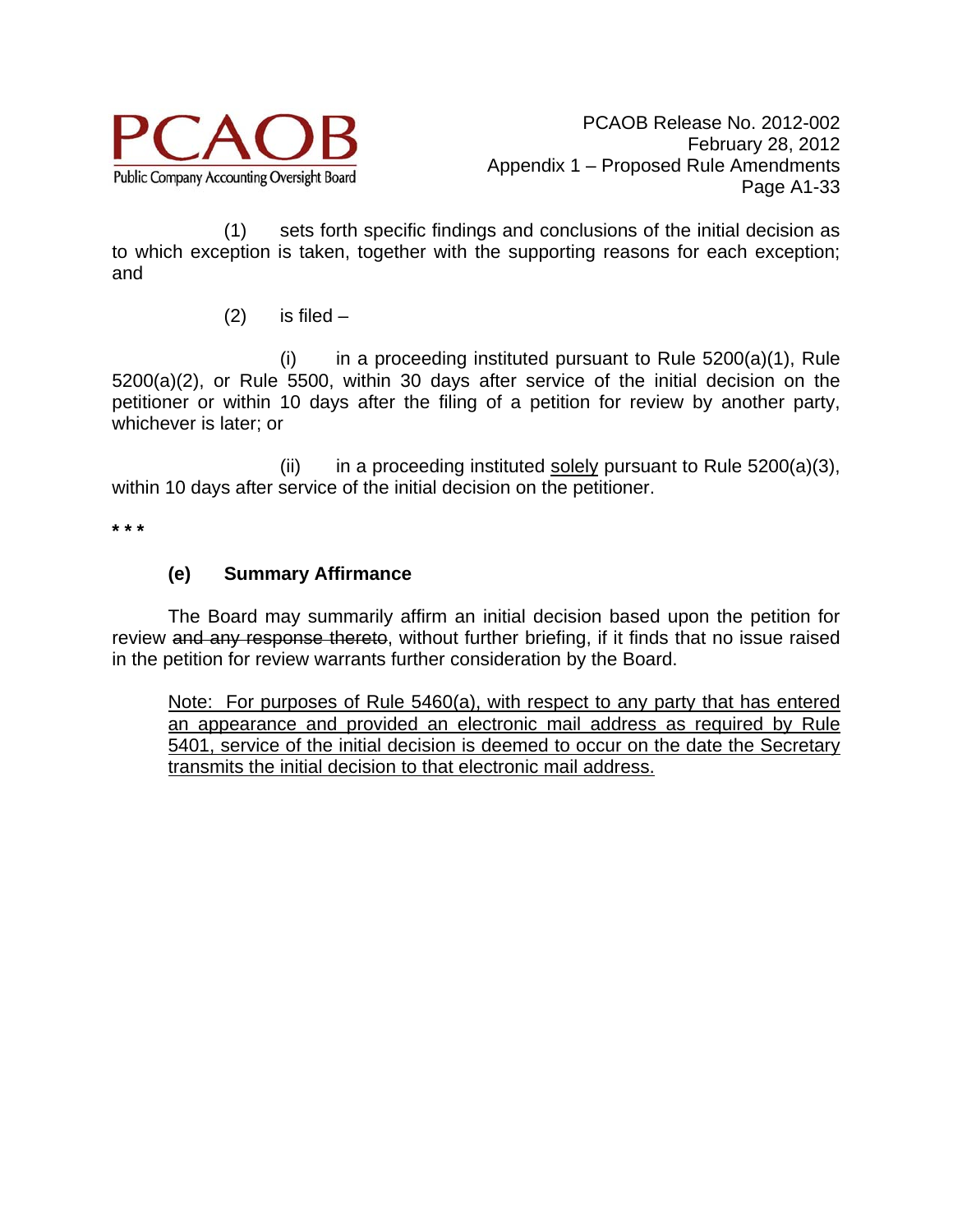

 (1) sets forth specific findings and conclusions of the initial decision as to which exception is taken, together with the supporting reasons for each exception; and

 $(2)$  is filed –

 $(i)$  in a proceeding instituted pursuant to Rule  $5200(a)(1)$ , Rule 5200(a)(2), or Rule 5500, within 30 days after service of the initial decision on the petitioner or within 10 days after the filing of a petition for review by another party, whichever is later; or

(ii) in a proceeding instituted solely pursuant to Rule  $5200(a)(3)$ , within 10 days after service of the initial decision on the petitioner.

**\* \* \*** 

# **(e) Summary Affirmance**

 The Board may summarily affirm an initial decision based upon the petition for review and any response thereto, without further briefing, if it finds that no issue raised in the petition for review warrants further consideration by the Board.

Note: For purposes of Rule 5460(a), with respect to any party that has entered an appearance and provided an electronic mail address as required by Rule 5401, service of the initial decision is deemed to occur on the date the Secretary transmits the initial decision to that electronic mail address.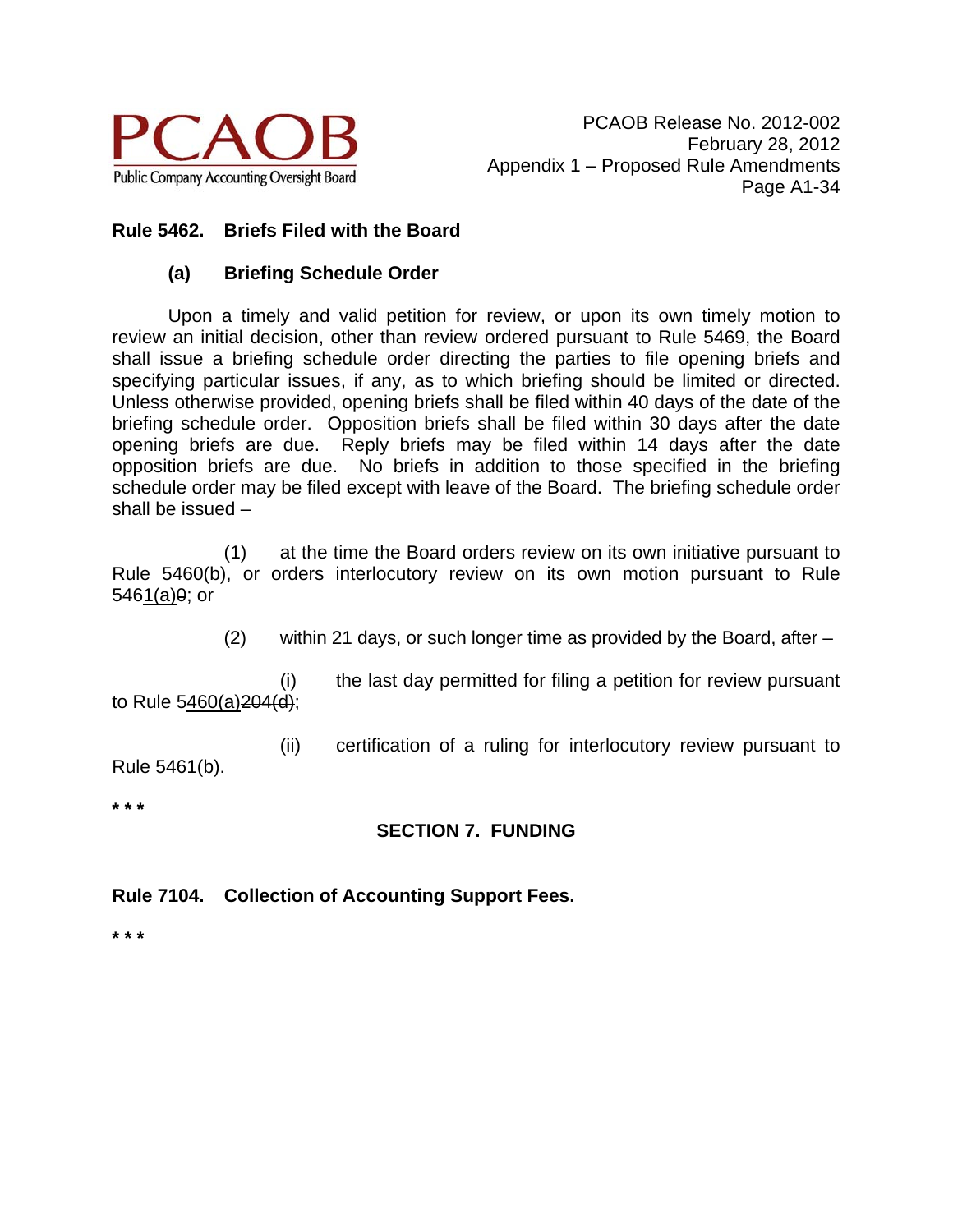

### **Rule 5462. Briefs Filed with the Board**

#### **(a) Briefing Schedule Order**

Upon a timely and valid petition for review, or upon its own timely motion to review an initial decision, other than review ordered pursuant to Rule 5469, the Board shall issue a briefing schedule order directing the parties to file opening briefs and specifying particular issues, if any, as to which briefing should be limited or directed. Unless otherwise provided, opening briefs shall be filed within 40 days of the date of the briefing schedule order. Opposition briefs shall be filed within 30 days after the date opening briefs are due. Reply briefs may be filed within 14 days after the date opposition briefs are due. No briefs in addition to those specified in the briefing schedule order may be filed except with leave of the Board. The briefing schedule order shall be issued –

(1) at the time the Board orders review on its own initiative pursuant to Rule 5460(b), or orders interlocutory review on its own motion pursuant to Rule  $5461(a)9;$  or

(2) within 21 days, or such longer time as provided by the Board, after –

(i) the last day permitted for filing a petition for review pursuant to Rule  $5460(a)204(d)$ ;

(ii) certification of a ruling for interlocutory review pursuant to

Rule 5461(b).

**\* \* \*** 

# **SECTION 7. FUNDING**

**Rule 7104. Collection of Accounting Support Fees.** 

**\* \* \***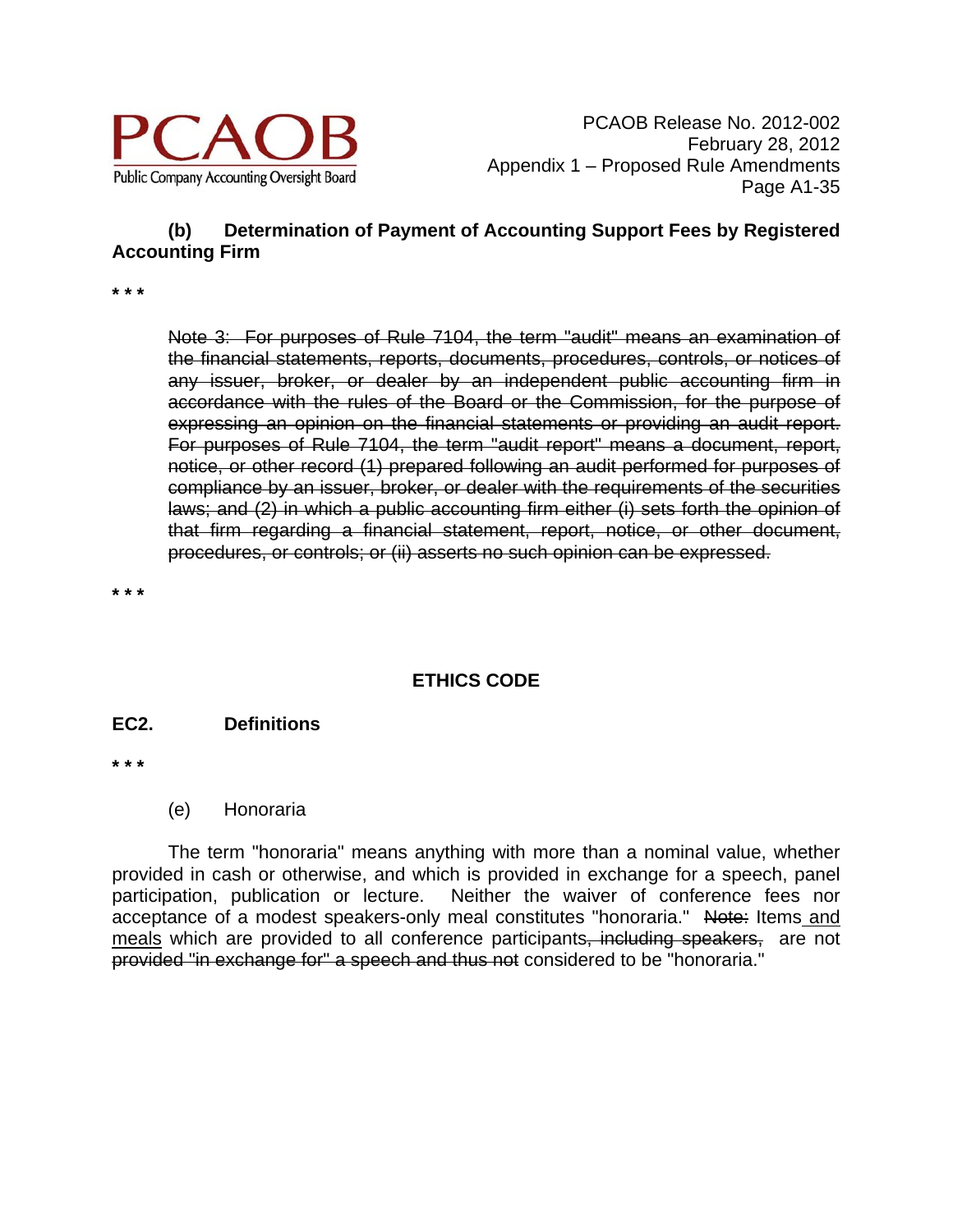

# **(b) Determination of Payment of Accounting Support Fees by Registered Accounting Firm**

**\* \* \*** 

Note 3: For purposes of Rule 7104, the term "audit" means an examination of the financial statements, reports, documents, procedures, controls, or notices of any issuer, broker, or dealer by an independent public accounting firm in accordance with the rules of the Board or the Commission, for the purpose of expressing an opinion on the financial statements or providing an audit report. For purposes of Rule 7104, the term "audit report" means a document, report, notice, or other record (1) prepared following an audit performed for purposes of compliance by an issuer, broker, or dealer with the requirements of the securities laws; and (2) in which a public accounting firm either (i) sets forth the opinion of that firm regarding a financial statement, report, notice, or other document, procedures, or controls; or (ii) asserts no such opinion can be expressed.

**\* \* \*** 

# **ETHICS CODE**

#### **EC2. Definitions**

**\* \* \*** 

(e) Honoraria

The term "honoraria" means anything with more than a nominal value, whether provided in cash or otherwise, and which is provided in exchange for a speech, panel participation, publication or lecture. Neither the waiver of conference fees nor acceptance of a modest speakers-only meal constitutes "honoraria." Note: Items and meals which are provided to all conference participants, including speakers, are not provided "in exchange for" a speech and thus not considered to be "honoraria."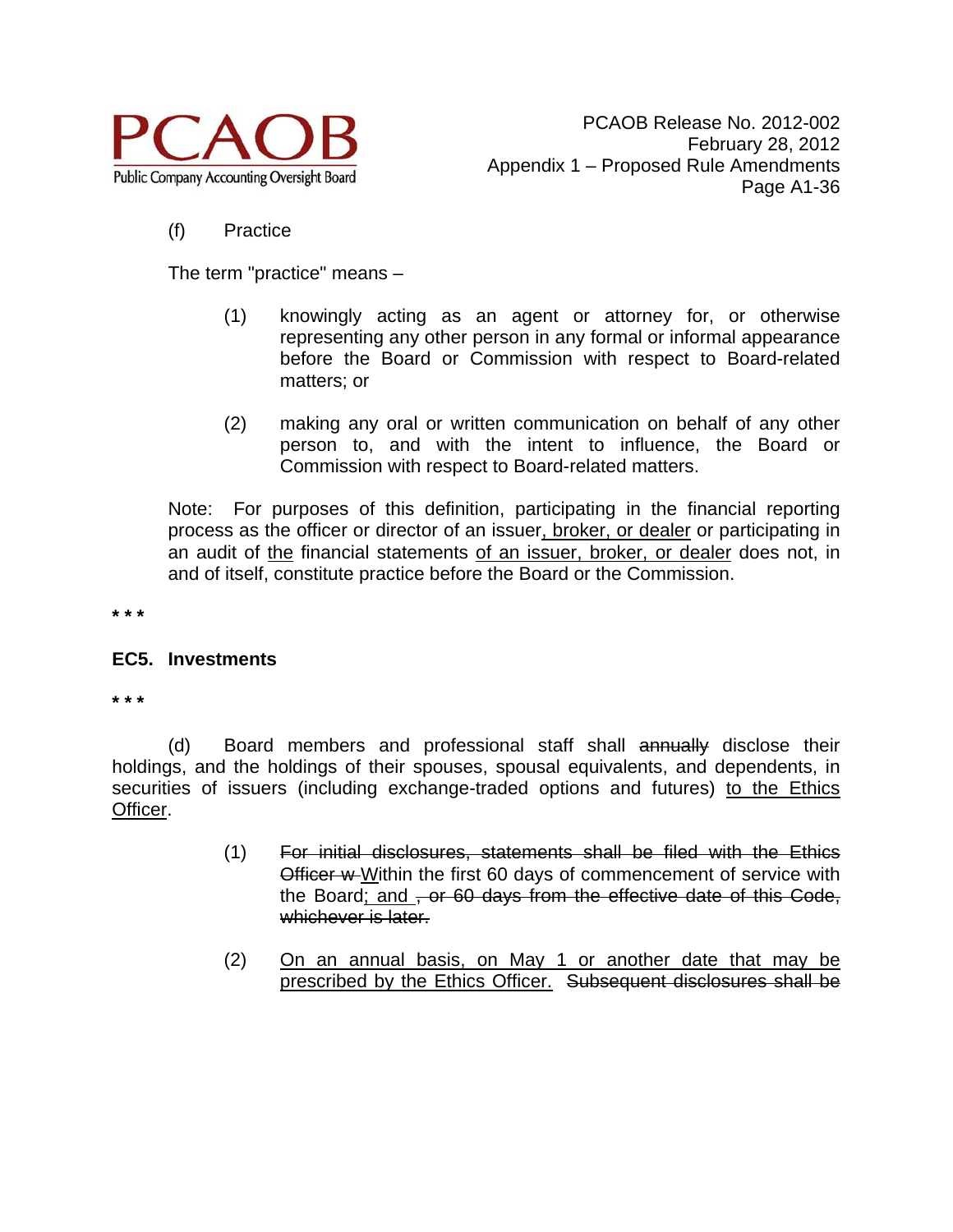

#### (f) Practice

The term "practice" means –

- (1) knowingly acting as an agent or attorney for, or otherwise representing any other person in any formal or informal appearance before the Board or Commission with respect to Board-related matters; or
- (2) making any oral or written communication on behalf of any other person to, and with the intent to influence, the Board or Commission with respect to Board-related matters.

Note: For purposes of this definition, participating in the financial reporting process as the officer or director of an issuer, broker, or dealer or participating in an audit of the financial statements of an issuer, broker, or dealer does not, in and of itself, constitute practice before the Board or the Commission.

**\* \* \*** 

#### **EC5. Investments**

**\* \* \*** 

(d) Board members and professional staff shall annually disclose their holdings, and the holdings of their spouses, spousal equivalents, and dependents, in securities of issuers (including exchange-traded options and futures) to the Ethics Officer.

- (1) For initial disclosures, statements shall be filed with the Ethics Officer w Within the first 60 days of commencement of service with the Board; and , or 60 days from the effective date of this Code, whichever is later.
- (2) On an annual basis, on May 1 or another date that may be prescribed by the Ethics Officer. Subsequent disclosures shall be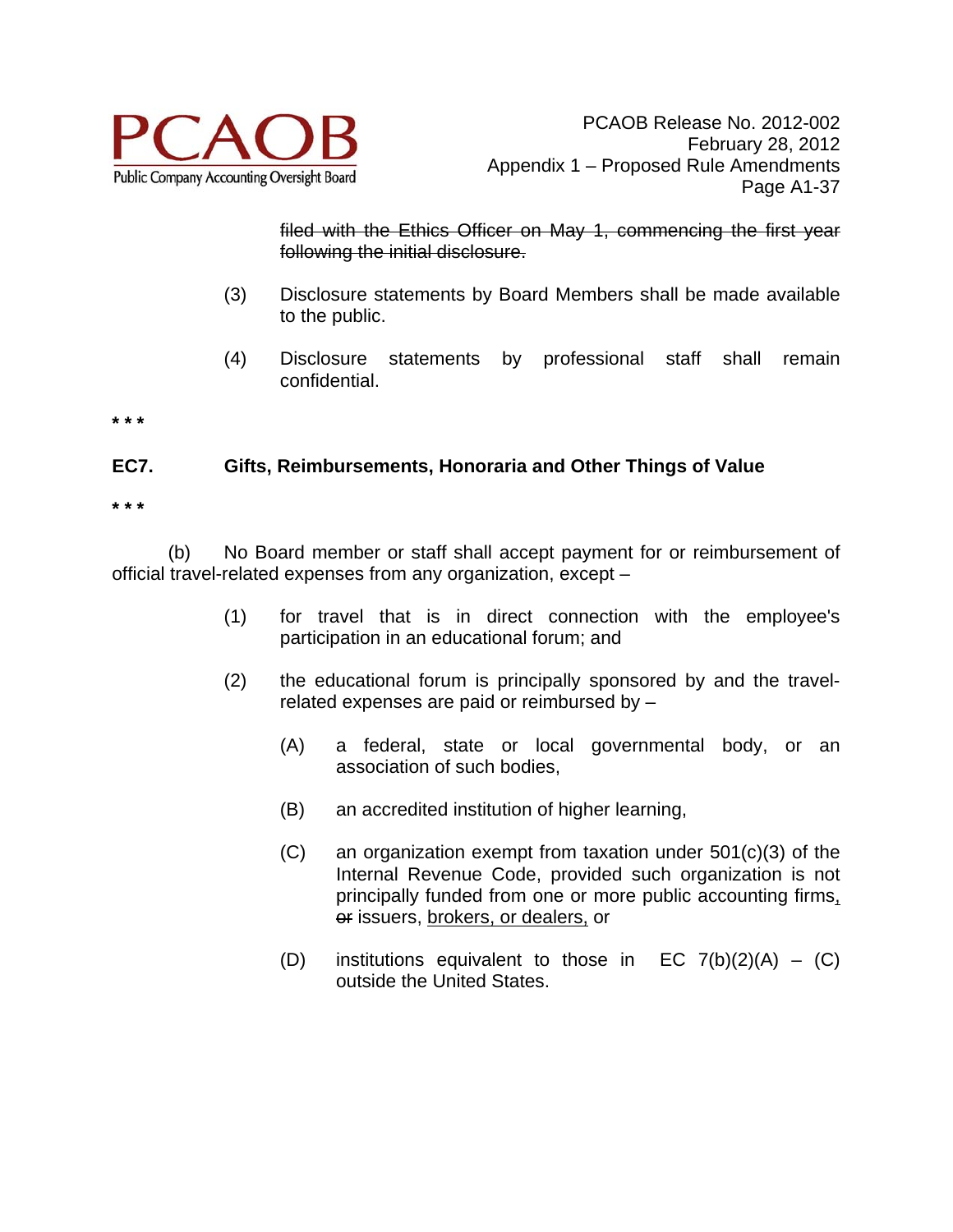

filed with the Ethics Officer on May 1, commencing the first year following the initial disclosure.

- (3) Disclosure statements by Board Members shall be made available to the public.
- (4) Disclosure statements by professional staff shall remain confidential.

**\* \* \*** 

# **EC7. Gifts, Reimbursements, Honoraria and Other Things of Value**

**\* \* \*** 

(b) No Board member or staff shall accept payment for or reimbursement of official travel-related expenses from any organization, except –

- (1) for travel that is in direct connection with the employee's participation in an educational forum; and
- (2) the educational forum is principally sponsored by and the travelrelated expenses are paid or reimbursed by –
	- (A) a federal, state or local governmental body, or an association of such bodies,
	- (B) an accredited institution of higher learning,
	- (C) an organization exempt from taxation under 501(c)(3) of the Internal Revenue Code, provided such organization is not principally funded from one or more public accounting firms, or issuers, brokers, or dealers, or
	- (D) institutions equivalent to those in  $EC$  7(b)(2)(A) (C) outside the United States.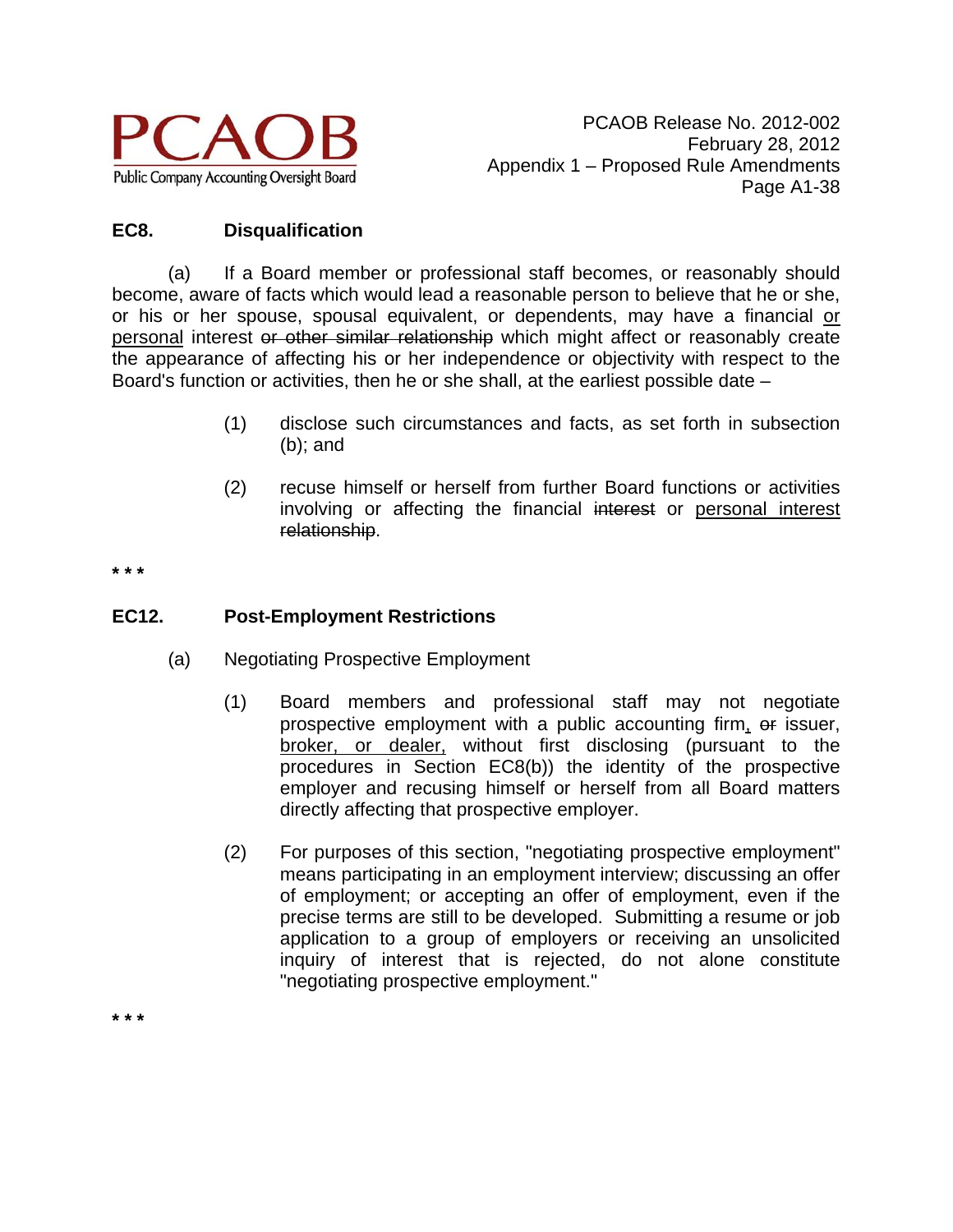

# **EC8. Disqualification**

(a) If a Board member or professional staff becomes, or reasonably should become, aware of facts which would lead a reasonable person to believe that he or she, or his or her spouse, spousal equivalent, or dependents, may have a financial or personal interest or other similar relationship which might affect or reasonably create the appearance of affecting his or her independence or objectivity with respect to the Board's function or activities, then he or she shall, at the earliest possible date –

- (1) disclose such circumstances and facts, as set forth in subsection (b); and
- (2) recuse himself or herself from further Board functions or activities involving or affecting the financial interest or personal interest relationship.

**\* \* \*** 

**\* \* \*** 

# **EC12. Post-Employment Restrictions**

- (a) Negotiating Prospective Employment
	- (1) Board members and professional staff may not negotiate prospective employment with a public accounting firm, or issuer, broker, or dealer, without first disclosing (pursuant to the procedures in Section EC8(b)) the identity of the prospective employer and recusing himself or herself from all Board matters directly affecting that prospective employer.
	- (2) For purposes of this section, "negotiating prospective employment" means participating in an employment interview; discussing an offer of employment; or accepting an offer of employment, even if the precise terms are still to be developed. Submitting a resume or job application to a group of employers or receiving an unsolicited inquiry of interest that is rejected, do not alone constitute "negotiating prospective employment."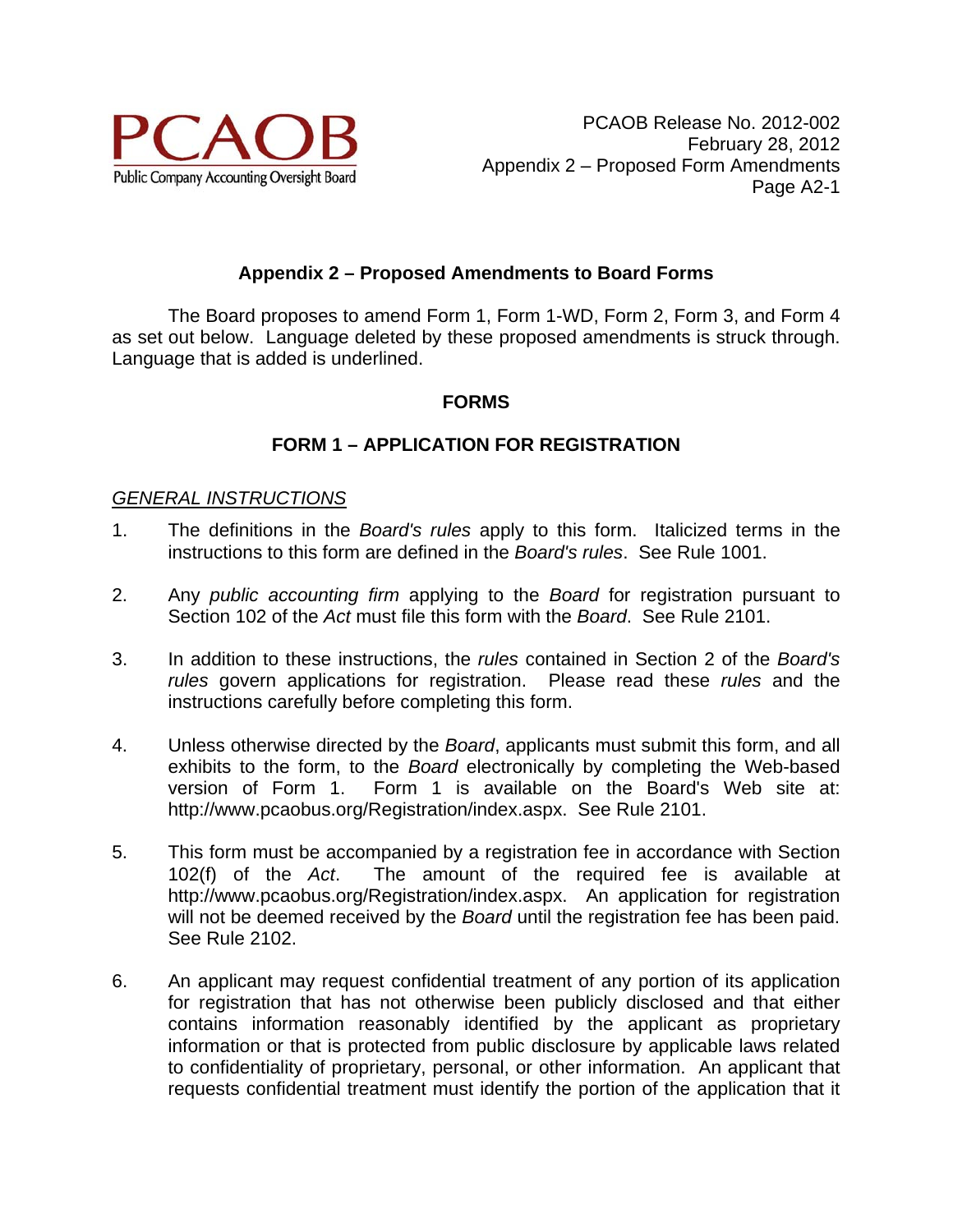

# **Appendix 2 – Proposed Amendments to Board Forms**

 The Board proposes to amend Form 1, Form 1-WD, Form 2, Form 3, and Form 4 as set out below. Language deleted by these proposed amendments is struck through. Language that is added is underlined.

#### **FORMS**

#### **FORM 1 – APPLICATION FOR REGISTRATION**

#### *GENERAL INSTRUCTIONS*

- 1. The definitions in the *Board's rules* apply to this form. Italicized terms in the instructions to this form are defined in the *Board's rules*. See Rule 1001.
- 2. Any *public accounting firm* applying to the *Board* for registration pursuant to Section 102 of the *Act* must file this form with the *Board*. See Rule 2101.
- 3. In addition to these instructions, the *rules* contained in Section 2 of the *Board's rules* govern applications for registration. Please read these *rules* and the instructions carefully before completing this form.
- 4. Unless otherwise directed by the *Board*, applicants must submit this form, and all exhibits to the form, to the *Board* electronically by completing the Web-based version of Form 1. Form 1 is available on the Board's Web site at: http://www.pcaobus.org/Registration/index.aspx. See Rule 2101.
- 5. This form must be accompanied by a registration fee in accordance with Section 102(f) of the *Act*. The amount of the required fee is available at http://www.pcaobus.org/Registration/index.aspx. An application for registration will not be deemed received by the *Board* until the registration fee has been paid. See Rule 2102.
- 6. An applicant may request confidential treatment of any portion of its application for registration that has not otherwise been publicly disclosed and that either contains information reasonably identified by the applicant as proprietary information or that is protected from public disclosure by applicable laws related to confidentiality of proprietary, personal, or other information. An applicant that requests confidential treatment must identify the portion of the application that it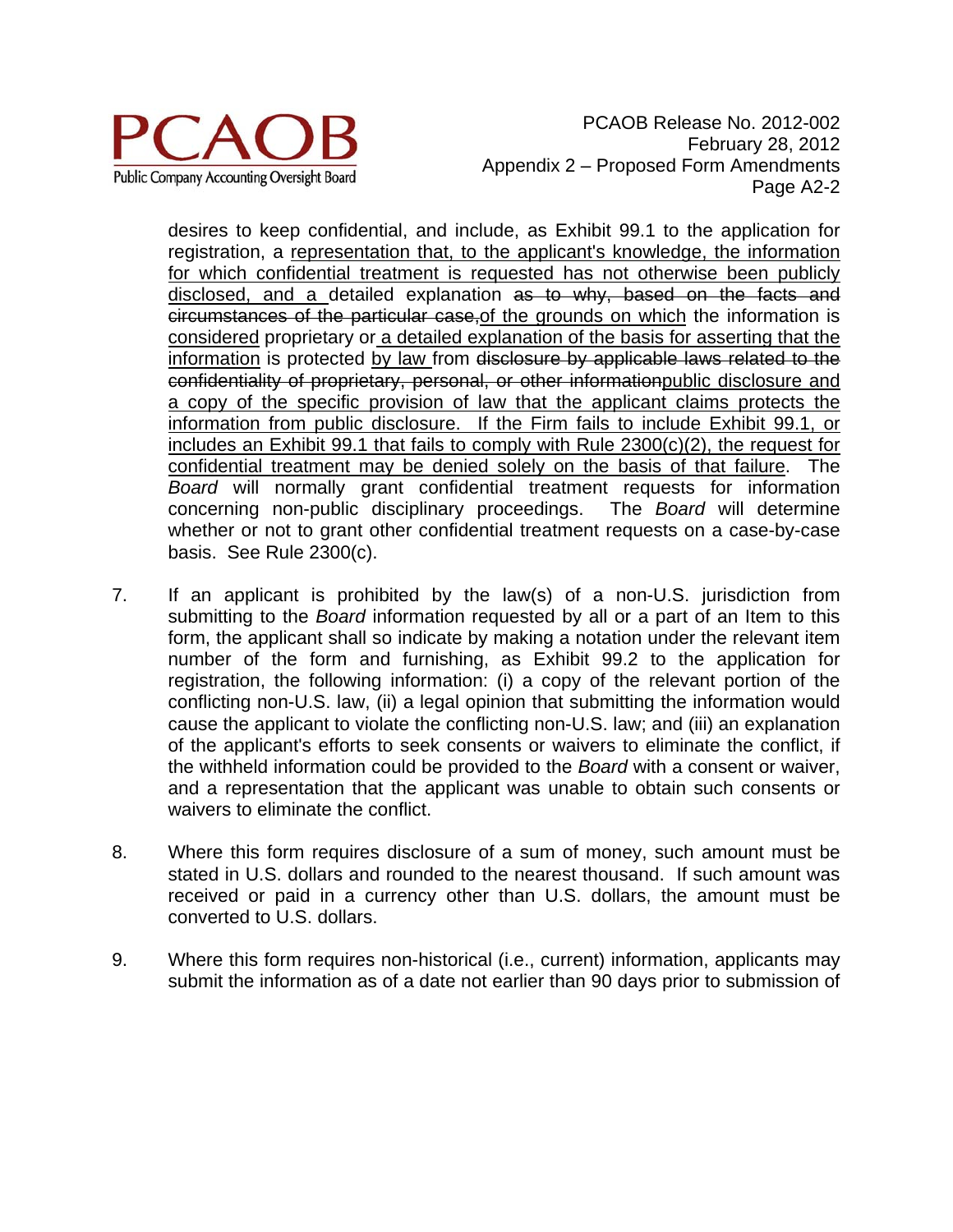

PCAOB Release No. 2012-002 February 28, 2012 Appendix 2 – Proposed Form Amendments Page A2-2

desires to keep confidential, and include, as Exhibit 99.1 to the application for registration, a representation that, to the applicant's knowledge, the information for which confidential treatment is requested has not otherwise been publicly disclosed, and a detailed explanation as to why, based on the facts and circumstances of the particular case,of the grounds on which the information is considered proprietary or a detailed explanation of the basis for asserting that the information is protected by law from disclosure by applicable laws related to the confidentiality of proprietary, personal, or other informationpublic disclosure and a copy of the specific provision of law that the applicant claims protects the information from public disclosure. If the Firm fails to include Exhibit 99.1, or includes an Exhibit 99.1 that fails to comply with Rule 2300(c)(2), the request for confidential treatment may be denied solely on the basis of that failure. The *Board* will normally grant confidential treatment requests for information concerning non-public disciplinary proceedings. The *Board* will determine whether or not to grant other confidential treatment requests on a case-by-case basis. See Rule 2300(c).

- 7. If an applicant is prohibited by the law(s) of a non-U.S. jurisdiction from submitting to the *Board* information requested by all or a part of an Item to this form, the applicant shall so indicate by making a notation under the relevant item number of the form and furnishing, as Exhibit 99.2 to the application for registration, the following information: (i) a copy of the relevant portion of the conflicting non-U.S. law, (ii) a legal opinion that submitting the information would cause the applicant to violate the conflicting non-U.S. law; and (iii) an explanation of the applicant's efforts to seek consents or waivers to eliminate the conflict, if the withheld information could be provided to the *Board* with a consent or waiver, and a representation that the applicant was unable to obtain such consents or waivers to eliminate the conflict.
- 8. Where this form requires disclosure of a sum of money, such amount must be stated in U.S. dollars and rounded to the nearest thousand. If such amount was received or paid in a currency other than U.S. dollars, the amount must be converted to U.S. dollars.
- 9. Where this form requires non-historical (i.e., current) information, applicants may submit the information as of a date not earlier than 90 days prior to submission of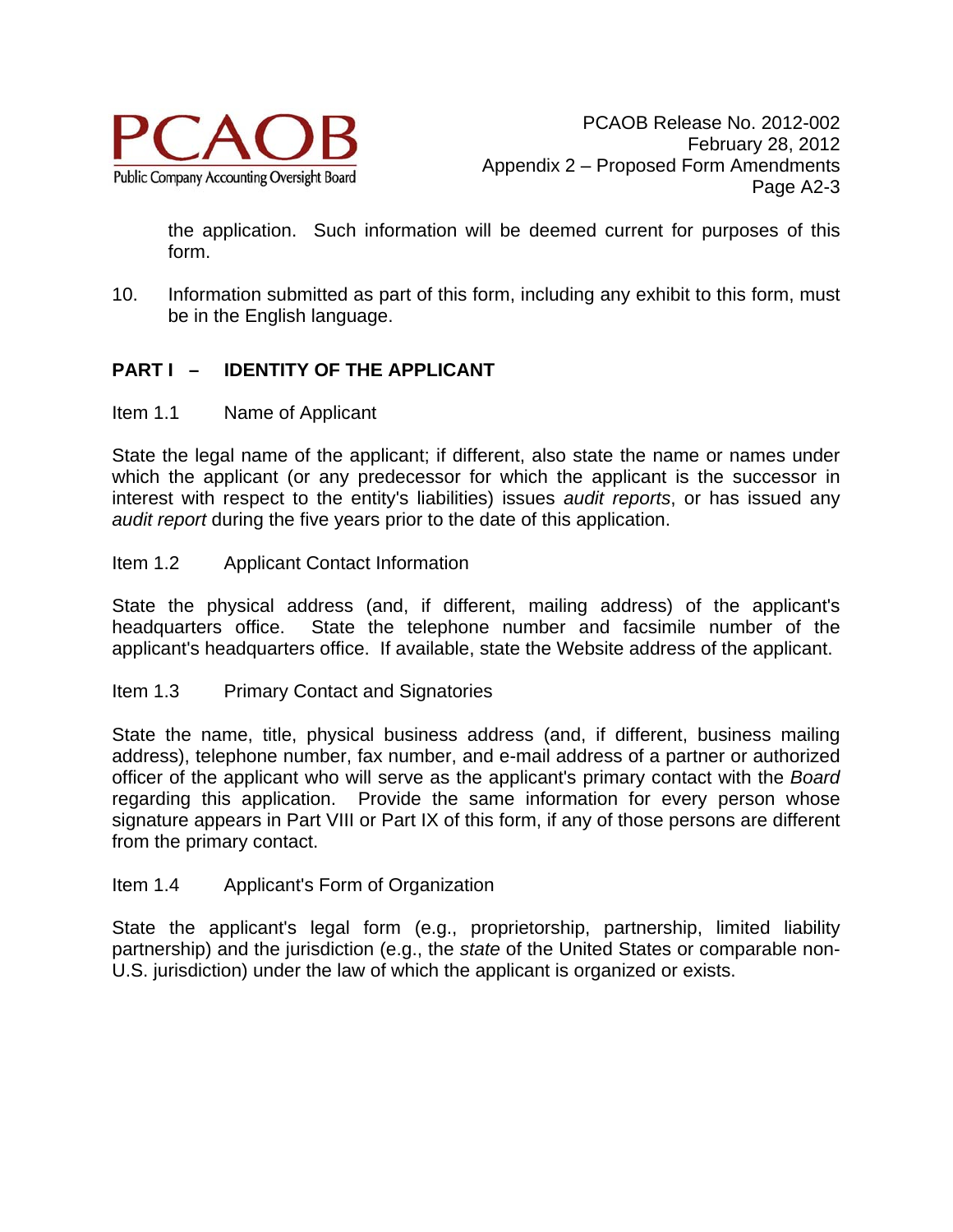

the application. Such information will be deemed current for purposes of this form.

10. Information submitted as part of this form, including any exhibit to this form, must be in the English language.

# **PART I – IDENTITY OF THE APPLICANT**

Item 1.1 Name of Applicant

State the legal name of the applicant; if different, also state the name or names under which the applicant (or any predecessor for which the applicant is the successor in interest with respect to the entity's liabilities) issues *audit reports*, or has issued any *audit report* during the five years prior to the date of this application.

#### Item 1.2 Applicant Contact Information

State the physical address (and, if different, mailing address) of the applicant's headquarters office. State the telephone number and facsimile number of the applicant's headquarters office. If available, state the Website address of the applicant.

Item 1.3 Primary Contact and Signatories

State the name, title, physical business address (and, if different, business mailing address), telephone number, fax number, and e-mail address of a partner or authorized officer of the applicant who will serve as the applicant's primary contact with the *Board* regarding this application. Provide the same information for every person whose signature appears in Part VIII or Part IX of this form, if any of those persons are different from the primary contact.

Item 1.4 Applicant's Form of Organization

State the applicant's legal form (e.g., proprietorship, partnership, limited liability partnership) and the jurisdiction (e.g., the *state* of the United States or comparable non-U.S. jurisdiction) under the law of which the applicant is organized or exists.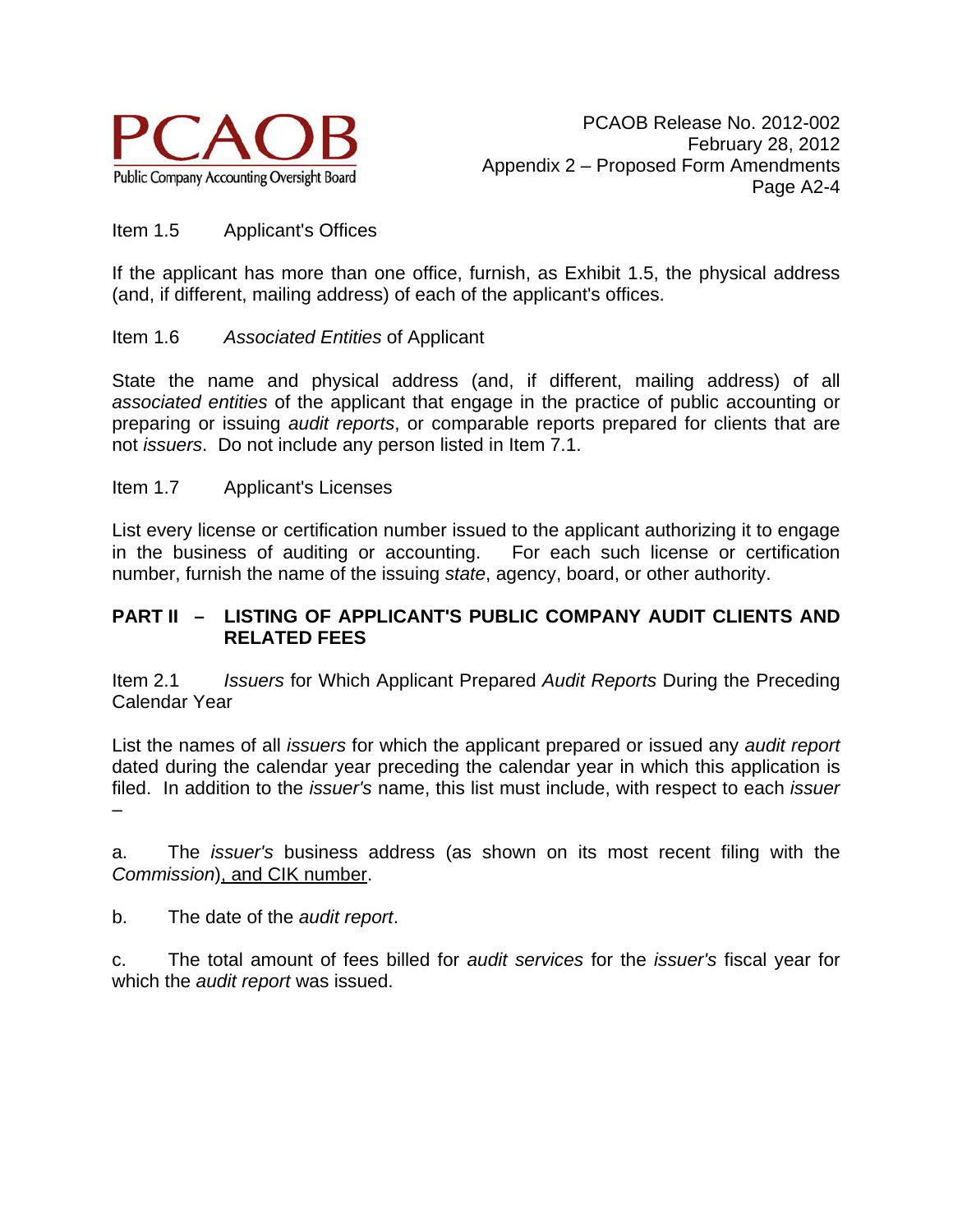

#### Item 1.5 Applicant's Offices

If the applicant has more than one office, furnish, as Exhibit 1.5, the physical address (and, if different, mailing address) of each of the applicant's offices.

#### Item 1.6 *Associated Entities* of Applicant

State the name and physical address (and, if different, mailing address) of all *associated entities* of the applicant that engage in the practice of public accounting or preparing or issuing *audit reports*, or comparable reports prepared for clients that are not *issuers*. Do not include any person listed in Item 7.1.

#### Item 1.7 Applicant's Licenses

List every license or certification number issued to the applicant authorizing it to engage in the business of auditing or accounting. For each such license or certification number, furnish the name of the issuing *state*, agency, board, or other authority.

#### **PART II – LISTING OF APPLICANT'S PUBLIC COMPANY AUDIT CLIENTS AND RELATED FEES**

Item 2.1 *Issuers* for Which Applicant Prepared *Audit Reports* During the Preceding Calendar Year

List the names of all *issuers* for which the applicant prepared or issued any *audit report* dated during the calendar year preceding the calendar year in which this application is filed. In addition to the *issuer's* name, this list must include, with respect to each *issuer* –

a. The *issuer's* business address (as shown on its most recent filing with the *Commission*), and CIK number.

b. The date of the *audit report*.

c. The total amount of fees billed for *audit services* for the *issuer's* fiscal year for which the *audit report* was issued.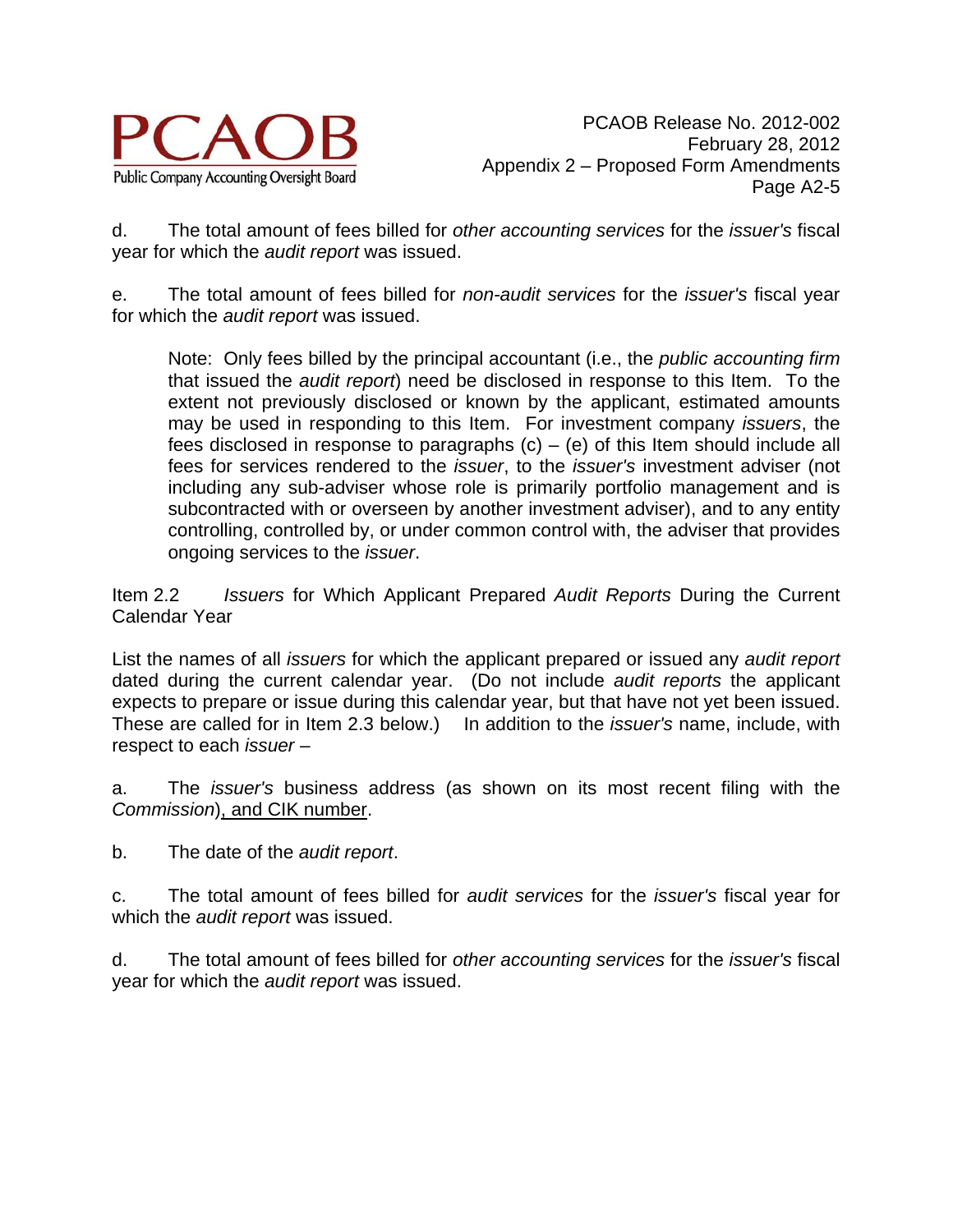

d. The total amount of fees billed for *other accounting services* for the *issuer's* fiscal year for which the *audit report* was issued.

e. The total amount of fees billed for *non-audit services* for the *issuer's* fiscal year for which the *audit report* was issued.

Note: Only fees billed by the principal accountant (i.e., the *public accounting firm* that issued the *audit report*) need be disclosed in response to this Item. To the extent not previously disclosed or known by the applicant, estimated amounts may be used in responding to this Item. For investment company *issuers*, the fees disclosed in response to paragraphs  $(c) - (e)$  of this Item should include all fees for services rendered to the *issuer*, to the *issuer's* investment adviser (not including any sub-adviser whose role is primarily portfolio management and is subcontracted with or overseen by another investment adviser), and to any entity controlling, controlled by, or under common control with, the adviser that provides ongoing services to the *issuer*.

Item 2.2 *Issuers* for Which Applicant Prepared *Audit Reports* During the Current Calendar Year

List the names of all *issuers* for which the applicant prepared or issued any *audit report* dated during the current calendar year. (Do not include *audit reports* the applicant expects to prepare or issue during this calendar year, but that have not yet been issued. These are called for in Item 2.3 below.) In addition to the *issuer's* name, include, with respect to each *issuer* –

a. The *issuer's* business address (as shown on its most recent filing with the *Commission*), and CIK number.

b. The date of the *audit report*.

c. The total amount of fees billed for *audit services* for the *issuer's* fiscal year for which the *audit report* was issued.

d. The total amount of fees billed for *other accounting services* for the *issuer's* fiscal year for which the *audit report* was issued.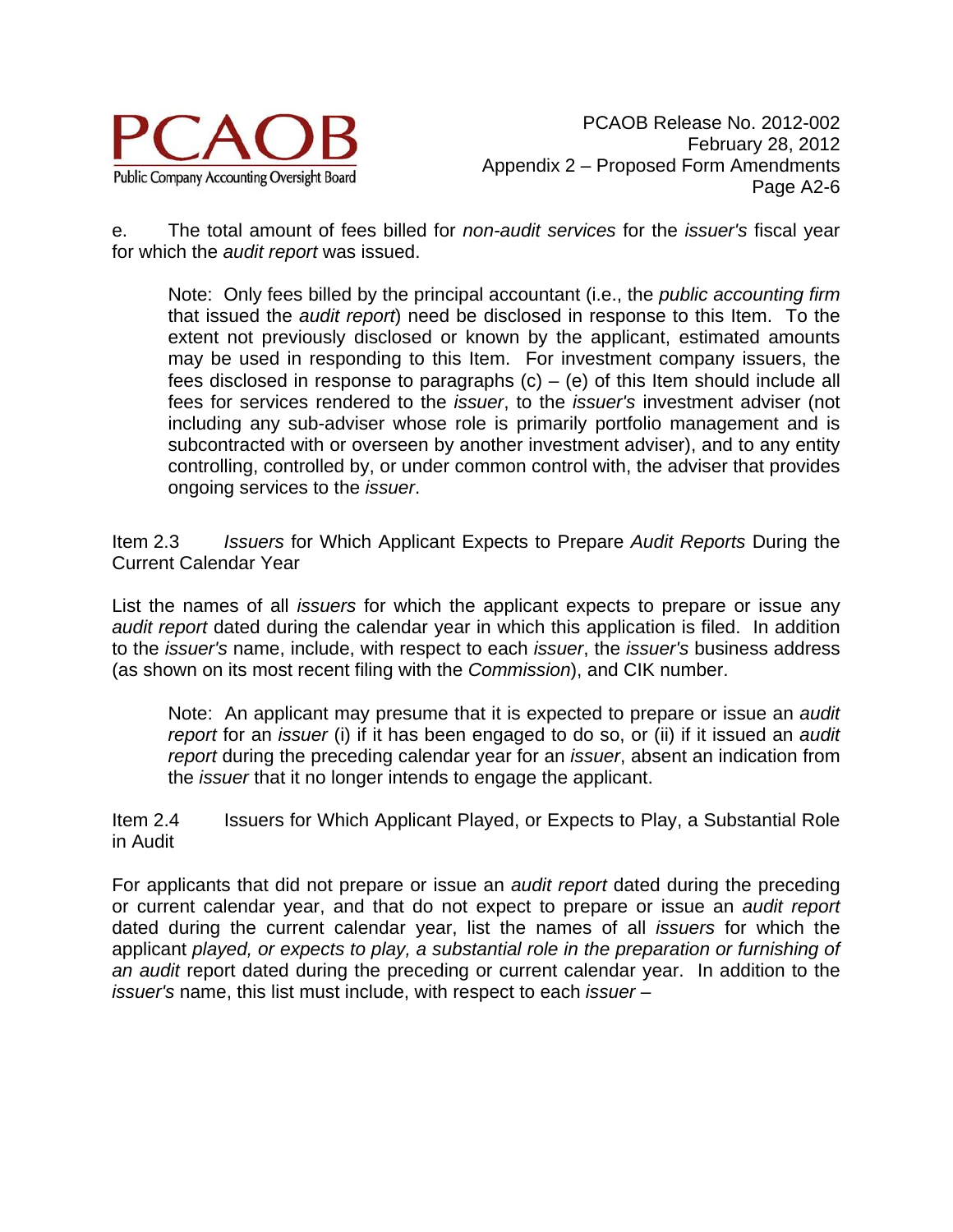

e. The total amount of fees billed for *non-audit services* for the *issuer's* fiscal year for which the *audit report* was issued.

Note: Only fees billed by the principal accountant (i.e., the *public accounting firm* that issued the *audit report*) need be disclosed in response to this Item. To the extent not previously disclosed or known by the applicant, estimated amounts may be used in responding to this Item. For investment company issuers, the fees disclosed in response to paragraphs  $(c) - (e)$  of this Item should include all fees for services rendered to the *issuer*, to the *issuer's* investment adviser (not including any sub-adviser whose role is primarily portfolio management and is subcontracted with or overseen by another investment adviser), and to any entity controlling, controlled by, or under common control with, the adviser that provides ongoing services to the *issuer*.

Item 2.3 *Issuers* for Which Applicant Expects to Prepare *Audit Reports* During the Current Calendar Year

List the names of all *issuers* for which the applicant expects to prepare or issue any *audit report* dated during the calendar year in which this application is filed. In addition to the *issuer's* name, include, with respect to each *issuer*, the *issuer's* business address (as shown on its most recent filing with the *Commission*), and CIK number.

Note: An applicant may presume that it is expected to prepare or issue an *audit report* for an *issuer* (i) if it has been engaged to do so, or (ii) if it issued an *audit report* during the preceding calendar year for an *issuer*, absent an indication from the *issuer* that it no longer intends to engage the applicant.

Item 2.4 Issuers for Which Applicant Played, or Expects to Play, a Substantial Role in Audit

For applicants that did not prepare or issue an *audit report* dated during the preceding or current calendar year, and that do not expect to prepare or issue an *audit report* dated during the current calendar year, list the names of all *issuers* for which the applicant *played, or expects to play, a substantial role in the preparation or furnishing of an audit* report dated during the preceding or current calendar year. In addition to the *issuer's* name, this list must include, with respect to each *issuer* –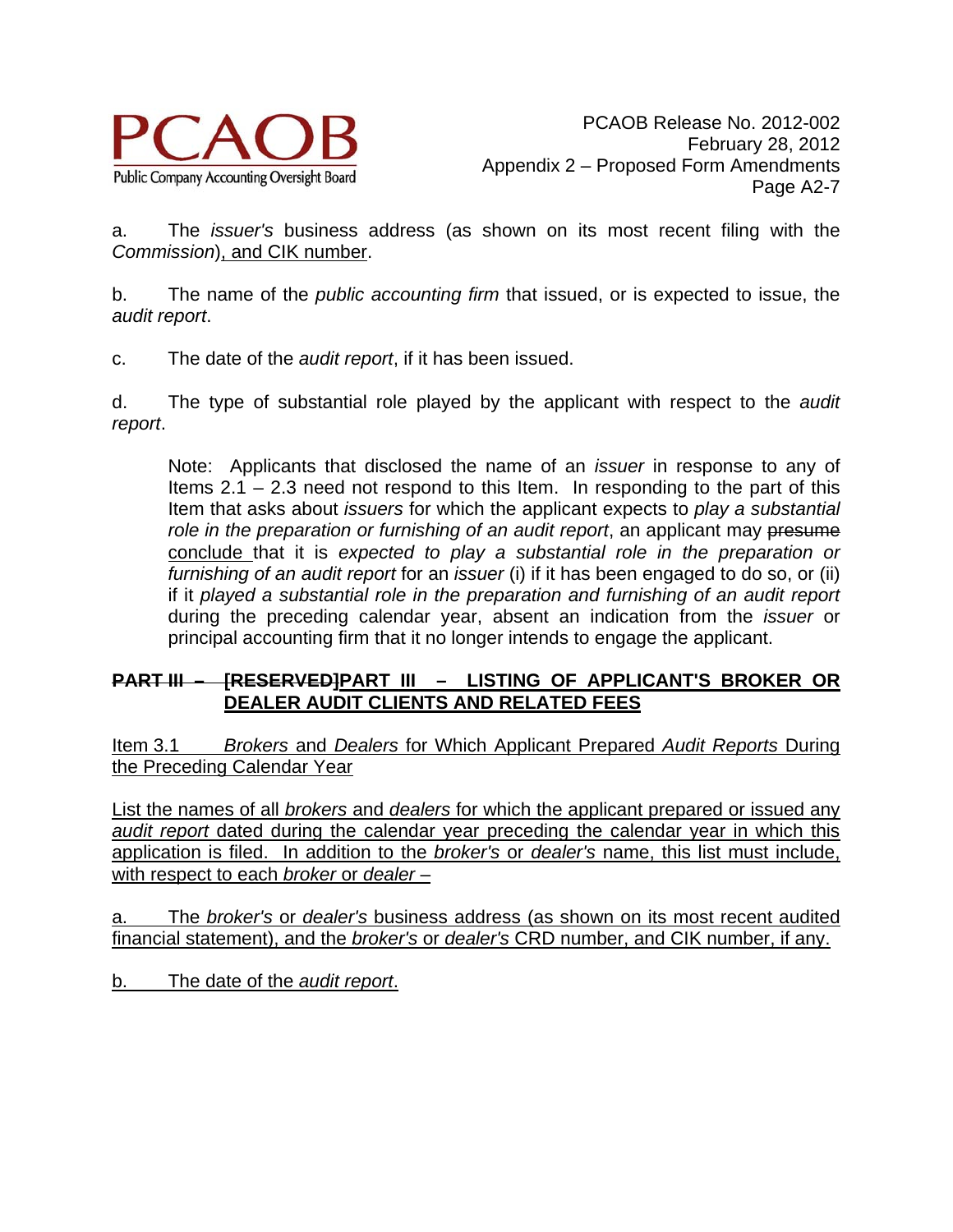

a. The *issuer's* business address (as shown on its most recent filing with the *Commission*), and CIK number.

b. The name of the *public accounting firm* that issued, or is expected to issue, the *audit report*.

c. The date of the *audit report*, if it has been issued.

d. The type of substantial role played by the applicant with respect to the *audit report*.

Note: Applicants that disclosed the name of an *issuer* in response to any of Items 2.1 – 2.3 need not respond to this Item. In responding to the part of this Item that asks about *issuers* for which the applicant expects to *play a substantial role in the preparation or furnishing of an audit report*, an applicant may presume conclude that it is *expected to play a substantial role in the preparation or furnishing of an audit report* for an *issuer* (i) if it has been engaged to do so, or (ii) if it *played a substantial role in the preparation and furnishing of an audit report* during the preceding calendar year, absent an indication from the *issuer* or principal accounting firm that it no longer intends to engage the applicant.

#### **PART III – [RESERVED]PART III – LISTING OF APPLICANT'S BROKER OR DEALER AUDIT CLIENTS AND RELATED FEES**

Item 3.1 *Brokers* and *Dealers* for Which Applicant Prepared *Audit Reports* During the Preceding Calendar Year

List the names of all *brokers* and *dealers* for which the applicant prepared or issued any *audit report* dated during the calendar year preceding the calendar year in which this application is filed. In addition to the *broker's* or *dealer's* name, this list must include, with respect to each *broker* or *dealer* –

a. The *broker's* or *dealer's* business address (as shown on its most recent audited financial statement), and the *broker's* or *dealer's* CRD number, and CIK number, if any.

b. The date of the *audit report*.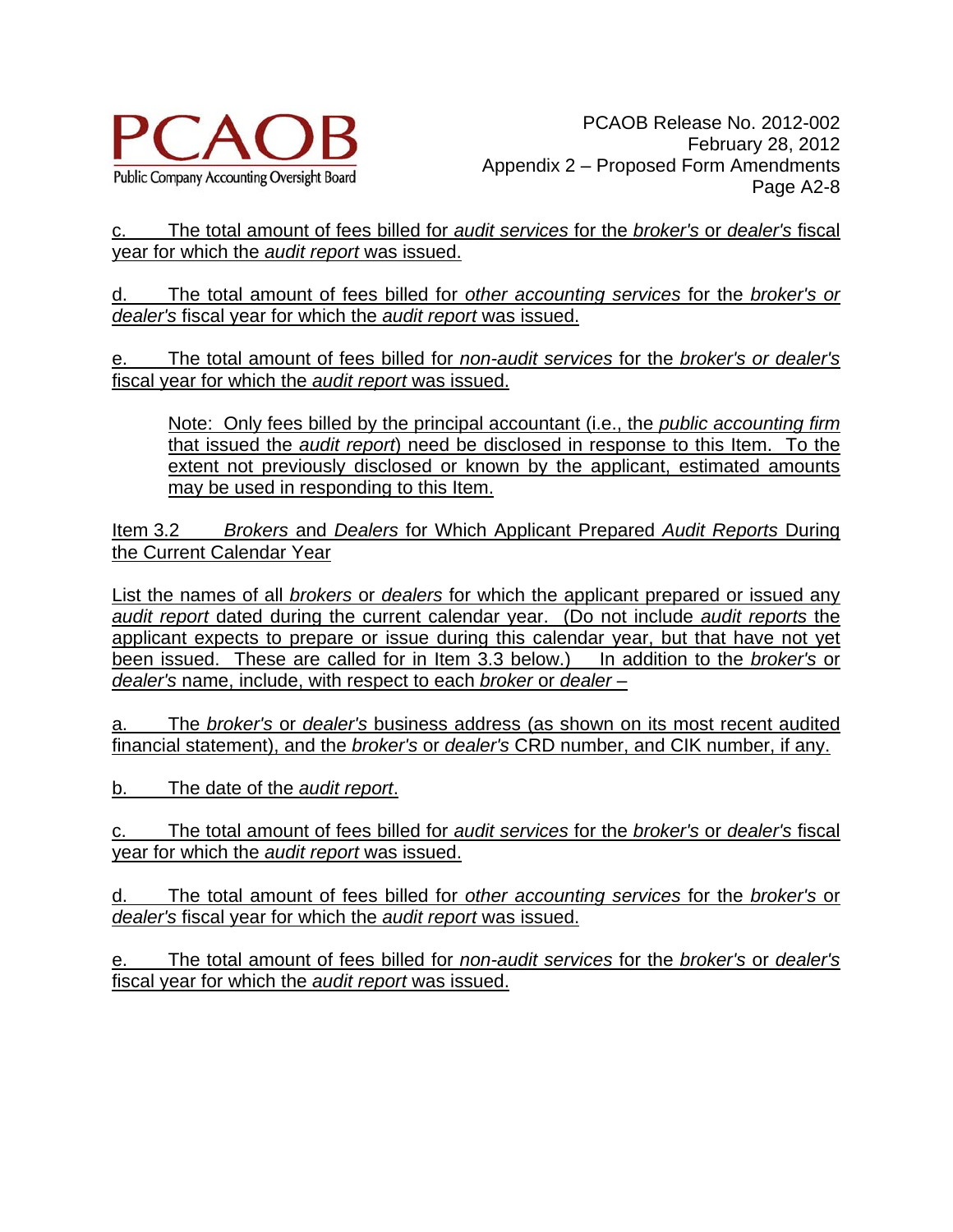

c. The total amount of fees billed for *audit services* for the *broker's* or *dealer's* fiscal year for which the *audit report* was issued.

d. The total amount of fees billed for *other accounting services* for the *broker's or dealer's* fiscal year for which the *audit report* was issued.

e. The total amount of fees billed for *non-audit services* for the *broker's or dealer's* fiscal year for which the *audit report* was issued.

Note: Only fees billed by the principal accountant (i.e., the *public accounting firm* that issued the *audit report*) need be disclosed in response to this Item. To the extent not previously disclosed or known by the applicant, estimated amounts may be used in responding to this Item.

Item 3.2 *Brokers* and *Dealers* for Which Applicant Prepared *Audit Reports* During the Current Calendar Year

List the names of all *brokers* or *dealers* for which the applicant prepared or issued any *audit report* dated during the current calendar year. (Do not include *audit reports* the applicant expects to prepare or issue during this calendar year, but that have not yet been issued. These are called for in Item 3.3 below.) In addition to the *broker's* or *dealer's* name, include, with respect to each *broker* or *dealer* –

a. The *broker's* or *dealer's* business address (as shown on its most recent audited financial statement), and the *broker's* or *dealer's* CRD number, and CIK number, if any.

b. The date of the *audit report*.

c. The total amount of fees billed for *audit services* for the *broker's* or *dealer's* fiscal year for which the *audit report* was issued.

d. The total amount of fees billed for *other accounting services* for the *broker's* or *dealer's* fiscal year for which the *audit report* was issued.

e. The total amount of fees billed for *non-audit services* for the *broker's* or *dealer's* fiscal year for which the *audit report* was issued.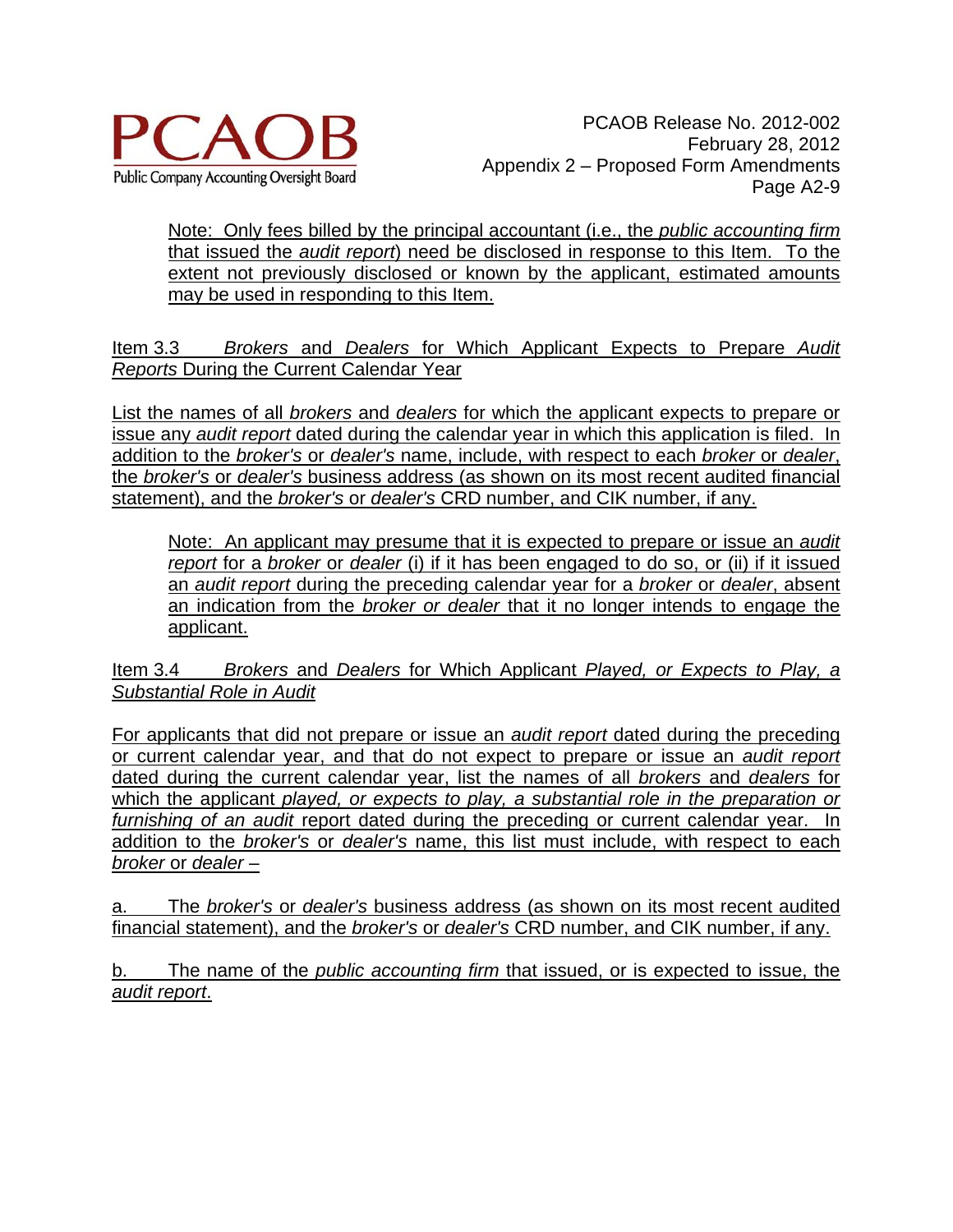

Note: Only fees billed by the principal accountant (i.e., the *public accounting firm* that issued the *audit report*) need be disclosed in response to this Item. To the extent not previously disclosed or known by the applicant, estimated amounts may be used in responding to this Item.

Item 3.3 *Brokers* and *Dealers* for Which Applicant Expects to Prepare *Audit Reports* During the Current Calendar Year

List the names of all *brokers* and *dealers* for which the applicant expects to prepare or issue any *audit report* dated during the calendar year in which this application is filed. In addition to the *broker's* or *dealer's* name, include, with respect to each *broker* or *dealer*, the *broker's* or *dealer's* business address (as shown on its most recent audited financial statement), and the *broker's* or *dealer's* CRD number, and CIK number, if any.

Note: An applicant may presume that it is expected to prepare or issue an *audit report* for a *broker* or *dealer* (i) if it has been engaged to do so, or (ii) if it issued an *audit report* during the preceding calendar year for a *broker* or *dealer*, absent an indication from the *broker or dealer* that it no longer intends to engage the applicant.

Item 3.4 *Brokers* and *Dealers* for Which Applicant *Played, or Expects to Play, a Substantial Role in Audit*

For applicants that did not prepare or issue an *audit report* dated during the preceding or current calendar year, and that do not expect to prepare or issue an *audit report* dated during the current calendar year, list the names of all *brokers* and *dealers* for which the applicant *played, or expects to play, a substantial role in the preparation or furnishing of an audit* report dated during the preceding or current calendar year. In addition to the *broker's* or *dealer's* name, this list must include, with respect to each *broker* or *dealer* –

a. The *broker's* or *dealer's* business address (as shown on its most recent audited financial statement), and the *broker's* or *dealer's* CRD number, and CIK number, if any.

b. The name of the *public accounting firm* that issued, or is expected to issue, the *audit report*.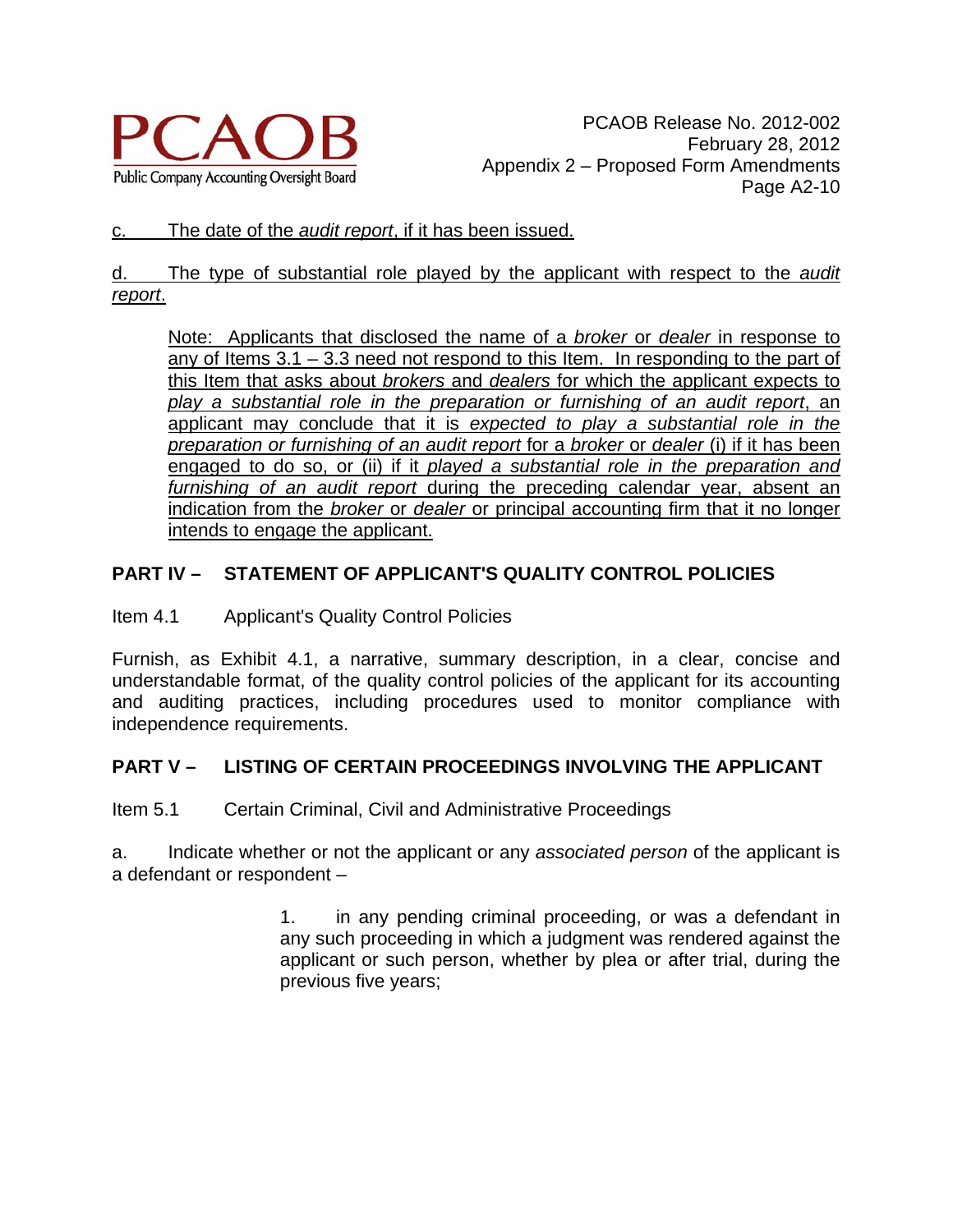

#### c. The date of the *audit report*, if it has been issued.

#### d. The type of substantial role played by the applicant with respect to the *audit report*.

Note: Applicants that disclosed the name of a *broker* or *dealer* in response to any of Items  $3.1 - 3.3$  need not respond to this Item. In responding to the part of this Item that asks about *brokers* and *dealers* for which the applicant expects to *play a substantial role in the preparation or furnishing of an audit report*, an applicant may conclude that it is *expected to play a substantial role in the preparation or furnishing of an audit report* for a *broker* or *dealer* (i) if it has been engaged to do so, or (ii) if it *played a substantial role in the preparation and furnishing of an audit report* during the preceding calendar year, absent an indication from the *broker* or *dealer* or principal accounting firm that it no longer intends to engage the applicant.

# **PART IV – STATEMENT OF APPLICANT'S QUALITY CONTROL POLICIES**

### Item 4.1 Applicant's Quality Control Policies

Furnish, as Exhibit 4.1, a narrative, summary description, in a clear, concise and understandable format, of the quality control policies of the applicant for its accounting and auditing practices, including procedures used to monitor compliance with independence requirements.

# **PART V – LISTING OF CERTAIN PROCEEDINGS INVOLVING THE APPLICANT**

Item 5.1 Certain Criminal, Civil and Administrative Proceedings

a. Indicate whether or not the applicant or any *associated person* of the applicant is a defendant or respondent –

> 1. in any pending criminal proceeding, or was a defendant in any such proceeding in which a judgment was rendered against the applicant or such person, whether by plea or after trial, during the previous five years;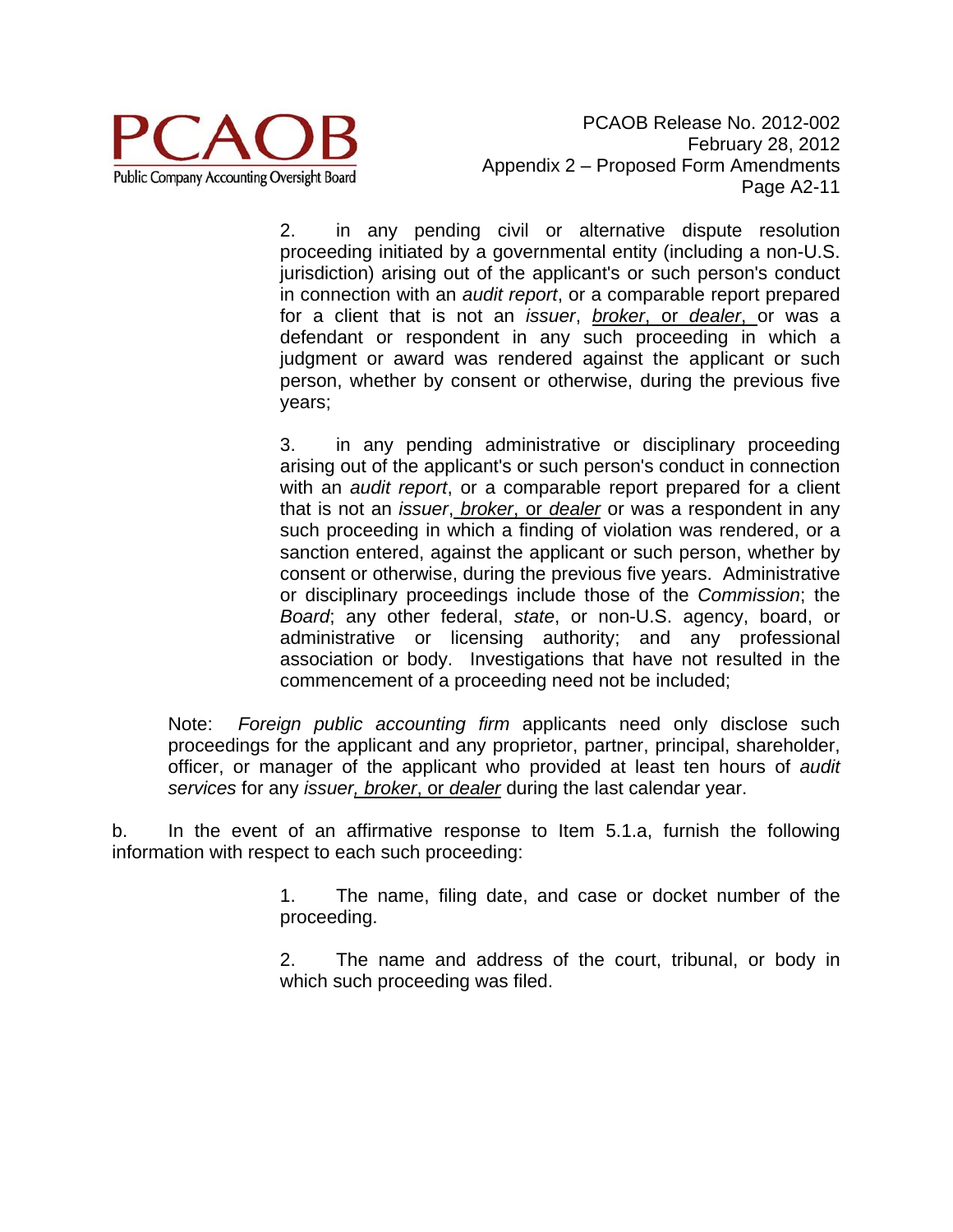

2. in any pending civil or alternative dispute resolution proceeding initiated by a governmental entity (including a non-U.S. jurisdiction) arising out of the applicant's or such person's conduct in connection with an *audit report*, or a comparable report prepared for a client that is not an *issuer*, *broker*, or *dealer*, or was a defendant or respondent in any such proceeding in which a judgment or award was rendered against the applicant or such person, whether by consent or otherwise, during the previous five years;

3. in any pending administrative or disciplinary proceeding arising out of the applicant's or such person's conduct in connection with an *audit report*, or a comparable report prepared for a client that is not an *issuer*, *broker*, or *dealer* or was a respondent in any such proceeding in which a finding of violation was rendered, or a sanction entered, against the applicant or such person, whether by consent or otherwise, during the previous five years. Administrative or disciplinary proceedings include those of the *Commission*; the *Board*; any other federal, *state*, or non-U.S. agency, board, or administrative or licensing authority; and any professional association or body. Investigations that have not resulted in the commencement of a proceeding need not be included;

Note: *Foreign public accounting firm* applicants need only disclose such proceedings for the applicant and any proprietor, partner, principal, shareholder, officer, or manager of the applicant who provided at least ten hours of *audit services* for any *issuer, broker*, or *dealer* during the last calendar year.

b. In the event of an affirmative response to Item 5.1.a, furnish the following information with respect to each such proceeding:

> 1. The name, filing date, and case or docket number of the proceeding.

> 2. The name and address of the court, tribunal, or body in which such proceeding was filed.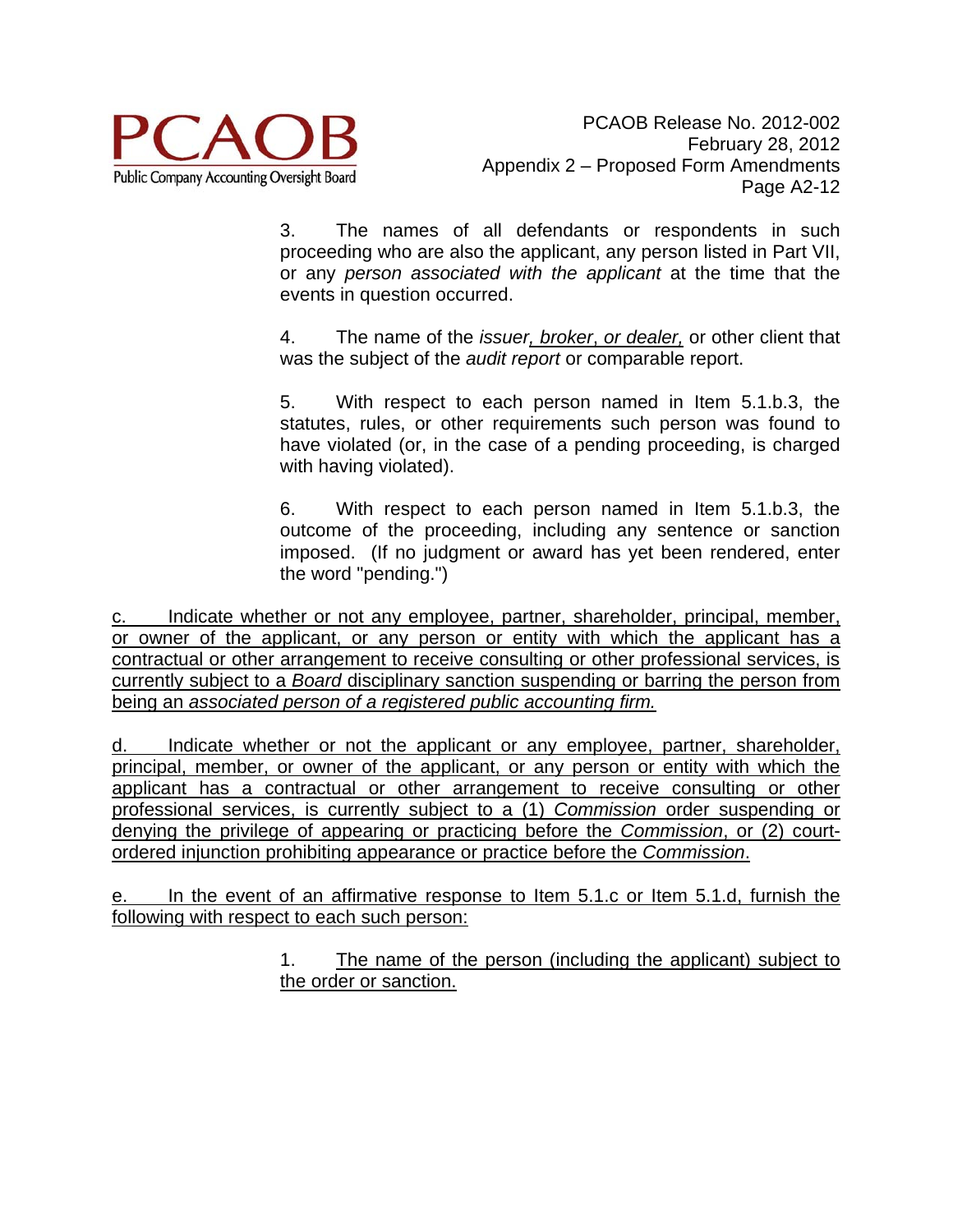

3. The names of all defendants or respondents in such proceeding who are also the applicant, any person listed in Part VII, or any *person associated with the applicant* at the time that the events in question occurred.

4. The name of the *issuer, broker*, *or dealer,* or other client that was the subject of the *audit report* or comparable report.

5. With respect to each person named in Item 5.1.b.3, the statutes, rules, or other requirements such person was found to have violated (or, in the case of a pending proceeding, is charged with having violated).

6. With respect to each person named in Item 5.1.b.3, the outcome of the proceeding, including any sentence or sanction imposed. (If no judgment or award has yet been rendered, enter the word "pending.")

c. Indicate whether or not any employee, partner, shareholder, principal, member, or owner of the applicant, or any person or entity with which the applicant has a contractual or other arrangement to receive consulting or other professional services, is currently subject to a *Board* disciplinary sanction suspending or barring the person from being an *associated person of a registered public accounting firm.* 

d. Indicate whether or not the applicant or any employee, partner, shareholder, principal, member, or owner of the applicant, or any person or entity with which the applicant has a contractual or other arrangement to receive consulting or other professional services, is currently subject to a (1) *Commission* order suspending or denying the privilege of appearing or practicing before the *Commission*, or (2) courtordered injunction prohibiting appearance or practice before the *Commission*.

e. In the event of an affirmative response to Item 5.1.c or Item 5.1.d, furnish the following with respect to each such person:

> 1. The name of the person (including the applicant) subject to the order or sanction.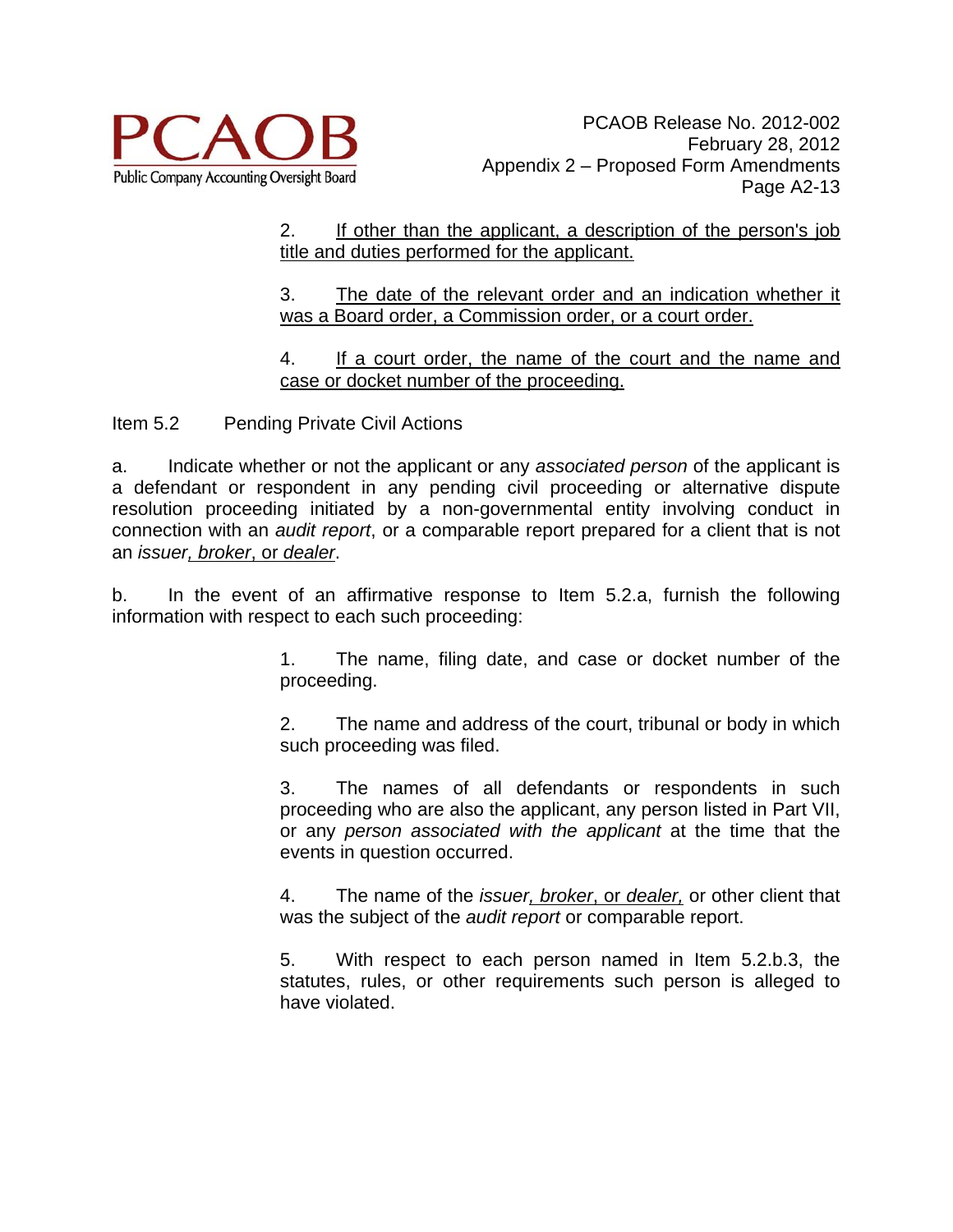

#### 2. If other than the applicant, a description of the person's job title and duties performed for the applicant.

3. The date of the relevant order and an indication whether it was a Board order, a Commission order, or a court order.

4. If a court order, the name of the court and the name and case or docket number of the proceeding.

Item 5.2 Pending Private Civil Actions

a. Indicate whether or not the applicant or any *associated person* of the applicant is a defendant or respondent in any pending civil proceeding or alternative dispute resolution proceeding initiated by a non-governmental entity involving conduct in connection with an *audit report*, or a comparable report prepared for a client that is not an *issuer, broker*, or *dealer*.

b. In the event of an affirmative response to Item 5.2.a, furnish the following information with respect to each such proceeding:

> 1. The name, filing date, and case or docket number of the proceeding.

> 2. The name and address of the court, tribunal or body in which such proceeding was filed.

> 3. The names of all defendants or respondents in such proceeding who are also the applicant, any person listed in Part VII, or any *person associated with the applicant* at the time that the events in question occurred.

> 4. The name of the *issuer, broker*, or *dealer,* or other client that was the subject of the *audit report* or comparable report.

> 5. With respect to each person named in Item 5.2.b.3, the statutes, rules, or other requirements such person is alleged to have violated.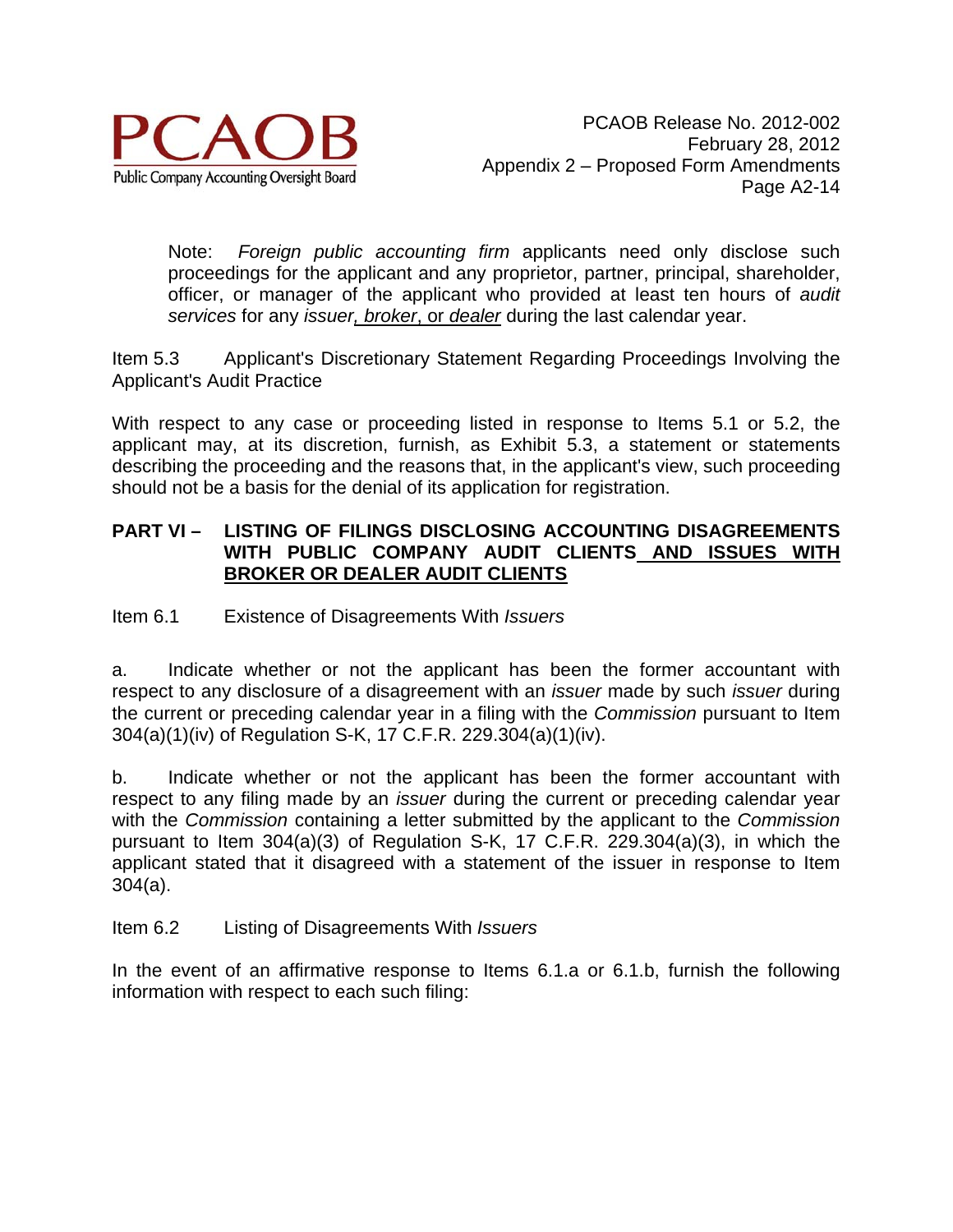

Note: *Foreign public accounting firm* applicants need only disclose such proceedings for the applicant and any proprietor, partner, principal, shareholder, officer, or manager of the applicant who provided at least ten hours of *audit services* for any *issuer, broker*, or *dealer* during the last calendar year.

Item 5.3 Applicant's Discretionary Statement Regarding Proceedings Involving the Applicant's Audit Practice

With respect to any case or proceeding listed in response to Items 5.1 or 5.2, the applicant may, at its discretion, furnish, as Exhibit 5.3, a statement or statements describing the proceeding and the reasons that, in the applicant's view, such proceeding should not be a basis for the denial of its application for registration.

#### **PART VI – LISTING OF FILINGS DISCLOSING ACCOUNTING DISAGREEMENTS WITH PUBLIC COMPANY AUDIT CLIENTS AND ISSUES WITH BROKER OR DEALER AUDIT CLIENTS**

Item 6.1 Existence of Disagreements With *Issuers*

a. Indicate whether or not the applicant has been the former accountant with respect to any disclosure of a disagreement with an *issuer* made by such *issuer* during the current or preceding calendar year in a filing with the *Commission* pursuant to Item 304(a)(1)(iv) of Regulation S-K, 17 C.F.R. 229.304(a)(1)(iv).

b. Indicate whether or not the applicant has been the former accountant with respect to any filing made by an *issuer* during the current or preceding calendar year with the *Commission* containing a letter submitted by the applicant to the *Commission* pursuant to Item 304(a)(3) of Regulation S-K, 17 C.F.R. 229.304(a)(3), in which the applicant stated that it disagreed with a statement of the issuer in response to Item 304(a).

#### Item 6.2 Listing of Disagreements With *Issuers*

In the event of an affirmative response to Items 6.1.a or 6.1.b, furnish the following information with respect to each such filing: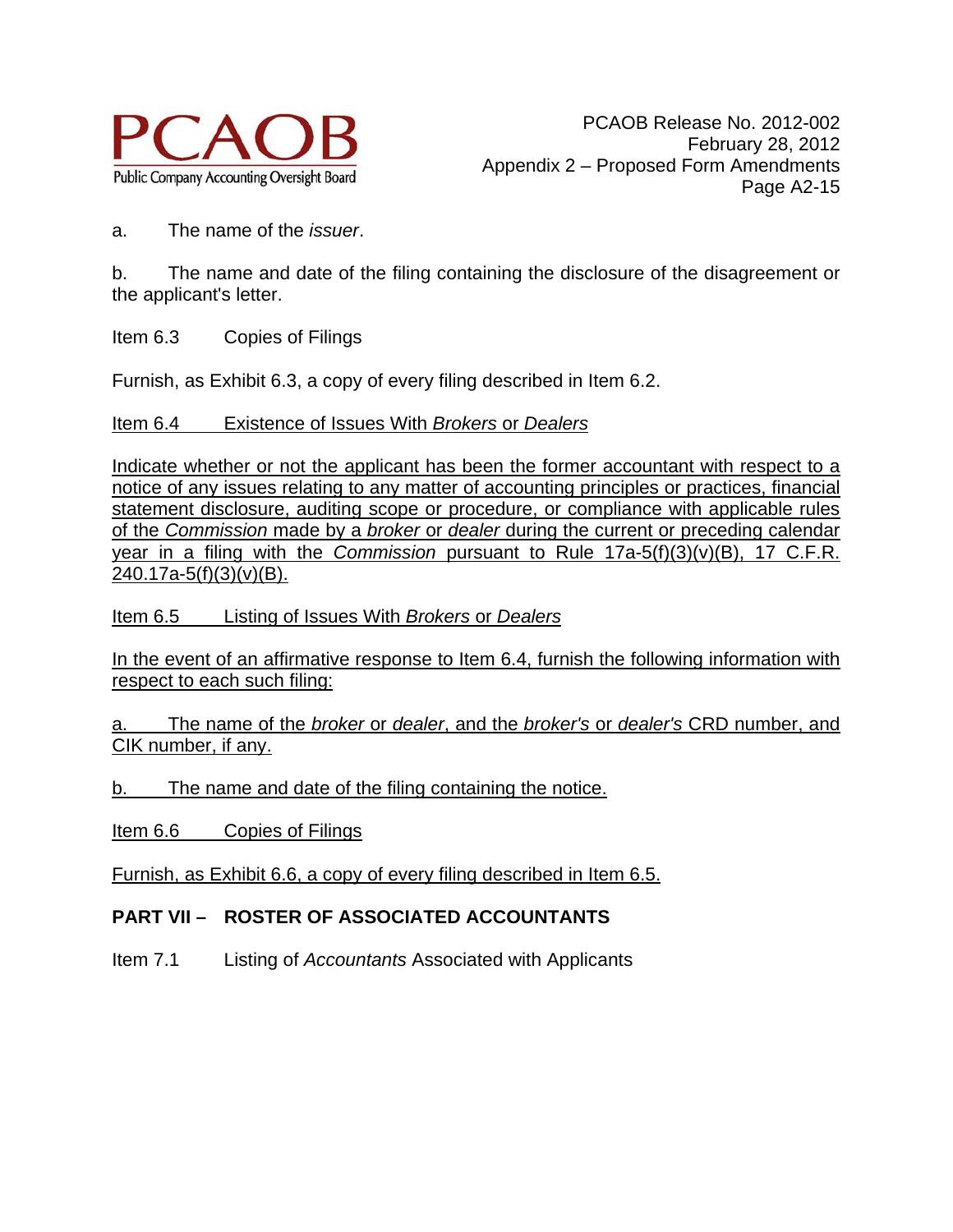

a. The name of the *issuer*.

b. The name and date of the filing containing the disclosure of the disagreement or the applicant's letter.

Item 6.3 Copies of Filings

Furnish, as Exhibit 6.3, a copy of every filing described in Item 6.2.

Item 6.4 Existence of Issues With *Brokers* or *Dealers*

Indicate whether or not the applicant has been the former accountant with respect to a notice of any issues relating to any matter of accounting principles or practices, financial statement disclosure, auditing scope or procedure, or compliance with applicable rules of the *Commission* made by a *broker* or *dealer* during the current or preceding calendar year in a filing with the *Commission* pursuant to Rule 17a-5(f)(3)(v)(B), 17 C.F.R. 240.17a-5(f)(3)(v)(B).

Item 6.5 Listing of Issues With *Brokers* or *Dealers*

In the event of an affirmative response to Item 6.4, furnish the following information with respect to each such filing:

a. The name of the *broker* or *dealer*, and the *broker's* or *dealer's* CRD number, and CIK number, if any.

b. The name and date of the filing containing the notice.

Item 6.6 Copies of Filings

Furnish, as Exhibit 6.6, a copy of every filing described in Item 6.5.

# **PART VII – ROSTER OF ASSOCIATED ACCOUNTANTS**

Item 7.1 Listing of *Accountants* Associated with Applicants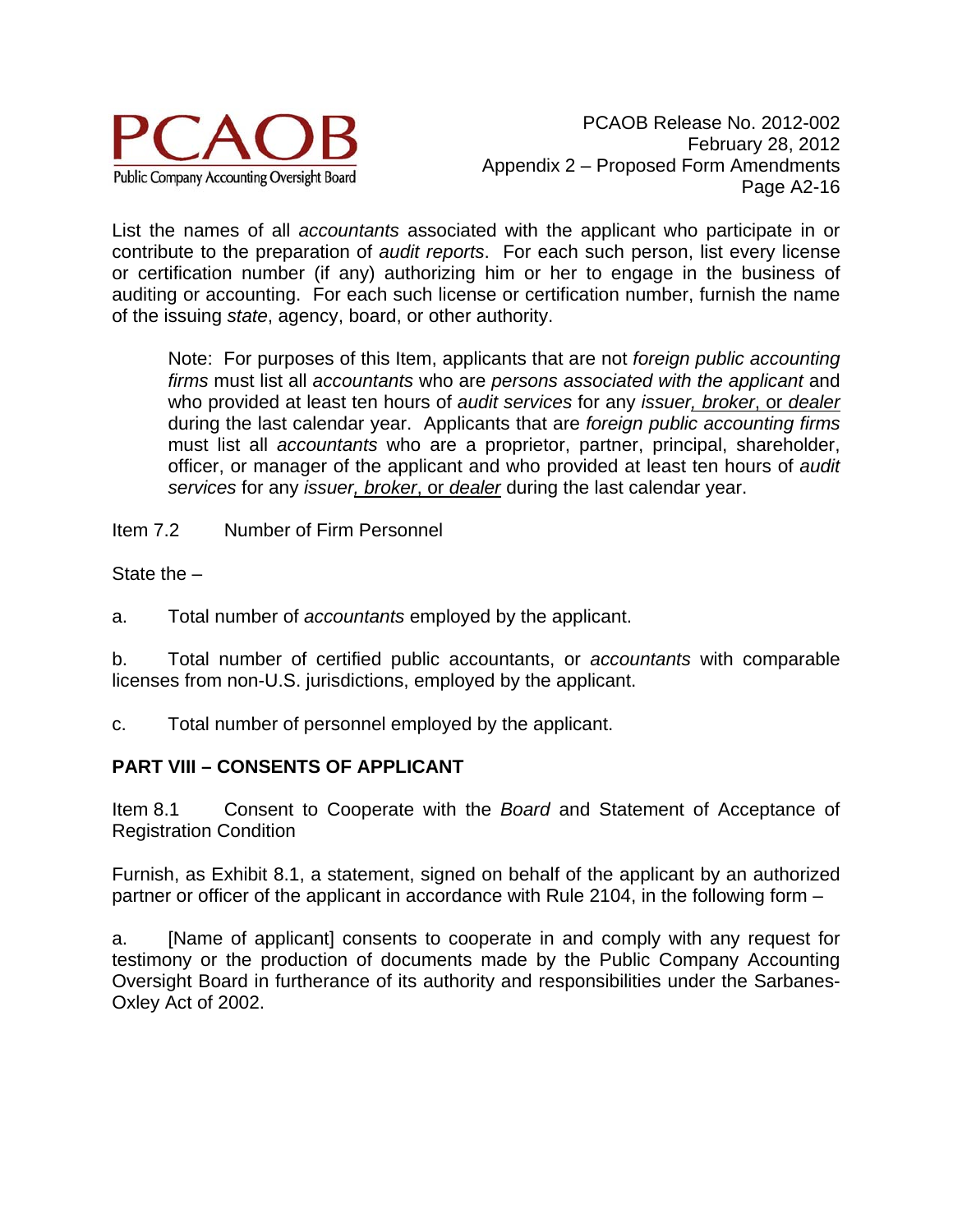

List the names of all *accountants* associated with the applicant who participate in or contribute to the preparation of *audit reports*. For each such person, list every license or certification number (if any) authorizing him or her to engage in the business of auditing or accounting. For each such license or certification number, furnish the name of the issuing *state*, agency, board, or other authority.

Note: For purposes of this Item, applicants that are not *foreign public accounting firms* must list all *accountants* who are *persons associated with the applicant* and who provided at least ten hours of *audit services* for any *issuer, broker*, or *dealer*  during the last calendar year. Applicants that are *foreign public accounting firms* must list all *accountants* who are a proprietor, partner, principal, shareholder, officer, or manager of the applicant and who provided at least ten hours of *audit services* for any *issuer, broker*, or *dealer* during the last calendar year.

Item 7.2 Number of Firm Personnel

State the –

a. Total number of *accountants* employed by the applicant.

b. Total number of certified public accountants, or *accountants* with comparable licenses from non-U.S. jurisdictions, employed by the applicant.

c. Total number of personnel employed by the applicant.

#### **PART VIII – CONSENTS OF APPLICANT**

Item 8.1 Consent to Cooperate with the *Board* and Statement of Acceptance of Registration Condition

Furnish, as Exhibit 8.1, a statement, signed on behalf of the applicant by an authorized partner or officer of the applicant in accordance with Rule 2104, in the following form –

a. [Name of applicant] consents to cooperate in and comply with any request for testimony or the production of documents made by the Public Company Accounting Oversight Board in furtherance of its authority and responsibilities under the Sarbanes-Oxley Act of 2002.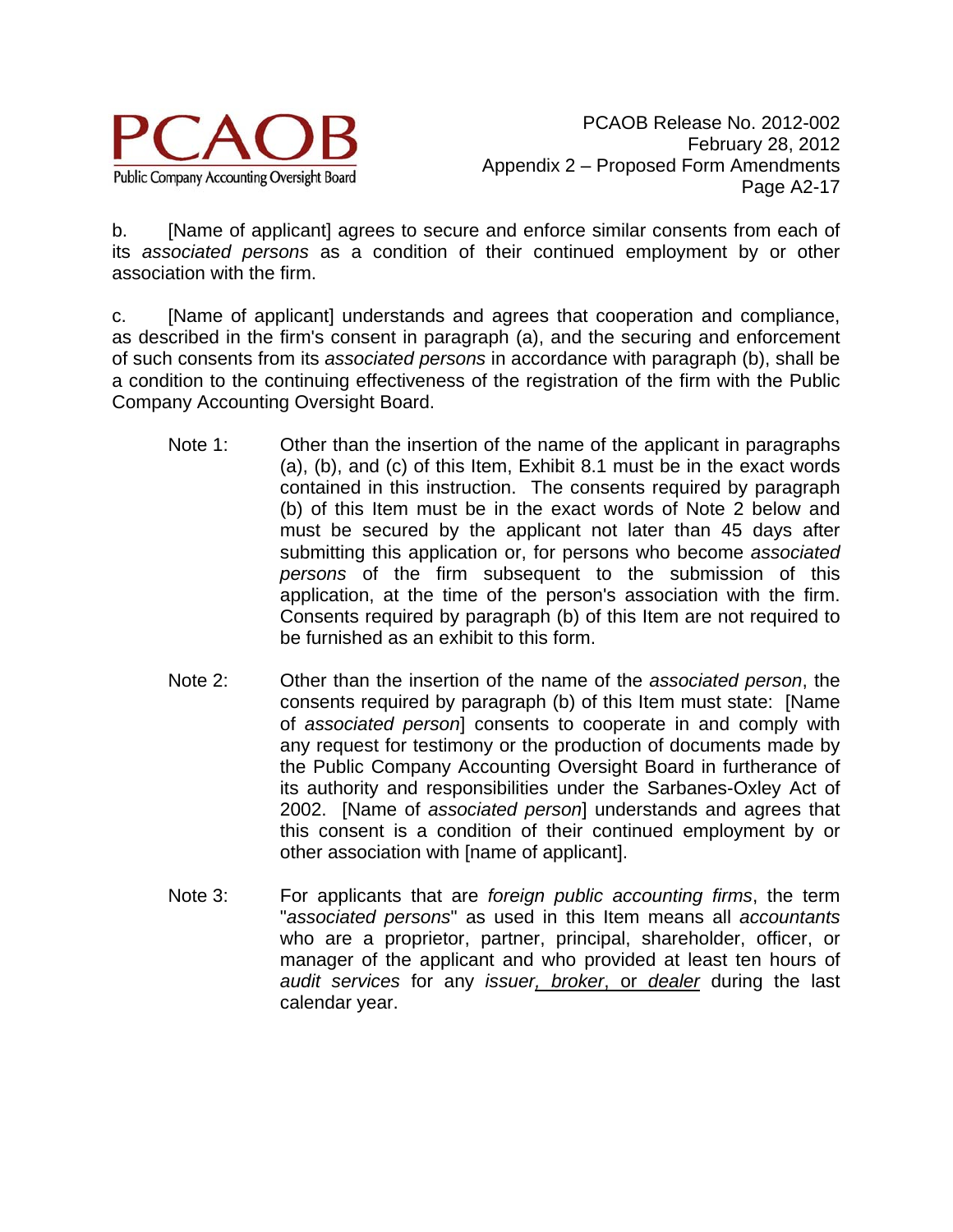

PCAOB Release No. 2012-002 February 28, 2012 Appendix 2 – Proposed Form Amendments Page A2-17

b. [Name of applicant] agrees to secure and enforce similar consents from each of its *associated persons* as a condition of their continued employment by or other association with the firm.

c. [Name of applicant] understands and agrees that cooperation and compliance, as described in the firm's consent in paragraph (a), and the securing and enforcement of such consents from its *associated persons* in accordance with paragraph (b), shall be a condition to the continuing effectiveness of the registration of the firm with the Public Company Accounting Oversight Board.

- Note 1: Other than the insertion of the name of the applicant in paragraphs (a), (b), and (c) of this Item, Exhibit 8.1 must be in the exact words contained in this instruction. The consents required by paragraph (b) of this Item must be in the exact words of Note 2 below and must be secured by the applicant not later than 45 days after submitting this application or, for persons who become *associated persons* of the firm subsequent to the submission of this application, at the time of the person's association with the firm. Consents required by paragraph (b) of this Item are not required to be furnished as an exhibit to this form.
- Note 2: Other than the insertion of the name of the *associated person*, the consents required by paragraph (b) of this Item must state: [Name of *associated person*] consents to cooperate in and comply with any request for testimony or the production of documents made by the Public Company Accounting Oversight Board in furtherance of its authority and responsibilities under the Sarbanes-Oxley Act of 2002. [Name of *associated person*] understands and agrees that this consent is a condition of their continued employment by or other association with [name of applicant].
- Note 3: For applicants that are *foreign public accounting firms*, the term "*associated persons*" as used in this Item means all *accountants*  who are a proprietor, partner, principal, shareholder, officer, or manager of the applicant and who provided at least ten hours of *audit services* for any *issuer, broker*, or *dealer* during the last calendar year.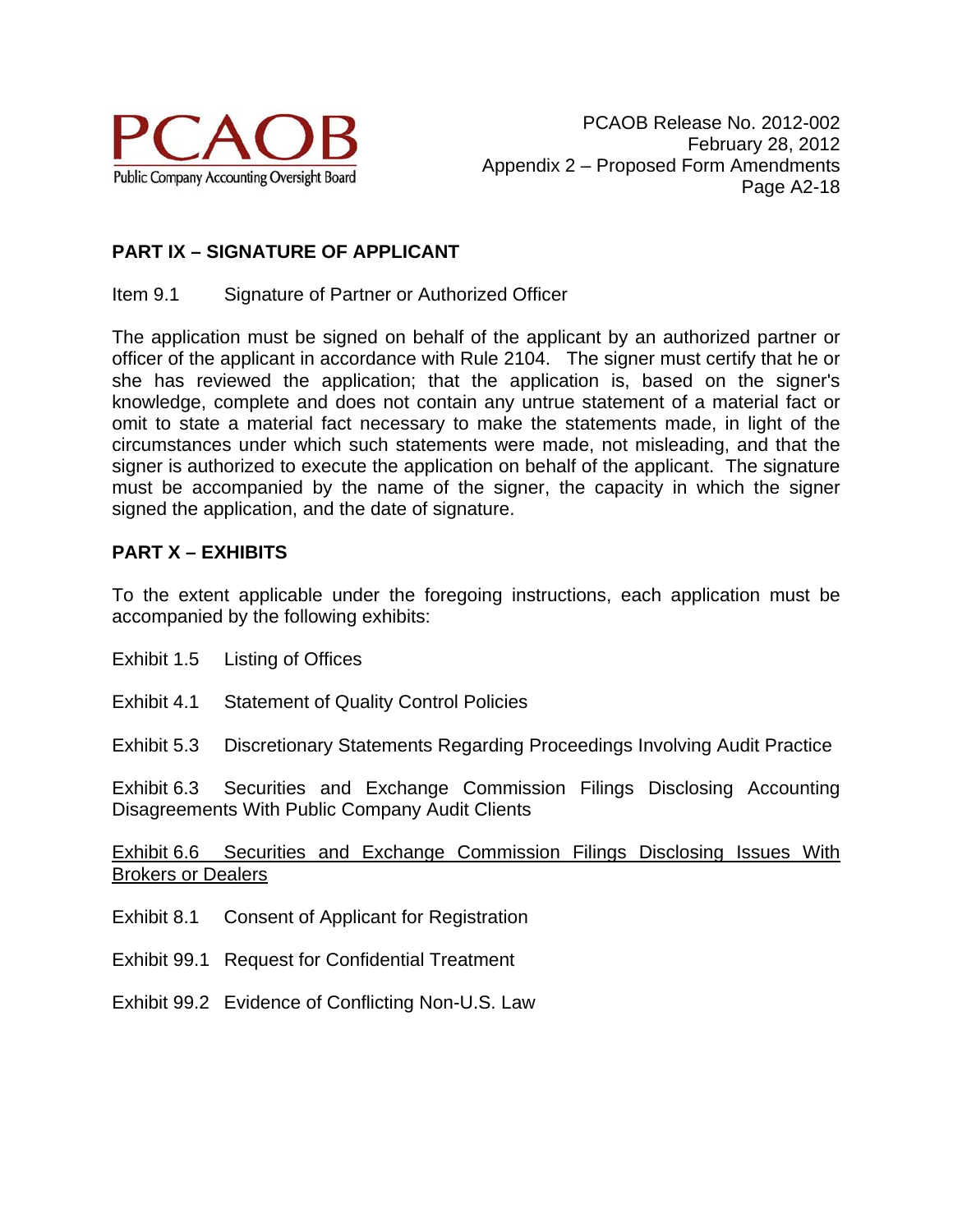

# **PART IX – SIGNATURE OF APPLICANT**

#### Item 9.1 Signature of Partner or Authorized Officer

The application must be signed on behalf of the applicant by an authorized partner or officer of the applicant in accordance with Rule 2104. The signer must certify that he or she has reviewed the application; that the application is, based on the signer's knowledge, complete and does not contain any untrue statement of a material fact or omit to state a material fact necessary to make the statements made, in light of the circumstances under which such statements were made, not misleading, and that the signer is authorized to execute the application on behalf of the applicant. The signature must be accompanied by the name of the signer, the capacity in which the signer signed the application, and the date of signature.

#### **PART X – EXHIBITS**

To the extent applicable under the foregoing instructions, each application must be accompanied by the following exhibits:

Exhibit 1.5 Listing of Offices

Exhibit 4.1 Statement of Quality Control Policies

Exhibit 5.3 Discretionary Statements Regarding Proceedings Involving Audit Practice

Exhibit 6.3 Securities and Exchange Commission Filings Disclosing Accounting Disagreements With Public Company Audit Clients

Exhibit 6.6 Securities and Exchange Commission Filings Disclosing Issues With Brokers or Dealers

Exhibit 8.1 Consent of Applicant for Registration

Exhibit 99.1 Request for Confidential Treatment

Exhibit 99.2 Evidence of Conflicting Non-U.S. Law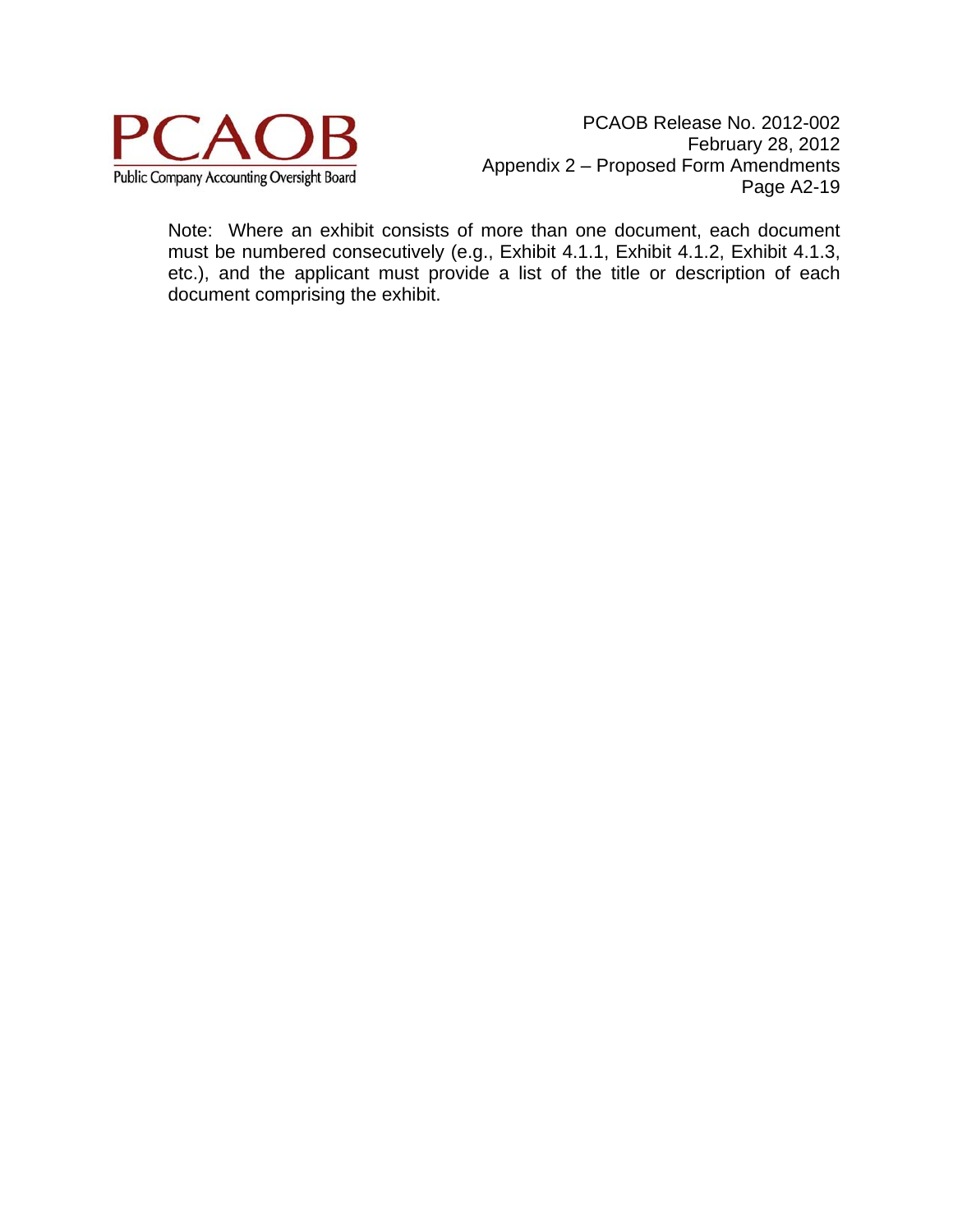

Note: Where an exhibit consists of more than one document, each document must be numbered consecutively (e.g., Exhibit 4.1.1, Exhibit 4.1.2, Exhibit 4.1.3, etc.), and the applicant must provide a list of the title or description of each document comprising the exhibit.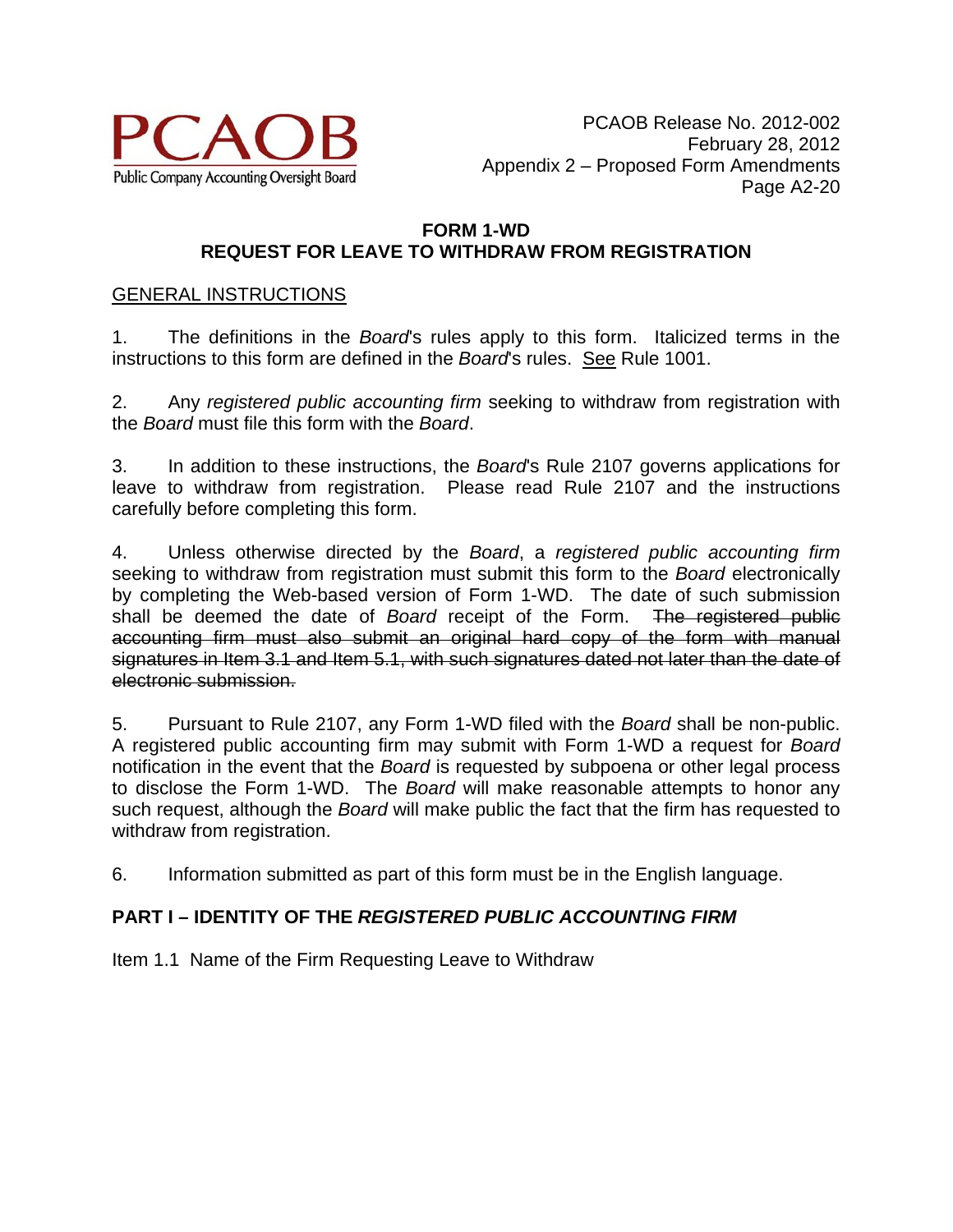

## **FORM 1-WD REQUEST FOR LEAVE TO WITHDRAW FROM REGISTRATION**

## GENERAL INSTRUCTIONS

1. The definitions in the *Board*'s rules apply to this form. Italicized terms in the instructions to this form are defined in the *Board*'s rules. See Rule 1001.

2. Any *registered public accounting firm* seeking to withdraw from registration with the *Board* must file this form with the *Board*.

3. In addition to these instructions, the *Board*'s Rule 2107 governs applications for leave to withdraw from registration. Please read Rule 2107 and the instructions carefully before completing this form.

4. Unless otherwise directed by the *Board*, a *registered public accounting firm* seeking to withdraw from registration must submit this form to the *Board* electronically by completing the Web-based version of Form 1-WD. The date of such submission shall be deemed the date of *Board* receipt of the Form. The registered public accounting firm must also submit an original hard copy of the form with manual signatures in Item 3.1 and Item 5.1, with such signatures dated not later than the date of electronic submission.

5. Pursuant to Rule 2107, any Form 1-WD filed with the *Board* shall be non-public. A registered public accounting firm may submit with Form 1-WD a request for *Board* notification in the event that the *Board* is requested by subpoena or other legal process to disclose the Form 1-WD. The *Board* will make reasonable attempts to honor any such request, although the *Board* will make public the fact that the firm has requested to withdraw from registration.

6. Information submitted as part of this form must be in the English language.

# **PART I – IDENTITY OF THE** *REGISTERED PUBLIC ACCOUNTING FIRM*

Item 1.1 Name of the Firm Requesting Leave to Withdraw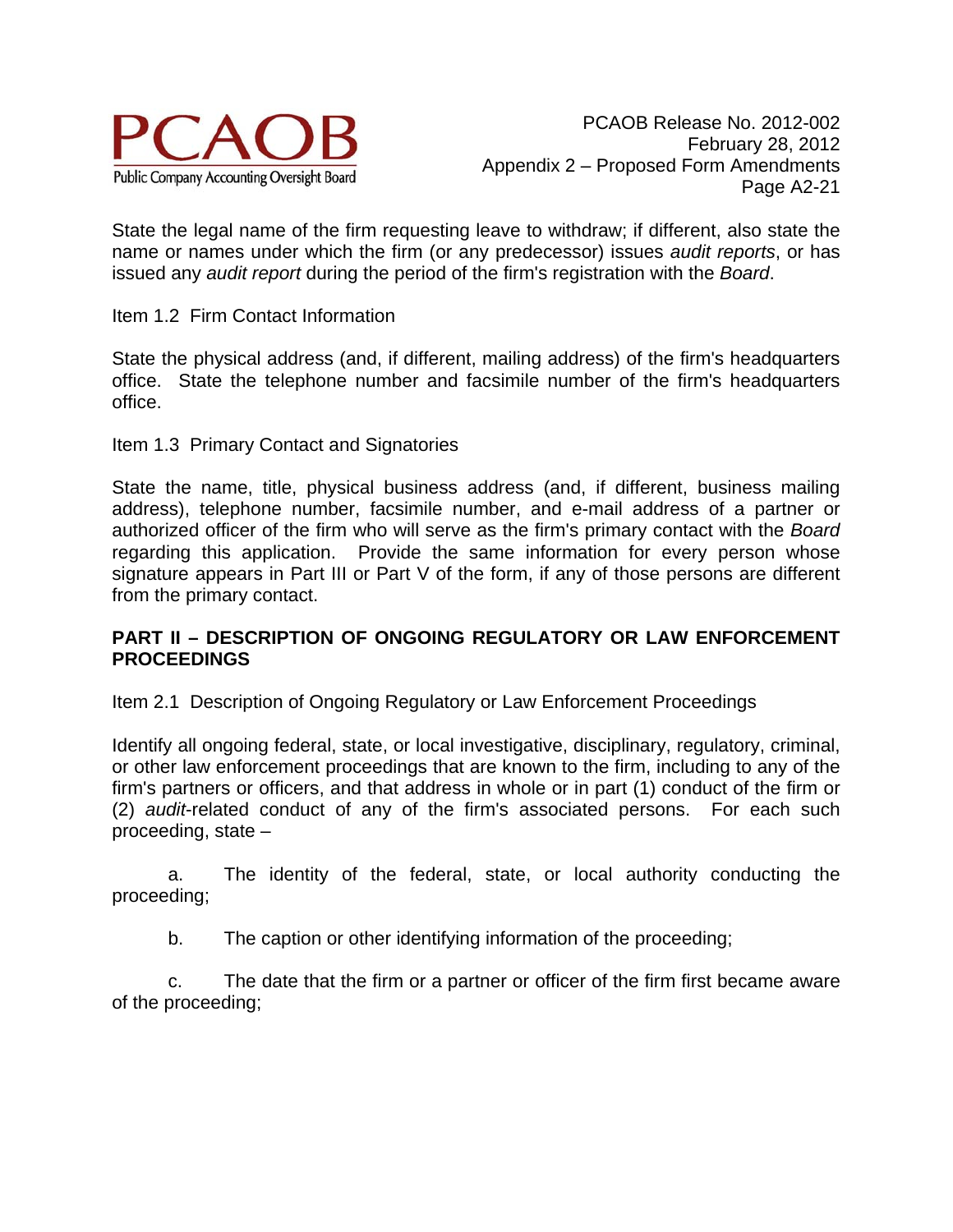

State the legal name of the firm requesting leave to withdraw; if different, also state the name or names under which the firm (or any predecessor) issues *audit reports*, or has issued any *audit report* during the period of the firm's registration with the *Board*.

Item 1.2 Firm Contact Information

State the physical address (and, if different, mailing address) of the firm's headquarters office. State the telephone number and facsimile number of the firm's headquarters office.

Item 1.3 Primary Contact and Signatories

State the name, title, physical business address (and, if different, business mailing address), telephone number, facsimile number, and e-mail address of a partner or authorized officer of the firm who will serve as the firm's primary contact with the *Board* regarding this application. Provide the same information for every person whose signature appears in Part III or Part V of the form, if any of those persons are different from the primary contact.

## **PART II – DESCRIPTION OF ONGOING REGULATORY OR LAW ENFORCEMENT PROCEEDINGS**

Item 2.1 Description of Ongoing Regulatory or Law Enforcement Proceedings

Identify all ongoing federal, state, or local investigative, disciplinary, regulatory, criminal, or other law enforcement proceedings that are known to the firm, including to any of the firm's partners or officers, and that address in whole or in part (1) conduct of the firm or (2) *audit*-related conduct of any of the firm's associated persons. For each such proceeding, state –

 a. The identity of the federal, state, or local authority conducting the proceeding;

b. The caption or other identifying information of the proceeding;

 c. The date that the firm or a partner or officer of the firm first became aware of the proceeding;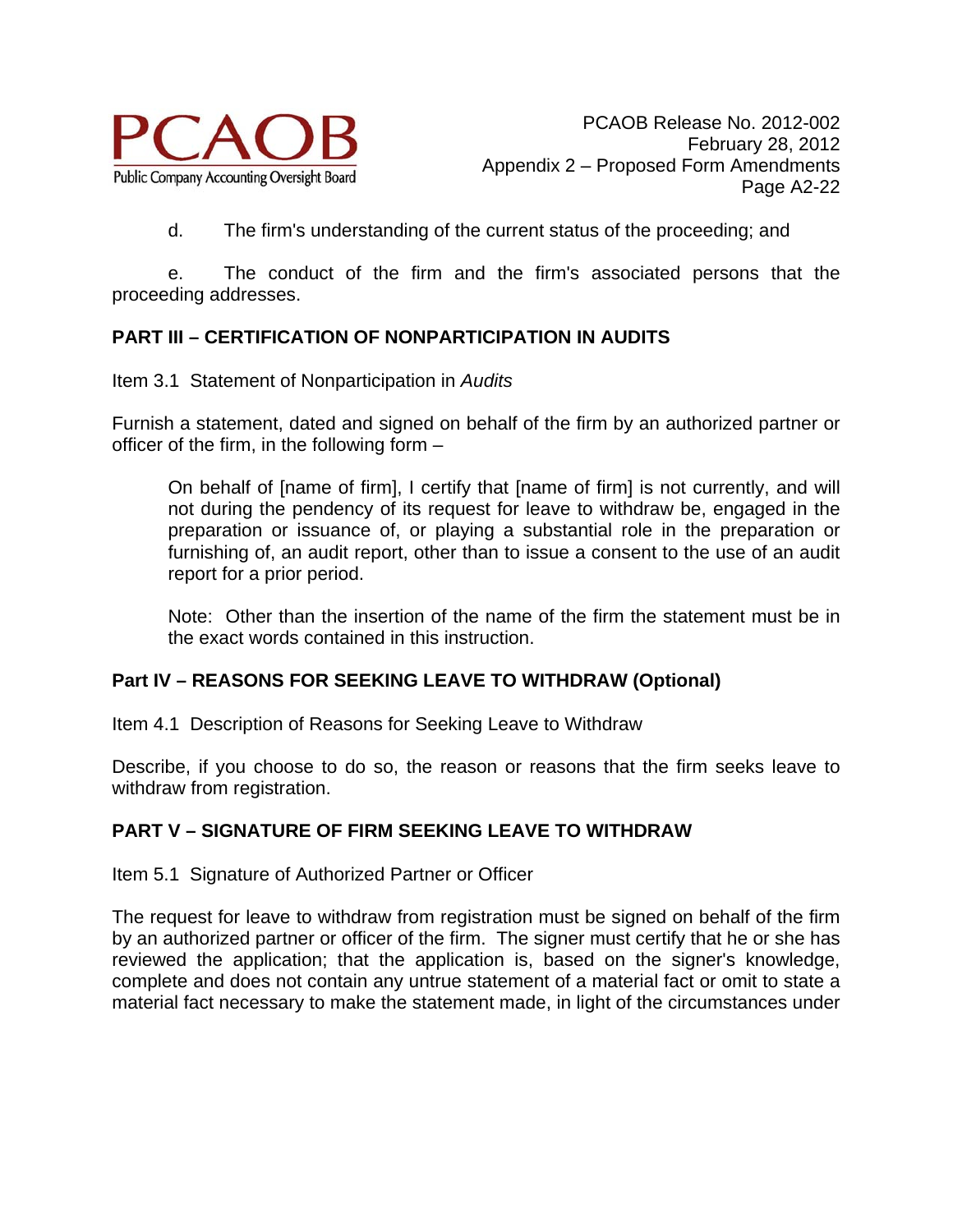

d. The firm's understanding of the current status of the proceeding; and

 e. The conduct of the firm and the firm's associated persons that the proceeding addresses.

## **PART III – CERTIFICATION OF NONPARTICIPATION IN AUDITS**

Item 3.1 Statement of Nonparticipation in *Audits*

Furnish a statement, dated and signed on behalf of the firm by an authorized partner or officer of the firm, in the following form –

On behalf of [name of firm], I certify that [name of firm] is not currently, and will not during the pendency of its request for leave to withdraw be, engaged in the preparation or issuance of, or playing a substantial role in the preparation or furnishing of, an audit report, other than to issue a consent to the use of an audit report for a prior period.

Note: Other than the insertion of the name of the firm the statement must be in the exact words contained in this instruction.

### **Part IV – REASONS FOR SEEKING LEAVE TO WITHDRAW (Optional)**

Item 4.1 Description of Reasons for Seeking Leave to Withdraw

Describe, if you choose to do so, the reason or reasons that the firm seeks leave to withdraw from registration.

### **PART V – SIGNATURE OF FIRM SEEKING LEAVE TO WITHDRAW**

Item 5.1 Signature of Authorized Partner or Officer

The request for leave to withdraw from registration must be signed on behalf of the firm by an authorized partner or officer of the firm. The signer must certify that he or she has reviewed the application; that the application is, based on the signer's knowledge, complete and does not contain any untrue statement of a material fact or omit to state a material fact necessary to make the statement made, in light of the circumstances under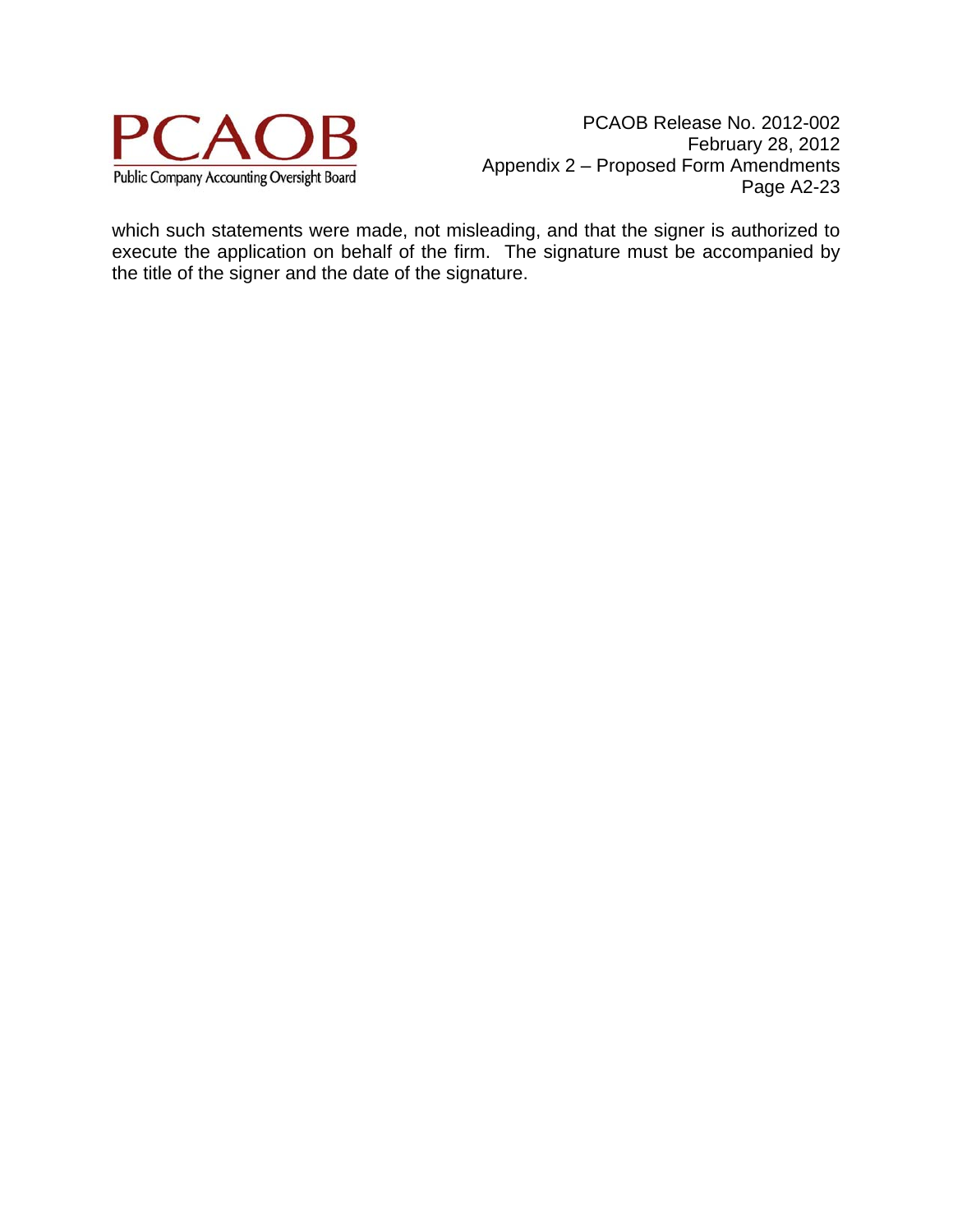

PCAOB Release No. 2012-002 February 28, 2012 Appendix 2 – Proposed Form Amendments Page A2-23

which such statements were made, not misleading, and that the signer is authorized to execute the application on behalf of the firm. The signature must be accompanied by the title of the signer and the date of the signature.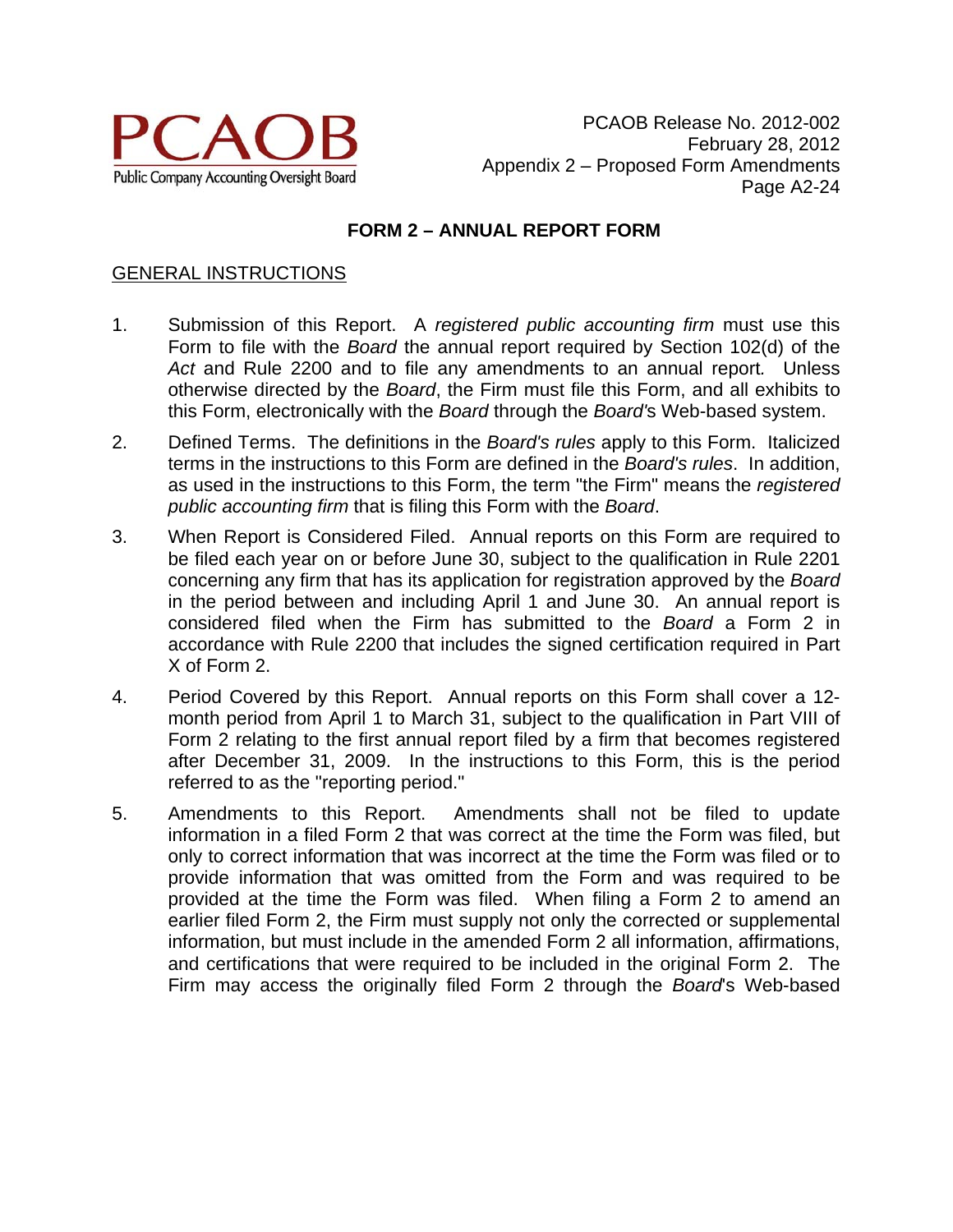

# **FORM 2 – ANNUAL REPORT FORM**

### GENERAL INSTRUCTIONS

- 1. Submission of this Report. A *registered public accounting firm* must use this Form to file with the *Board* the annual report required by Section 102(d) of the *Act* and Rule 2200 and to file any amendments to an annual report*.* Unless otherwise directed by the *Board*, the Firm must file this Form, and all exhibits to this Form, electronically with the *Board* through the *Board'*s Web-based system.
- 2. Defined Terms. The definitions in the *Board's rules* apply to this Form. Italicized terms in the instructions to this Form are defined in the *Board's rules*. In addition, as used in the instructions to this Form, the term "the Firm" means the *registered public accounting firm* that is filing this Form with the *Board*.
- 3. When Report is Considered Filed. Annual reports on this Form are required to be filed each year on or before June 30, subject to the qualification in Rule 2201 concerning any firm that has its application for registration approved by the *Board* in the period between and including April 1 and June 30. An annual report is considered filed when the Firm has submitted to the *Board* a Form 2 in accordance with Rule 2200 that includes the signed certification required in Part X of Form 2.
- 4. Period Covered by this Report. Annual reports on this Form shall cover a 12 month period from April 1 to March 31, subject to the qualification in Part VIII of Form 2 relating to the first annual report filed by a firm that becomes registered after December 31, 2009. In the instructions to this Form, this is the period referred to as the "reporting period."
- 5. Amendments to this Report. Amendments shall not be filed to update information in a filed Form 2 that was correct at the time the Form was filed, but only to correct information that was incorrect at the time the Form was filed or to provide information that was omitted from the Form and was required to be provided at the time the Form was filed. When filing a Form 2 to amend an earlier filed Form 2, the Firm must supply not only the corrected or supplemental information, but must include in the amended Form 2 all information, affirmations, and certifications that were required to be included in the original Form 2. The Firm may access the originally filed Form 2 through the *Board*'s Web-based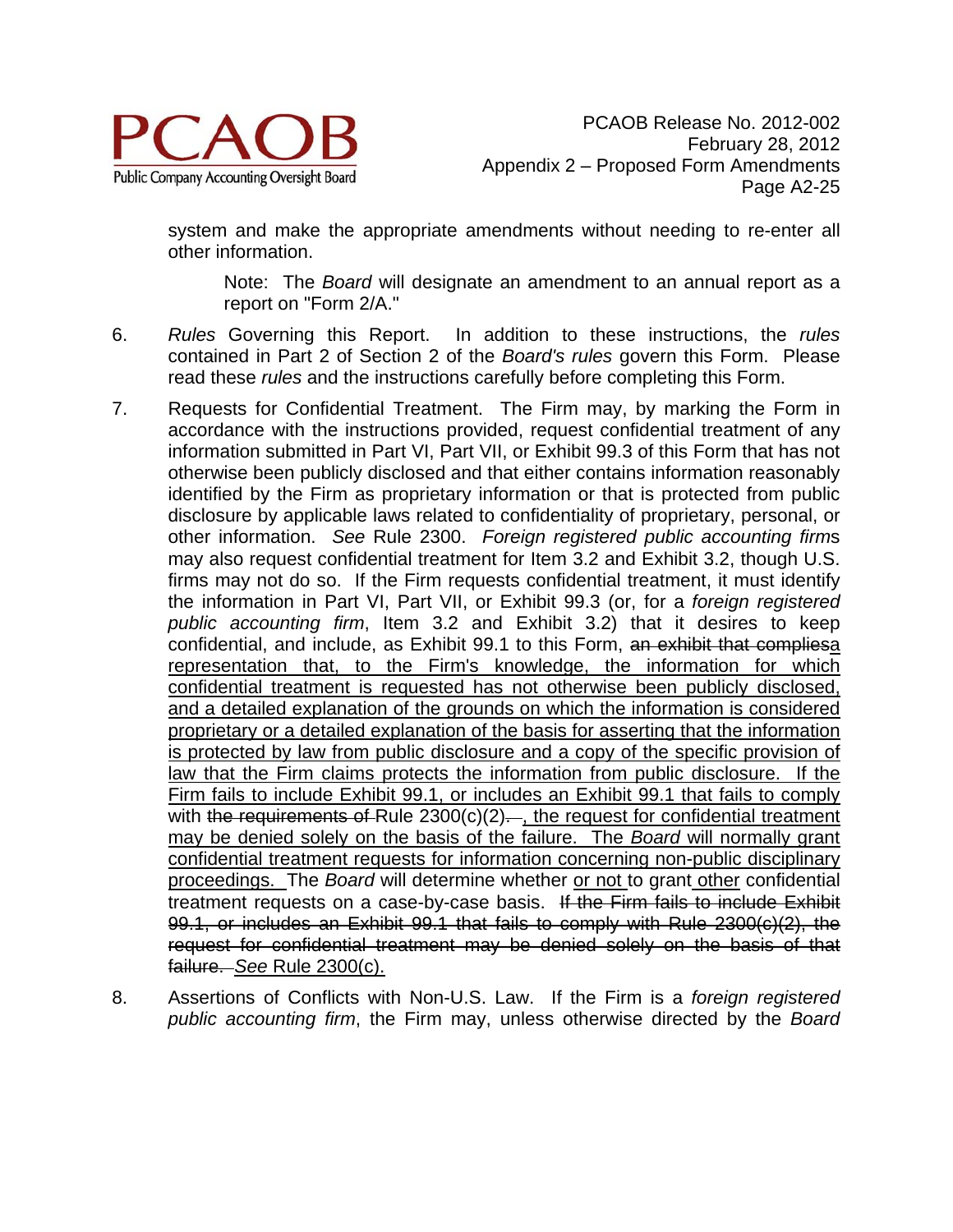

system and make the appropriate amendments without needing to re-enter all other information.

Note: The *Board* will designate an amendment to an annual report as a report on "Form 2/A."

- 6. *Rules* Governing this Report. In addition to these instructions, the *rules* contained in Part 2 of Section 2 of the *Board's rules* govern this Form. Please read these *rules* and the instructions carefully before completing this Form.
- 7. Requests for Confidential Treatment. The Firm may, by marking the Form in accordance with the instructions provided, request confidential treatment of any information submitted in Part VI, Part VII, or Exhibit 99.3 of this Form that has not otherwise been publicly disclosed and that either contains information reasonably identified by the Firm as proprietary information or that is protected from public disclosure by applicable laws related to confidentiality of proprietary, personal, or other information. *See* Rule 2300. *Foreign registered public accounting firm*s may also request confidential treatment for Item 3.2 and Exhibit 3.2, though U.S. firms may not do so. If the Firm requests confidential treatment, it must identify the information in Part VI, Part VII, or Exhibit 99.3 (or, for a *foreign registered public accounting firm*, Item 3.2 and Exhibit 3.2) that it desires to keep confidential, and include, as Exhibit 99.1 to this Form, an exhibit that compliesa representation that, to the Firm's knowledge, the information for which confidential treatment is requested has not otherwise been publicly disclosed, and a detailed explanation of the grounds on which the information is considered proprietary or a detailed explanation of the basis for asserting that the information is protected by law from public disclosure and a copy of the specific provision of law that the Firm claims protects the information from public disclosure. If the Firm fails to include Exhibit 99.1, or includes an Exhibit 99.1 that fails to comply with the requirements of Rule  $2300(c)(2)$ . the request for confidential treatment may be denied solely on the basis of the failure. The *Board* will normally grant confidential treatment requests for information concerning non-public disciplinary proceedings. The *Board* will determine whether or not to grant other confidential treatment requests on a case-by-case basis. If the Firm fails to include Exhibit 99.1, or includes an Exhibit 99.1 that fails to comply with Rule 2300(c)(2), the request for confidential treatment may be denied solely on the basis of that failure. *See* Rule 2300(c).
- 8. Assertions of Conflicts with Non-U.S. Law. If the Firm is a *foreign registered public accounting firm*, the Firm may, unless otherwise directed by the *Board*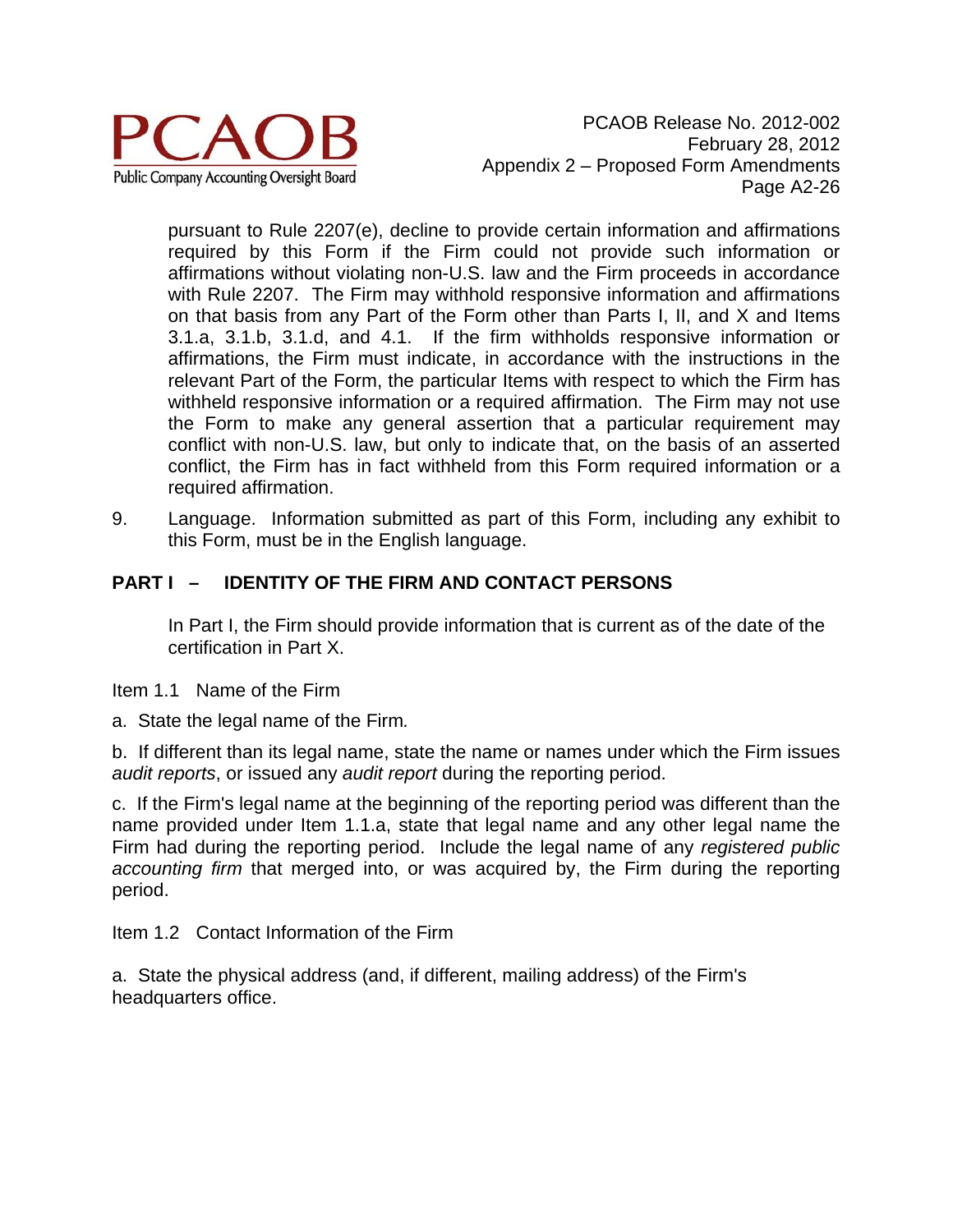

PCAOB Release No. 2012-002 February 28, 2012 Appendix 2 – Proposed Form Amendments Page A2-26

pursuant to Rule 2207(e), decline to provide certain information and affirmations required by this Form if the Firm could not provide such information or affirmations without violating non-U.S. law and the Firm proceeds in accordance with Rule 2207. The Firm may withhold responsive information and affirmations on that basis from any Part of the Form other than Parts I, II, and X and Items 3.1.a, 3.1.b, 3.1.d, and 4.1. If the firm withholds responsive information or affirmations, the Firm must indicate, in accordance with the instructions in the relevant Part of the Form, the particular Items with respect to which the Firm has withheld responsive information or a required affirmation. The Firm may not use the Form to make any general assertion that a particular requirement may conflict with non-U.S. law, but only to indicate that, on the basis of an asserted conflict, the Firm has in fact withheld from this Form required information or a required affirmation.

9. Language. Information submitted as part of this Form, including any exhibit to this Form, must be in the English language.

# **PART I – IDENTITY OF THE FIRM AND CONTACT PERSONS**

In Part I, the Firm should provide information that is current as of the date of the certification in Part X.

- Item 1.1 Name of the Firm
- a. State the legal name of the Firm*.*

b. If different than its legal name, state the name or names under which the Firm issues *audit reports*, or issued any *audit report* during the reporting period.

c. If the Firm's legal name at the beginning of the reporting period was different than the name provided under Item 1.1.a, state that legal name and any other legal name the Firm had during the reporting period. Include the legal name of any *registered public accounting firm* that merged into, or was acquired by, the Firm during the reporting period.

Item 1.2 Contact Information of the Firm

a. State the physical address (and, if different, mailing address) of the Firm's headquarters office.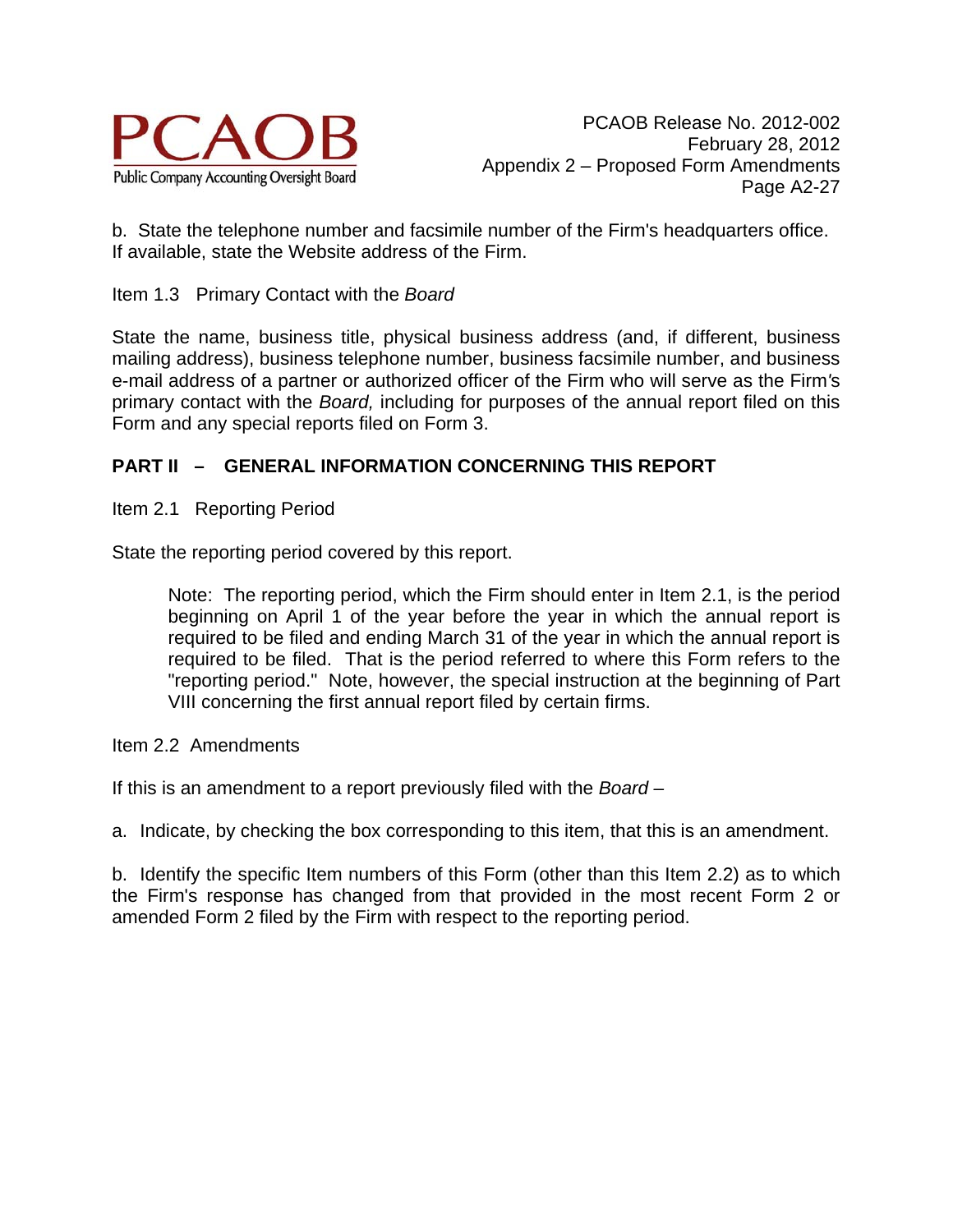

b. State the telephone number and facsimile number of the Firm's headquarters office. If available, state the Website address of the Firm.

### Item 1.3 Primary Contact with the *Board*

State the name, business title, physical business address (and, if different, business mailing address), business telephone number, business facsimile number, and business e-mail address of a partner or authorized officer of the Firm who will serve as the Firm*'*s primary contact with the *Board,* including for purposes of the annual report filed on this Form and any special reports filed on Form 3.

# **PART II – GENERAL INFORMATION CONCERNING THIS REPORT**

Item 2.1 Reporting Period

State the reporting period covered by this report.

Note: The reporting period, which the Firm should enter in Item 2.1, is the period beginning on April 1 of the year before the year in which the annual report is required to be filed and ending March 31 of the year in which the annual report is required to be filed. That is the period referred to where this Form refers to the "reporting period." Note, however, the special instruction at the beginning of Part VIII concerning the first annual report filed by certain firms.

Item 2.2 Amendments

If this is an amendment to a report previously filed with the *Board –* 

a. Indicate, by checking the box corresponding to this item, that this is an amendment.

b. Identify the specific Item numbers of this Form (other than this Item 2.2) as to which the Firm's response has changed from that provided in the most recent Form 2 or amended Form 2 filed by the Firm with respect to the reporting period.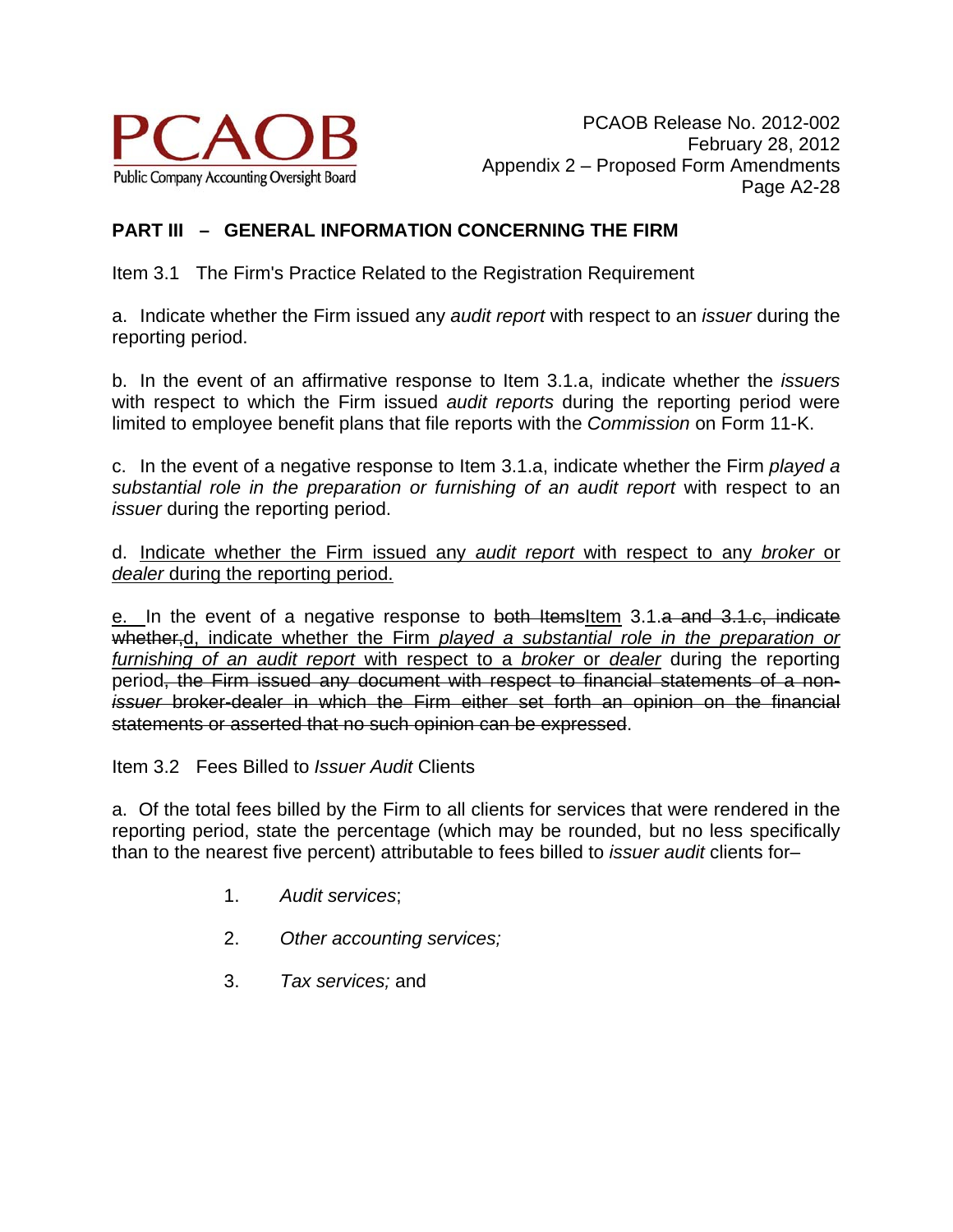

# **PART III – GENERAL INFORMATION CONCERNING THE FIRM**

Item 3.1 The Firm's Practice Related to the Registration Requirement

a. Indicate whether the Firm issued any *audit report* with respect to an *issuer* during the reporting period.

b. In the event of an affirmative response to Item 3.1.a, indicate whether the *issuers* with respect to which the Firm issued *audit reports* during the reporting period were limited to employee benefit plans that file reports with the *Commission* on Form 11-K.

c. In the event of a negative response to Item 3.1.a, indicate whether the Firm *played a*  substantial role in the preparation or furnishing of an audit report with respect to an *issuer* during the reporting period.

d. Indicate whether the Firm issued any *audit report* with respect to any *broker* or *dealer* during the reporting period.

e. In the event of a negative response to both ItemsItem 3.1.a and 3.1.c, indicate whether,d, indicate whether the Firm *played a substantial role in the preparation or furnishing of an audit report* with respect to a *broker* or *dealer* during the reporting period, the Firm issued any document with respect to financial statements of a non*issuer* broker-dealer in which the Firm either set forth an opinion on the financial statements or asserted that no such opinion can be expressed.

Item 3.2 Fees Billed to *Issuer Audit* Clients

a. Of the total fees billed by the Firm to all clients for services that were rendered in the reporting period, state the percentage (which may be rounded, but no less specifically than to the nearest five percent) attributable to fees billed to *issuer audit* clients for–

- 1. *Audit services*;
- 2. *Other accounting services;*
- 3. *Tax services;* and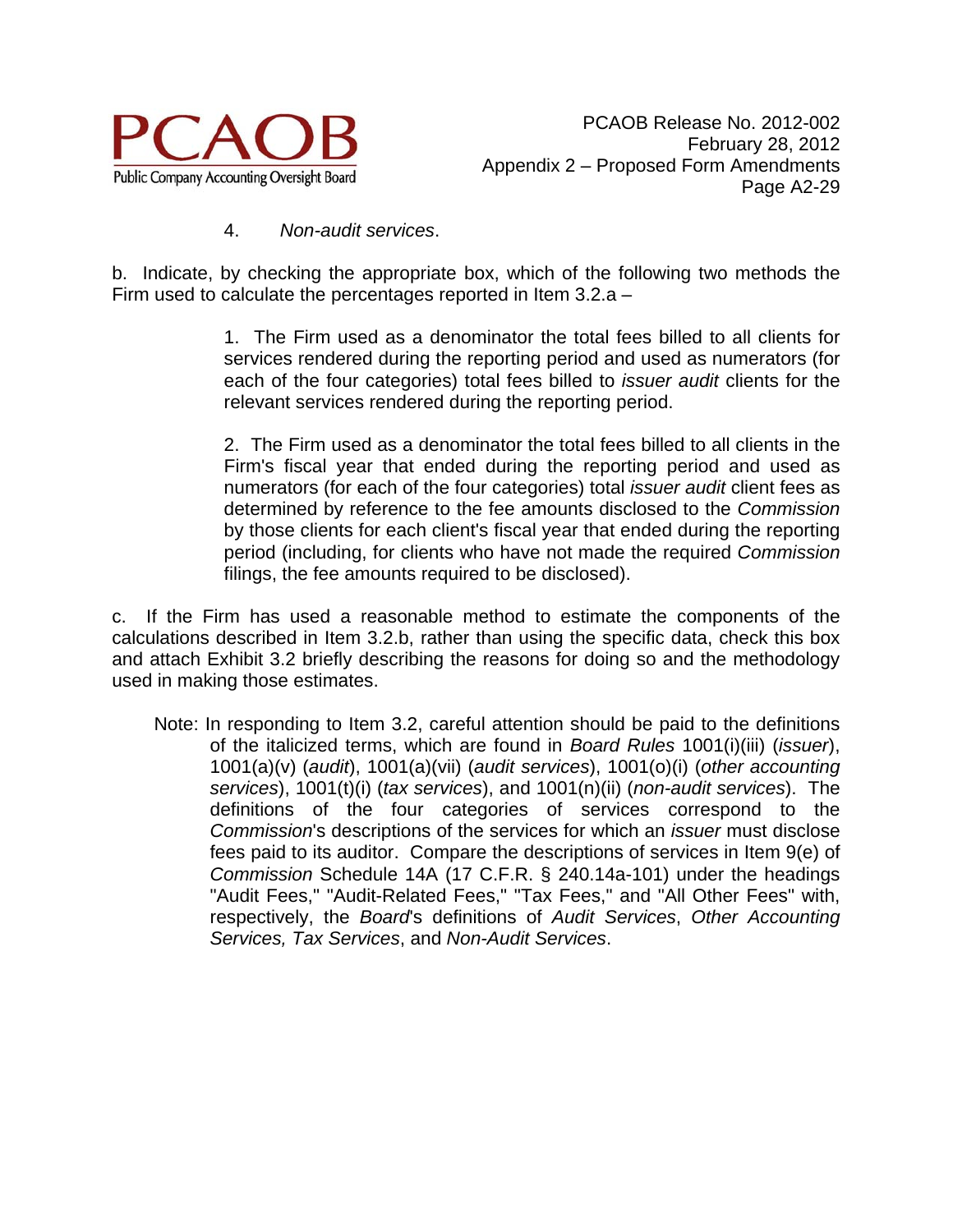

#### 4. *Non-audit services*.

b. Indicate, by checking the appropriate box, which of the following two methods the Firm used to calculate the percentages reported in Item 3.2.a –

> 1. The Firm used as a denominator the total fees billed to all clients for services rendered during the reporting period and used as numerators (for each of the four categories) total fees billed to *issuer audit* clients for the relevant services rendered during the reporting period.

> 2. The Firm used as a denominator the total fees billed to all clients in the Firm's fiscal year that ended during the reporting period and used as numerators (for each of the four categories) total *issuer audit* client fees as determined by reference to the fee amounts disclosed to the *Commission* by those clients for each client's fiscal year that ended during the reporting period (including, for clients who have not made the required *Commission* filings, the fee amounts required to be disclosed).

c. If the Firm has used a reasonable method to estimate the components of the calculations described in Item 3.2.b, rather than using the specific data, check this box and attach Exhibit 3.2 briefly describing the reasons for doing so and the methodology used in making those estimates.

Note: In responding to Item 3.2, careful attention should be paid to the definitions of the italicized terms, which are found in *Board Rules* 1001(i)(iii) (*issuer*), 1001(a)(v) (*audit*), 1001(a)(vii) (*audit services*), 1001(o)(i) (*other accounting services*), 1001(t)(i) (*tax services*), and 1001(n)(ii) (*non-audit services*). The definitions of the four categories of services correspond to the *Commission*'s descriptions of the services for which an *issuer* must disclose fees paid to its auditor. Compare the descriptions of services in Item 9(e) of *Commission* Schedule 14A (17 C.F.R. § 240.14a-101) under the headings "Audit Fees," "Audit-Related Fees," "Tax Fees," and "All Other Fees" with, respectively, the *Board*'s definitions of *Audit Services*, *Other Accounting Services, Tax Services*, and *Non-Audit Services*.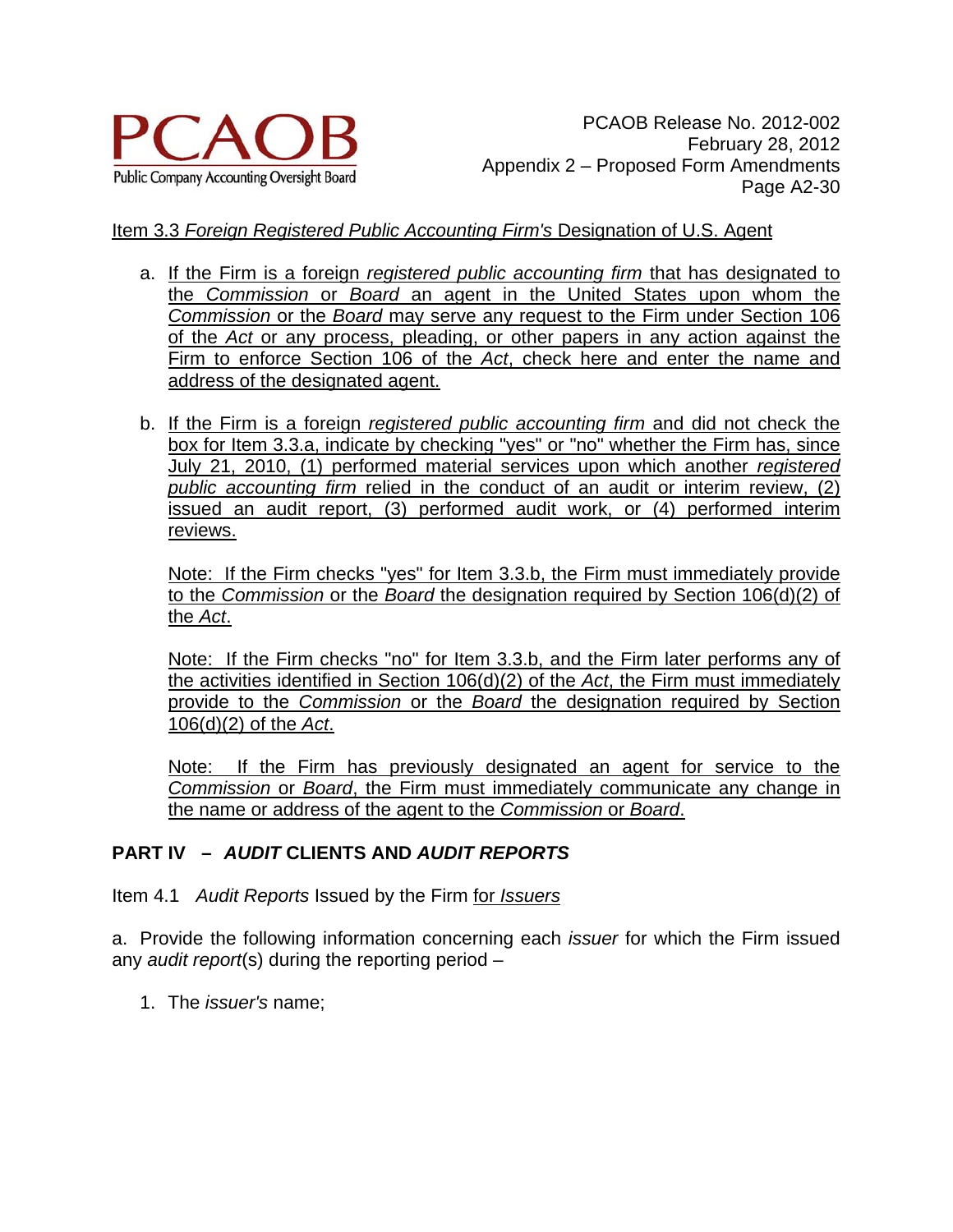

## Item 3.3 *Foreign Registered Public Accounting Firm's* Designation of U.S. Agent

- a. If the Firm is a foreign *registered public accounting firm* that has designated to the *Commission* or *Board* an agent in the United States upon whom the *Commission* or the *Board* may serve any request to the Firm under Section 106 of the *Act* or any process, pleading, or other papers in any action against the Firm to enforce Section 106 of the *Act*, check here and enter the name and address of the designated agent.
- b. If the Firm is a foreign *registered public accounting firm* and did not check the box for Item 3.3.a, indicate by checking "yes" or "no" whether the Firm has, since July 21, 2010, (1) performed material services upon which another *registered public accounting firm* relied in the conduct of an audit or interim review, (2) issued an audit report, (3) performed audit work, or (4) performed interim reviews.

Note: If the Firm checks "yes" for Item 3.3.b, the Firm must immediately provide to the *Commission* or the *Board* the designation required by Section 106(d)(2) of the *Act*.

Note: If the Firm checks "no" for Item 3.3.b, and the Firm later performs any of the activities identified in Section 106(d)(2) of the *Act*, the Firm must immediately provide to the *Commission* or the *Board* the designation required by Section 106(d)(2) of the *Act*.

Note: If the Firm has previously designated an agent for service to the *Commission* or *Board*, the Firm must immediately communicate any change in the name or address of the agent to the *Commission* or *Board*.

# **PART IV –** *AUDIT* **CLIENTS AND** *AUDIT REPORTS*

Item 4.1 *Audit Reports* Issued by the Firm for *Issuers*

a. Provide the following information concerning each *issuer* for which the Firm issued any *audit report*(s) during the reporting period –

1. The *issuer's* name;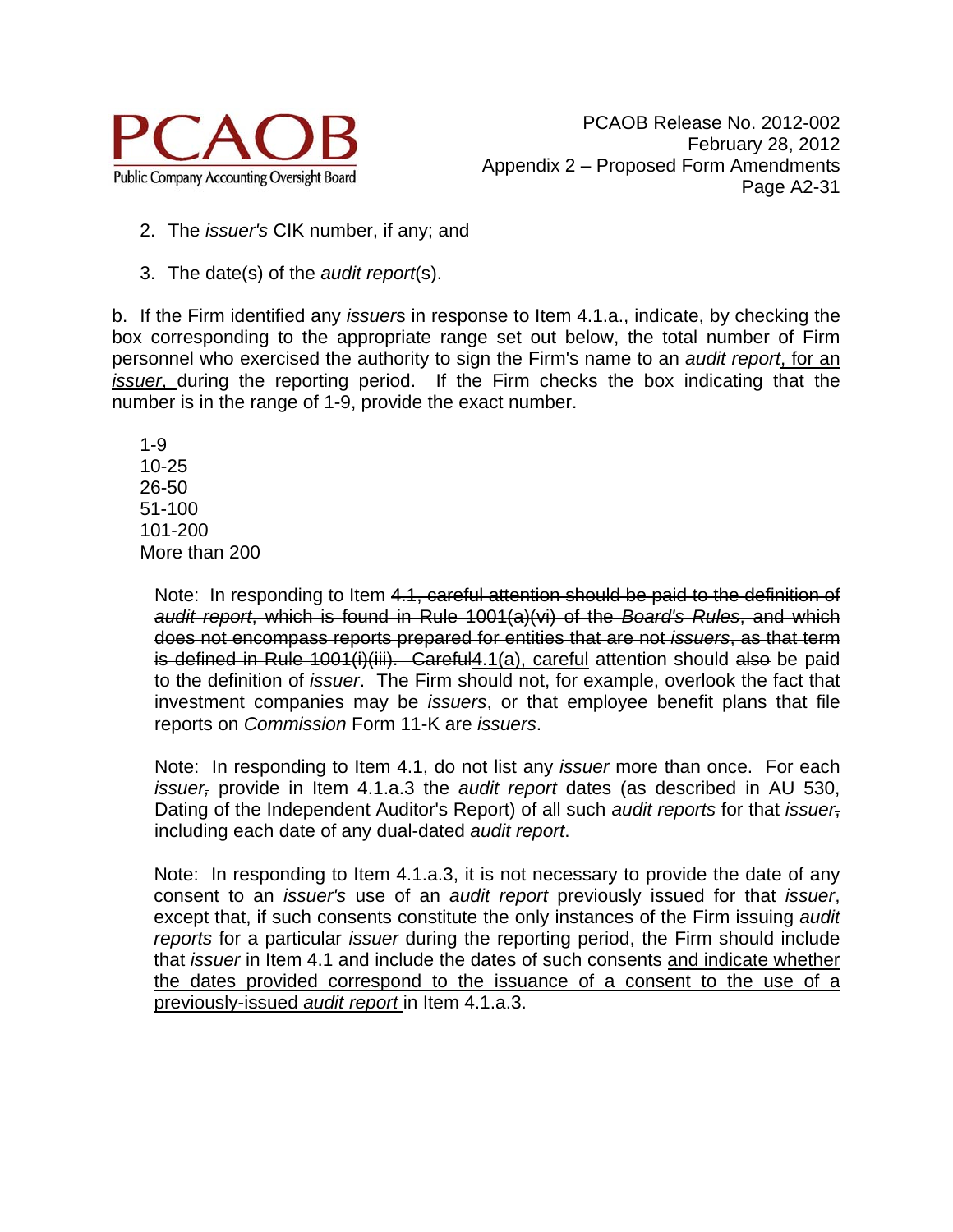

- 2. The *issuer's* CIK number, if any; and
- 3. The date(s) of the *audit report*(s).

b. If the Firm identified any *issuer*s in response to Item 4.1.a., indicate, by checking the box corresponding to the appropriate range set out below, the total number of Firm personnel who exercised the authority to sign the Firm's name to an *audit report*, for an *issuer*, during the reporting period. If the Firm checks the box indicating that the number is in the range of 1-9, provide the exact number.

 1-9 10-25 26-50 51-100 101-200 More than 200

> Note: In responding to Item 4.1, careful attention should be paid to the definition of *audit report*, which is found in Rule 1001(a)(vi) of the *Board's Rules*, and which does not encompass reports prepared for entities that are not *issuers*, as that term is defined in Rule 1001(i)(iii). Careful4.1(a), careful attention should also be paid to the definition of *issuer*. The Firm should not, for example, overlook the fact that investment companies may be *issuers*, or that employee benefit plans that file reports on *Commission* Form 11-K are *issuers*.

> Note: In responding to Item 4.1, do not list any *issuer* more than once. For each *issuer,* provide in Item 4.1.a.3 the *audit report* dates (as described in AU 530, Dating of the Independent Auditor's Report) of all such *audit reports* for that *issuer*, including each date of any dual-dated *audit report*.

> Note: In responding to Item 4.1.a.3, it is not necessary to provide the date of any consent to an *issuer's* use of an *audit report* previously issued for that *issuer*, except that, if such consents constitute the only instances of the Firm issuing *audit reports* for a particular *issuer* during the reporting period, the Firm should include that *issuer* in Item 4.1 and include the dates of such consents and indicate whether the dates provided correspond to the issuance of a consent to the use of a previously-issued *audit report* in Item 4.1.a.3.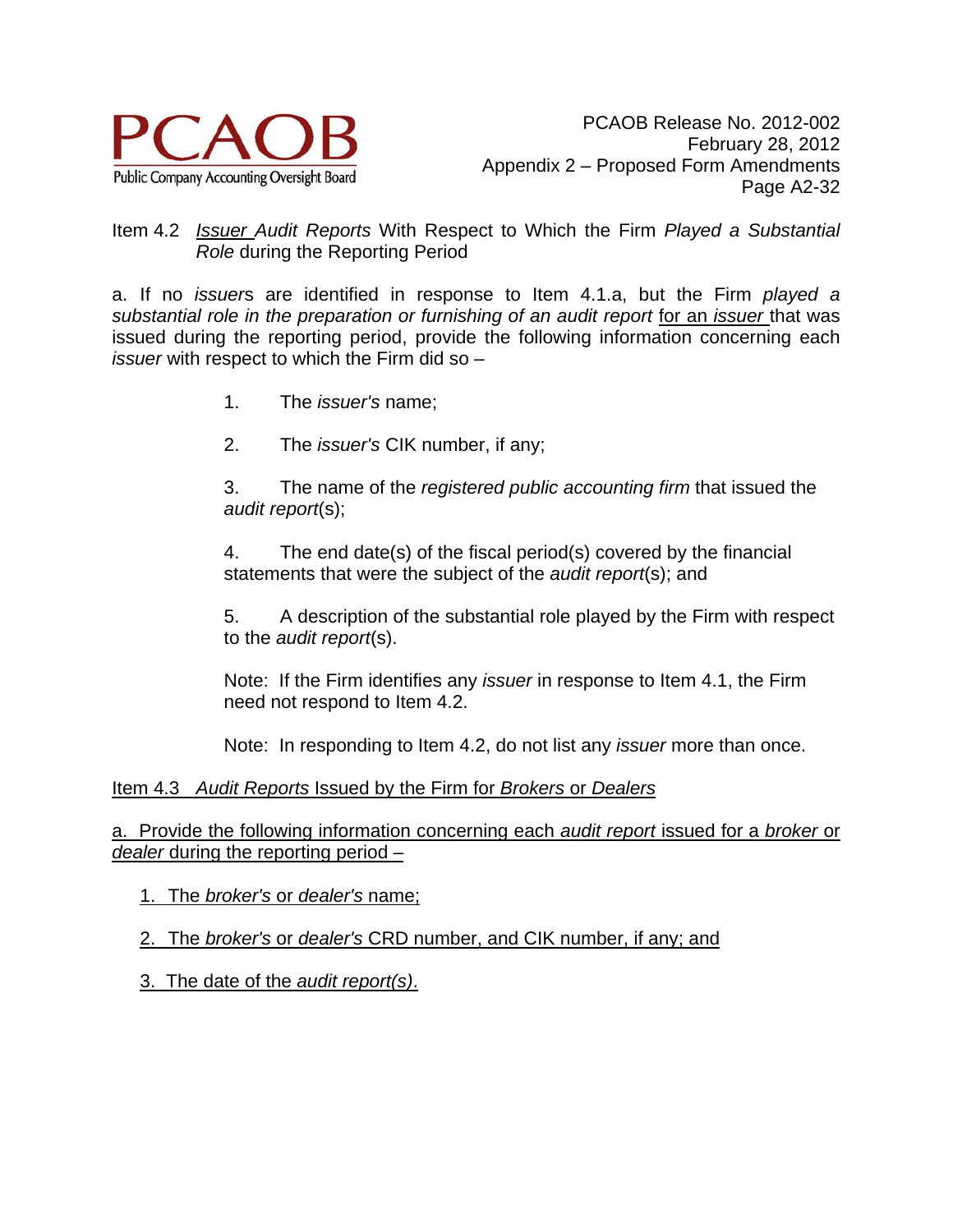

### Item 4.2 *Issuer Audit Reports* With Respect to Which the Firm *Played a Substantial Role* during the Reporting Period

a. If no *issuer*s are identified in response to Item 4.1.a, but the Firm *played a substantial role in the preparation or furnishing of an audit report* for an *issuer* that was issued during the reporting period, provide the following information concerning each *issuer* with respect to which the Firm did so –

- 1. The *issuer's* name;
- 2. The *issuer's* CIK number, if any;

3. The name of the *registered public accounting firm* that issued the *audit report*(s);

4. The end date(s) of the fiscal period(s) covered by the financial statements that were the subject of the *audit report*(s); and

5. A description of the substantial role played by the Firm with respect to the *audit report*(s).

Note: If the Firm identifies any *issuer* in response to Item 4.1, the Firm need not respond to Item 4.2.

Note: In responding to Item 4.2, do not list any *issuer* more than once.

### Item 4.3 *Audit Reports* Issued by the Firm for *Brokers* or *Dealers*

a. Provide the following information concerning each *audit report* issued for a *broker* or *dealer* during the reporting period –

1. The *broker's* or *dealer's* name;

2. The *broker's* or *dealer's* CRD number, and CIK number, if any; and

3. The date of the *audit report(s)*.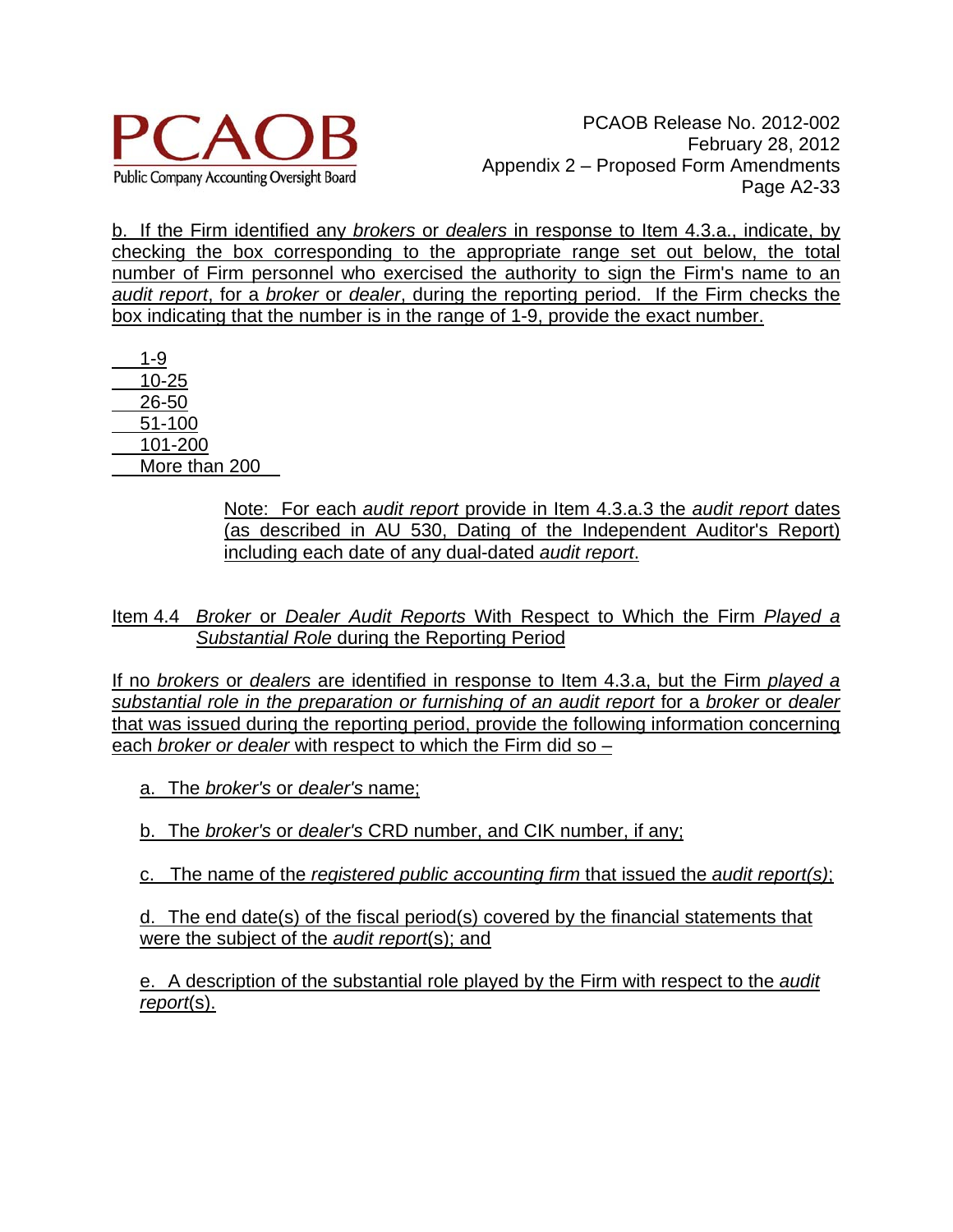

b. If the Firm identified any *brokers* or *dealers* in response to Item 4.3.a., indicate, by checking the box corresponding to the appropriate range set out below, the total number of Firm personnel who exercised the authority to sign the Firm's name to an *audit report*, for a *broker* or *dealer*, during the reporting period. If the Firm checks the box indicating that the number is in the range of 1-9, provide the exact number.

 1-9 10-25 26-50 51-100 101-200 More than 200

> Note: For each *audit report* provide in Item 4.3.a.3 the *audit report* dates (as described in AU 530, Dating of the Independent Auditor's Report) including each date of any dual-dated *audit report*.

Item 4.4 *Broker* or *Dealer Audit Reports* With Respect to Which the Firm *Played a Substantial Role* during the Reporting Period

If no *brokers* or *dealers* are identified in response to Item 4.3.a, but the Firm *played a substantial role in the preparation or furnishing of an audit report* for a *broker* or *dealer* that was issued during the reporting period, provide the following information concerning each *broker or dealer* with respect to which the Firm did so –

a. The *broker's* or *dealer's* name;

b. The *broker's* or *dealer's* CRD number, and CIK number, if any;

c. The name of the *registered public accounting firm* that issued the *audit report(s)*;

d. The end date(s) of the fiscal period(s) covered by the financial statements that were the subject of the *audit report*(s); and

e. A description of the substantial role played by the Firm with respect to the *audit report*(s).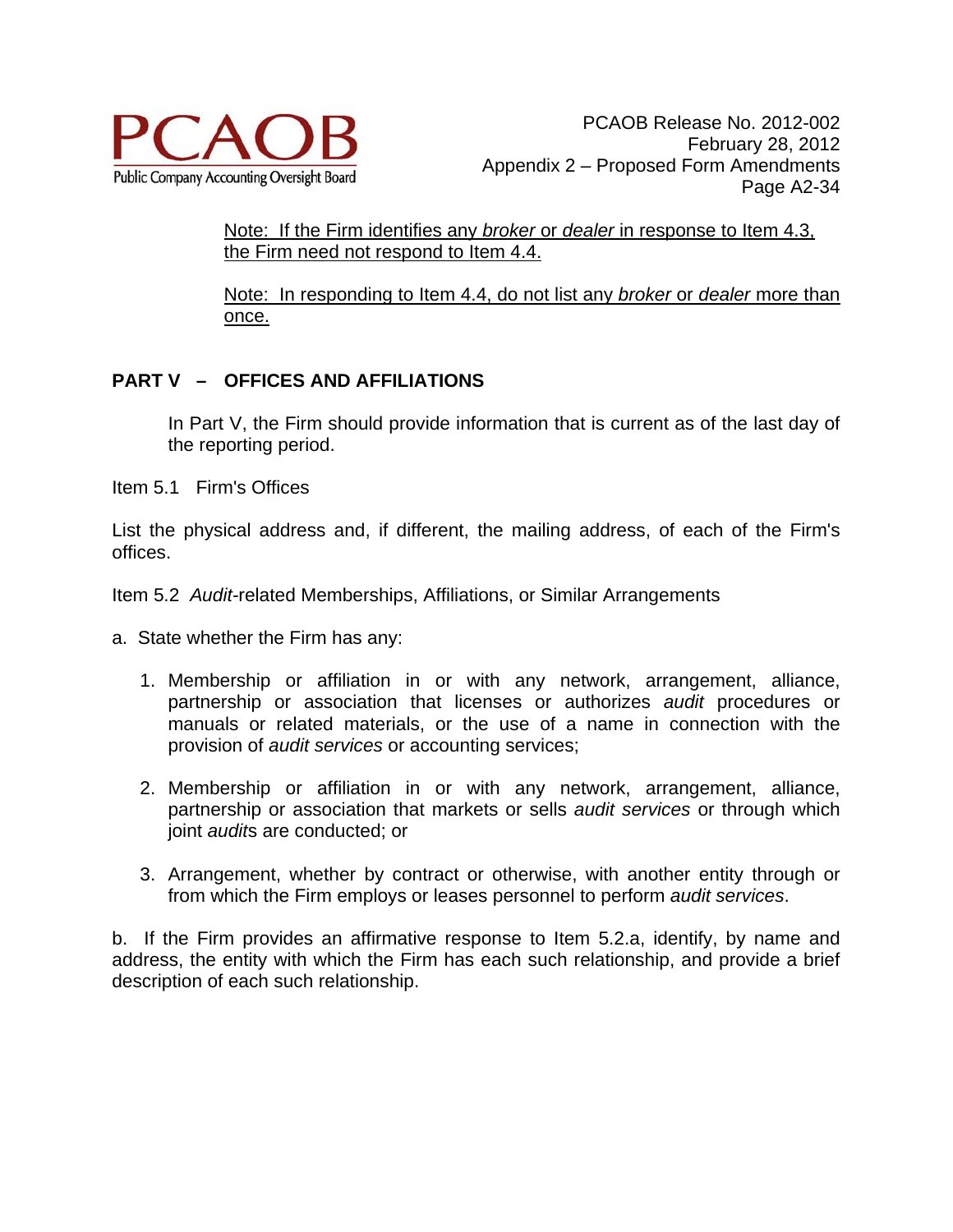

Note: If the Firm identifies any *broker* or *dealer* in response to Item 4.3, the Firm need not respond to Item 4.4.

Note: In responding to Item 4.4, do not list any *broker* or *dealer* more than once.

# **PART V – OFFICES AND AFFILIATIONS**

In Part V, the Firm should provide information that is current as of the last day of the reporting period.

Item 5.1 Firm's Offices

List the physical address and, if different, the mailing address, of each of the Firm's offices.

Item 5.2 *Audit-*related Memberships, Affiliations, or Similar Arrangements

- a. State whether the Firm has any:
	- 1. Membership or affiliation in or with any network, arrangement, alliance, partnership or association that licenses or authorizes *audit* procedures or manuals or related materials, or the use of a name in connection with the provision of *audit services* or accounting services;
	- 2. Membership or affiliation in or with any network, arrangement, alliance, partnership or association that markets or sells *audit services* or through which joint *audit*s are conducted; or
	- 3. Arrangement, whether by contract or otherwise, with another entity through or from which the Firm employs or leases personnel to perform *audit services*.

b. If the Firm provides an affirmative response to Item 5.2.a, identify, by name and address, the entity with which the Firm has each such relationship, and provide a brief description of each such relationship.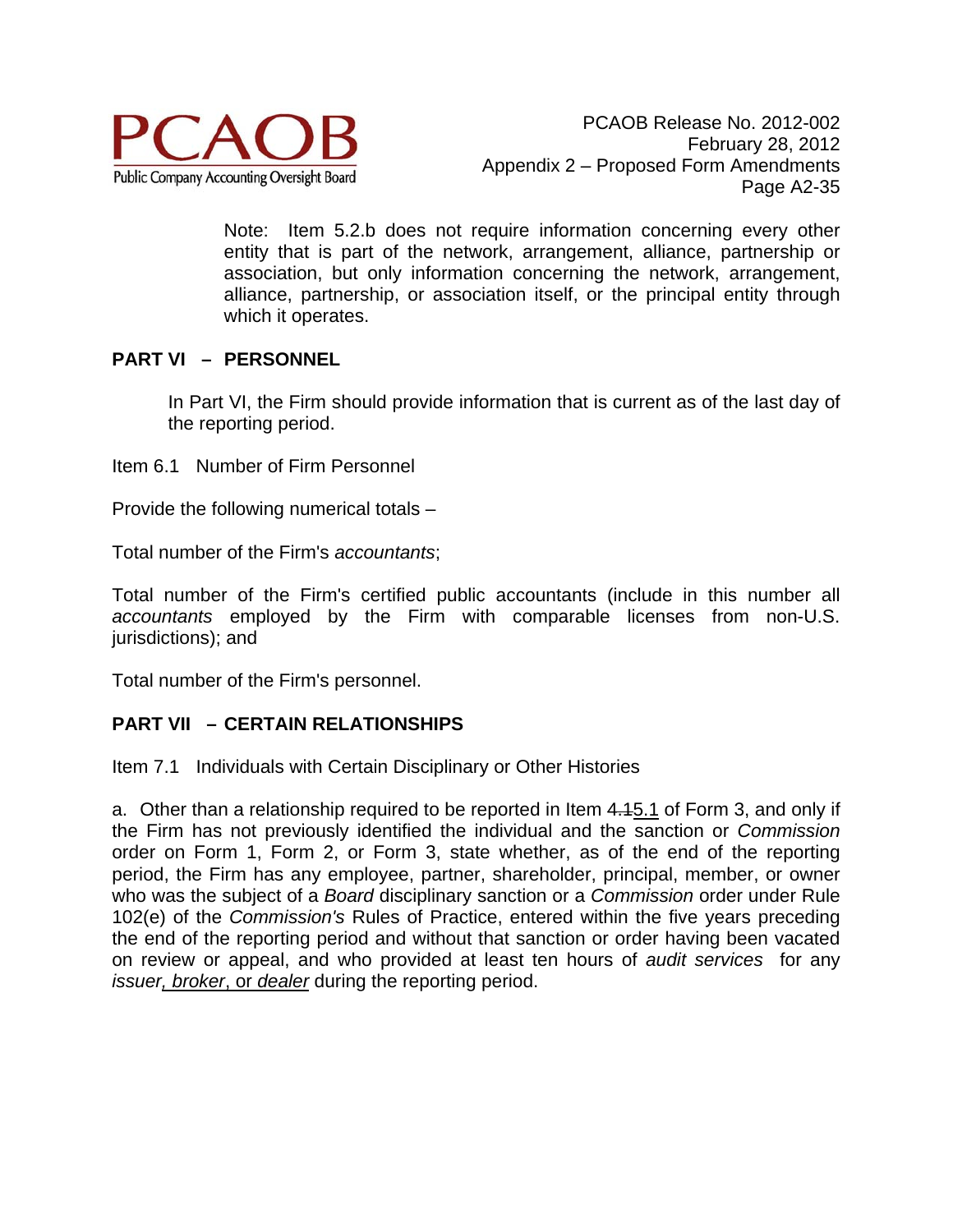

Note: Item 5.2.b does not require information concerning every other entity that is part of the network, arrangement, alliance, partnership or association, but only information concerning the network, arrangement, alliance, partnership, or association itself, or the principal entity through which it operates.

## **PART VI – PERSONNEL**

In Part VI, the Firm should provide information that is current as of the last day of the reporting period.

Item 6.1 Number of Firm Personnel

Provide the following numerical totals –

Total number of the Firm's *accountants*;

Total number of the Firm's certified public accountants (include in this number all *accountants* employed by the Firm with comparable licenses from non-U.S. jurisdictions); and

Total number of the Firm's personnel.

### **PART VII – CERTAIN RELATIONSHIPS**

Item 7.1 Individuals with Certain Disciplinary or Other Histories

a. Other than a relationship required to be reported in Item 4.15.1 of Form 3, and only if the Firm has not previously identified the individual and the sanction or *Commission* order on Form 1, Form 2, or Form 3, state whether, as of the end of the reporting period, the Firm has any employee, partner, shareholder, principal, member, or owner who was the subject of a *Board* disciplinary sanction or a *Commission* order under Rule 102(e) of the *Commission's* Rules of Practice, entered within the five years preceding the end of the reporting period and without that sanction or order having been vacated on review or appeal, and who provided at least ten hours of *audit services* for any *issuer, broker*, or *dealer* during the reporting period.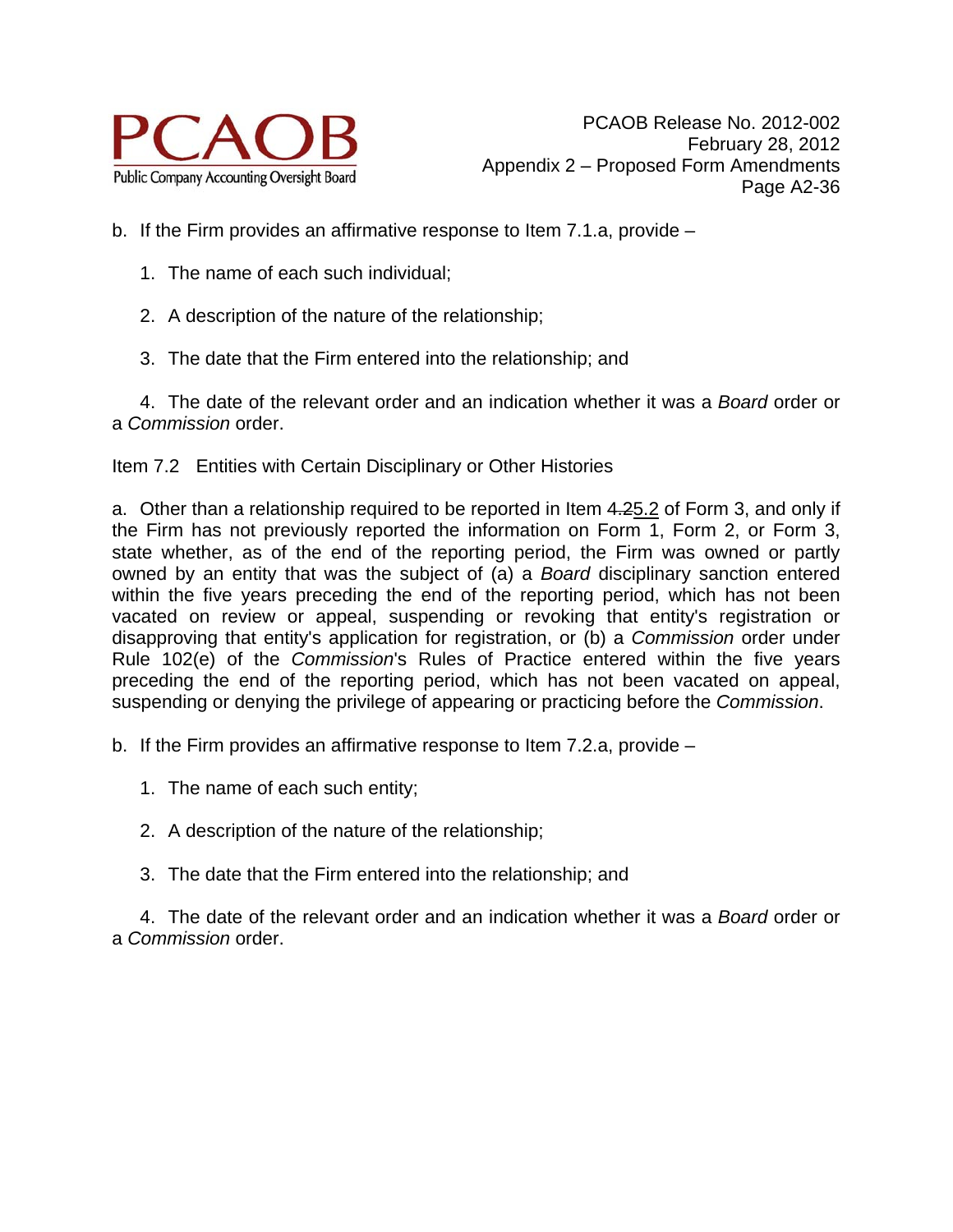

- b. If the Firm provides an affirmative response to Item 7.1.a, provide
	- 1. The name of each such individual;
	- 2. A description of the nature of the relationship;
	- 3. The date that the Firm entered into the relationship; and

 4. The date of the relevant order and an indication whether it was a *Board* order or a *Commission* order.

Item 7.2 Entities with Certain Disciplinary or Other Histories

a. Other than a relationship required to be reported in Item 4.25.2 of Form 3, and only if the Firm has not previously reported the information on Form 1, Form 2, or Form 3, state whether, as of the end of the reporting period, the Firm was owned or partly owned by an entity that was the subject of (a) a *Board* disciplinary sanction entered within the five years preceding the end of the reporting period, which has not been vacated on review or appeal, suspending or revoking that entity's registration or disapproving that entity's application for registration, or (b) a *Commission* order under Rule 102(e) of the *Commission*'s Rules of Practice entered within the five years preceding the end of the reporting period, which has not been vacated on appeal, suspending or denying the privilege of appearing or practicing before the *Commission*.

b. If the Firm provides an affirmative response to Item 7.2.a, provide –

- 1. The name of each such entity;
- 2. A description of the nature of the relationship;
- 3. The date that the Firm entered into the relationship; and

 4. The date of the relevant order and an indication whether it was a *Board* order or a *Commission* order.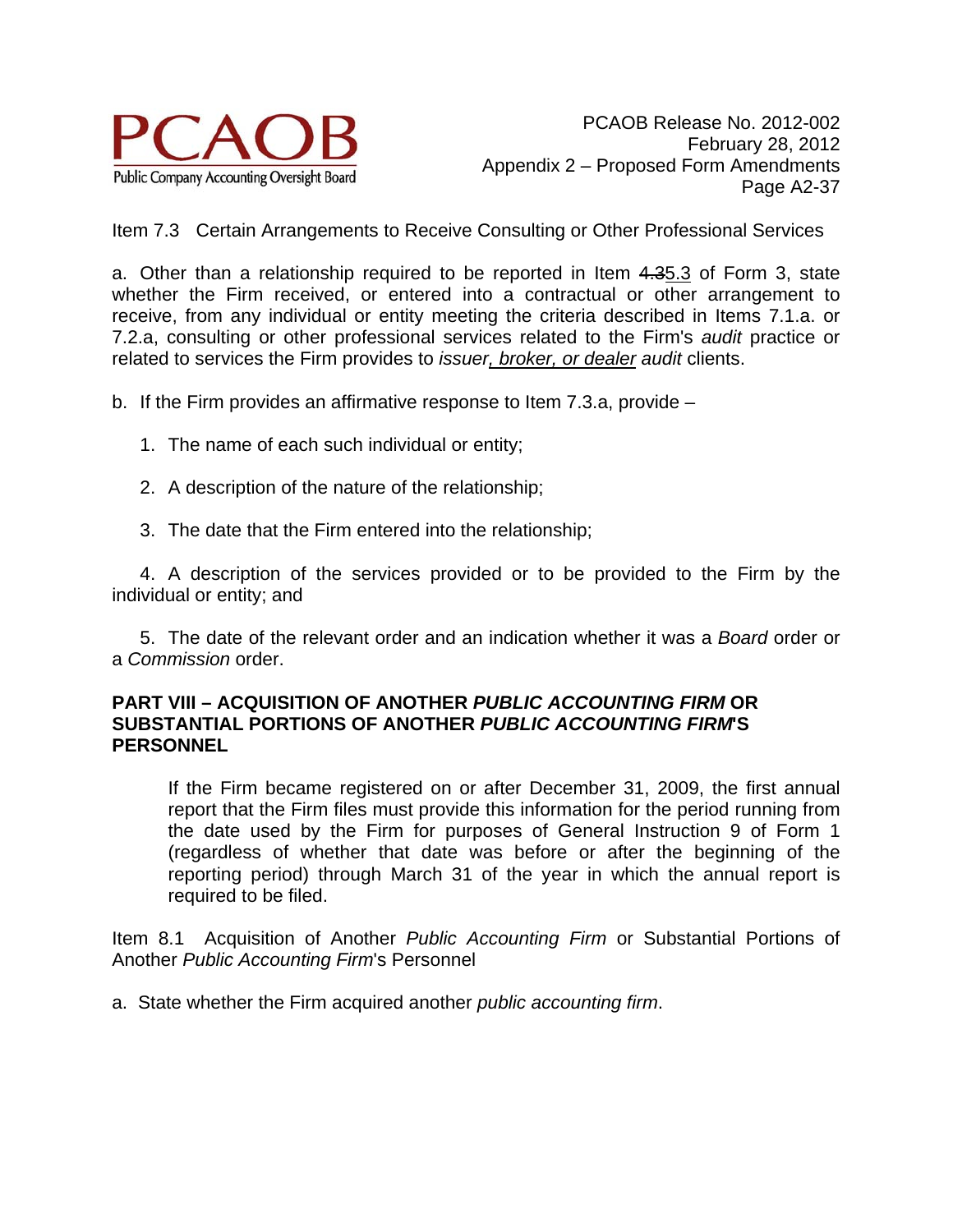

Item 7.3 Certain Arrangements to Receive Consulting or Other Professional Services

a. Other than a relationship required to be reported in Item 4.35.3 of Form 3, state whether the Firm received, or entered into a contractual or other arrangement to receive, from any individual or entity meeting the criteria described in Items 7.1.a. or 7.2.a, consulting or other professional services related to the Firm's *audit* practice or related to services the Firm provides to *issuer, broker, or dealer audit* clients.

b. If the Firm provides an affirmative response to Item 7.3.a, provide –

- 1. The name of each such individual or entity;
- 2. A description of the nature of the relationship;
- 3. The date that the Firm entered into the relationship;

 4. A description of the services provided or to be provided to the Firm by the individual or entity; and

 5. The date of the relevant order and an indication whether it was a *Board* order or a *Commission* order.

#### **PART VIII – ACQUISITION OF ANOTHER** *PUBLIC ACCOUNTING FIRM* **OR SUBSTANTIAL PORTIONS OF ANOTHER** *PUBLIC ACCOUNTING FIRM***'S PERSONNEL**

 If the Firm became registered on or after December 31, 2009, the first annual report that the Firm files must provide this information for the period running from the date used by the Firm for purposes of General Instruction 9 of Form 1 (regardless of whether that date was before or after the beginning of the reporting period) through March 31 of the year in which the annual report is required to be filed.

Item 8.1 Acquisition of Another *Public Accounting Firm* or Substantial Portions of Another *Public Accounting Firm*'s Personnel

a. State whether the Firm acquired another *public accounting firm*.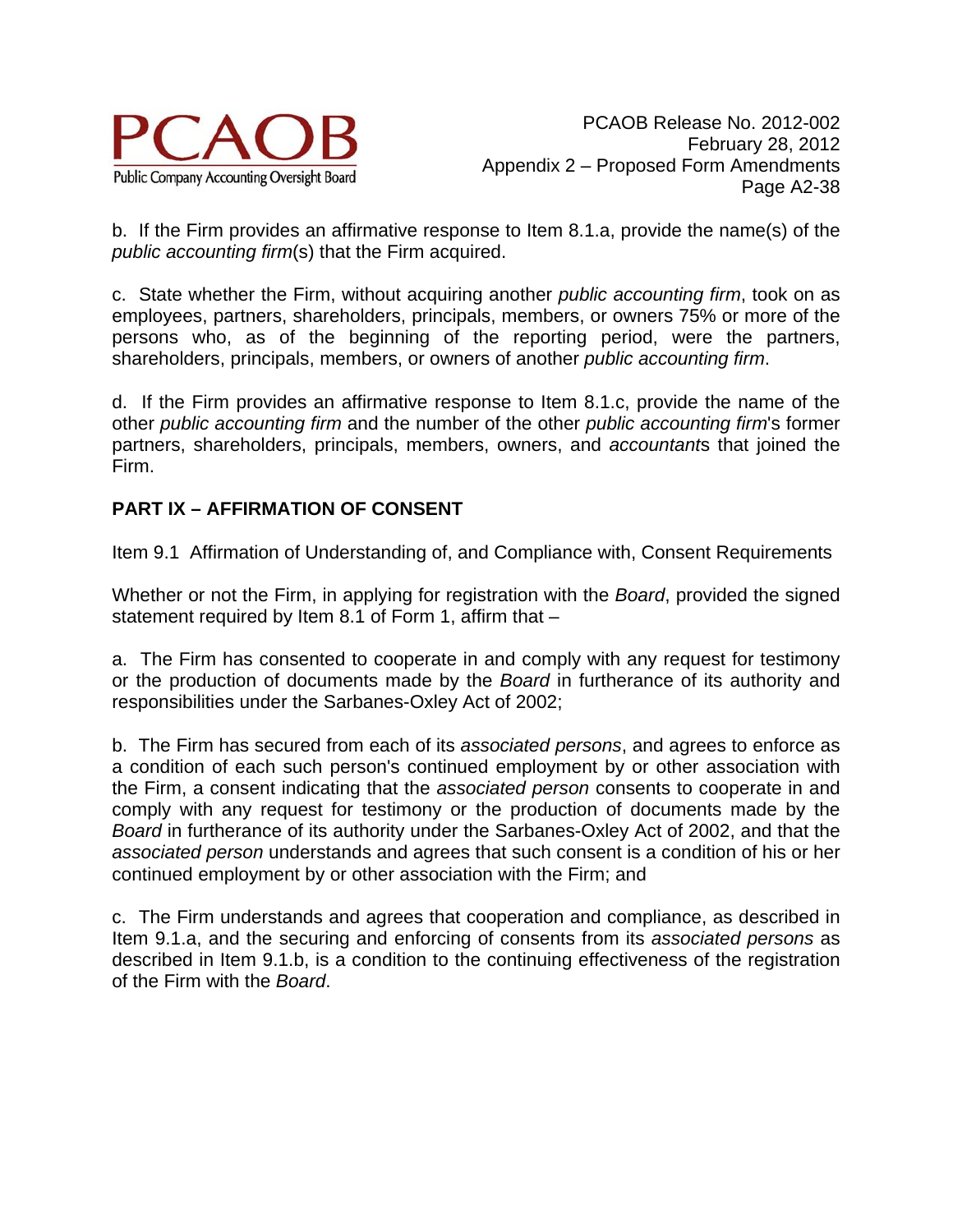

b. If the Firm provides an affirmative response to Item 8.1.a, provide the name(s) of the *public accounting firm*(s) that the Firm acquired.

c. State whether the Firm, without acquiring another *public accounting firm*, took on as employees, partners, shareholders, principals, members, or owners 75% or more of the persons who, as of the beginning of the reporting period, were the partners, shareholders, principals, members, or owners of another *public accounting firm*.

d. If the Firm provides an affirmative response to Item 8.1.c, provide the name of the other *public accounting firm* and the number of the other *public accounting firm*'s former partners, shareholders, principals, members, owners, and *accountant*s that joined the Firm.

# **PART IX – AFFIRMATION OF CONSENT**

Item 9.1 Affirmation of Understanding of, and Compliance with, Consent Requirements

Whether or not the Firm, in applying for registration with the *Board*, provided the signed statement required by Item 8.1 of Form 1, affirm that –

a. The Firm has consented to cooperate in and comply with any request for testimony or the production of documents made by the *Board* in furtherance of its authority and responsibilities under the Sarbanes-Oxley Act of 2002;

b. The Firm has secured from each of its *associated persons*, and agrees to enforce as a condition of each such person's continued employment by or other association with the Firm, a consent indicating that the *associated person* consents to cooperate in and comply with any request for testimony or the production of documents made by the *Board* in furtherance of its authority under the Sarbanes-Oxley Act of 2002, and that the *associated person* understands and agrees that such consent is a condition of his or her continued employment by or other association with the Firm; and

c. The Firm understands and agrees that cooperation and compliance, as described in Item 9.1.a, and the securing and enforcing of consents from its *associated persons* as described in Item 9.1.b, is a condition to the continuing effectiveness of the registration of the Firm with the *Board*.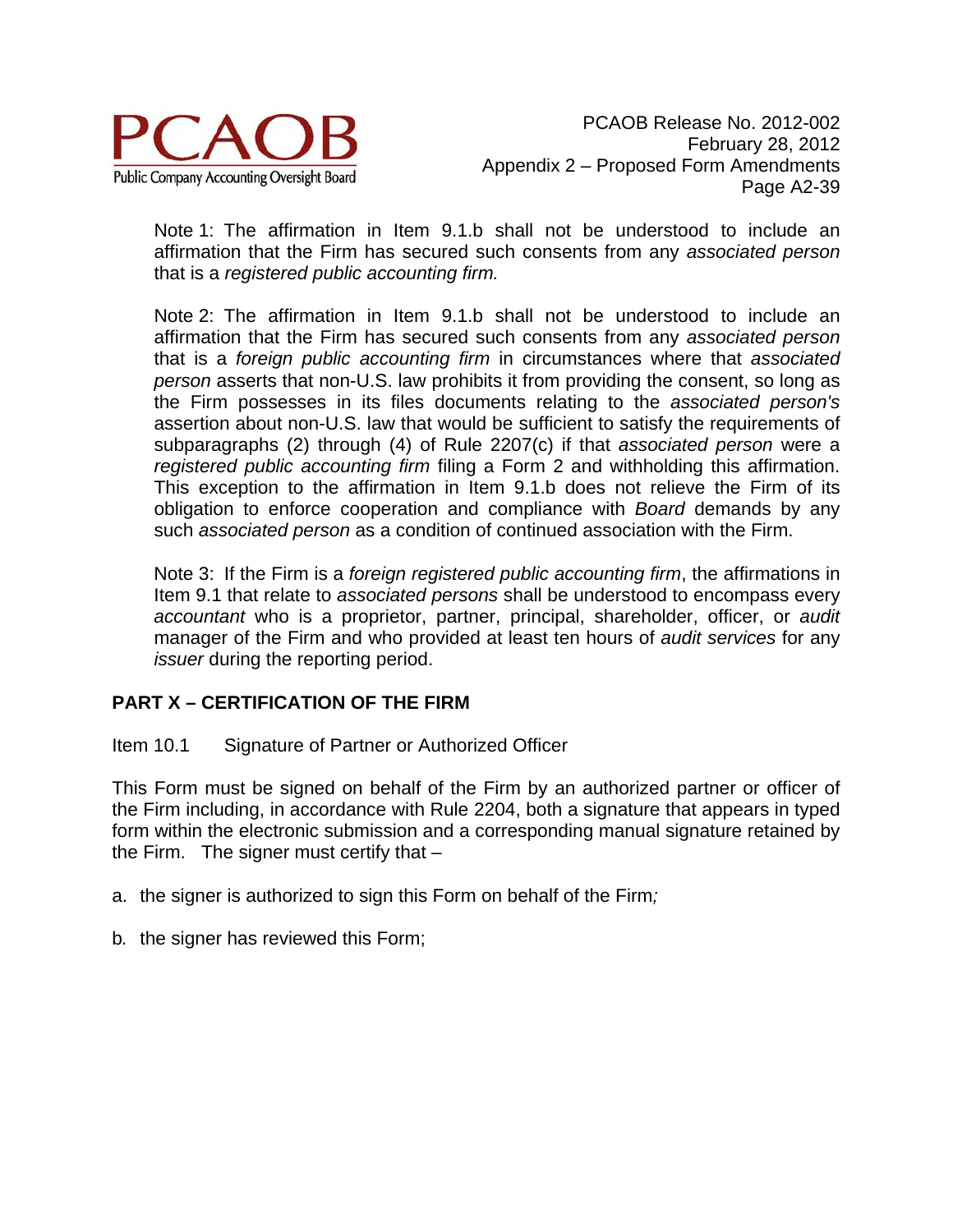

Note 1: The affirmation in Item 9.1.b shall not be understood to include an affirmation that the Firm has secured such consents from any *associated person* that is a *registered public accounting firm.* 

Note 2: The affirmation in Item 9.1.b shall not be understood to include an affirmation that the Firm has secured such consents from any *associated person*  that is a *foreign public accounting firm* in circumstances where that *associated person* asserts that non-U.S. law prohibits it from providing the consent, so long as the Firm possesses in its files documents relating to the *associated person's*  assertion about non-U.S. law that would be sufficient to satisfy the requirements of subparagraphs (2) through (4) of Rule 2207(c) if that *associated person* were a *registered public accounting firm* filing a Form 2 and withholding this affirmation. This exception to the affirmation in Item 9.1.b does not relieve the Firm of its obligation to enforce cooperation and compliance with *Board* demands by any such *associated person* as a condition of continued association with the Firm.

Note 3: If the Firm is a *foreign registered public accounting firm*, the affirmations in Item 9.1 that relate to *associated persons* shall be understood to encompass every *accountant* who is a proprietor, partner, principal, shareholder, officer, or *audit* manager of the Firm and who provided at least ten hours of *audit services* for any *issuer* during the reporting period.

# **PART X – CERTIFICATION OF THE FIRM**

### Item 10.1 Signature of Partner or Authorized Officer

This Form must be signed on behalf of the Firm by an authorized partner or officer of the Firm including, in accordance with Rule 2204, both a signature that appears in typed form within the electronic submission and a corresponding manual signature retained by the Firm. The signer must certify that  $-$ 

- a. the signer is authorized to sign this Form on behalf of the Firm*;*
- b*.* the signer has reviewed this Form;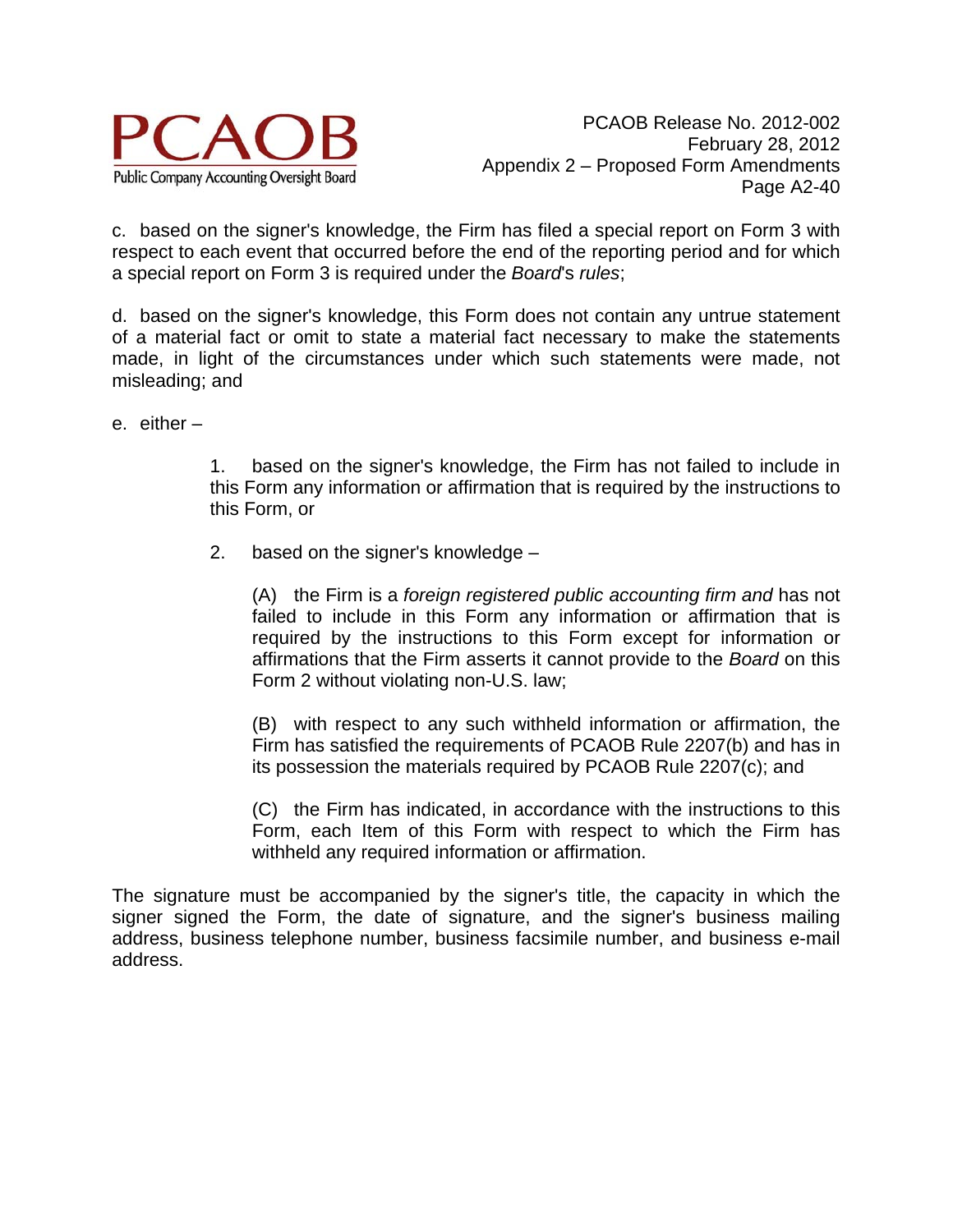

c. based on the signer's knowledge, the Firm has filed a special report on Form 3 with respect to each event that occurred before the end of the reporting period and for which a special report on Form 3 is required under the *Board*'s *rules*;

d. based on the signer's knowledge, this Form does not contain any untrue statement of a material fact or omit to state a material fact necessary to make the statements made, in light of the circumstances under which such statements were made, not misleading; and

e. either –

 1. based on the signer's knowledge, the Firm has not failed to include in this Form any information or affirmation that is required by the instructions to this Form, or

2. based on the signer's knowledge –

 (A) the Firm is a *foreign registered public accounting firm and* has not failed to include in this Form any information or affirmation that is required by the instructions to this Form except for information or affirmations that the Firm asserts it cannot provide to the *Board* on this Form 2 without violating non-U.S. law;

 (B) with respect to any such withheld information or affirmation, the Firm has satisfied the requirements of PCAOB Rule 2207(b) and has in its possession the materials required by PCAOB Rule 2207(c); and

 (C) the Firm has indicated, in accordance with the instructions to this Form, each Item of this Form with respect to which the Firm has withheld any required information or affirmation.

The signature must be accompanied by the signer's title, the capacity in which the signer signed the Form, the date of signature, and the signer's business mailing address, business telephone number, business facsimile number, and business e-mail address.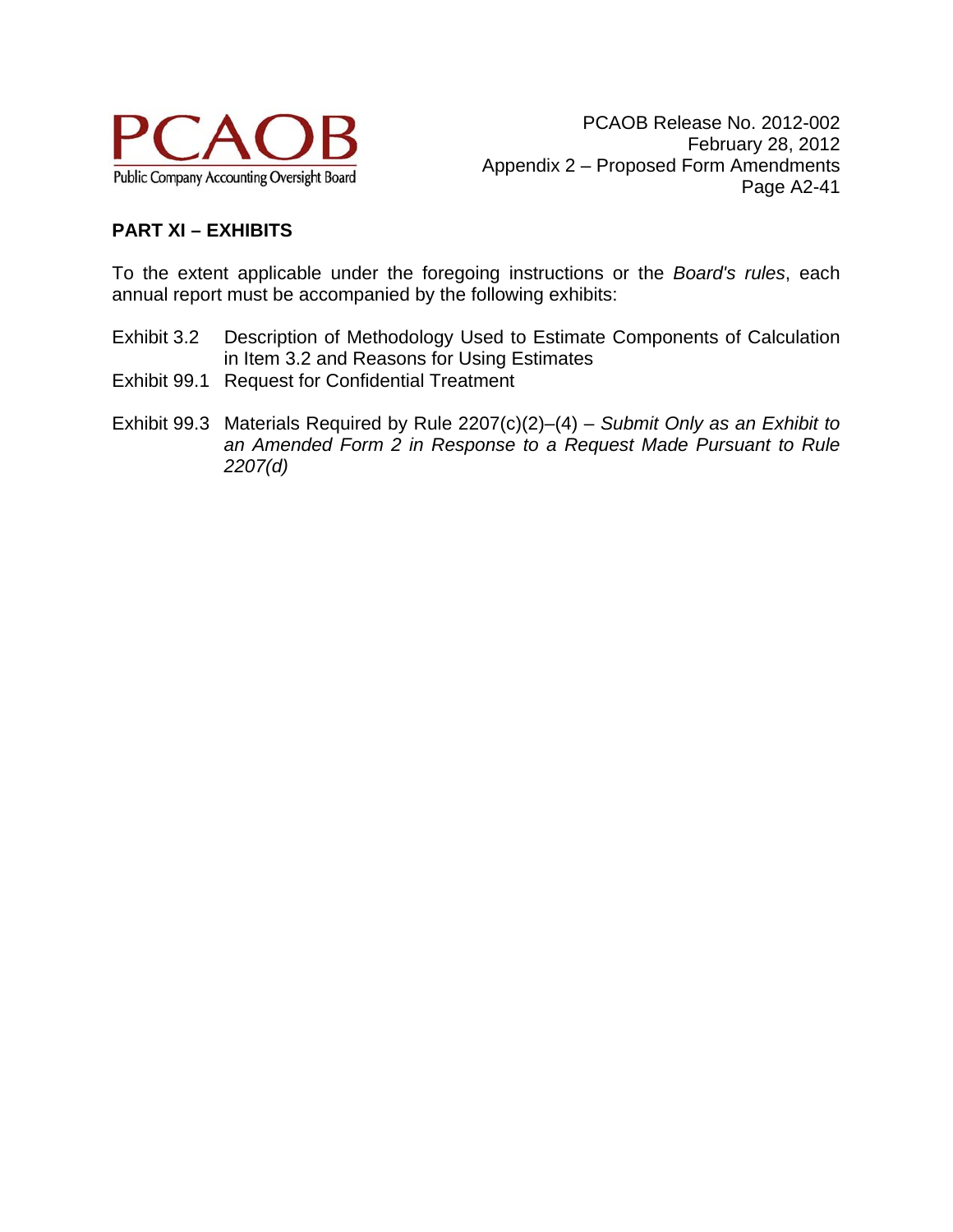

# **PART XI – EXHIBITS**

To the extent applicable under the foregoing instructions or the *Board's rules*, each annual report must be accompanied by the following exhibits:

- Exhibit 3.2 Description of Methodology Used to Estimate Components of Calculation in Item 3.2 and Reasons for Using Estimates
- Exhibit 99.1 Request for Confidential Treatment
- Exhibit 99.3 Materials Required by Rule 2207(c)(2)–(4) *Submit Only as an Exhibit to an Amended Form 2 in Response to a Request Made Pursuant to Rule 2207(d)*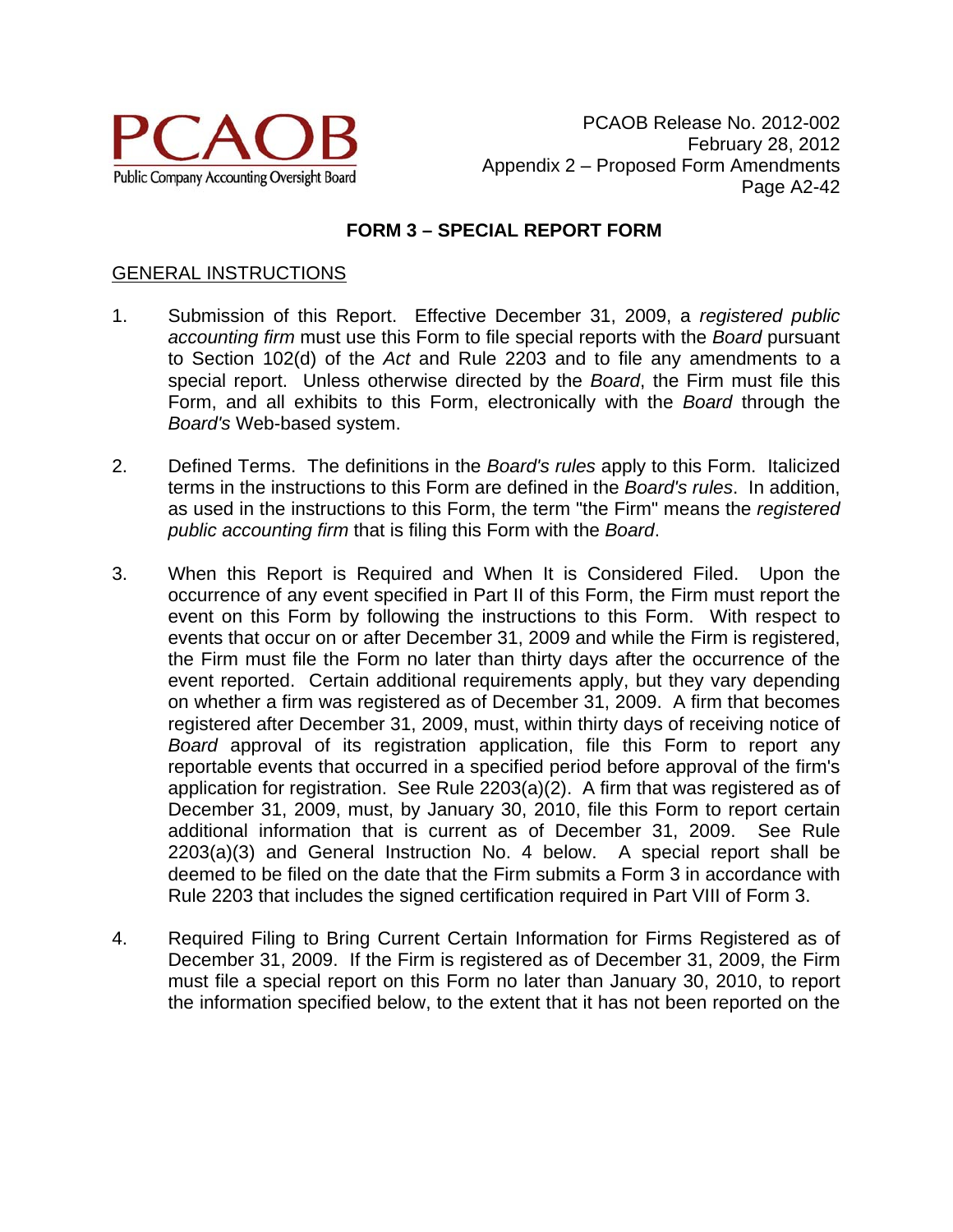

## **FORM 3 – SPECIAL REPORT FORM**

#### GENERAL INSTRUCTIONS

- 1. Submission of this Report. Effective December 31, 2009, a *registered public accounting firm* must use this Form to file special reports with the *Board* pursuant to Section 102(d) of the *Act* and Rule 2203 and to file any amendments to a special report. Unless otherwise directed by the *Board*, the Firm must file this Form, and all exhibits to this Form, electronically with the *Board* through the *Board's* Web-based system.
- 2. Defined Terms. The definitions in the *Board's rules* apply to this Form. Italicized terms in the instructions to this Form are defined in the *Board's rules*. In addition, as used in the instructions to this Form, the term "the Firm" means the *registered public accounting firm* that is filing this Form with the *Board*.
- 3. When this Report is Required and When It is Considered Filed. Upon the occurrence of any event specified in Part II of this Form, the Firm must report the event on this Form by following the instructions to this Form. With respect to events that occur on or after December 31, 2009 and while the Firm is registered, the Firm must file the Form no later than thirty days after the occurrence of the event reported. Certain additional requirements apply, but they vary depending on whether a firm was registered as of December 31, 2009. A firm that becomes registered after December 31, 2009, must, within thirty days of receiving notice of *Board* approval of its registration application, file this Form to report any reportable events that occurred in a specified period before approval of the firm's application for registration. See Rule 2203(a)(2). A firm that was registered as of December 31, 2009, must, by January 30, 2010, file this Form to report certain additional information that is current as of December 31, 2009. See Rule 2203(a)(3) and General Instruction No. 4 below. A special report shall be deemed to be filed on the date that the Firm submits a Form 3 in accordance with Rule 2203 that includes the signed certification required in Part VIII of Form 3.
- 4. Required Filing to Bring Current Certain Information for Firms Registered as of December 31, 2009. If the Firm is registered as of December 31, 2009, the Firm must file a special report on this Form no later than January 30, 2010, to report the information specified below, to the extent that it has not been reported on the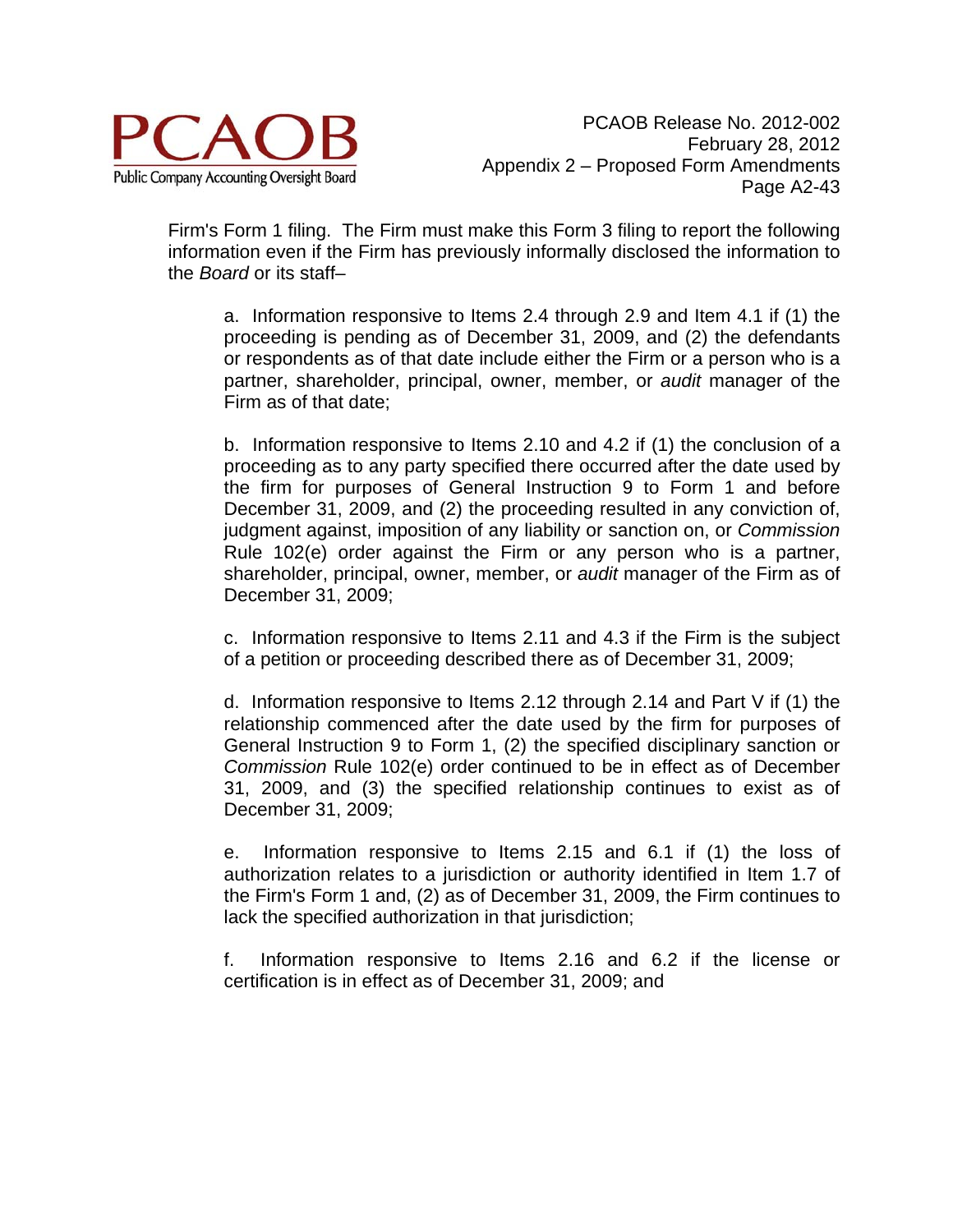

Firm's Form 1 filing. The Firm must make this Form 3 filing to report the following information even if the Firm has previously informally disclosed the information to the *Board* or its staff–

a. Information responsive to Items 2.4 through 2.9 and Item 4.1 if (1) the proceeding is pending as of December 31, 2009, and (2) the defendants or respondents as of that date include either the Firm or a person who is a partner, shareholder, principal, owner, member, or *audit* manager of the Firm as of that date;

b. Information responsive to Items 2.10 and 4.2 if (1) the conclusion of a proceeding as to any party specified there occurred after the date used by the firm for purposes of General Instruction 9 to Form 1 and before December 31, 2009, and (2) the proceeding resulted in any conviction of, judgment against, imposition of any liability or sanction on, or *Commission* Rule 102(e) order against the Firm or any person who is a partner, shareholder, principal, owner, member, or *audit* manager of the Firm as of December 31, 2009;

c. Information responsive to Items 2.11 and 4.3 if the Firm is the subject of a petition or proceeding described there as of December 31, 2009;

d. Information responsive to Items 2.12 through 2.14 and Part V if (1) the relationship commenced after the date used by the firm for purposes of General Instruction 9 to Form 1, (2) the specified disciplinary sanction or *Commission* Rule 102(e) order continued to be in effect as of December 31, 2009, and (3) the specified relationship continues to exist as of December 31, 2009;

e. Information responsive to Items 2.15 and 6.1 if (1) the loss of authorization relates to a jurisdiction or authority identified in Item 1.7 of the Firm's Form 1 and, (2) as of December 31, 2009, the Firm continues to lack the specified authorization in that jurisdiction;

f. Information responsive to Items 2.16 and 6.2 if the license or certification is in effect as of December 31, 2009; and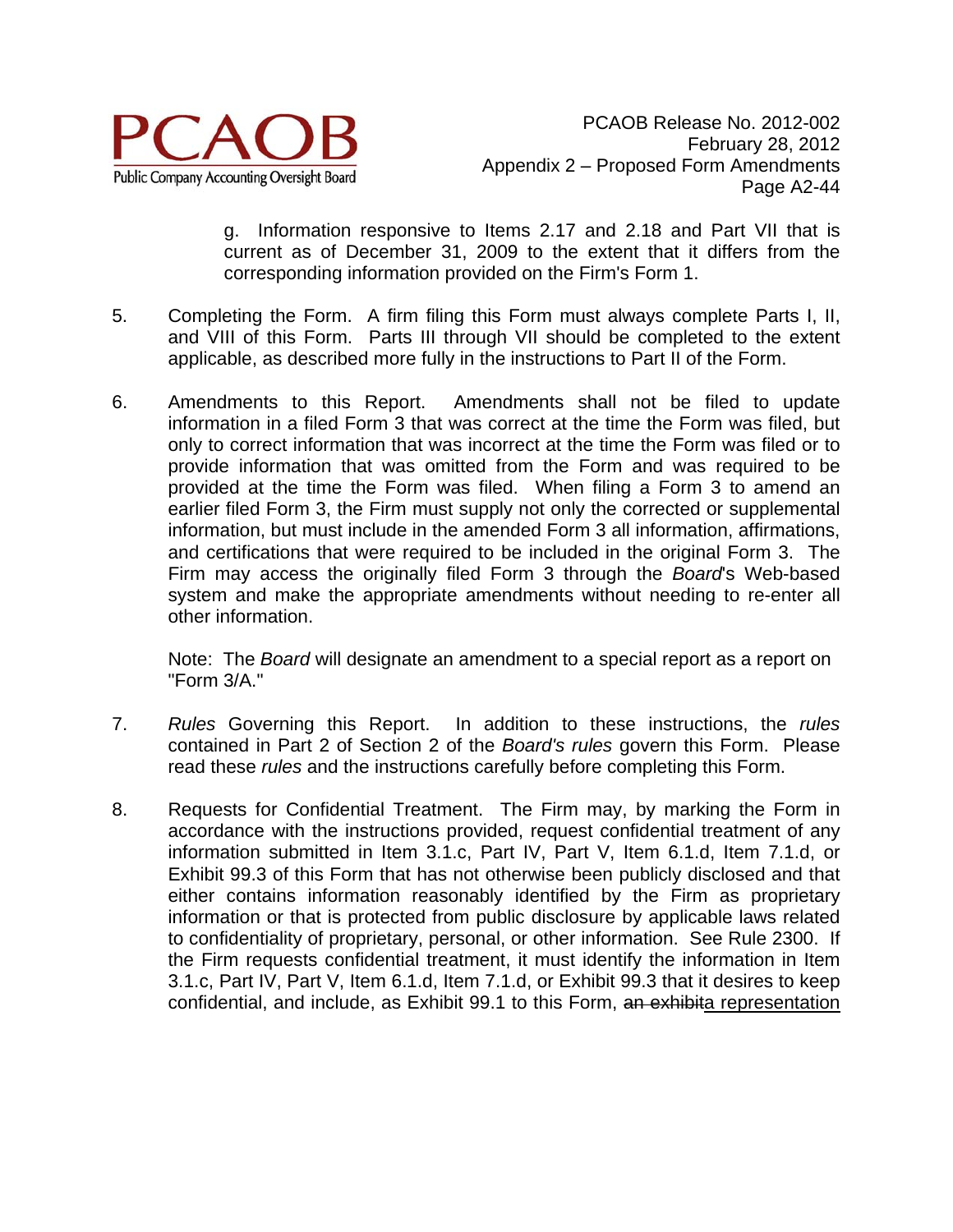

g. Information responsive to Items 2.17 and 2.18 and Part VII that is current as of December 31, 2009 to the extent that it differs from the corresponding information provided on the Firm's Form 1.

- 5. Completing the Form. A firm filing this Form must always complete Parts I, II, and VIII of this Form. Parts III through VII should be completed to the extent applicable, as described more fully in the instructions to Part II of the Form.
- 6. Amendments to this Report. Amendments shall not be filed to update information in a filed Form 3 that was correct at the time the Form was filed, but only to correct information that was incorrect at the time the Form was filed or to provide information that was omitted from the Form and was required to be provided at the time the Form was filed. When filing a Form 3 to amend an earlier filed Form 3, the Firm must supply not only the corrected or supplemental information, but must include in the amended Form 3 all information, affirmations, and certifications that were required to be included in the original Form 3. The Firm may access the originally filed Form 3 through the *Board*'s Web-based system and make the appropriate amendments without needing to re-enter all other information.

Note: The *Board* will designate an amendment to a special report as a report on "Form 3/A."

- 7. *Rules* Governing this Report. In addition to these instructions, the *rules* contained in Part 2 of Section 2 of the *Board's rules* govern this Form. Please read these *rules* and the instructions carefully before completing this Form.
- 8. Requests for Confidential Treatment. The Firm may, by marking the Form in accordance with the instructions provided, request confidential treatment of any information submitted in Item 3.1.c, Part IV, Part V, Item 6.1.d, Item 7.1.d, or Exhibit 99.3 of this Form that has not otherwise been publicly disclosed and that either contains information reasonably identified by the Firm as proprietary information or that is protected from public disclosure by applicable laws related to confidentiality of proprietary, personal, or other information. See Rule 2300. If the Firm requests confidential treatment, it must identify the information in Item 3.1.c, Part IV, Part V, Item 6.1.d, Item 7.1.d, or Exhibit 99.3 that it desires to keep confidential, and include, as Exhibit 99.1 to this Form, an exhibita representation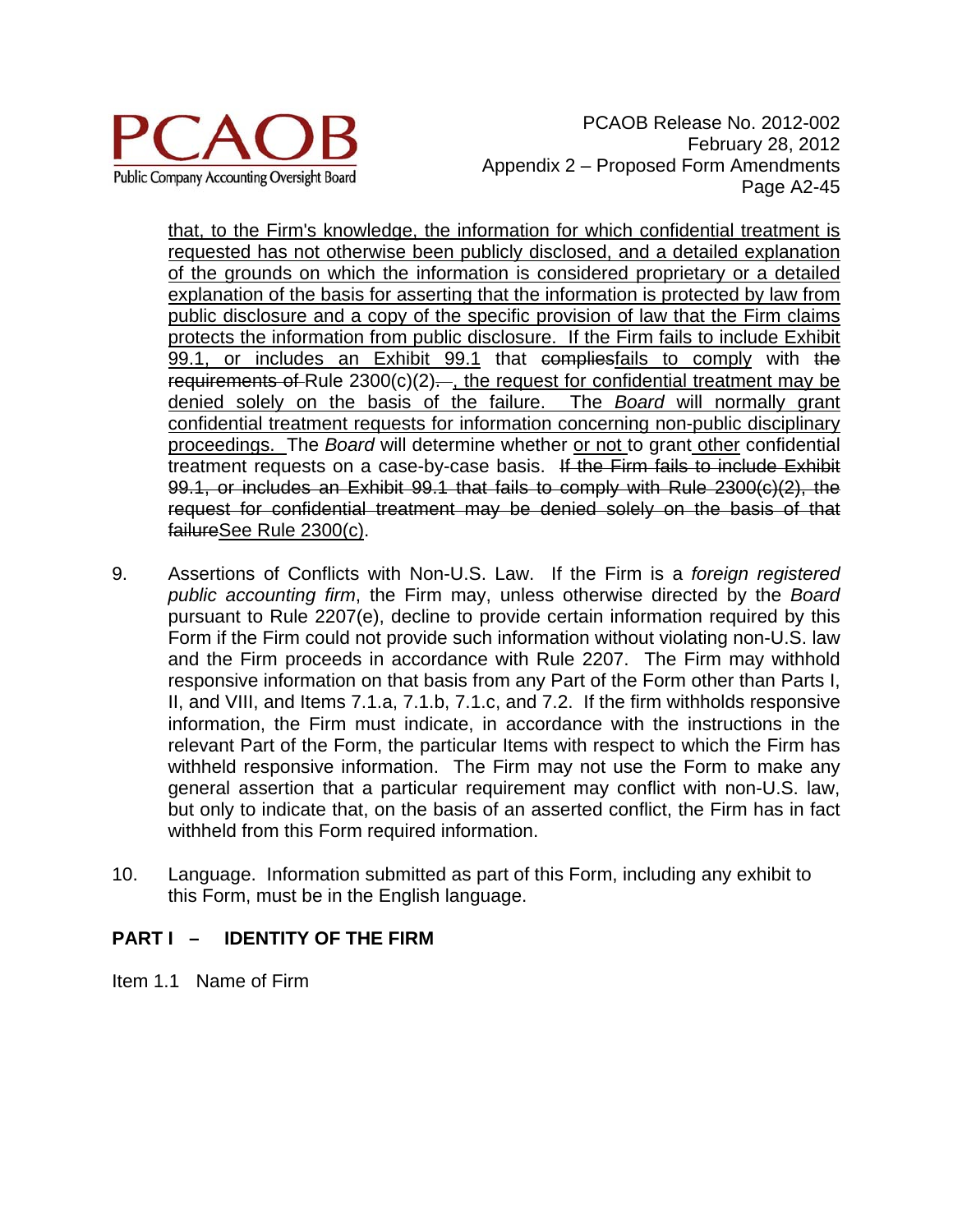

PCAOB Release No. 2012-002 February 28, 2012 Appendix 2 – Proposed Form Amendments Page A2-45

that, to the Firm's knowledge, the information for which confidential treatment is requested has not otherwise been publicly disclosed, and a detailed explanation of the grounds on which the information is considered proprietary or a detailed explanation of the basis for asserting that the information is protected by law from public disclosure and a copy of the specific provision of law that the Firm claims protects the information from public disclosure. If the Firm fails to include Exhibit 99.1, or includes an Exhibit 99.1 that compliesfails to comply with the requirements of Rule  $2300(c)(2)$ . the request for confidential treatment may be denied solely on the basis of the failure. The *Board* will normally grant confidential treatment requests for information concerning non-public disciplinary proceedings. The *Board* will determine whether or not to grant other confidential treatment requests on a case-by-case basis. If the Firm fails to include Exhibit 99.1, or includes an Exhibit 99.1 that fails to comply with Rule 2300(c)(2), the request for confidential treatment may be denied solely on the basis of that failureSee Rule 2300(c).

- 9. Assertions of Conflicts with Non-U.S. Law. If the Firm is a *foreign registered public accounting firm*, the Firm may, unless otherwise directed by the *Board* pursuant to Rule 2207(e), decline to provide certain information required by this Form if the Firm could not provide such information without violating non-U.S. law and the Firm proceeds in accordance with Rule 2207. The Firm may withhold responsive information on that basis from any Part of the Form other than Parts I, II, and VIII, and Items 7.1.a, 7.1.b, 7.1.c, and 7.2. If the firm withholds responsive information, the Firm must indicate, in accordance with the instructions in the relevant Part of the Form, the particular Items with respect to which the Firm has withheld responsive information. The Firm may not use the Form to make any general assertion that a particular requirement may conflict with non-U.S. law, but only to indicate that, on the basis of an asserted conflict, the Firm has in fact withheld from this Form required information.
- 10. Language. Information submitted as part of this Form, including any exhibit to this Form, must be in the English language.

# **PART I – IDENTITY OF THE FIRM**

Item 1.1 Name of Firm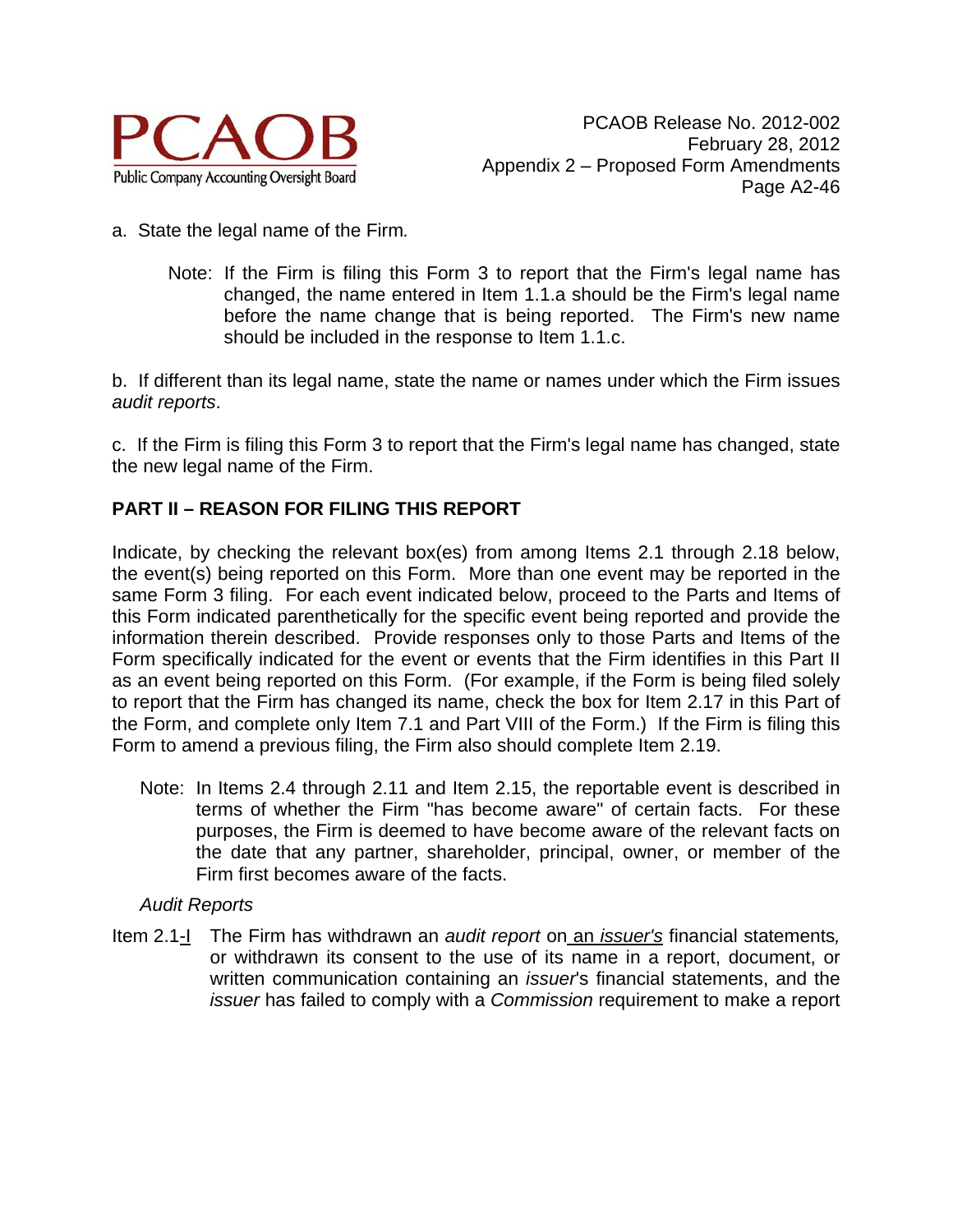

- a. State the legal name of the Firm*.* 
	- Note: If the Firm is filing this Form 3 to report that the Firm's legal name has changed, the name entered in Item 1.1.a should be the Firm's legal name before the name change that is being reported. The Firm's new name should be included in the response to Item 1.1.c.

b. If different than its legal name, state the name or names under which the Firm issues *audit reports*.

c. If the Firm is filing this Form 3 to report that the Firm's legal name has changed, state the new legal name of the Firm.

# **PART II – REASON FOR FILING THIS REPORT**

Indicate, by checking the relevant box(es) from among Items 2.1 through 2.18 below, the event(s) being reported on this Form. More than one event may be reported in the same Form 3 filing. For each event indicated below, proceed to the Parts and Items of this Form indicated parenthetically for the specific event being reported and provide the information therein described. Provide responses only to those Parts and Items of the Form specifically indicated for the event or events that the Firm identifies in this Part II as an event being reported on this Form. (For example, if the Form is being filed solely to report that the Firm has changed its name, check the box for Item 2.17 in this Part of the Form, and complete only Item 7.1 and Part VIII of the Form.) If the Firm is filing this Form to amend a previous filing, the Firm also should complete Item 2.19.

Note: In Items 2.4 through 2.11 and Item 2.15, the reportable event is described in terms of whether the Firm "has become aware" of certain facts. For these purposes, the Firm is deemed to have become aware of the relevant facts on the date that any partner, shareholder, principal, owner, or member of the Firm first becomes aware of the facts.

### *Audit Reports*

Item 2.1-I The Firm has withdrawn an *audit report* on an *issuer's* financial statements*,*  or withdrawn its consent to the use of its name in a report, document, or written communication containing an *issuer*'s financial statements, and the *issuer* has failed to comply with a *Commission* requirement to make a report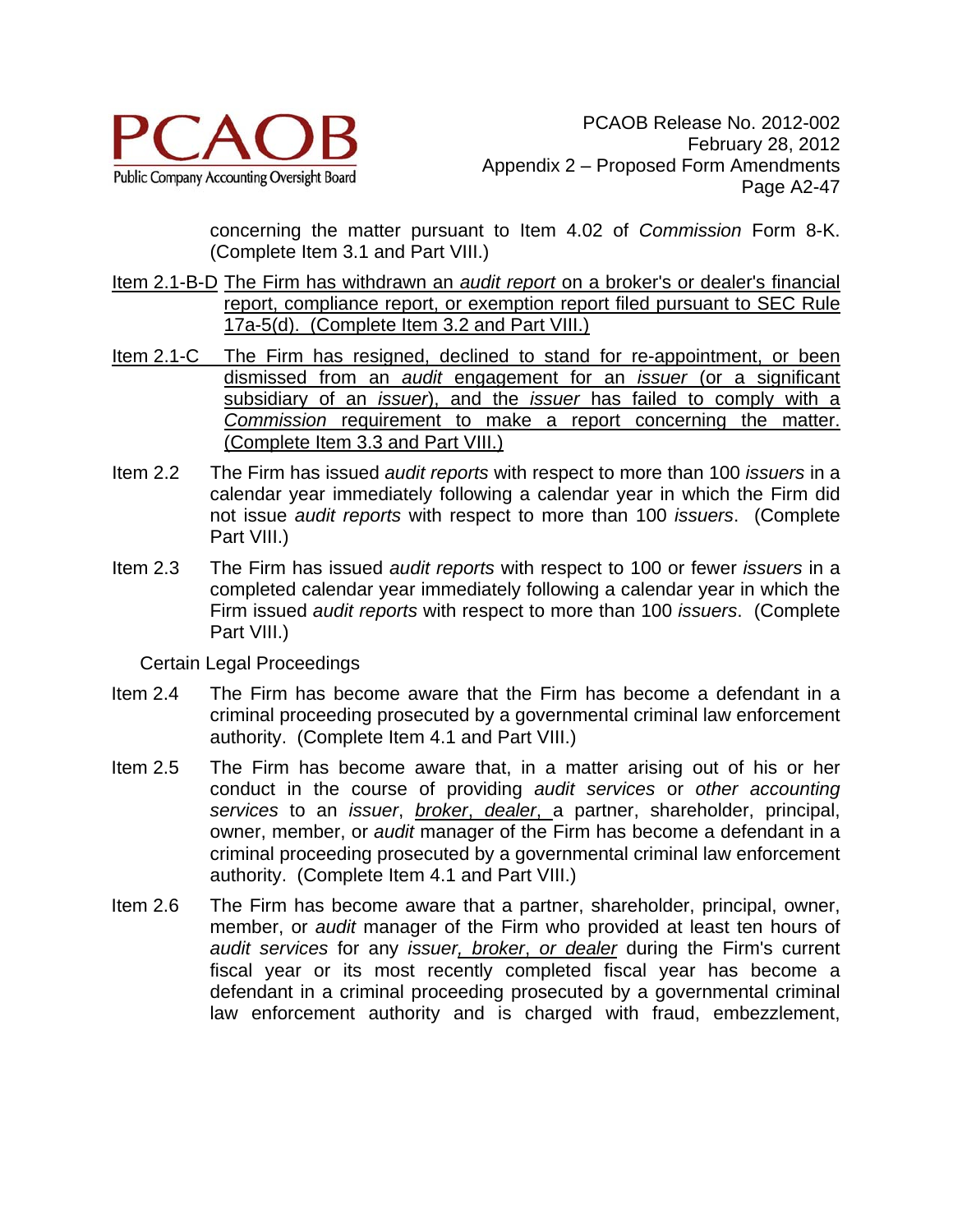

concerning the matter pursuant to Item 4.02 of *Commission* Form 8-K. (Complete Item 3.1 and Part VIII.)

- Item 2.1-B-D The Firm has withdrawn an *audit report* on a broker's or dealer's financial report, compliance report, or exemption report filed pursuant to SEC Rule 17a-5(d). (Complete Item 3.2 and Part VIII.)
- Item 2.1-C The Firm has resigned, declined to stand for re-appointment, or been dismissed from an *audit* engagement for an *issuer* (or a significant subsidiary of an *issuer*), and the *issuer* has failed to comply with a *Commission* requirement to make a report concerning the matter. (Complete Item 3.3 and Part VIII.)
- Item 2.2 The Firm has issued *audit reports* with respect to more than 100 *issuers* in a calendar year immediately following a calendar year in which the Firm did not issue *audit reports* with respect to more than 100 *issuers*. (Complete Part VIII.)
- Item 2.3 The Firm has issued *audit reports* with respect to 100 or fewer *issuers* in a completed calendar year immediately following a calendar year in which the Firm issued *audit reports* with respect to more than 100 *issuers*. (Complete Part VIII.)

Certain Legal Proceedings

- Item 2.4 The Firm has become aware that the Firm has become a defendant in a criminal proceeding prosecuted by a governmental criminal law enforcement authority. (Complete Item 4.1 and Part VIII.)
- Item 2.5 The Firm has become aware that, in a matter arising out of his or her conduct in the course of providing *audit services* or *other accounting services* to an *issuer*, *broker*, *dealer*, a partner, shareholder, principal, owner, member, or *audit* manager of the Firm has become a defendant in a criminal proceeding prosecuted by a governmental criminal law enforcement authority. (Complete Item 4.1 and Part VIII.)
- Item 2.6 The Firm has become aware that a partner, shareholder, principal, owner, member, or *audit* manager of the Firm who provided at least ten hours of *audit services* for any *issuer, broker*, *or dealer* during the Firm's current fiscal year or its most recently completed fiscal year has become a defendant in a criminal proceeding prosecuted by a governmental criminal law enforcement authority and is charged with fraud, embezzlement,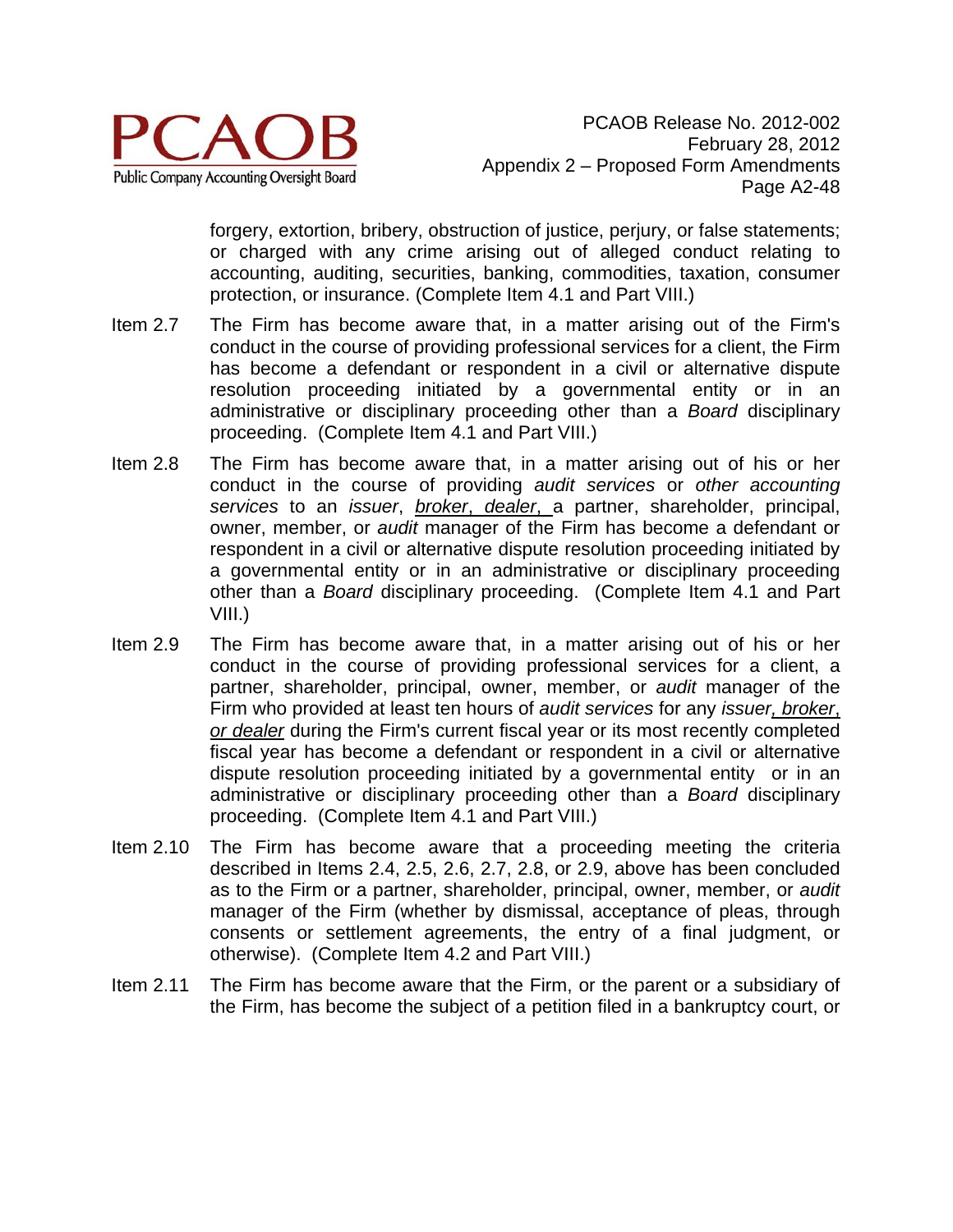

forgery, extortion, bribery, obstruction of justice, perjury, or false statements; or charged with any crime arising out of alleged conduct relating to accounting, auditing, securities, banking, commodities, taxation, consumer protection, or insurance. (Complete Item 4.1 and Part VIII.)

- Item 2.7 The Firm has become aware that, in a matter arising out of the Firm's conduct in the course of providing professional services for a client, the Firm has become a defendant or respondent in a civil or alternative dispute resolution proceeding initiated by a governmental entity or in an administrative or disciplinary proceeding other than a *Board* disciplinary proceeding. (Complete Item 4.1 and Part VIII.)
- Item 2.8 The Firm has become aware that, in a matter arising out of his or her conduct in the course of providing *audit services* or *other accounting services* to an *issuer*, *broker*, *dealer*, a partner, shareholder, principal, owner, member, or *audit* manager of the Firm has become a defendant or respondent in a civil or alternative dispute resolution proceeding initiated by a governmental entity or in an administrative or disciplinary proceeding other than a *Board* disciplinary proceeding. (Complete Item 4.1 and Part VIII.)
- Item 2.9 The Firm has become aware that, in a matter arising out of his or her conduct in the course of providing professional services for a client, a partner, shareholder, principal, owner, member, or *audit* manager of the Firm who provided at least ten hours of *audit services* for any *issuer, broker*, *or dealer* during the Firm's current fiscal year or its most recently completed fiscal year has become a defendant or respondent in a civil or alternative dispute resolution proceeding initiated by a governmental entity or in an administrative or disciplinary proceeding other than a *Board* disciplinary proceeding. (Complete Item 4.1 and Part VIII.)
- Item 2.10 The Firm has become aware that a proceeding meeting the criteria described in Items 2.4, 2.5, 2.6, 2.7, 2.8, or 2.9, above has been concluded as to the Firm or a partner, shareholder, principal, owner, member, or *audit* manager of the Firm (whether by dismissal, acceptance of pleas, through consents or settlement agreements, the entry of a final judgment, or otherwise). (Complete Item 4.2 and Part VIII.)
- Item 2.11 The Firm has become aware that the Firm, or the parent or a subsidiary of the Firm, has become the subject of a petition filed in a bankruptcy court, or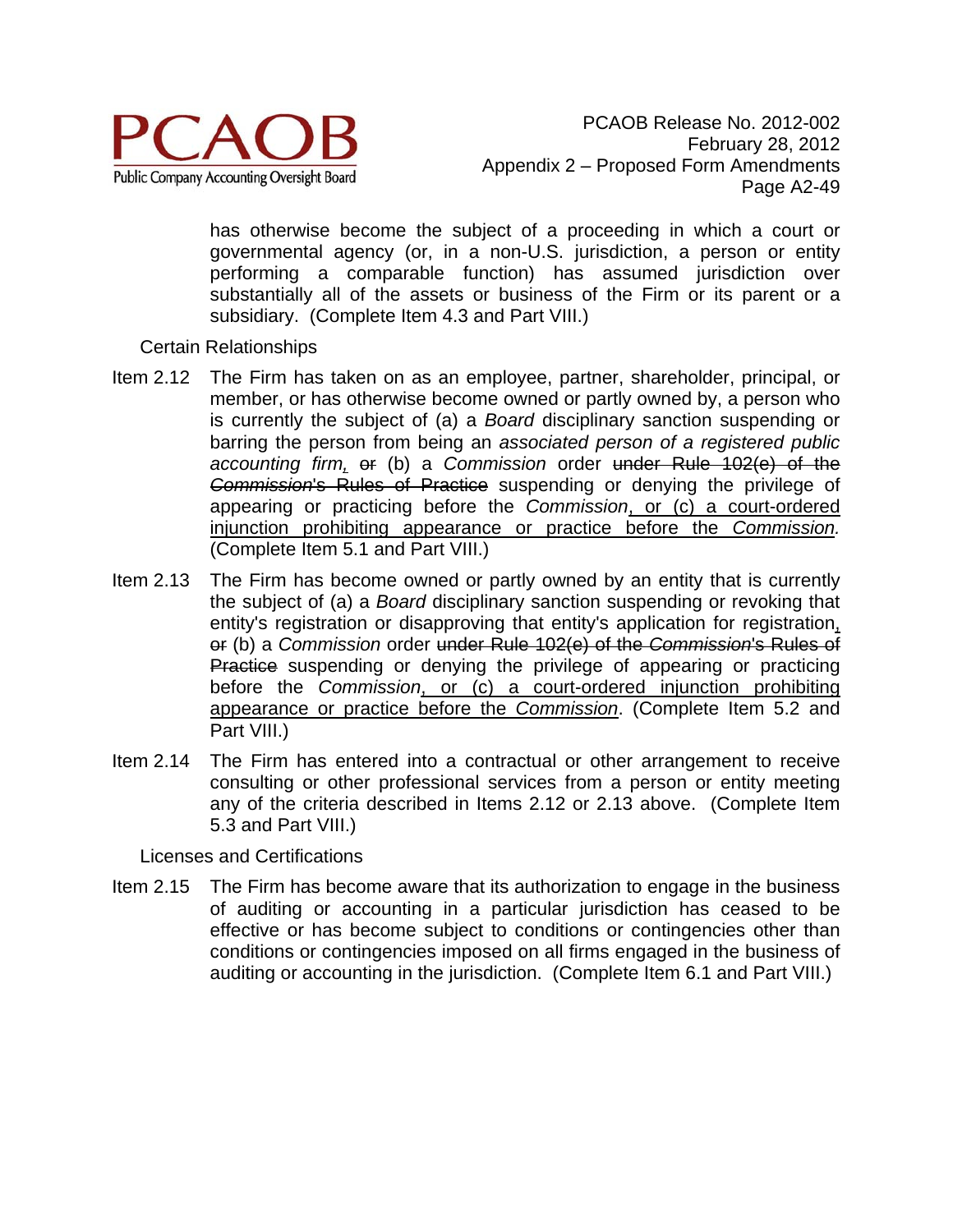

has otherwise become the subject of a proceeding in which a court or governmental agency (or, in a non-U.S. jurisdiction, a person or entity performing a comparable function) has assumed jurisdiction over substantially all of the assets or business of the Firm or its parent or a subsidiary. (Complete Item 4.3 and Part VIII.)

## Certain Relationships

- Item 2.12 The Firm has taken on as an employee, partner, shareholder, principal, or member, or has otherwise become owned or partly owned by, a person who is currently the subject of (a) a *Board* disciplinary sanction suspending or barring the person from being an *associated person of a registered public accounting firm,* or (b) a *Commission* order under Rule 102(e) of the *Commission*'s Rules of Practice suspending or denying the privilege of appearing or practicing before the *Commission*, or (c) a court-ordered injunction prohibiting appearance or practice before the *Commission.* (Complete Item 5.1 and Part VIII.)
- Item 2.13 The Firm has become owned or partly owned by an entity that is currently the subject of (a) a *Board* disciplinary sanction suspending or revoking that entity's registration or disapproving that entity's application for registration, or (b) a *Commission* order under Rule 102(e) of the *Commission*'s Rules of Practice suspending or denying the privilege of appearing or practicing before the *Commission*, or (c) a court-ordered injunction prohibiting appearance or practice before the *Commission*. (Complete Item 5.2 and Part VIII.)
- Item 2.14 The Firm has entered into a contractual or other arrangement to receive consulting or other professional services from a person or entity meeting any of the criteria described in Items 2.12 or 2.13 above. (Complete Item 5.3 and Part VIII.)

Licenses and Certifications

Item 2.15 The Firm has become aware that its authorization to engage in the business of auditing or accounting in a particular jurisdiction has ceased to be effective or has become subject to conditions or contingencies other than conditions or contingencies imposed on all firms engaged in the business of auditing or accounting in the jurisdiction. (Complete Item 6.1 and Part VIII.)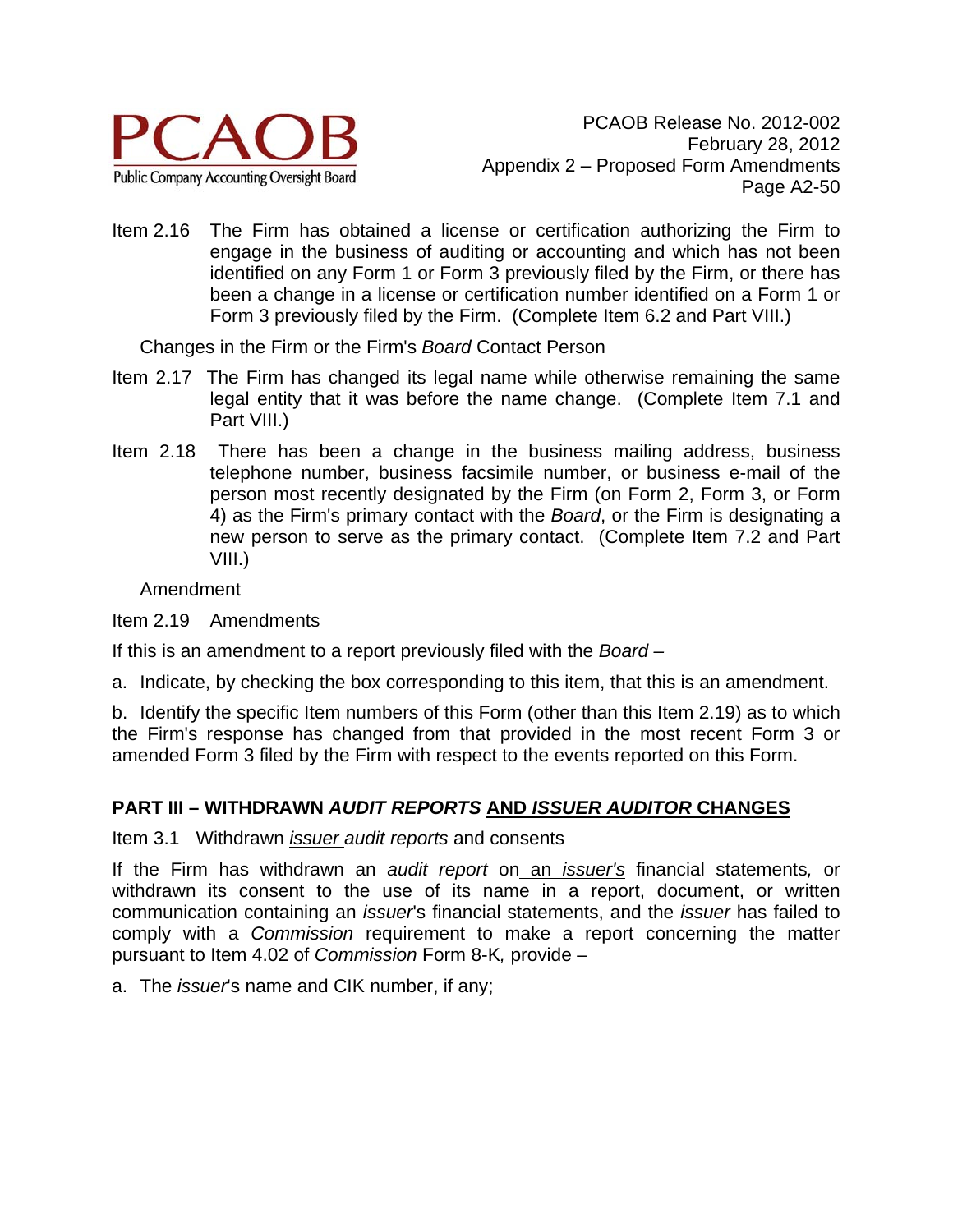

Item 2.16 The Firm has obtained a license or certification authorizing the Firm to engage in the business of auditing or accounting and which has not been identified on any Form 1 or Form 3 previously filed by the Firm, or there has been a change in a license or certification number identified on a Form 1 or Form 3 previously filed by the Firm. (Complete Item 6.2 and Part VIII.)

Changes in the Firm or the Firm's *Board* Contact Person

- Item 2.17 The Firm has changed its legal name while otherwise remaining the same legal entity that it was before the name change. (Complete Item 7.1 and Part VIII.)
- Item 2.18 There has been a change in the business mailing address, business telephone number, business facsimile number, or business e-mail of the person most recently designated by the Firm (on Form 2, Form 3, or Form 4) as the Firm's primary contact with the *Board*, or the Firm is designating a new person to serve as the primary contact. (Complete Item 7.2 and Part VIII.)

Amendment

Item 2.19 Amendments

If this is an amendment to a report previously filed with the *Board –* 

a. Indicate, by checking the box corresponding to this item, that this is an amendment.

b. Identify the specific Item numbers of this Form (other than this Item 2.19) as to which the Firm's response has changed from that provided in the most recent Form 3 or amended Form 3 filed by the Firm with respect to the events reported on this Form.

### **PART III – WITHDRAWN** *AUDIT REPORTS* **AND** *ISSUER AUDITOR* **CHANGES**

Item 3.1 Withdrawn *issuer audit reports* and consents

If the Firm has withdrawn an *audit report* on an *issuer's* financial statements*,* or withdrawn its consent to the use of its name in a report, document, or written communication containing an *issuer*'s financial statements, and the *issuer* has failed to comply with a *Commission* requirement to make a report concerning the matter pursuant to Item 4.02 of *Commission* Form 8-K*,* provide –

a. The *issuer*'s name and CIK number, if any;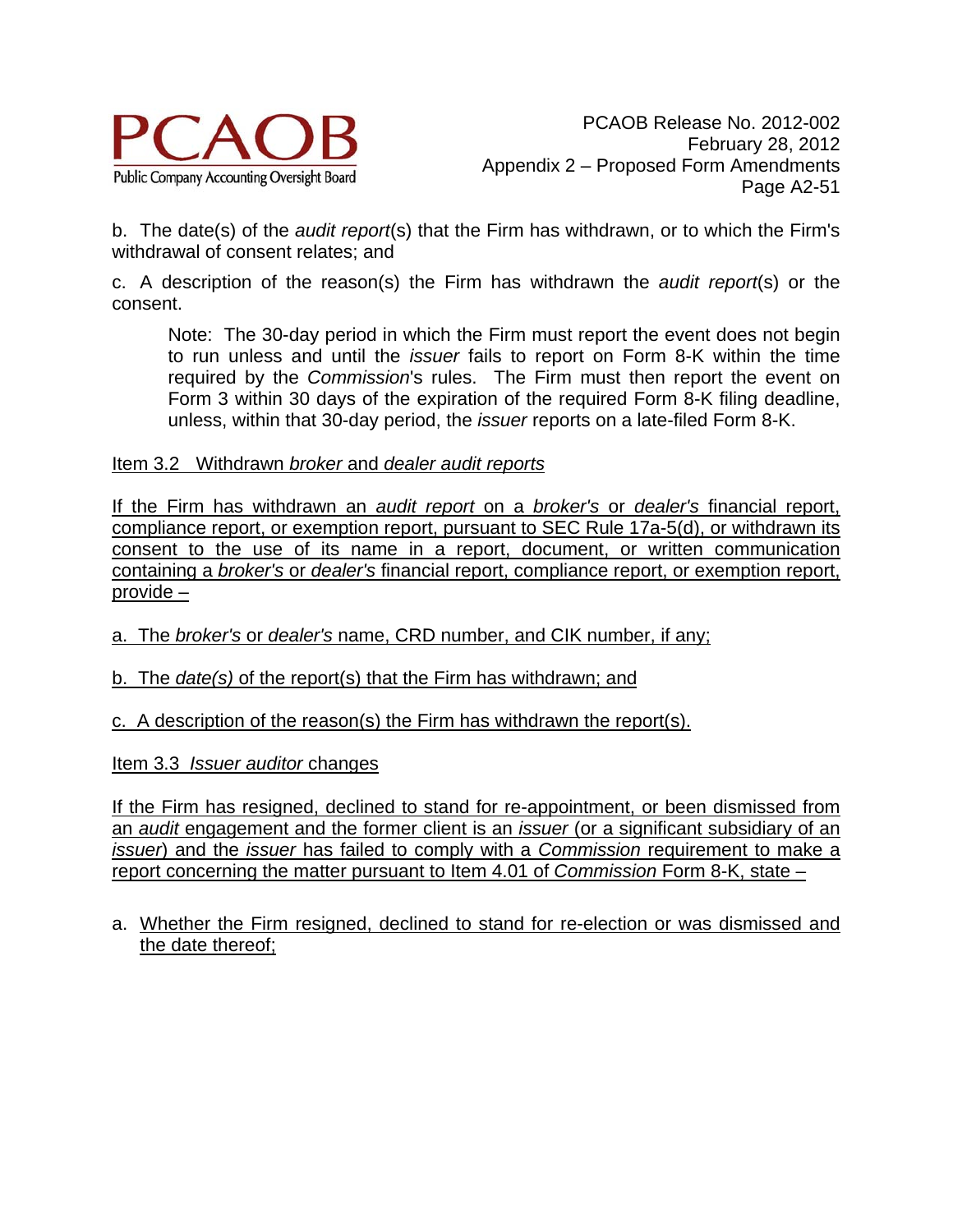

b. The date(s) of the *audit report*(s) that the Firm has withdrawn, or to which the Firm's withdrawal of consent relates; and

c. A description of the reason(s) the Firm has withdrawn the *audit report*(s) or the consent.

Note: The 30-day period in which the Firm must report the event does not begin to run unless and until the *issuer* fails to report on Form 8-K within the time required by the *Commission*'s rules. The Firm must then report the event on Form 3 within 30 days of the expiration of the required Form 8-K filing deadline, unless, within that 30-day period, the *issuer* reports on a late-filed Form 8-K.

Item 3.2 Withdrawn *broker* and *dealer audit reports* 

If the Firm has withdrawn an *audit report* on a *broker's* or *dealer's* financial report, compliance report, or exemption report, pursuant to SEC Rule 17a-5(d), or withdrawn its consent to the use of its name in a report, document, or written communication containing a *broker's* or *dealer's* financial report, compliance report, or exemption report, provide –

a. The *broker's* or *dealer's* name, CRD number, and CIK number, if any;

b. The *date(s)* of the report(s) that the Firm has withdrawn; and

c. A description of the reason(s) the Firm has withdrawn the report(s).

Item 3.3 *Issuer auditor* changes

If the Firm has resigned, declined to stand for re-appointment, or been dismissed from an *audit* engagement and the former client is an *issuer* (or a significant subsidiary of an *issuer*) and the *issuer* has failed to comply with a *Commission* requirement to make a report concerning the matter pursuant to Item 4.01 of *Commission* Form 8-K, state –

a. Whether the Firm resigned, declined to stand for re-election or was dismissed and the date thereof;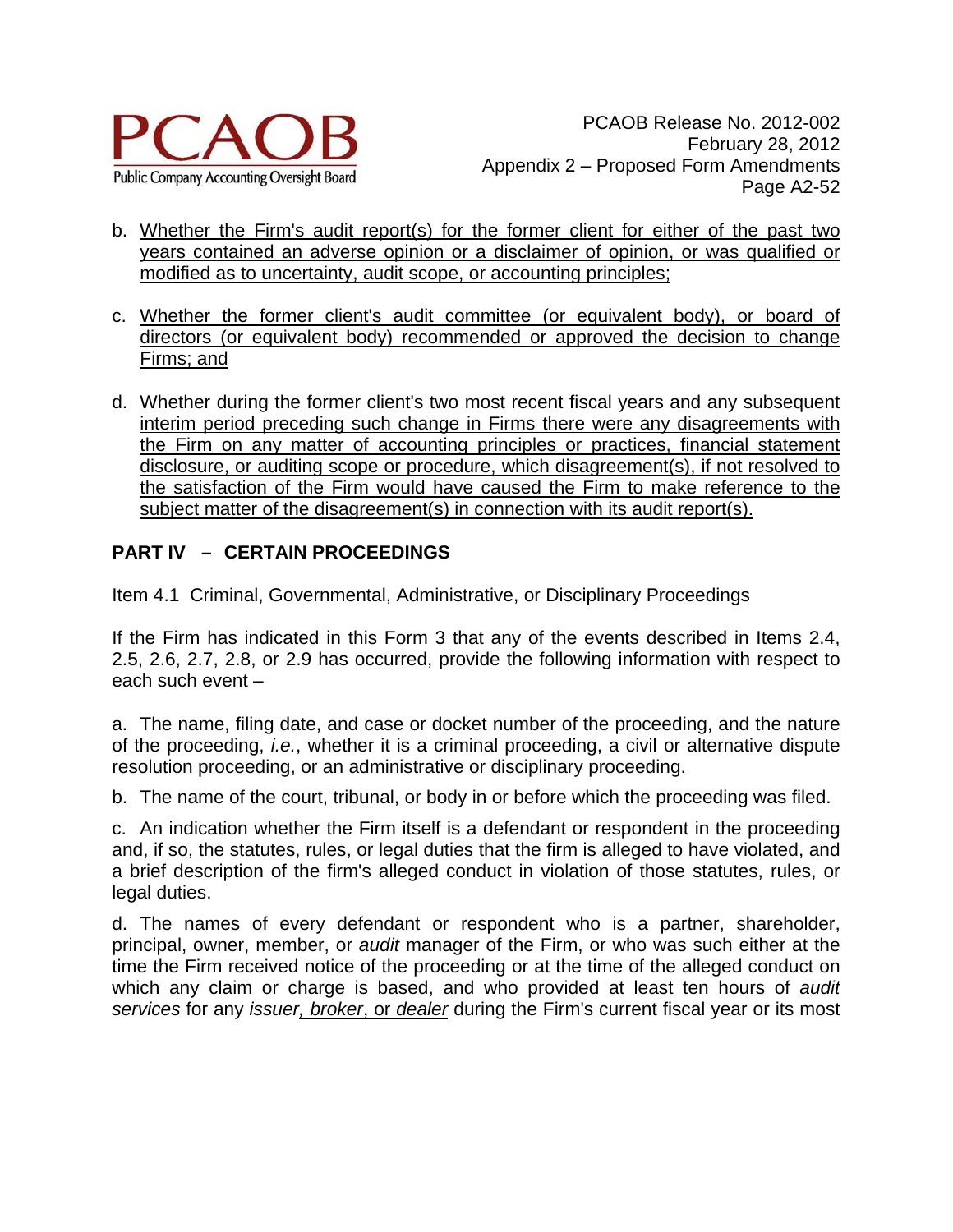

- b. Whether the Firm's audit report(s) for the former client for either of the past two years contained an adverse opinion or a disclaimer of opinion, or was qualified or modified as to uncertainty, audit scope, or accounting principles;
- c. Whether the former client's audit committee (or equivalent body), or board of directors (or equivalent body) recommended or approved the decision to change Firms; and
- d. Whether during the former client's two most recent fiscal years and any subsequent interim period preceding such change in Firms there were any disagreements with the Firm on any matter of accounting principles or practices, financial statement disclosure, or auditing scope or procedure, which disagreement(s), if not resolved to the satisfaction of the Firm would have caused the Firm to make reference to the subject matter of the disagreement(s) in connection with its audit report(s).

# **PART IV – CERTAIN PROCEEDINGS**

Item 4.1 Criminal, Governmental, Administrative, or Disciplinary Proceedings

If the Firm has indicated in this Form 3 that any of the events described in Items 2.4, 2.5, 2.6, 2.7, 2.8, or 2.9 has occurred, provide the following information with respect to each such event –

a. The name, filing date, and case or docket number of the proceeding, and the nature of the proceeding, *i.e.*, whether it is a criminal proceeding, a civil or alternative dispute resolution proceeding, or an administrative or disciplinary proceeding.

b. The name of the court, tribunal, or body in or before which the proceeding was filed.

c. An indication whether the Firm itself is a defendant or respondent in the proceeding and, if so, the statutes, rules, or legal duties that the firm is alleged to have violated, and a brief description of the firm's alleged conduct in violation of those statutes, rules, or legal duties.

d. The names of every defendant or respondent who is a partner, shareholder, principal, owner, member, or *audit* manager of the Firm, or who was such either at the time the Firm received notice of the proceeding or at the time of the alleged conduct on which any claim or charge is based, and who provided at least ten hours of *audit services* for any *issuer, broker*, or *dealer* during the Firm's current fiscal year or its most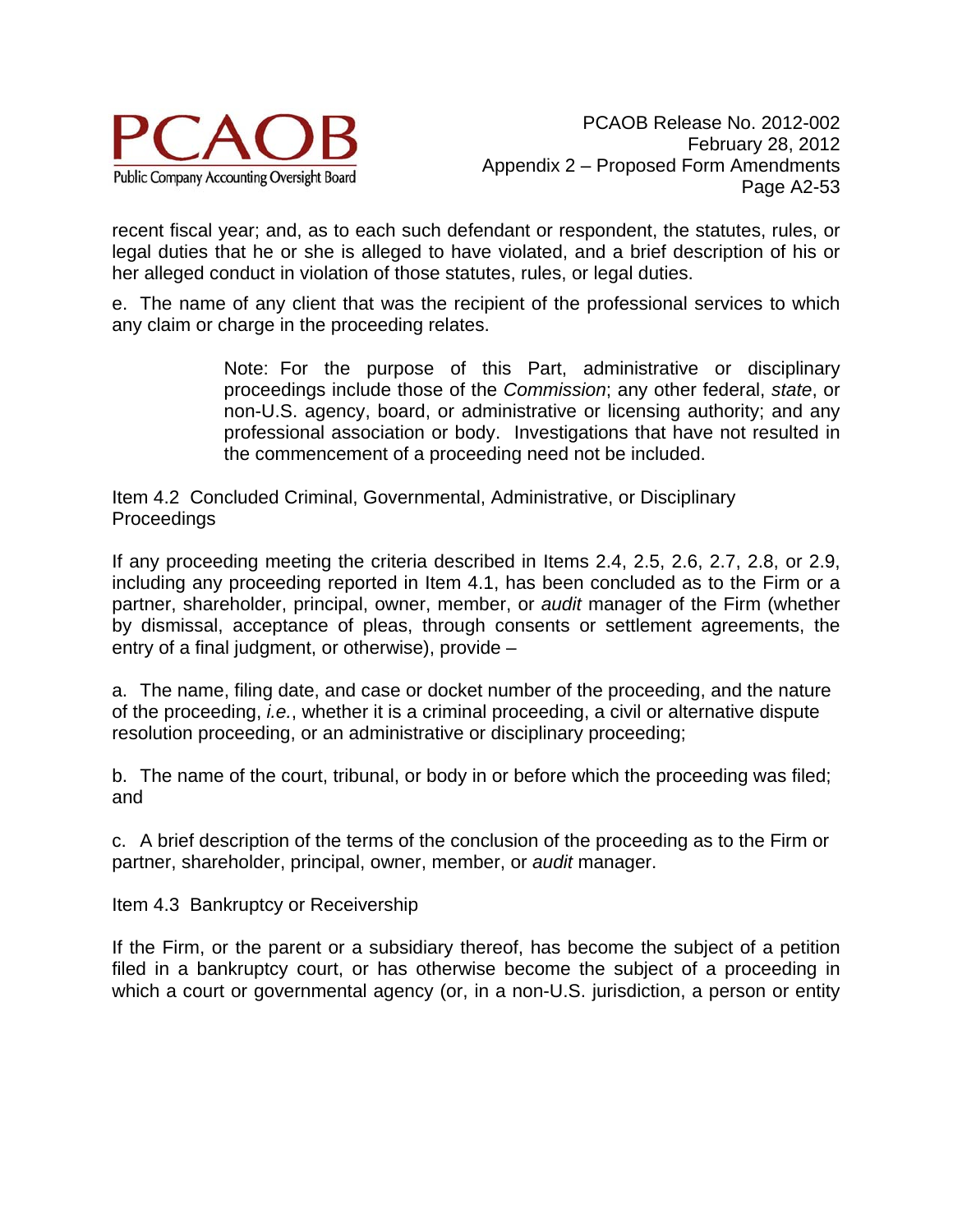

recent fiscal year; and, as to each such defendant or respondent, the statutes, rules, or legal duties that he or she is alleged to have violated, and a brief description of his or her alleged conduct in violation of those statutes, rules, or legal duties.

e. The name of any client that was the recipient of the professional services to which any claim or charge in the proceeding relates.

> Note: For the purpose of this Part, administrative or disciplinary proceedings include those of the *Commission*; any other federal, *state*, or non-U.S. agency, board, or administrative or licensing authority; and any professional association or body. Investigations that have not resulted in the commencement of a proceeding need not be included.

Item 4.2 Concluded Criminal, Governmental, Administrative, or Disciplinary **Proceedings** 

If any proceeding meeting the criteria described in Items 2.4, 2.5, 2.6, 2.7, 2.8, or 2.9, including any proceeding reported in Item 4.1, has been concluded as to the Firm or a partner, shareholder, principal, owner, member, or *audit* manager of the Firm (whether by dismissal, acceptance of pleas, through consents or settlement agreements, the entry of a final judgment, or otherwise), provide –

a. The name, filing date, and case or docket number of the proceeding, and the nature of the proceeding, *i.e.*, whether it is a criminal proceeding, a civil or alternative dispute resolution proceeding, or an administrative or disciplinary proceeding;

b. The name of the court, tribunal, or body in or before which the proceeding was filed; and

c. A brief description of the terms of the conclusion of the proceeding as to the Firm or partner, shareholder, principal, owner, member, or *audit* manager.

Item 4.3 Bankruptcy or Receivership

If the Firm, or the parent or a subsidiary thereof, has become the subject of a petition filed in a bankruptcy court, or has otherwise become the subject of a proceeding in which a court or governmental agency (or, in a non-U.S. jurisdiction, a person or entity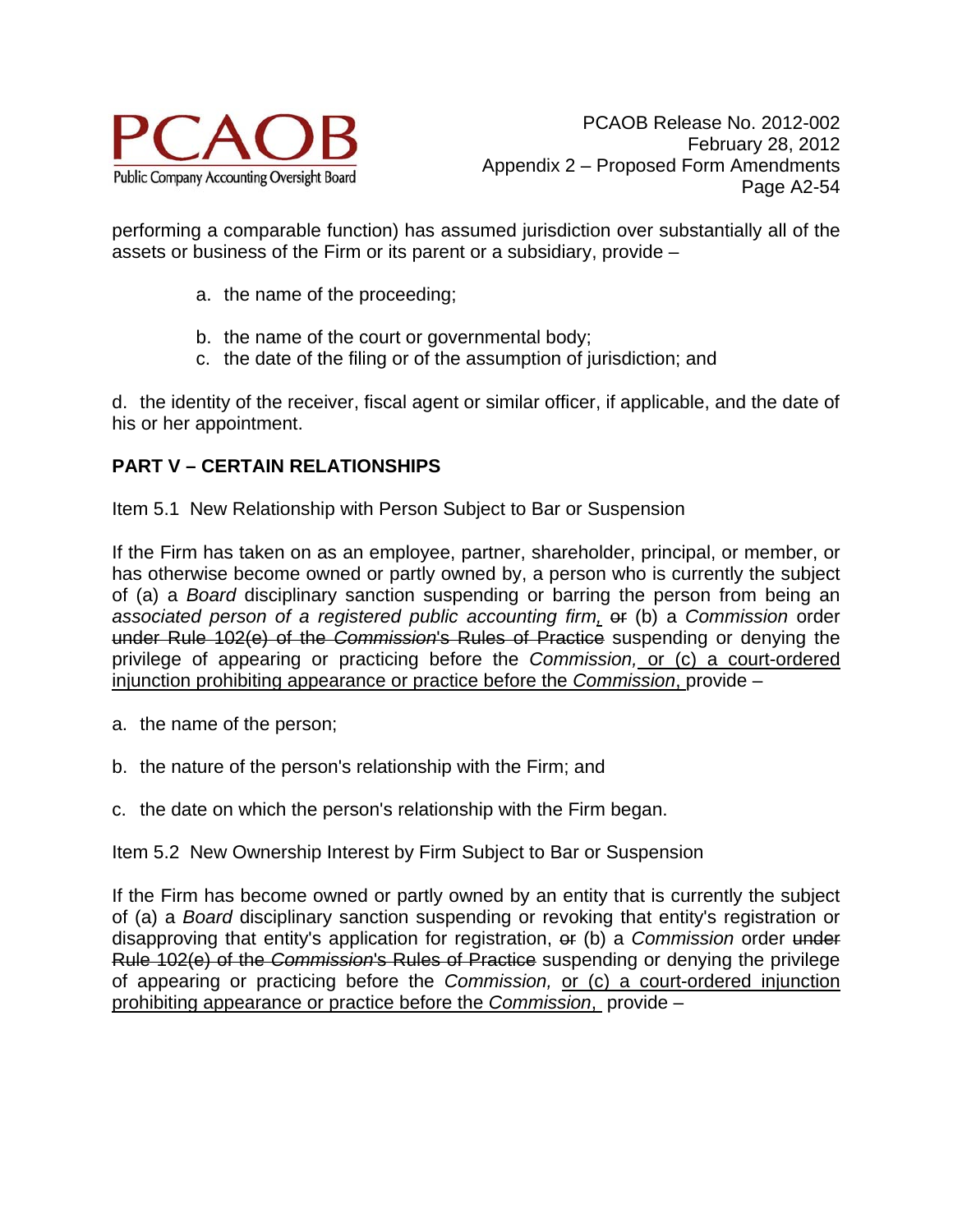

performing a comparable function) has assumed jurisdiction over substantially all of the assets or business of the Firm or its parent or a subsidiary, provide –

- a. the name of the proceeding;
- b. the name of the court or governmental body;
- c. the date of the filing or of the assumption of jurisdiction; and

d. the identity of the receiver, fiscal agent or similar officer, if applicable, and the date of his or her appointment.

## **PART V – CERTAIN RELATIONSHIPS**

Item 5.1 New Relationship with Person Subject to Bar or Suspension

If the Firm has taken on as an employee, partner, shareholder, principal, or member, or has otherwise become owned or partly owned by, a person who is currently the subject of (a) a *Board* disciplinary sanction suspending or barring the person from being an associated person of a registered public accounting firm,  $\Theta$ <sub>f</sub> (b) a *Commission* order under Rule 102(e) of the *Commission*'s Rules of Practice suspending or denying the privilege of appearing or practicing before the *Commission,* or (c) a court-ordered injunction prohibiting appearance or practice before the *Commission*, provide –

- a. the name of the person;
- b. the nature of the person's relationship with the Firm; and
- c. the date on which the person's relationship with the Firm began.

Item 5.2 New Ownership Interest by Firm Subject to Bar or Suspension

If the Firm has become owned or partly owned by an entity that is currently the subject of (a) a *Board* disciplinary sanction suspending or revoking that entity's registration or disapproving that entity's application for registration, or (b) a *Commission* order under Rule 102(e) of the *Commission*'s Rules of Practice suspending or denying the privilege of appearing or practicing before the *Commission,* or (c) a court-ordered injunction prohibiting appearance or practice before the *Commission*, provide –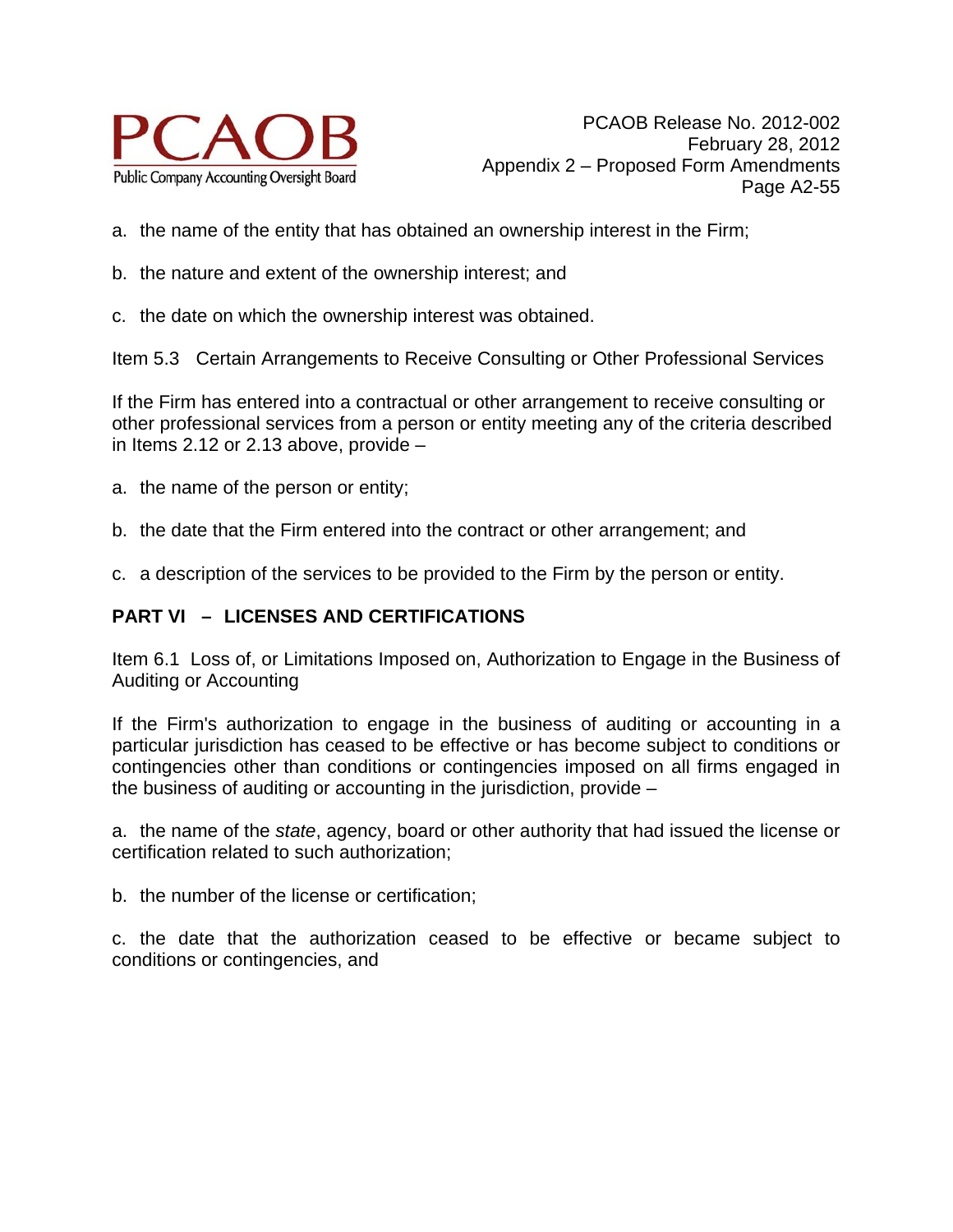

- a. the name of the entity that has obtained an ownership interest in the Firm;
- b. the nature and extent of the ownership interest; and
- c. the date on which the ownership interest was obtained.

Item 5.3 Certain Arrangements to Receive Consulting or Other Professional Services

If the Firm has entered into a contractual or other arrangement to receive consulting or other professional services from a person or entity meeting any of the criteria described in Items 2.12 or 2.13 above, provide –

- a. the name of the person or entity;
- b. the date that the Firm entered into the contract or other arrangement; and
- c. a description of the services to be provided to the Firm by the person or entity.

## **PART VI – LICENSES AND CERTIFICATIONS**

Item 6.1 Loss of, or Limitations Imposed on, Authorization to Engage in the Business of Auditing or Accounting

If the Firm's authorization to engage in the business of auditing or accounting in a particular jurisdiction has ceased to be effective or has become subject to conditions or contingencies other than conditions or contingencies imposed on all firms engaged in the business of auditing or accounting in the jurisdiction, provide –

a. the name of the *state*, agency, board or other authority that had issued the license or certification related to such authorization;

b. the number of the license or certification;

c. the date that the authorization ceased to be effective or became subject to conditions or contingencies, and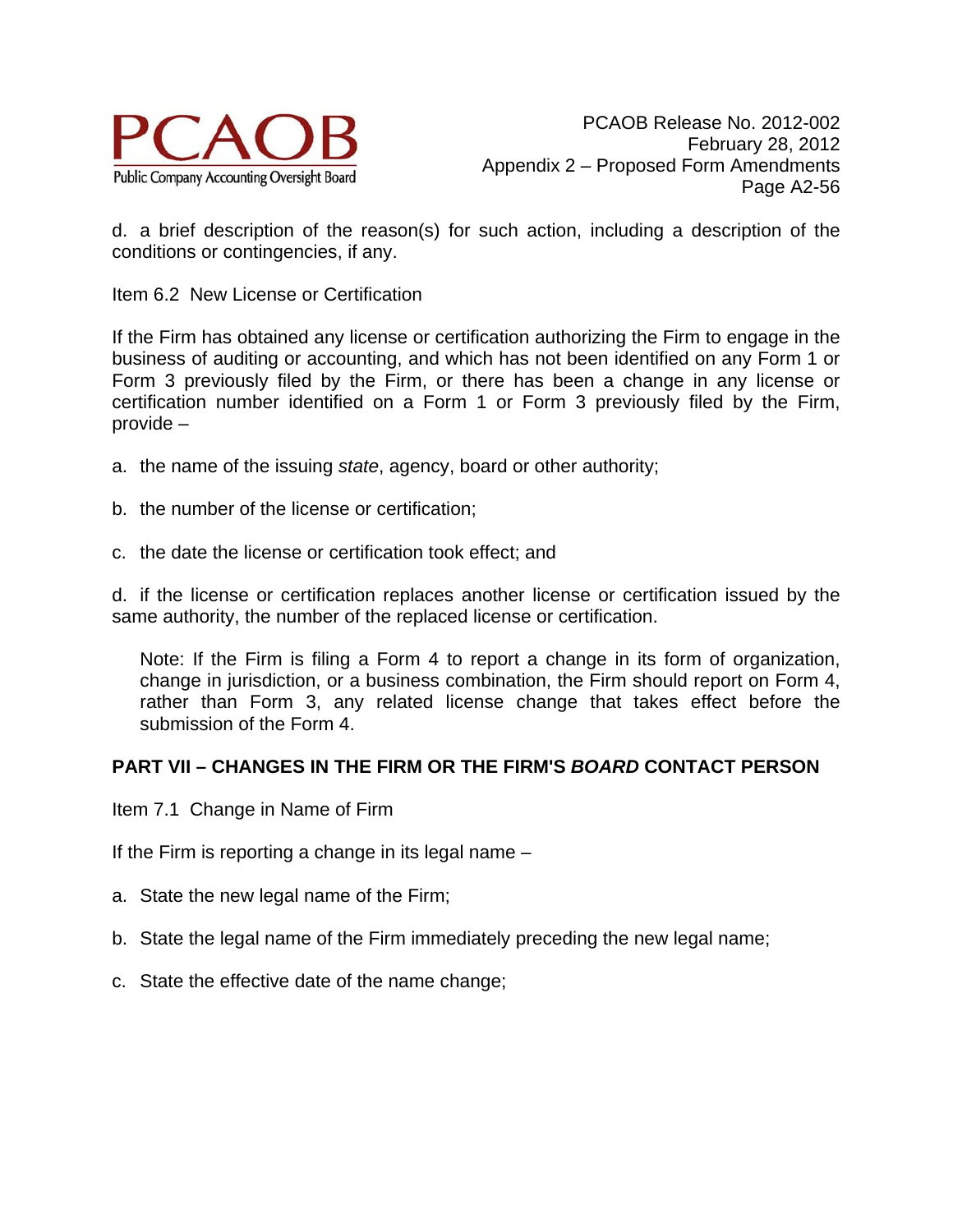

d. a brief description of the reason(s) for such action, including a description of the conditions or contingencies, if any.

Item 6.2 New License or Certification

If the Firm has obtained any license or certification authorizing the Firm to engage in the business of auditing or accounting, and which has not been identified on any Form 1 or Form 3 previously filed by the Firm, or there has been a change in any license or certification number identified on a Form 1 or Form 3 previously filed by the Firm, provide –

- a. the name of the issuing *state*, agency, board or other authority;
- b. the number of the license or certification;
- c. the date the license or certification took effect; and

d. if the license or certification replaces another license or certification issued by the same authority, the number of the replaced license or certification.

Note: If the Firm is filing a Form 4 to report a change in its form of organization, change in jurisdiction, or a business combination, the Firm should report on Form 4, rather than Form 3, any related license change that takes effect before the submission of the Form 4.

#### **PART VII – CHANGES IN THE FIRM OR THE FIRM'S** *BOARD* **CONTACT PERSON**

Item 7.1 Change in Name of Firm

If the Firm is reporting a change in its legal name –

- a. State the new legal name of the Firm;
- b. State the legal name of the Firm immediately preceding the new legal name;
- c. State the effective date of the name change;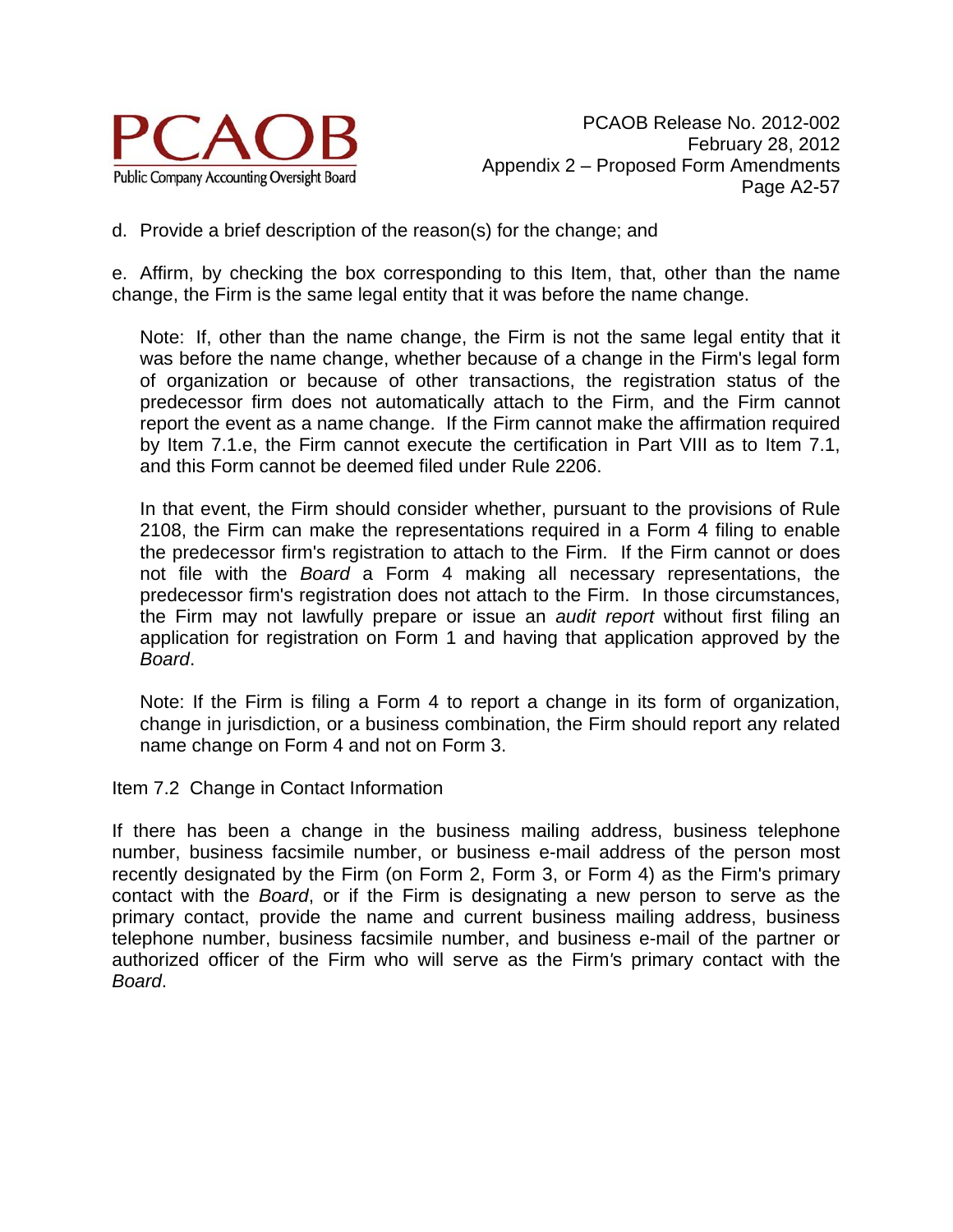

d. Provide a brief description of the reason(s) for the change; and

e. Affirm, by checking the box corresponding to this Item, that, other than the name change, the Firm is the same legal entity that it was before the name change.

Note: If, other than the name change, the Firm is not the same legal entity that it was before the name change, whether because of a change in the Firm's legal form of organization or because of other transactions, the registration status of the predecessor firm does not automatically attach to the Firm, and the Firm cannot report the event as a name change. If the Firm cannot make the affirmation required by Item 7.1.e, the Firm cannot execute the certification in Part VIII as to Item 7.1, and this Form cannot be deemed filed under Rule 2206.

In that event, the Firm should consider whether, pursuant to the provisions of Rule 2108, the Firm can make the representations required in a Form 4 filing to enable the predecessor firm's registration to attach to the Firm. If the Firm cannot or does not file with the *Board* a Form 4 making all necessary representations, the predecessor firm's registration does not attach to the Firm. In those circumstances, the Firm may not lawfully prepare or issue an *audit report* without first filing an application for registration on Form 1 and having that application approved by the *Board*.

Note: If the Firm is filing a Form 4 to report a change in its form of organization, change in jurisdiction, or a business combination, the Firm should report any related name change on Form 4 and not on Form 3.

Item 7.2 Change in Contact Information

If there has been a change in the business mailing address, business telephone number, business facsimile number, or business e-mail address of the person most recently designated by the Firm (on Form 2, Form 3, or Form 4) as the Firm's primary contact with the *Board*, or if the Firm is designating a new person to serve as the primary contact, provide the name and current business mailing address, business telephone number, business facsimile number, and business e-mail of the partner or authorized officer of the Firm who will serve as the Firm*'*s primary contact with the *Board*.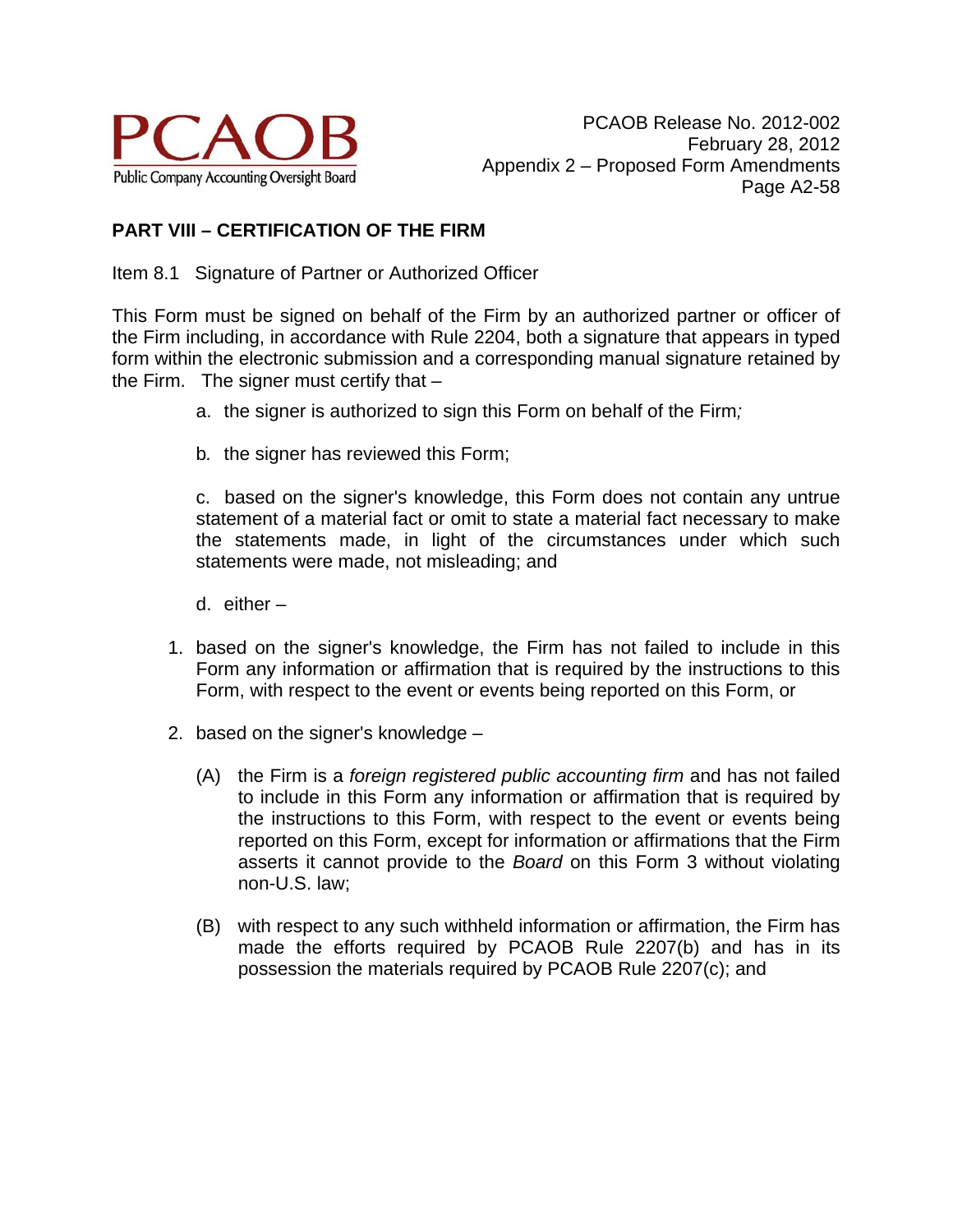

# **PART VIII – CERTIFICATION OF THE FIRM**

Item 8.1 Signature of Partner or Authorized Officer

This Form must be signed on behalf of the Firm by an authorized partner or officer of the Firm including, in accordance with Rule 2204, both a signature that appears in typed form within the electronic submission and a corresponding manual signature retained by the Firm. The signer must certify that  $-$ 

- a. the signer is authorized to sign this Form on behalf of the Firm*;*
- b*.* the signer has reviewed this Form;

c. based on the signer's knowledge, this Form does not contain any untrue statement of a material fact or omit to state a material fact necessary to make the statements made, in light of the circumstances under which such statements were made, not misleading; and

- d. either –
- 1. based on the signer's knowledge, the Firm has not failed to include in this Form any information or affirmation that is required by the instructions to this Form, with respect to the event or events being reported on this Form, or
- 2. based on the signer's knowledge
	- (A) the Firm is a *foreign registered public accounting firm* and has not failed to include in this Form any information or affirmation that is required by the instructions to this Form, with respect to the event or events being reported on this Form, except for information or affirmations that the Firm asserts it cannot provide to the *Board* on this Form 3 without violating non-U.S. law;
	- (B) with respect to any such withheld information or affirmation, the Firm has made the efforts required by PCAOB Rule 2207(b) and has in its possession the materials required by PCAOB Rule 2207(c); and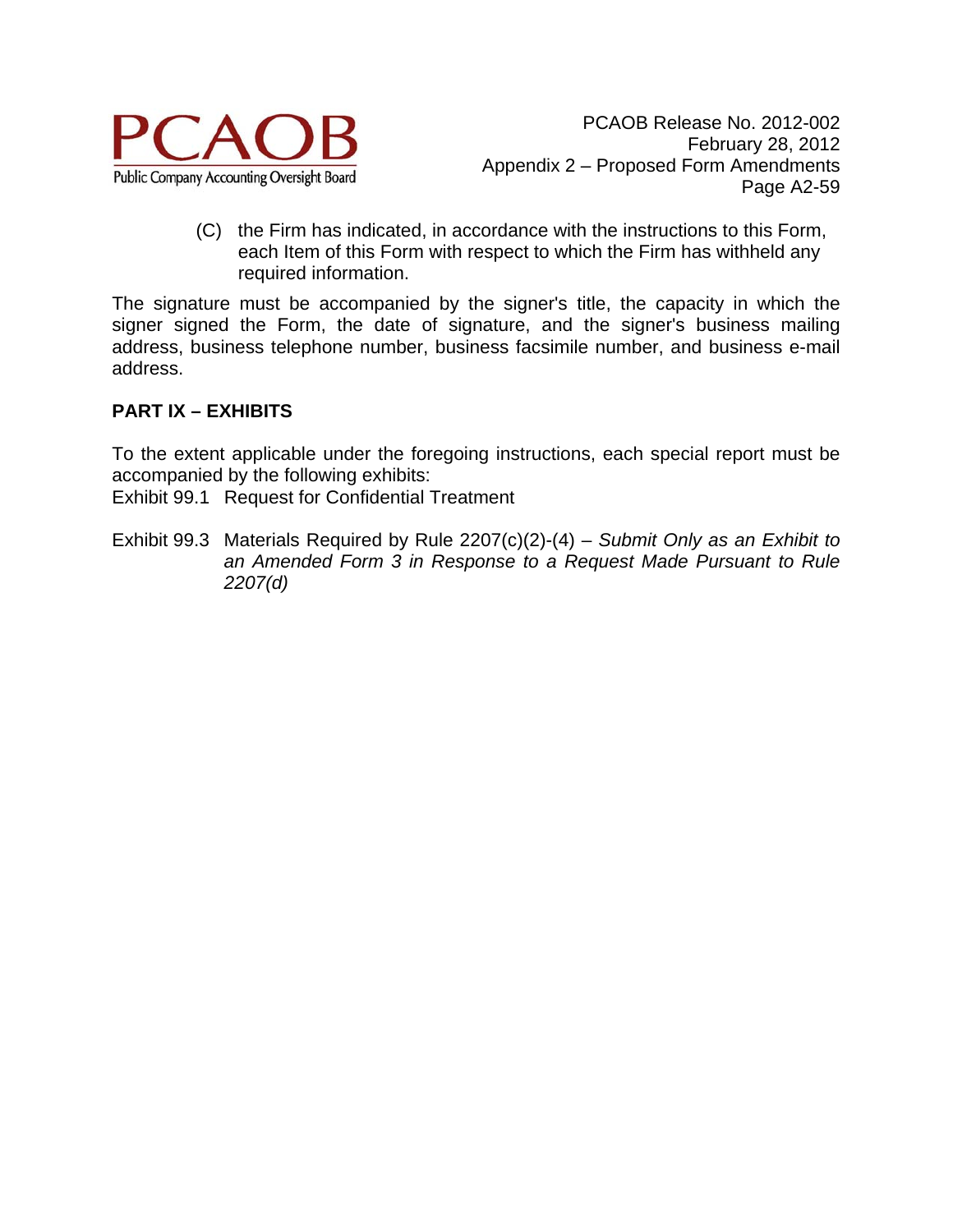

(C) the Firm has indicated, in accordance with the instructions to this Form, each Item of this Form with respect to which the Firm has withheld any required information.

The signature must be accompanied by the signer's title, the capacity in which the signer signed the Form, the date of signature, and the signer's business mailing address, business telephone number, business facsimile number, and business e-mail address.

### **PART IX – EXHIBITS**

To the extent applicable under the foregoing instructions, each special report must be accompanied by the following exhibits:

Exhibit 99.1 Request for Confidential Treatment

Exhibit 99.3 Materials Required by Rule 2207(c)(2)-(4) – *Submit Only as an Exhibit to an Amended Form 3 in Response to a Request Made Pursuant to Rule 2207(d)*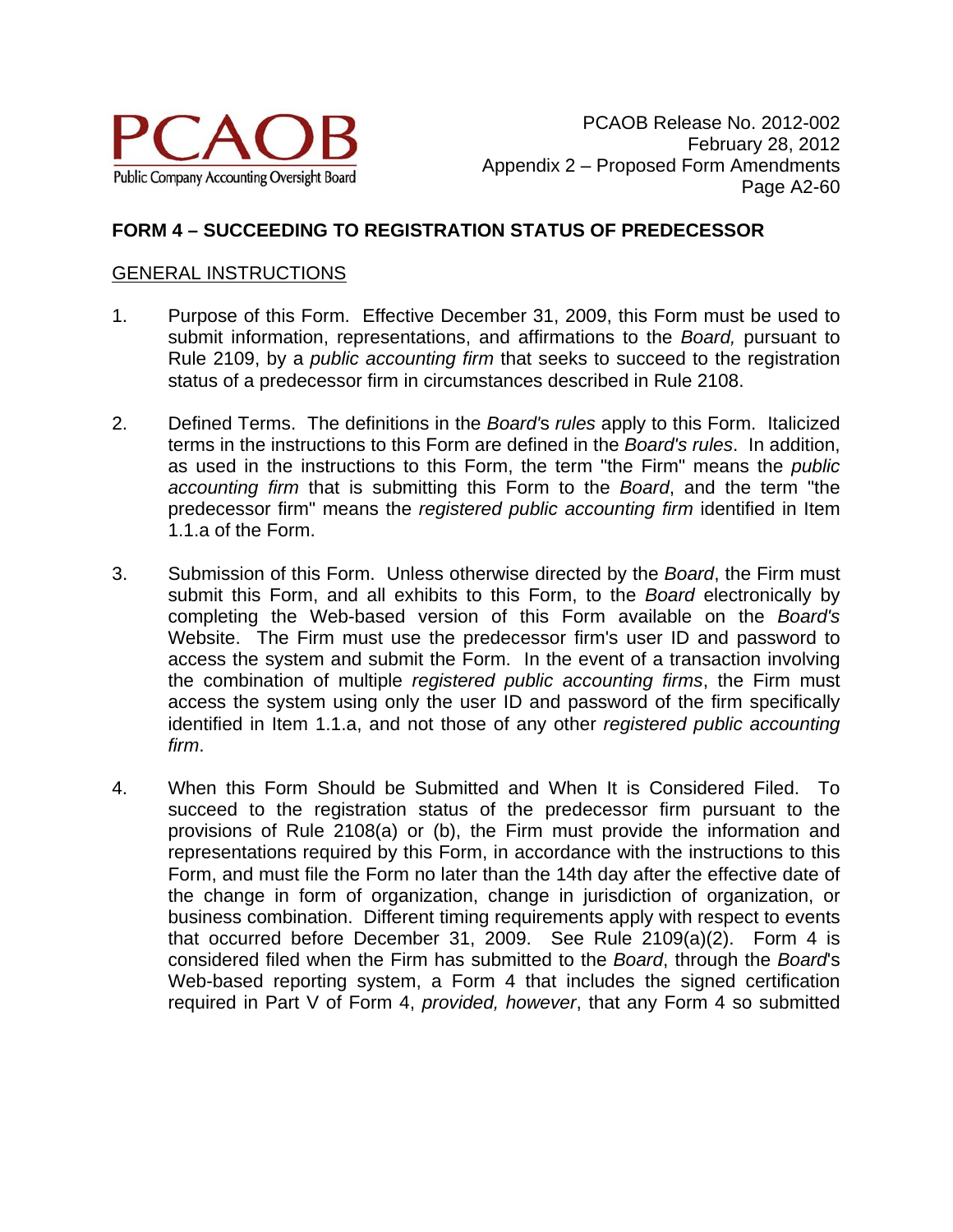

#### **FORM 4 – SUCCEEDING TO REGISTRATION STATUS OF PREDECESSOR**

#### GENERAL INSTRUCTIONS

- 1. Purpose of this Form. Effective December 31, 2009, this Form must be used to submit information, representations, and affirmations to the *Board,* pursuant to Rule 2109, by a *public accounting firm* that seeks to succeed to the registration status of a predecessor firm in circumstances described in Rule 2108.
- 2. Defined Terms. The definitions in the *Board'*s *rules* apply to this Form. Italicized terms in the instructions to this Form are defined in the *Board's rules*. In addition, as used in the instructions to this Form, the term "the Firm" means the *public accounting firm* that is submitting this Form to the *Board*, and the term "the predecessor firm" means the *registered public accounting firm* identified in Item 1.1.a of the Form.
- 3. Submission of this Form. Unless otherwise directed by the *Board*, the Firm must submit this Form, and all exhibits to this Form, to the *Board* electronically by completing the Web-based version of this Form available on the *Board's*  Website. The Firm must use the predecessor firm's user ID and password to access the system and submit the Form. In the event of a transaction involving the combination of multiple *registered public accounting firms*, the Firm must access the system using only the user ID and password of the firm specifically identified in Item 1.1.a, and not those of any other *registered public accounting firm*.
- 4. When this Form Should be Submitted and When It is Considered Filed. To succeed to the registration status of the predecessor firm pursuant to the provisions of Rule 2108(a) or (b), the Firm must provide the information and representations required by this Form, in accordance with the instructions to this Form, and must file the Form no later than the 14th day after the effective date of the change in form of organization, change in jurisdiction of organization, or business combination. Different timing requirements apply with respect to events that occurred before December 31, 2009. See Rule 2109(a)(2). Form 4 is considered filed when the Firm has submitted to the *Board*, through the *Board*'s Web-based reporting system, a Form 4 that includes the signed certification required in Part V of Form 4, *provided, however*, that any Form 4 so submitted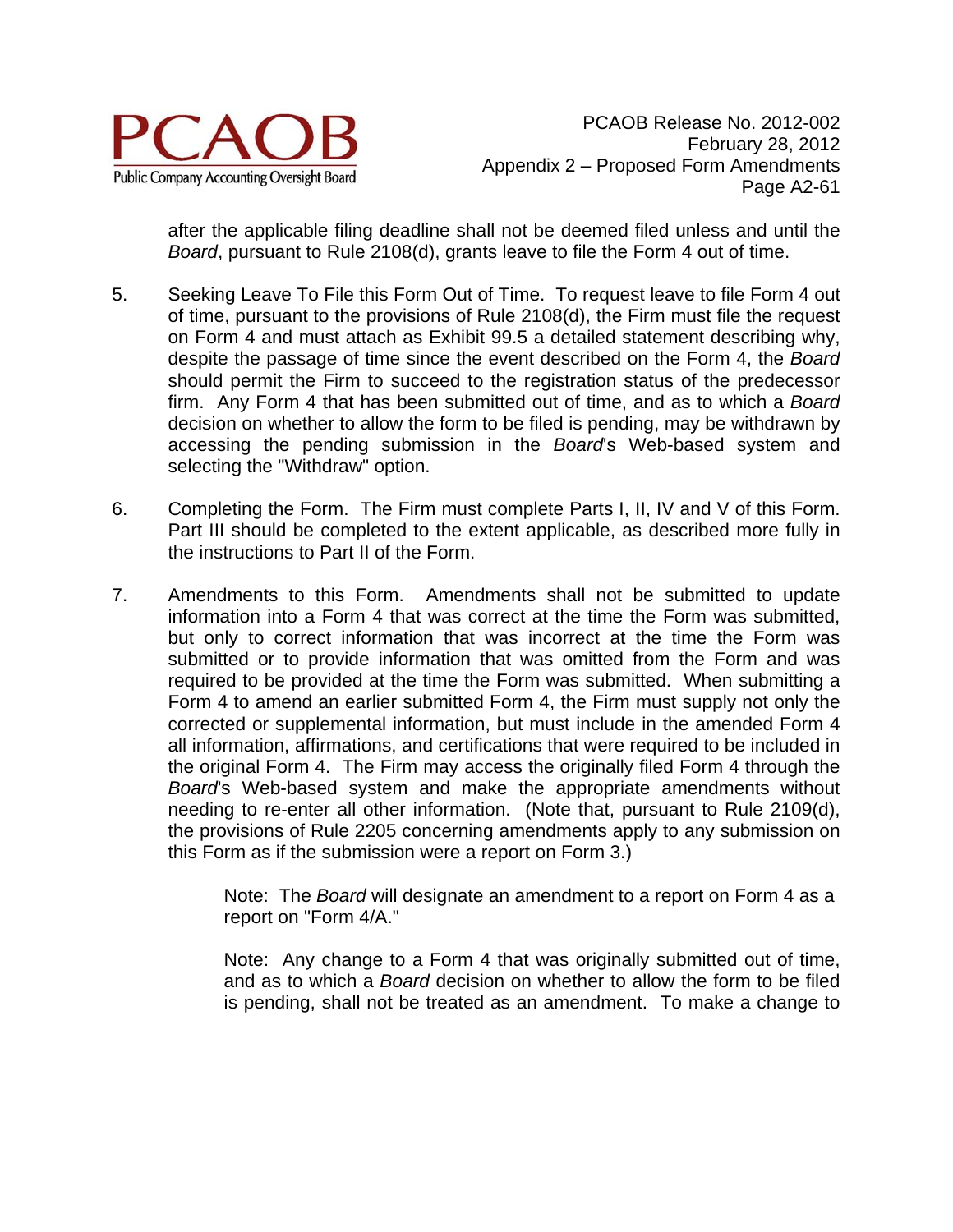

after the applicable filing deadline shall not be deemed filed unless and until the *Board*, pursuant to Rule 2108(d), grants leave to file the Form 4 out of time.

- 5. Seeking Leave To File this Form Out of Time. To request leave to file Form 4 out of time, pursuant to the provisions of Rule 2108(d), the Firm must file the request on Form 4 and must attach as Exhibit 99.5 a detailed statement describing why, despite the passage of time since the event described on the Form 4, the *Board* should permit the Firm to succeed to the registration status of the predecessor firm. Any Form 4 that has been submitted out of time, and as to which a *Board* decision on whether to allow the form to be filed is pending, may be withdrawn by accessing the pending submission in the *Board*'s Web-based system and selecting the "Withdraw" option.
- 6. Completing the Form. The Firm must complete Parts I, II, IV and V of this Form. Part III should be completed to the extent applicable, as described more fully in the instructions to Part II of the Form.
- 7. Amendments to this Form. Amendments shall not be submitted to update information into a Form 4 that was correct at the time the Form was submitted, but only to correct information that was incorrect at the time the Form was submitted or to provide information that was omitted from the Form and was required to be provided at the time the Form was submitted. When submitting a Form 4 to amend an earlier submitted Form 4, the Firm must supply not only the corrected or supplemental information, but must include in the amended Form 4 all information, affirmations, and certifications that were required to be included in the original Form 4. The Firm may access the originally filed Form 4 through the *Board*'s Web-based system and make the appropriate amendments without needing to re-enter all other information. (Note that, pursuant to Rule 2109(d), the provisions of Rule 2205 concerning amendments apply to any submission on this Form as if the submission were a report on Form 3.)

Note: The *Board* will designate an amendment to a report on Form 4 as a report on "Form 4/A."

Note: Any change to a Form 4 that was originally submitted out of time, and as to which a *Board* decision on whether to allow the form to be filed is pending, shall not be treated as an amendment. To make a change to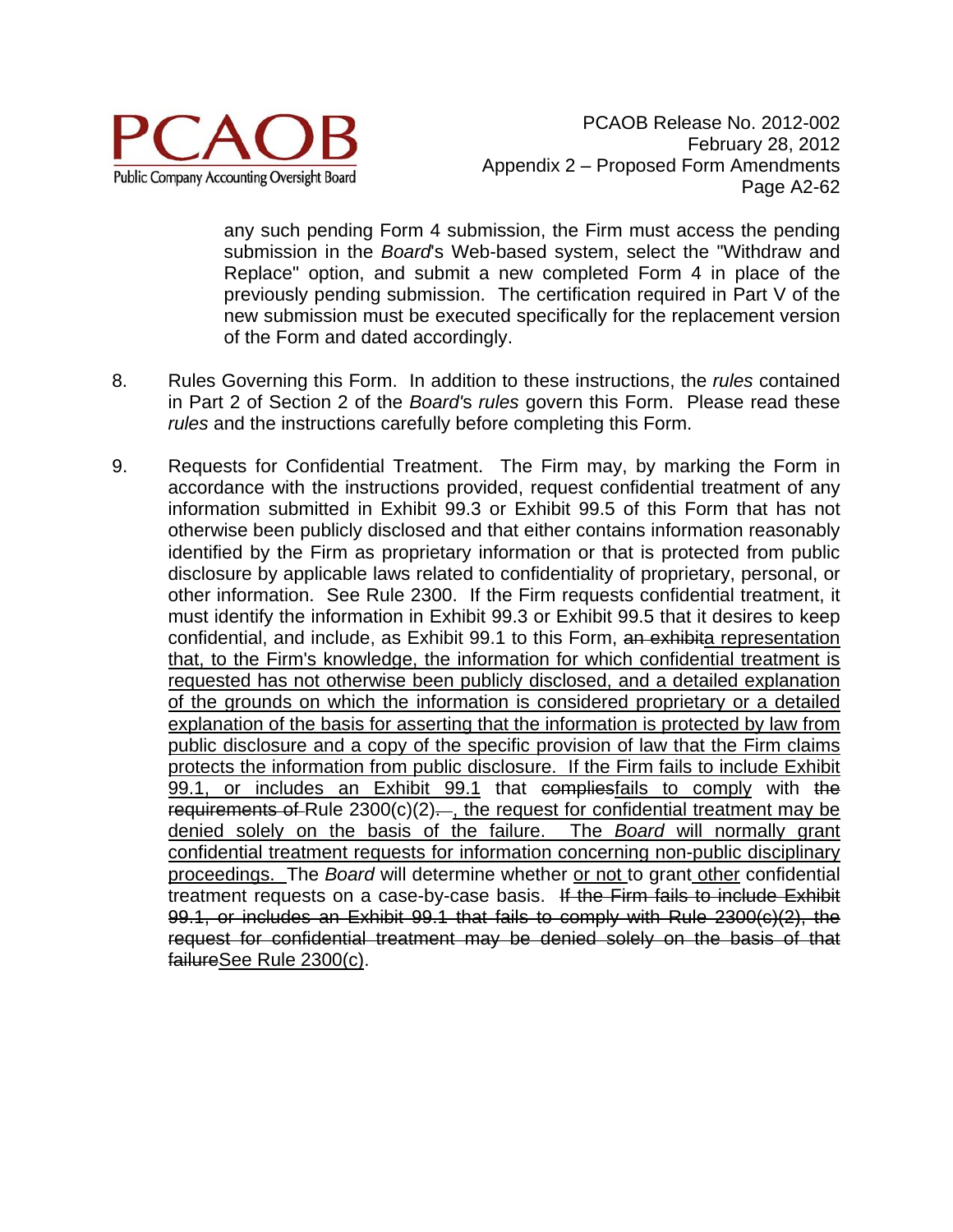

any such pending Form 4 submission, the Firm must access the pending submission in the *Board*'s Web-based system, select the "Withdraw and Replace" option, and submit a new completed Form 4 in place of the previously pending submission. The certification required in Part V of the new submission must be executed specifically for the replacement version of the Form and dated accordingly.

- 8. Rules Governing this Form. In addition to these instructions, the *rules* contained in Part 2 of Section 2 of the *Board'*s *rules* govern this Form. Please read these *rules* and the instructions carefully before completing this Form.
- 9. Requests for Confidential Treatment. The Firm may, by marking the Form in accordance with the instructions provided, request confidential treatment of any information submitted in Exhibit 99.3 or Exhibit 99.5 of this Form that has not otherwise been publicly disclosed and that either contains information reasonably identified by the Firm as proprietary information or that is protected from public disclosure by applicable laws related to confidentiality of proprietary, personal, or other information. See Rule 2300. If the Firm requests confidential treatment, it must identify the information in Exhibit 99.3 or Exhibit 99.5 that it desires to keep confidential, and include, as Exhibit 99.1 to this Form, an exhibita representation that, to the Firm's knowledge, the information for which confidential treatment is requested has not otherwise been publicly disclosed, and a detailed explanation of the grounds on which the information is considered proprietary or a detailed explanation of the basis for asserting that the information is protected by law from public disclosure and a copy of the specific provision of law that the Firm claims protects the information from public disclosure. If the Firm fails to include Exhibit 99.1, or includes an Exhibit 99.1 that compliesfails to comply with the requirements of Rule  $2300(c)(2)$ . the request for confidential treatment may be denied solely on the basis of the failure. The *Board* will normally grant confidential treatment requests for information concerning non-public disciplinary proceedings. The *Board* will determine whether or not to grant other confidential treatment requests on a case-by-case basis. If the Firm fails to include Exhibit 99.1, or includes an Exhibit 99.1 that fails to comply with Rule 2300(c)(2), the request for confidential treatment may be denied solely on the basis of that failureSee Rule 2300(c).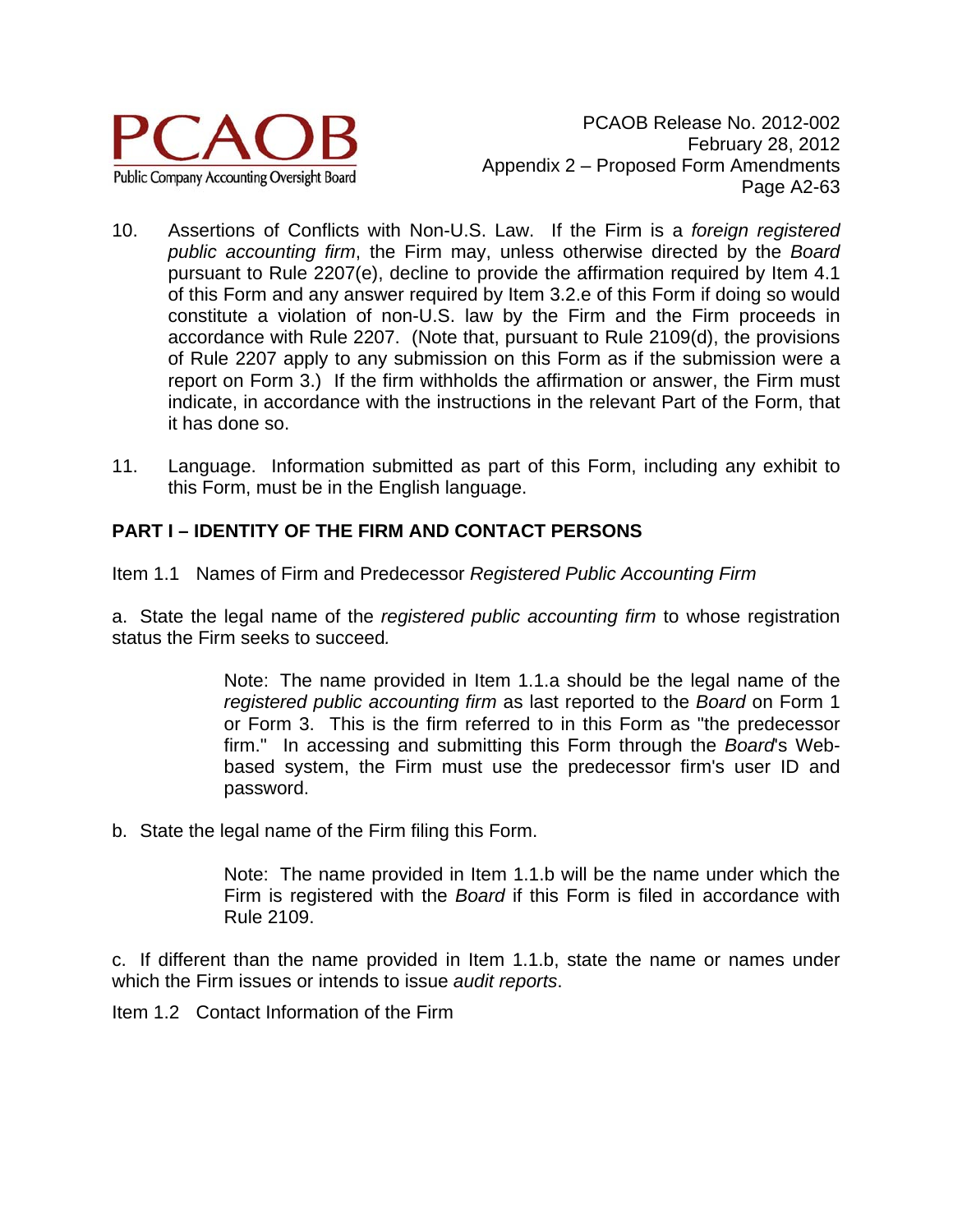

PCAOB Release No. 2012-002 February 28, 2012 Appendix 2 – Proposed Form Amendments Page A2-63

- 10. Assertions of Conflicts with Non-U.S. Law. If the Firm is a *foreign registered public accounting firm*, the Firm may, unless otherwise directed by the *Board* pursuant to Rule 2207(e), decline to provide the affirmation required by Item 4.1 of this Form and any answer required by Item 3.2.e of this Form if doing so would constitute a violation of non-U.S. law by the Firm and the Firm proceeds in accordance with Rule 2207. (Note that, pursuant to Rule 2109(d), the provisions of Rule 2207 apply to any submission on this Form as if the submission were a report on Form 3.) If the firm withholds the affirmation or answer, the Firm must indicate, in accordance with the instructions in the relevant Part of the Form, that it has done so.
- 11. Language. Information submitted as part of this Form, including any exhibit to this Form, must be in the English language.

### **PART I – IDENTITY OF THE FIRM AND CONTACT PERSONS**

Item 1.1 Names of Firm and Predecessor *Registered Public Accounting Firm* 

a. State the legal name of the *registered public accounting firm* to whose registration status the Firm seeks to succeed*.* 

> Note: The name provided in Item 1.1.a should be the legal name of the *registered public accounting firm* as last reported to the *Board* on Form 1 or Form 3. This is the firm referred to in this Form as "the predecessor firm." In accessing and submitting this Form through the *Board*'s Webbased system, the Firm must use the predecessor firm's user ID and password.

b. State the legal name of the Firm filing this Form.

Note: The name provided in Item 1.1.b will be the name under which the Firm is registered with the *Board* if this Form is filed in accordance with Rule 2109.

c. If different than the name provided in Item 1.1.b, state the name or names under which the Firm issues or intends to issue *audit reports*.

Item 1.2 Contact Information of the Firm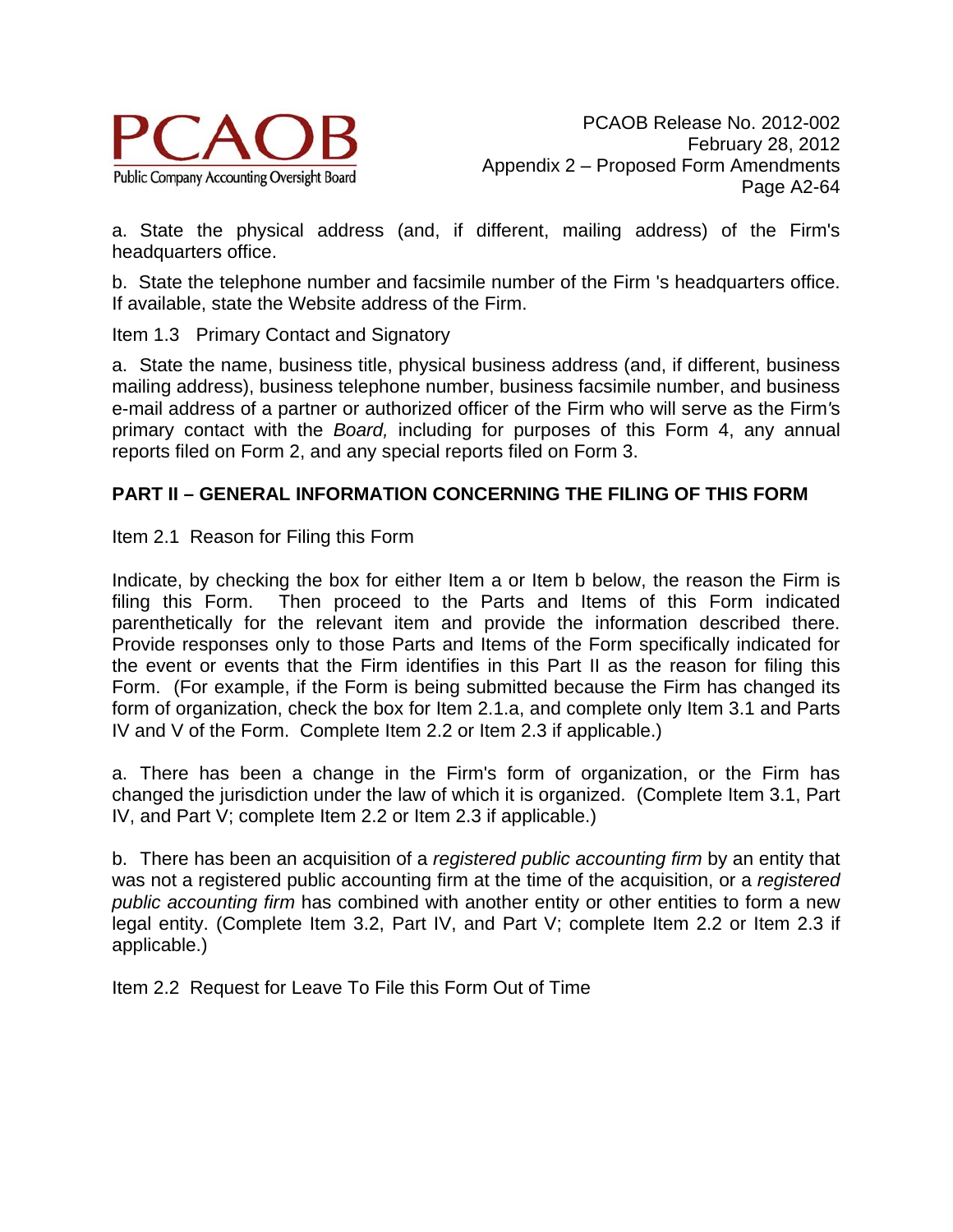

a. State the physical address (and, if different, mailing address) of the Firm's headquarters office.

b. State the telephone number and facsimile number of the Firm 's headquarters office. If available, state the Website address of the Firm.

Item 1.3 Primary Contact and Signatory

a. State the name, business title, physical business address (and, if different, business mailing address), business telephone number, business facsimile number, and business e-mail address of a partner or authorized officer of the Firm who will serve as the Firm*'*s primary contact with the *Board,* including for purposes of this Form 4, any annual reports filed on Form 2, and any special reports filed on Form 3.

#### **PART II – GENERAL INFORMATION CONCERNING THE FILING OF THIS FORM**

Item 2.1 Reason for Filing this Form

Indicate, by checking the box for either Item a or Item b below, the reason the Firm is filing this Form. Then proceed to the Parts and Items of this Form indicated parenthetically for the relevant item and provide the information described there. Provide responses only to those Parts and Items of the Form specifically indicated for the event or events that the Firm identifies in this Part II as the reason for filing this Form. (For example, if the Form is being submitted because the Firm has changed its form of organization, check the box for Item 2.1.a, and complete only Item 3.1 and Parts IV and V of the Form. Complete Item 2.2 or Item 2.3 if applicable.)

a. There has been a change in the Firm's form of organization, or the Firm has changed the jurisdiction under the law of which it is organized. (Complete Item 3.1, Part IV, and Part V; complete Item 2.2 or Item 2.3 if applicable.)

b. There has been an acquisition of a *registered public accounting firm* by an entity that was not a registered public accounting firm at the time of the acquisition, or a *registered public accounting firm* has combined with another entity or other entities to form a new legal entity. (Complete Item 3.2, Part IV, and Part V; complete Item 2.2 or Item 2.3 if applicable.)

Item 2.2 Request for Leave To File this Form Out of Time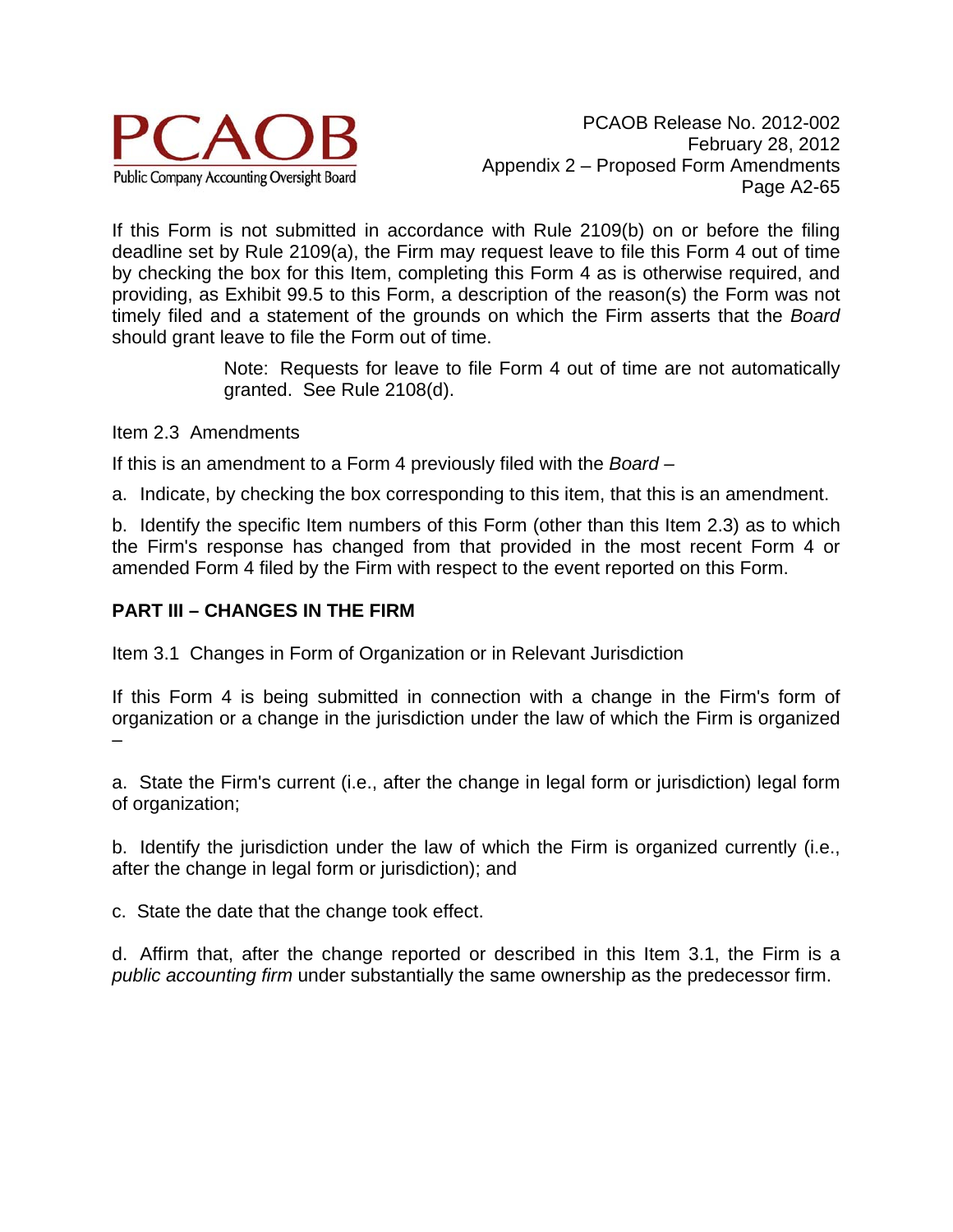

If this Form is not submitted in accordance with Rule 2109(b) on or before the filing deadline set by Rule 2109(a), the Firm may request leave to file this Form 4 out of time by checking the box for this Item, completing this Form 4 as is otherwise required, and providing, as Exhibit 99.5 to this Form, a description of the reason(s) the Form was not timely filed and a statement of the grounds on which the Firm asserts that the *Board* should grant leave to file the Form out of time.

> Note: Requests for leave to file Form 4 out of time are not automatically granted. See Rule 2108(d).

Item 2.3 Amendments

If this is an amendment to a Form 4 previously filed with the *Board –* 

a. Indicate, by checking the box corresponding to this item, that this is an amendment.

b. Identify the specific Item numbers of this Form (other than this Item 2.3) as to which the Firm's response has changed from that provided in the most recent Form 4 or amended Form 4 filed by the Firm with respect to the event reported on this Form.

### **PART III – CHANGES IN THE FIRM**

Item 3.1 Changes in Form of Organization or in Relevant Jurisdiction

If this Form 4 is being submitted in connection with a change in the Firm's form of organization or a change in the jurisdiction under the law of which the Firm is organized –

a. State the Firm's current (i.e., after the change in legal form or jurisdiction) legal form of organization;

b. Identify the jurisdiction under the law of which the Firm is organized currently (i.e., after the change in legal form or jurisdiction); and

c. State the date that the change took effect.

d. Affirm that, after the change reported or described in this Item 3.1, the Firm is a *public accounting firm* under substantially the same ownership as the predecessor firm.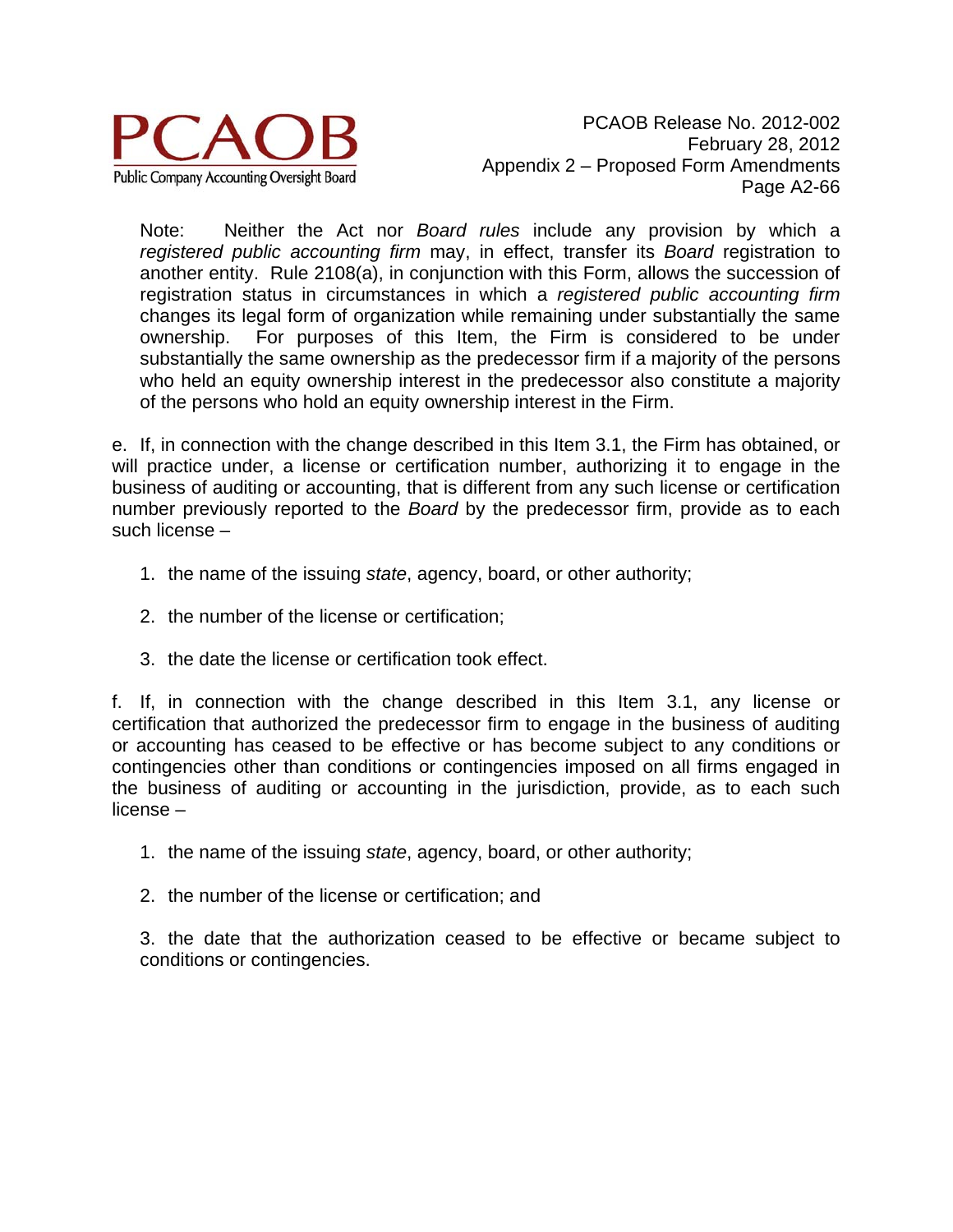

Note: Neither the Act nor *Board rules* include any provision by which a *registered public accounting firm* may, in effect, transfer its *Board* registration to another entity. Rule 2108(a), in conjunction with this Form, allows the succession of registration status in circumstances in which a *registered public accounting firm* changes its legal form of organization while remaining under substantially the same ownership. For purposes of this Item, the Firm is considered to be under substantially the same ownership as the predecessor firm if a majority of the persons who held an equity ownership interest in the predecessor also constitute a majority of the persons who hold an equity ownership interest in the Firm.

e. If, in connection with the change described in this Item 3.1, the Firm has obtained, or will practice under, a license or certification number, authorizing it to engage in the business of auditing or accounting, that is different from any such license or certification number previously reported to the *Board* by the predecessor firm, provide as to each such license –

- 1. the name of the issuing *state*, agency, board, or other authority;
- 2. the number of the license or certification;
- 3. the date the license or certification took effect.

f. If, in connection with the change described in this Item 3.1, any license or certification that authorized the predecessor firm to engage in the business of auditing or accounting has ceased to be effective or has become subject to any conditions or contingencies other than conditions or contingencies imposed on all firms engaged in the business of auditing or accounting in the jurisdiction, provide, as to each such license –

- 1. the name of the issuing *state*, agency, board, or other authority;
- 2. the number of the license or certification; and

3. the date that the authorization ceased to be effective or became subject to conditions or contingencies.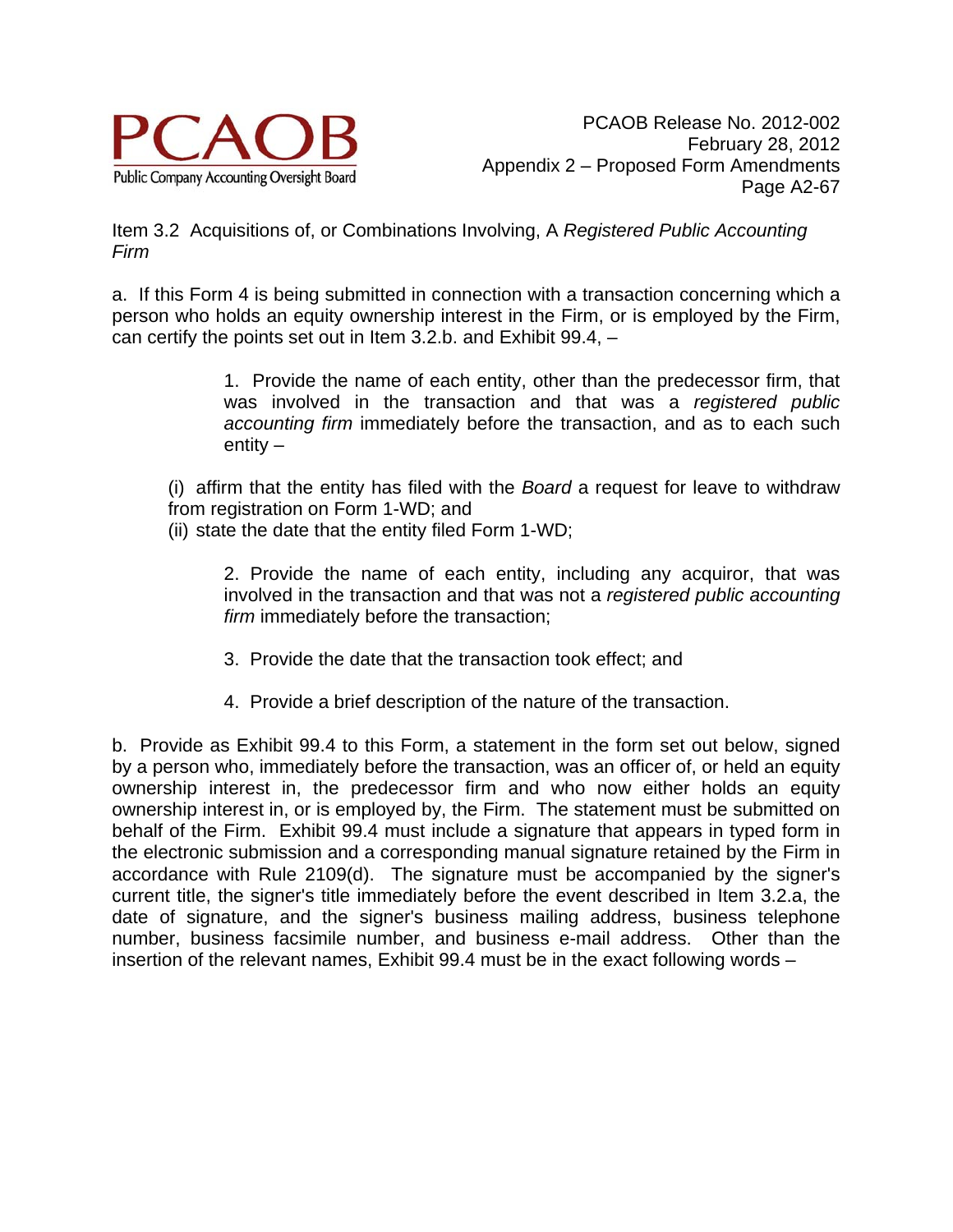

Item 3.2 Acquisitions of, or Combinations Involving, A *Registered Public Accounting Firm*

a. If this Form 4 is being submitted in connection with a transaction concerning which a person who holds an equity ownership interest in the Firm, or is employed by the Firm, can certify the points set out in Item 3.2.b. and Exhibit 99.4, –

> 1. Provide the name of each entity, other than the predecessor firm, that was involved in the transaction and that was a *registered public accounting firm* immediately before the transaction, and as to each such entity –

(i) affirm that the entity has filed with the *Board* a request for leave to withdraw from registration on Form 1-WD; and

(ii) state the date that the entity filed Form 1-WD;

2. Provide the name of each entity, including any acquiror, that was involved in the transaction and that was not a *registered public accounting firm* immediately before the transaction;

- 3. Provide the date that the transaction took effect; and
- 4. Provide a brief description of the nature of the transaction.

b. Provide as Exhibit 99.4 to this Form, a statement in the form set out below, signed by a person who, immediately before the transaction, was an officer of, or held an equity ownership interest in, the predecessor firm and who now either holds an equity ownership interest in, or is employed by, the Firm. The statement must be submitted on behalf of the Firm. Exhibit 99.4 must include a signature that appears in typed form in the electronic submission and a corresponding manual signature retained by the Firm in accordance with Rule 2109(d). The signature must be accompanied by the signer's current title, the signer's title immediately before the event described in Item 3.2.a, the date of signature, and the signer's business mailing address, business telephone number, business facsimile number, and business e-mail address. Other than the insertion of the relevant names, Exhibit 99.4 must be in the exact following words –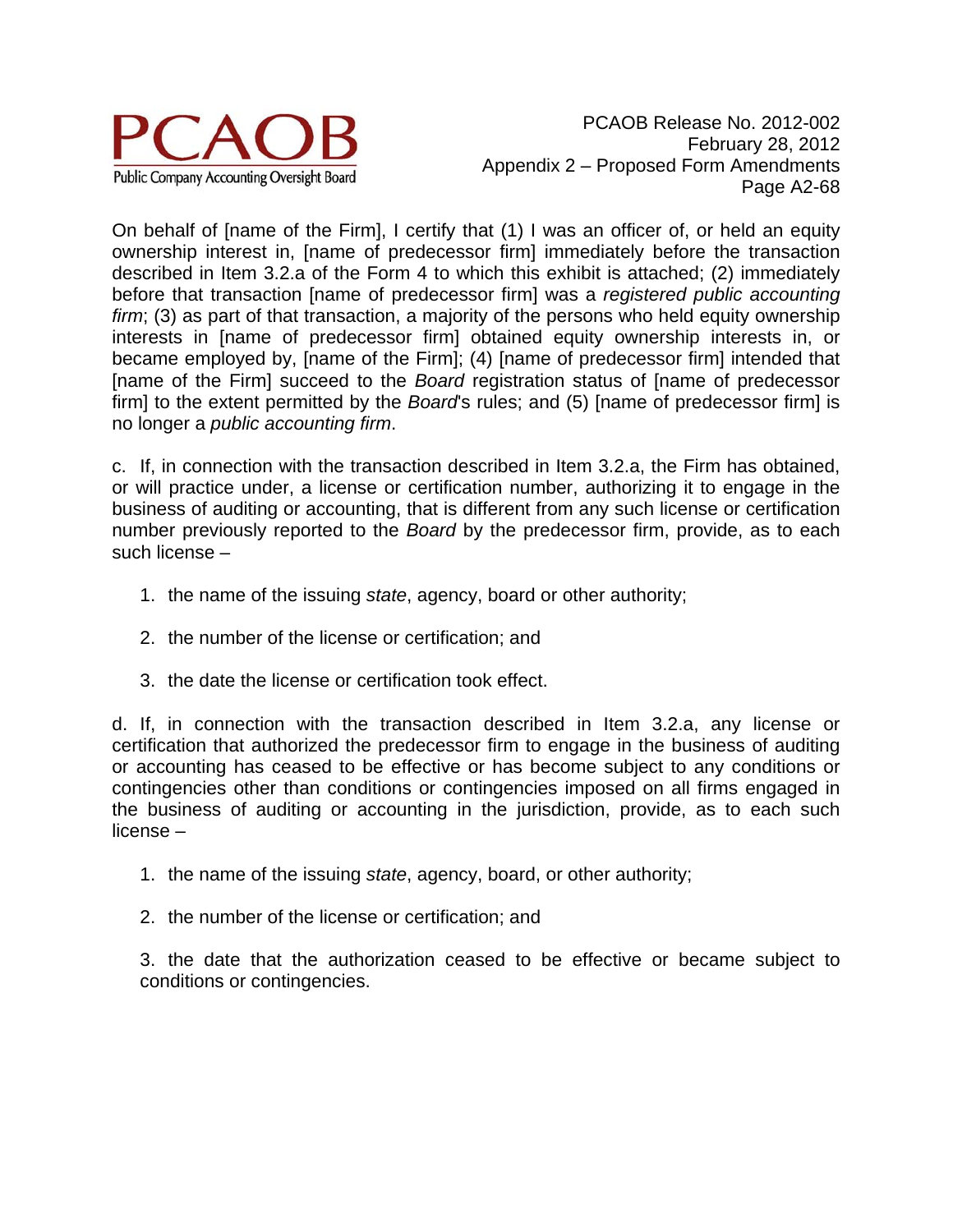

On behalf of [name of the Firm], I certify that (1) I was an officer of, or held an equity ownership interest in, [name of predecessor firm] immediately before the transaction described in Item 3.2.a of the Form 4 to which this exhibit is attached; (2) immediately before that transaction [name of predecessor firm] was a *registered public accounting firm*; (3) as part of that transaction, a majority of the persons who held equity ownership interests in [name of predecessor firm] obtained equity ownership interests in, or became employed by, [name of the Firm]; (4) [name of predecessor firm] intended that [name of the Firm] succeed to the *Board* registration status of [name of predecessor firm] to the extent permitted by the *Board*'s rules; and (5) [name of predecessor firm] is no longer a *public accounting firm*.

c. If, in connection with the transaction described in Item 3.2.a, the Firm has obtained, or will practice under, a license or certification number, authorizing it to engage in the business of auditing or accounting, that is different from any such license or certification number previously reported to the *Board* by the predecessor firm, provide, as to each such license –

- 1. the name of the issuing *state*, agency, board or other authority;
- 2. the number of the license or certification; and
- 3. the date the license or certification took effect.

d. If, in connection with the transaction described in Item 3.2.a, any license or certification that authorized the predecessor firm to engage in the business of auditing or accounting has ceased to be effective or has become subject to any conditions or contingencies other than conditions or contingencies imposed on all firms engaged in the business of auditing or accounting in the jurisdiction, provide, as to each such license –

- 1. the name of the issuing *state*, agency, board, or other authority;
- 2. the number of the license or certification; and

3. the date that the authorization ceased to be effective or became subject to conditions or contingencies.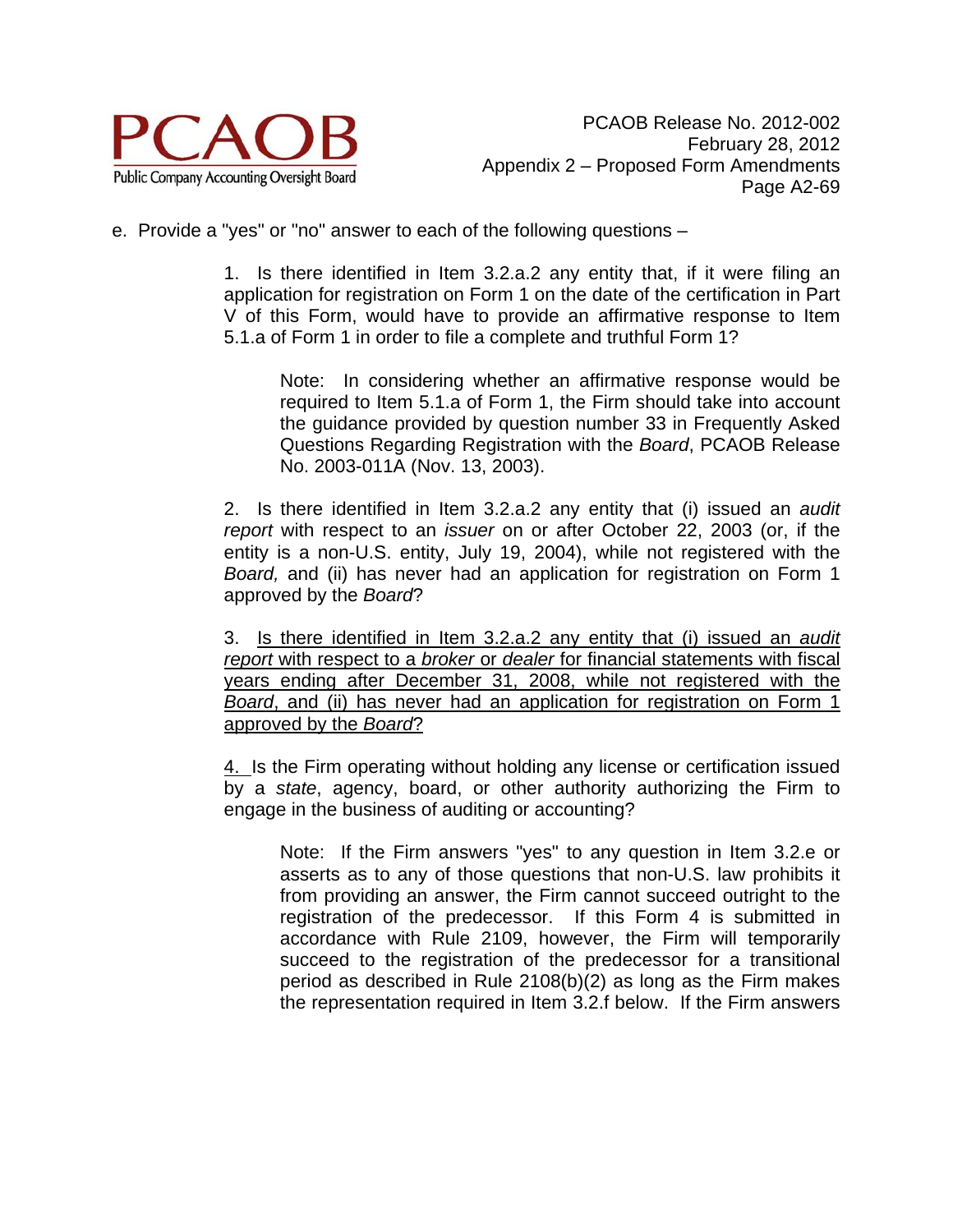

e. Provide a "yes" or "no" answer to each of the following questions –

 1. Is there identified in Item 3.2.a.2 any entity that, if it were filing an application for registration on Form 1 on the date of the certification in Part V of this Form, would have to provide an affirmative response to Item 5.1.a of Form 1 in order to file a complete and truthful Form 1?

Note: In considering whether an affirmative response would be required to Item 5.1.a of Form 1, the Firm should take into account the guidance provided by question number 33 in Frequently Asked Questions Regarding Registration with the *Board*, PCAOB Release No. 2003-011A (Nov. 13, 2003).

 2. Is there identified in Item 3.2.a.2 any entity that (i) issued an *audit report* with respect to an *issuer* on or after October 22, 2003 (or, if the entity is a non-U.S. entity, July 19, 2004), while not registered with the *Board,* and (ii) has never had an application for registration on Form 1 approved by the *Board*?

 3. Is there identified in Item 3.2.a.2 any entity that (i) issued an *audit report* with respect to a *broker* or *dealer* for financial statements with fiscal years ending after December 31, 2008, while not registered with the *Board*, and (ii) has never had an application for registration on Form 1 approved by the *Board*?

 4. Is the Firm operating without holding any license or certification issued by a *state*, agency, board, or other authority authorizing the Firm to engage in the business of auditing or accounting?

Note: If the Firm answers "yes" to any question in Item 3.2.e or asserts as to any of those questions that non-U.S. law prohibits it from providing an answer, the Firm cannot succeed outright to the registration of the predecessor. If this Form 4 is submitted in accordance with Rule 2109, however, the Firm will temporarily succeed to the registration of the predecessor for a transitional period as described in Rule 2108(b)(2) as long as the Firm makes the representation required in Item 3.2.f below. If the Firm answers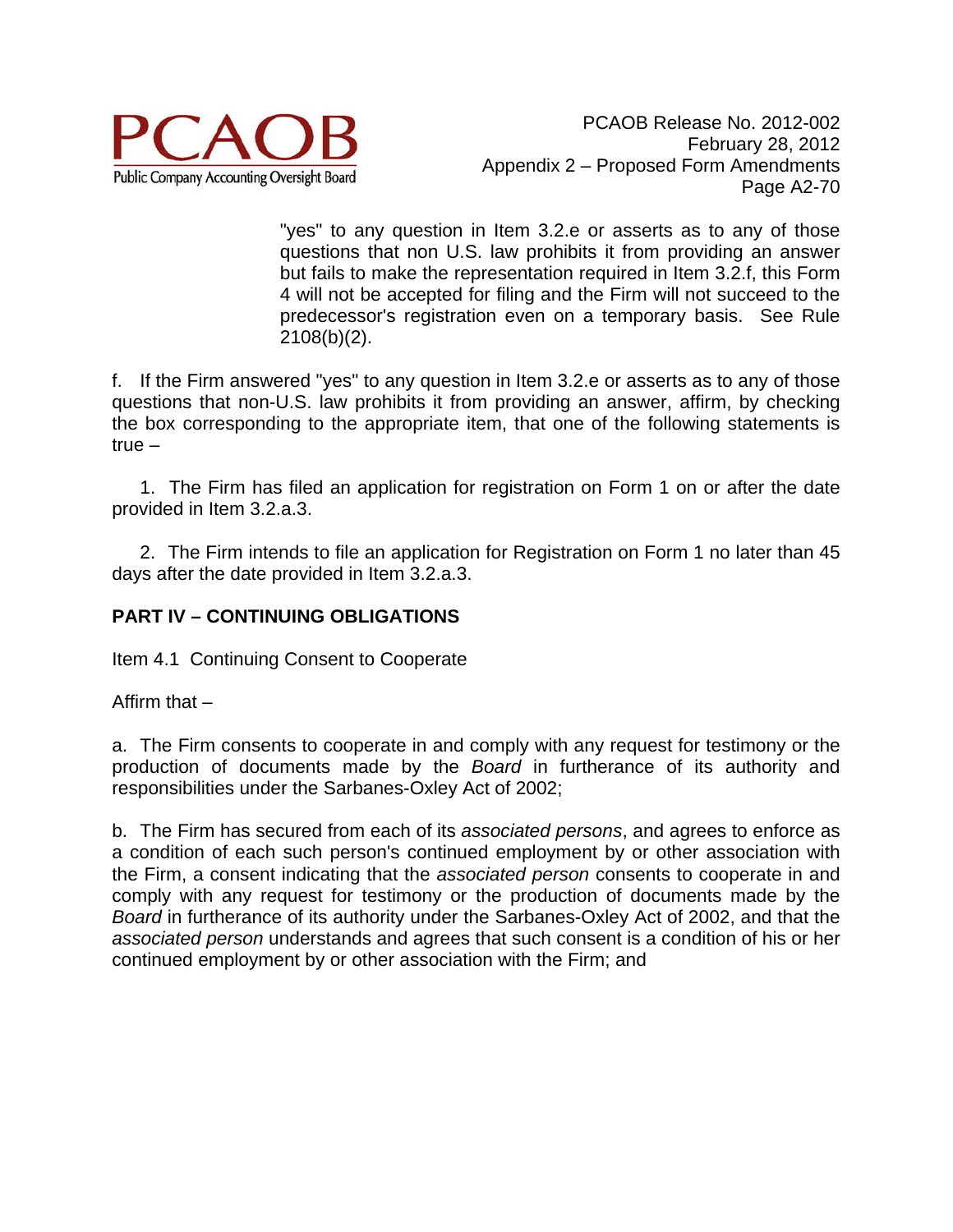

"yes" to any question in Item 3.2.e or asserts as to any of those questions that non U.S. law prohibits it from providing an answer but fails to make the representation required in Item 3.2.f, this Form 4 will not be accepted for filing and the Firm will not succeed to the predecessor's registration even on a temporary basis. See Rule 2108(b)(2).

f. If the Firm answered "yes" to any question in Item 3.2.e or asserts as to any of those questions that non-U.S. law prohibits it from providing an answer, affirm, by checking the box corresponding to the appropriate item, that one of the following statements is true –

 1. The Firm has filed an application for registration on Form 1 on or after the date provided in Item 3.2.a.3.

 2. The Firm intends to file an application for Registration on Form 1 no later than 45 days after the date provided in Item 3.2.a.3.

# **PART IV – CONTINUING OBLIGATIONS**

Item 4.1 Continuing Consent to Cooperate

Affirm that –

a. The Firm consents to cooperate in and comply with any request for testimony or the production of documents made by the *Board* in furtherance of its authority and responsibilities under the Sarbanes-Oxley Act of 2002;

b. The Firm has secured from each of its *associated persons*, and agrees to enforce as a condition of each such person's continued employment by or other association with the Firm, a consent indicating that the *associated person* consents to cooperate in and comply with any request for testimony or the production of documents made by the *Board* in furtherance of its authority under the Sarbanes-Oxley Act of 2002, and that the *associated person* understands and agrees that such consent is a condition of his or her continued employment by or other association with the Firm; and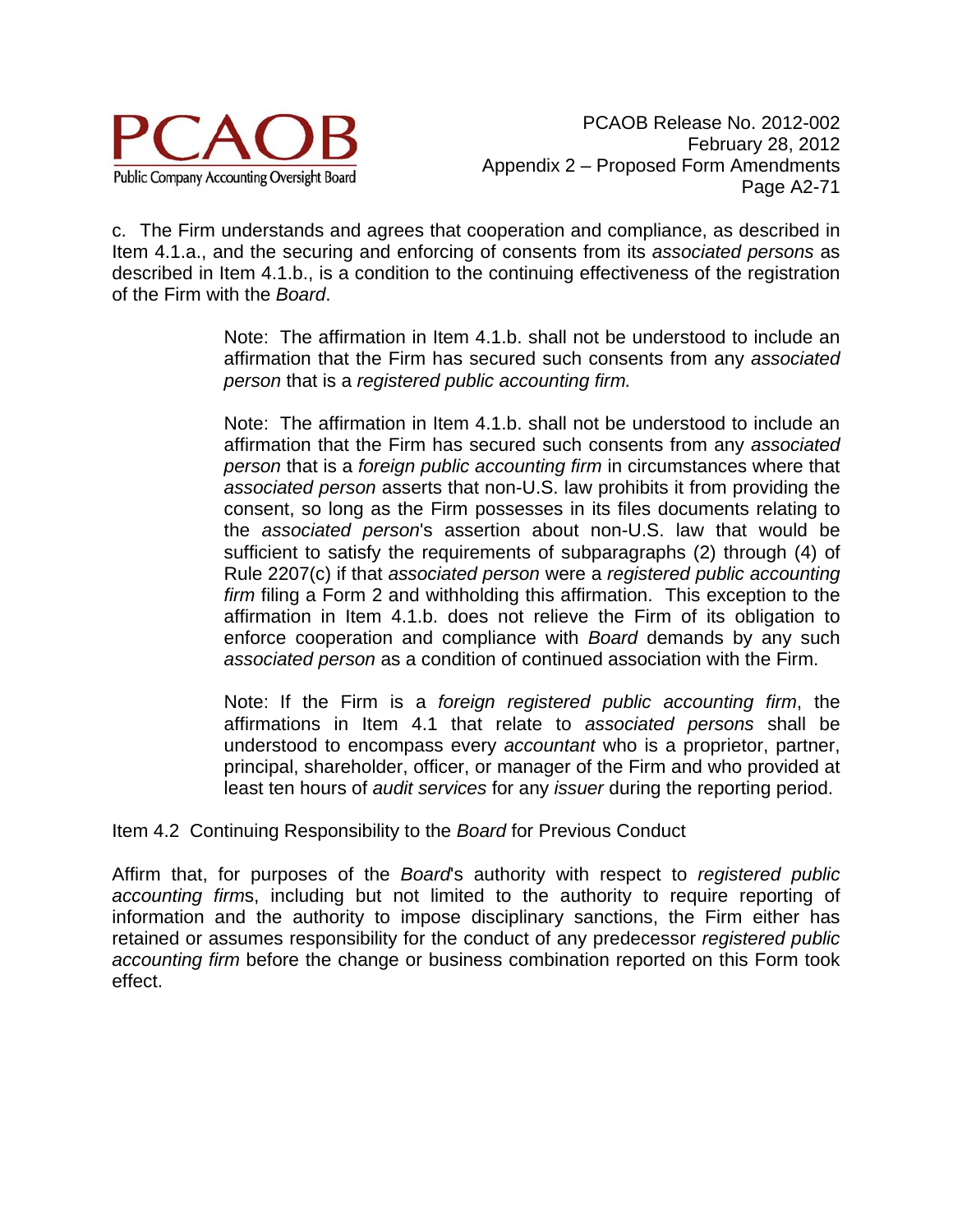

c. The Firm understands and agrees that cooperation and compliance, as described in Item 4.1.a., and the securing and enforcing of consents from its *associated persons* as described in Item 4.1.b., is a condition to the continuing effectiveness of the registration of the Firm with the *Board*.

> Note: The affirmation in Item 4.1.b. shall not be understood to include an affirmation that the Firm has secured such consents from any *associated person* that is a *registered public accounting firm.*

> Note: The affirmation in Item 4.1.b. shall not be understood to include an affirmation that the Firm has secured such consents from any *associated person* that is a *foreign public accounting firm* in circumstances where that *associated person* asserts that non-U.S. law prohibits it from providing the consent, so long as the Firm possesses in its files documents relating to the *associated person*'s assertion about non-U.S. law that would be sufficient to satisfy the requirements of subparagraphs (2) through (4) of Rule 2207(c) if that *associated person* were a *registered public accounting firm* filing a Form 2 and withholding this affirmation. This exception to the affirmation in Item 4.1.b. does not relieve the Firm of its obligation to enforce cooperation and compliance with *Board* demands by any such *associated person* as a condition of continued association with the Firm.

> Note: If the Firm is a *foreign registered public accounting firm*, the affirmations in Item 4.1 that relate to *associated persons* shall be understood to encompass every *accountant* who is a proprietor, partner, principal, shareholder, officer, or manager of the Firm and who provided at least ten hours of *audit services* for any *issuer* during the reporting period.

Item 4.2 Continuing Responsibility to the *Board* for Previous Conduct

Affirm that, for purposes of the *Board*'s authority with respect to *registered public accounting firm*s, including but not limited to the authority to require reporting of information and the authority to impose disciplinary sanctions, the Firm either has retained or assumes responsibility for the conduct of any predecessor *registered public accounting firm* before the change or business combination reported on this Form took effect.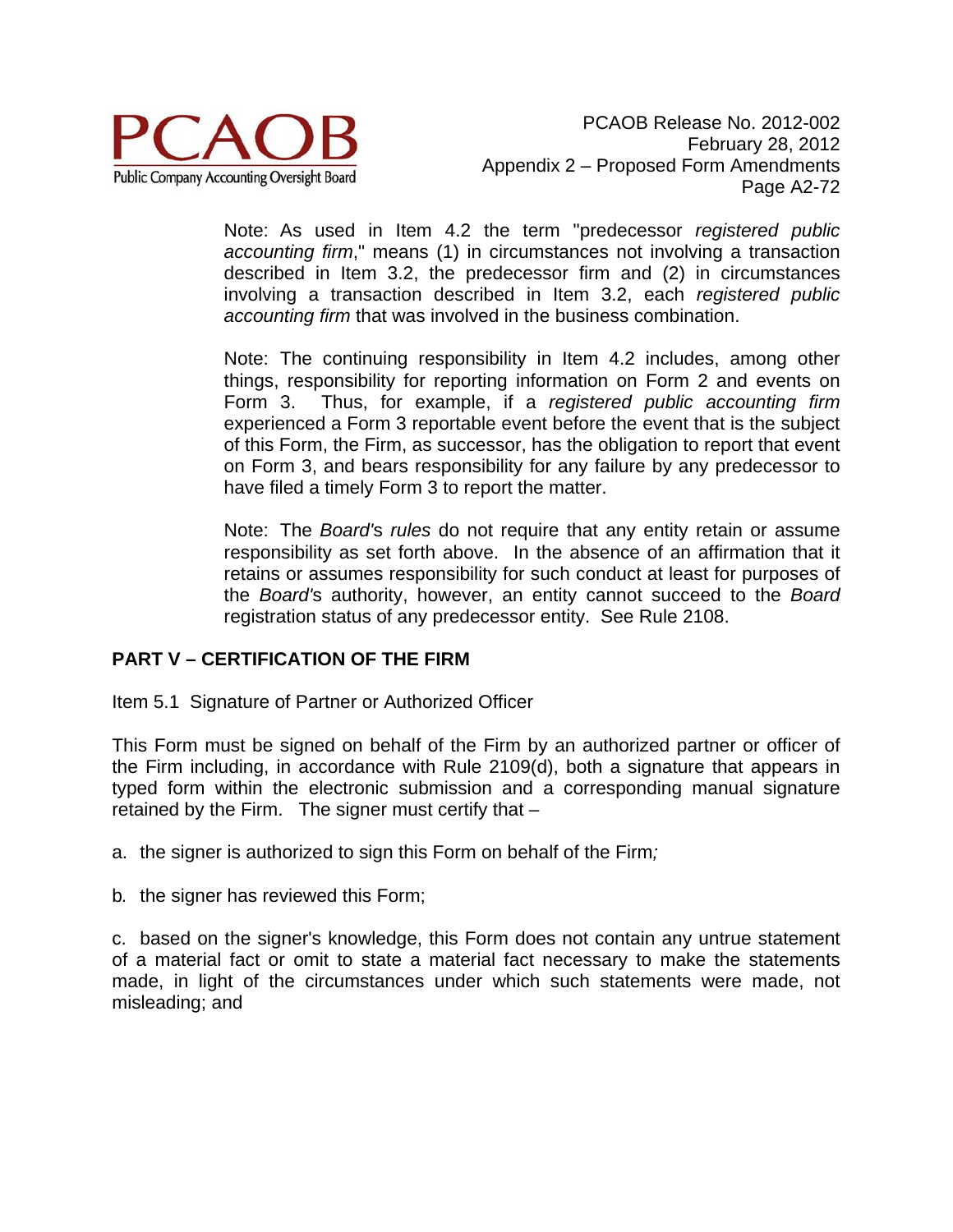

Note: As used in Item 4.2 the term "predecessor *registered public accounting firm*," means (1) in circumstances not involving a transaction described in Item 3.2, the predecessor firm and (2) in circumstances involving a transaction described in Item 3.2, each *registered public accounting firm* that was involved in the business combination.

Note: The continuing responsibility in Item 4.2 includes, among other things, responsibility for reporting information on Form 2 and events on Form 3. Thus, for example, if a *registered public accounting firm* experienced a Form 3 reportable event before the event that is the subject of this Form, the Firm, as successor, has the obligation to report that event on Form 3, and bears responsibility for any failure by any predecessor to have filed a timely Form 3 to report the matter.

Note: The *Board'*s *rules* do not require that any entity retain or assume responsibility as set forth above. In the absence of an affirmation that it retains or assumes responsibility for such conduct at least for purposes of the *Board'*s authority, however, an entity cannot succeed to the *Board* registration status of any predecessor entity. See Rule 2108.

### **PART V – CERTIFICATION OF THE FIRM**

Item 5.1 Signature of Partner or Authorized Officer

This Form must be signed on behalf of the Firm by an authorized partner or officer of the Firm including, in accordance with Rule 2109(d), both a signature that appears in typed form within the electronic submission and a corresponding manual signature retained by the Firm. The signer must certify that –

a. the signer is authorized to sign this Form on behalf of the Firm*;* 

b*.* the signer has reviewed this Form;

c. based on the signer's knowledge, this Form does not contain any untrue statement of a material fact or omit to state a material fact necessary to make the statements made, in light of the circumstances under which such statements were made, not misleading; and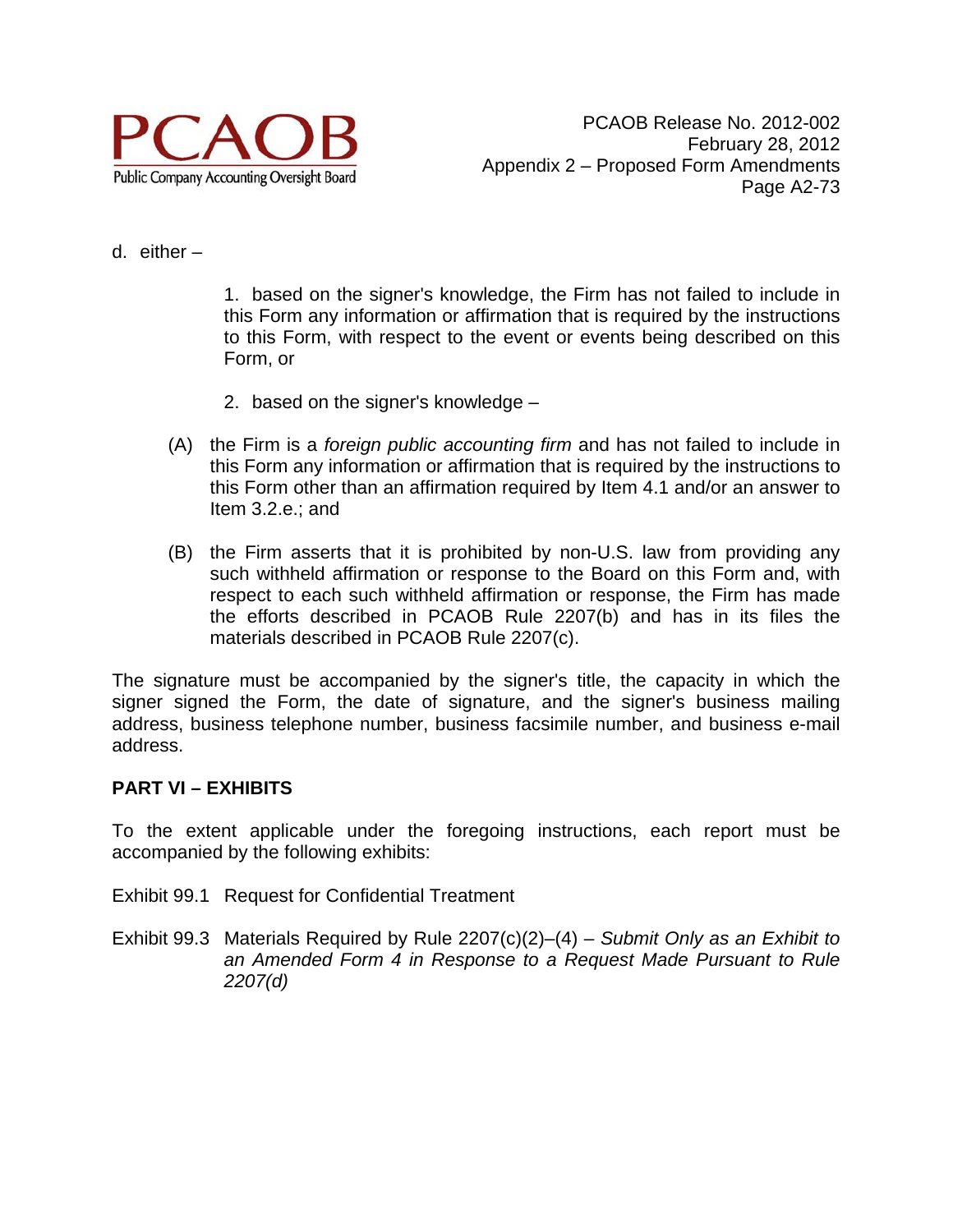

d. either –

1. based on the signer's knowledge, the Firm has not failed to include in this Form any information or affirmation that is required by the instructions to this Form, with respect to the event or events being described on this Form, or

- 2. based on the signer's knowledge –
- (A) the Firm is a *foreign public accounting firm* and has not failed to include in this Form any information or affirmation that is required by the instructions to this Form other than an affirmation required by Item 4.1 and/or an answer to Item 3.2.e.; and
- (B) the Firm asserts that it is prohibited by non-U.S. law from providing any such withheld affirmation or response to the Board on this Form and, with respect to each such withheld affirmation or response, the Firm has made the efforts described in PCAOB Rule 2207(b) and has in its files the materials described in PCAOB Rule 2207(c).

The signature must be accompanied by the signer's title, the capacity in which the signer signed the Form, the date of signature, and the signer's business mailing address, business telephone number, business facsimile number, and business e-mail address.

#### **PART VI – EXHIBITS**

To the extent applicable under the foregoing instructions, each report must be accompanied by the following exhibits:

- Exhibit 99.1 Request for Confidential Treatment
- Exhibit 99.3 Materials Required by Rule 2207(c)(2)–(4) *Submit Only as an Exhibit to an Amended Form 4 in Response to a Request Made Pursuant to Rule 2207(d)*